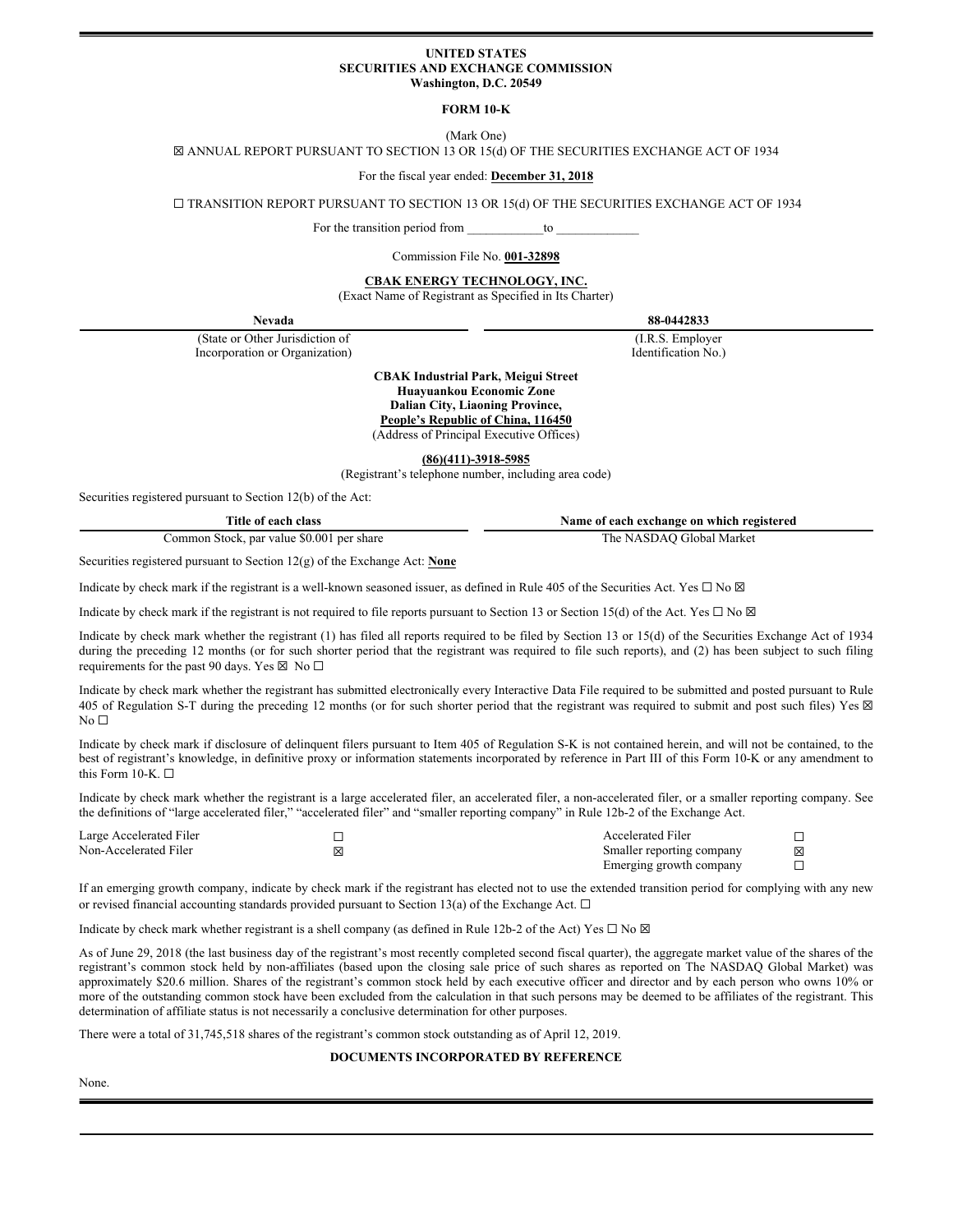#### **UNITED STATES SECURITIES AND EXCHANGE COMMISSION Washington, D.C. 20549**

# **FORM 10-K**

(Mark One)

☒ ANNUAL REPORT PURSUANT TO SECTION 13 OR 15(d) OF THE SECURITIES EXCHANGE ACT OF 1934

## For the fiscal year ended: **December 31, 2018**

☐ TRANSITION REPORT PURSUANT TO SECTION 13 OR 15(d) OF THE SECURITIES EXCHANGE ACT OF 1934

For the transition period from \_\_\_\_\_\_\_\_\_\_\_\_\_to

#### Commission File No. **001-32898**

**CBAK ENERGY TECHNOLOGY, INC.** 

(Exact Name of Registrant as Specified in Its Charter)

(State or Other Jurisdiction of (I.R.S. Employer Incorporation or Organization) and Identification No.)

**Nevada 88-0442833**

**CBAK Industrial Park, Meigui Street Huayuankou Economic Zone Dalian City, Liaoning Province,** 

**People's Republic of China, 116450** (Address of Principal Executive Offices)

**(86)(411)-3918-5985** 

(Registrant's telephone number, including area code)

Securities registered pursuant to Section 12(b) of the Act:

**Title of each class Name of each exchange on which registered**

Common Stock, par value \$0.001 per share The NASDAQ Global Market

Securities registered pursuant to Section 12(g) of the Exchange Act: **None**

Indicate by check mark if the registrant is a well-known seasoned issuer, as defined in Rule 405 of the Securities Act. Yes  $\Box$  No  $\boxtimes$ 

Indicate by check mark if the registrant is not required to file reports pursuant to Section 13 or Section 15(d) of the Act. Yes  $\Box$  No  $\boxtimes$ 

Indicate by check mark whether the registrant (1) has filed all reports required to be filed by Section 13 or 15(d) of the Securities Exchange Act of 1934 during the preceding 12 months (or for such shorter period that the registrant was required to file such reports), and (2) has been subject to such filing requirements for the past 90 days. Yes  $\boxtimes$  No  $\square$ 

Indicate by check mark whether the registrant has submitted electronically every Interactive Data File required to be submitted and posted pursuant to Rule 405 of Regulation S-T during the preceding 12 months (or for such shorter period that the registrant was required to submit and post such files) Yes  $\boxtimes$  $No<sub>1</sub>$ 

Indicate by check mark if disclosure of delinquent filers pursuant to Item 405 of Regulation S-K is not contained herein, and will not be contained, to the best of registrant's knowledge, in definitive proxy or information statements incorporated by reference in Part III of this Form 10-K or any amendment to this Form 10-K.  $\square$ 

Indicate by check mark whether the registrant is a large accelerated filer, an accelerated filer, a non-accelerated filer, or a smaller reporting company. See the definitions of "large accelerated filer," "accelerated filer" and "smaller reporting company" in Rule 12b-2 of the Exchange Act.

| Large Accelerated Filer |   | Accelerated Filer         |   |
|-------------------------|---|---------------------------|---|
| Non-Accelerated Filer   | ⊠ | Smaller reporting company | 区 |
|                         |   | Emerging growth company   |   |

If an emerging growth company, indicate by check mark if the registrant has elected not to use the extended transition period for complying with any new or revised financial accounting standards provided pursuant to Section 13(a) of the Exchange Act. □

Indicate by check mark whether registrant is a shell company (as defined in Rule 12b-2 of the Act) Yes  $\Box$  No  $\boxtimes$ 

As of June 29, 2018 (the last business day of the registrant's most recently completed second fiscal quarter), the aggregate market value of the shares of the registrant's common stock held by non-affiliates (based upon the closing sale price of such shares as reported on The NASDAQ Global Market) was approximately \$20.6 million. Shares of the registrant's common stock held by each executive officer and director and by each person who owns 10% or more of the outstanding common stock have been excluded from the calculation in that such persons may be deemed to be affiliates of the registrant. This determination of affiliate status is not necessarily a conclusive determination for other purposes.

There were a total of 31,745,518 shares of the registrant's common stock outstanding as of April 12, 2019.

## **DOCUMENTS INCORPORATED BY REFERENCE**

None.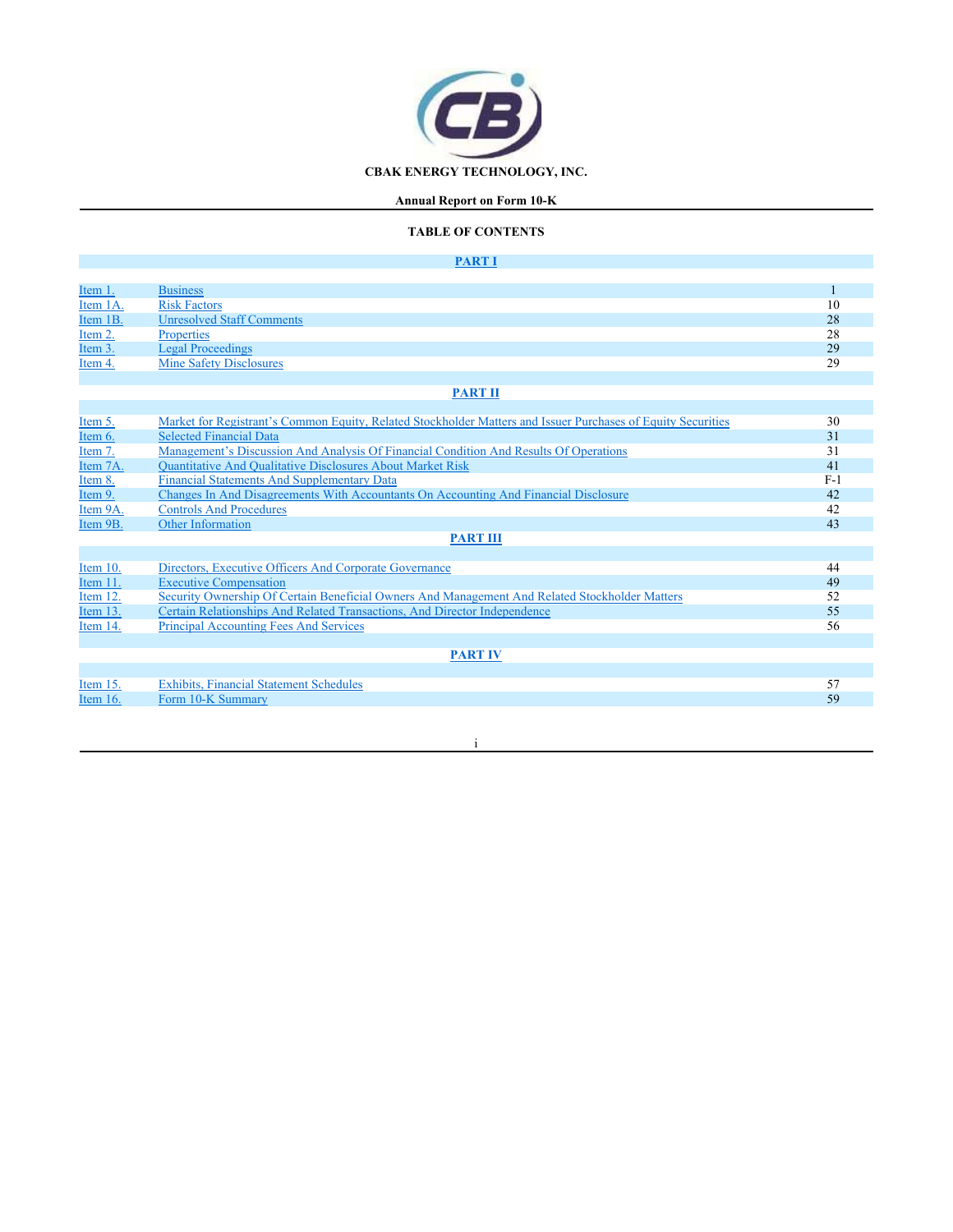

# **Annual Report on Form 10-K**

# **TABLE OF CONTENTS**

# **PART I**

٦

| Item 1.     | <b>Business</b>                                                                                              |       |
|-------------|--------------------------------------------------------------------------------------------------------------|-------|
| Item 1A.    | <b>Risk Factors</b>                                                                                          | 10    |
| Item 1B.    | <b>Unresolved Staff Comments</b>                                                                             | 28    |
| Item 2.     | <b>Properties</b>                                                                                            | 28    |
| Item 3.     | <b>Legal Proceedings</b>                                                                                     | 29    |
| Item 4.     | <b>Mine Safety Disclosures</b>                                                                               | 29    |
|             |                                                                                                              |       |
|             | <b>PART II</b>                                                                                               |       |
|             |                                                                                                              |       |
| Item 5.     | Market for Registrant's Common Equity, Related Stockholder Matters and Issuer Purchases of Equity Securities | 30    |
| Item 6.     | <b>Selected Financial Data</b>                                                                               | 31    |
| Item 7.     | Management's Discussion And Analysis Of Financial Condition And Results Of Operations                        | 31    |
| Item 7A.    | <b>Quantitative And Qualitative Disclosures About Market Risk</b>                                            | 41    |
| Item 8.     | <b>Financial Statements And Supplementary Data</b>                                                           | $F-1$ |
| Item 9.     | Changes In And Disagreements With Accountants On Accounting And Financial Disclosure                         | 42    |
| Item 9A.    | <b>Controls And Procedures</b>                                                                               | 42    |
| Item 9B.    | <b>Other Information</b>                                                                                     | 43    |
|             | <b>PART III</b>                                                                                              |       |
|             |                                                                                                              |       |
| Item 10.    | Directors, Executive Officers And Corporate Governance                                                       | 44    |
| Item 11.    | <b>Executive Compensation</b>                                                                                | 49    |
| Item 12.    | Security Ownership Of Certain Beneficial Owners And Management And Related Stockholder Matters               | 52    |
| Item $13$ . | Certain Relationships And Related Transactions, And Director Independence                                    | 55    |
| Item 14.    | <b>Principal Accounting Fees And Services</b>                                                                | 56    |
|             |                                                                                                              |       |
|             | <b>PART IV</b>                                                                                               |       |

|                 | <b><i><u>AAAAA AY</u></i></b>                  |  |
|-----------------|------------------------------------------------|--|
|                 |                                                |  |
| <u>Item 15.</u> | <b>Exhibits, Financial Statement Schedules</b> |  |
| Item 16.        | Form 10-K Summary                              |  |
|                 |                                                |  |

#### i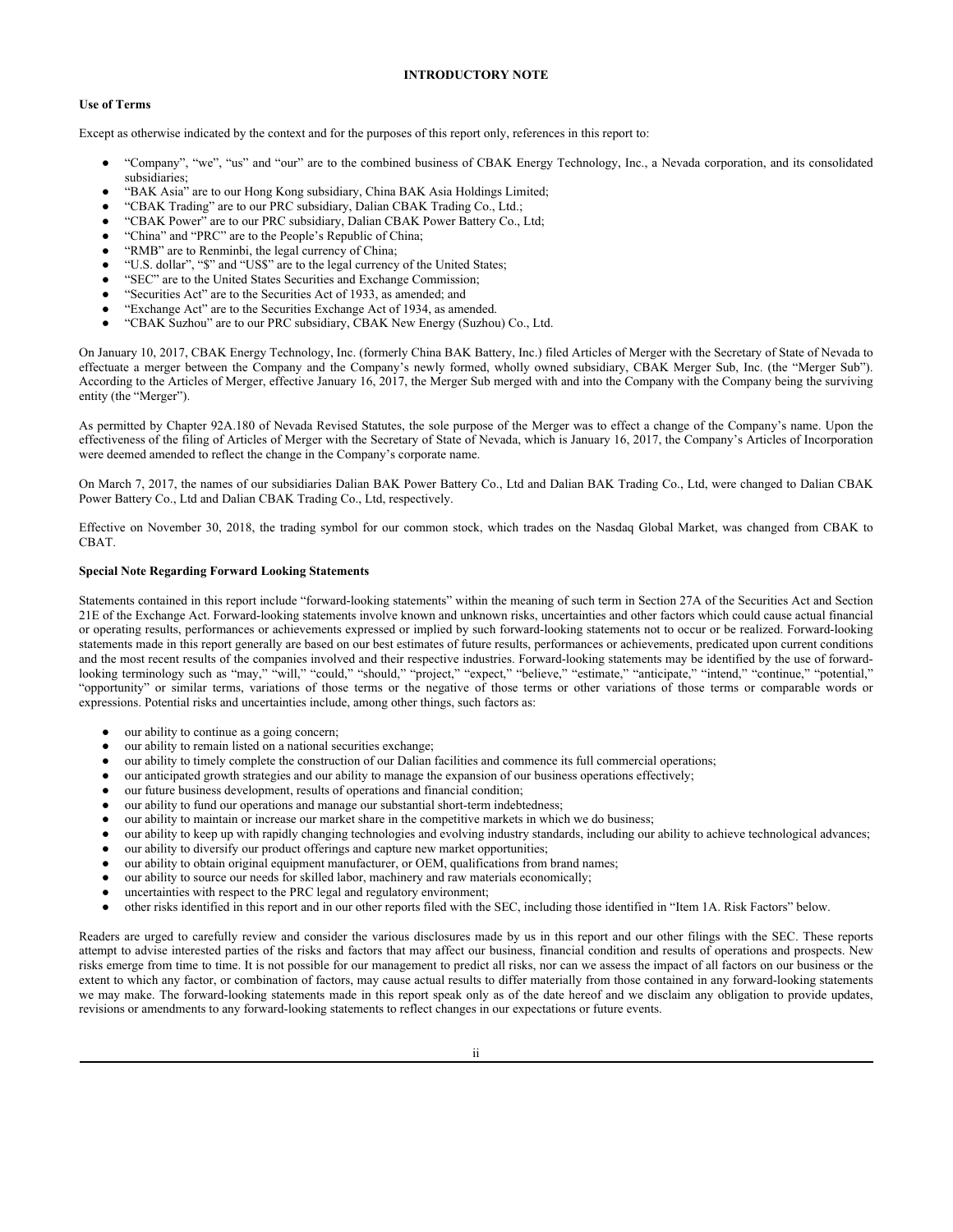# **INTRODUCTORY NOTE**

# **Use of Terms**

Except as otherwise indicated by the context and for the purposes of this report only, references in this report to:

- "Company", "we", "us" and "our" are to the combined business of CBAK Energy Technology, Inc., a Nevada corporation, and its consolidated subsidiaries;
- "BAK Asia" are to our Hong Kong subsidiary, China BAK Asia Holdings Limited;
- "CBAK Trading" are to our PRC subsidiary, Dalian CBAK Trading Co., Ltd.;
- "CBAK Power" are to our PRC subsidiary, Dalian CBAK Power Battery Co., Ltd;
- "China" and "PRC" are to the People's Republic of China;
- "RMB" are to Renminbi, the legal currency of China;
- "U.S. dollar", "\$" and "US\$" are to the legal currency of the United States;
- "SEC" are to the United States Securities and Exchange Commission;
- "Securities Act" are to the Securities Act of 1933, as amended; and
- "Exchange Act" are to the Securities Exchange Act of 1934, as amended.
- "CBAK Suzhou" are to our PRC subsidiary, CBAK New Energy (Suzhou) Co., Ltd.

On January 10, 2017, CBAK Energy Technology, Inc. (formerly China BAK Battery, Inc.) filed Articles of Merger with the Secretary of State of Nevada to effectuate a merger between the Company and the Company's newly formed, wholly owned subsidiary, CBAK Merger Sub, Inc. (the "Merger Sub"). According to the Articles of Merger, effective January 16, 2017, the Merger Sub merged with and into the Company with the Company being the surviving entity (the "Merger").

As permitted by Chapter 92A.180 of Nevada Revised Statutes, the sole purpose of the Merger was to effect a change of the Company's name. Upon the effectiveness of the filing of Articles of Merger with the Secretary of State of Nevada, which is January 16, 2017, the Company's Articles of Incorporation were deemed amended to reflect the change in the Company's corporate name.

On March 7, 2017, the names of our subsidiaries Dalian BAK Power Battery Co., Ltd and Dalian BAK Trading Co., Ltd, were changed to Dalian CBAK Power Battery Co., Ltd and Dalian CBAK Trading Co., Ltd, respectively.

Effective on November 30, 2018, the trading symbol for our common stock, which trades on the Nasdaq Global Market, was changed from CBAK to CBAT.

## **Special Note Regarding Forward Looking Statements**

Statements contained in this report include "forward-looking statements" within the meaning of such term in Section 27A of the Securities Act and Section 21E of the Exchange Act. Forward-looking statements involve known and unknown risks, uncertainties and other factors which could cause actual financial or operating results, performances or achievements expressed or implied by such forward-looking statements not to occur or be realized. Forward-looking statements made in this report generally are based on our best estimates of future results, performances or achievements, predicated upon current conditions and the most recent results of the companies involved and their respective industries. Forward-looking statements may be identified by the use of forwardlooking terminology such as "may," "will," "could," "should," "project," "expect," "believe," "estimate," "anticipate," "intend," "continue," "potential," "opportunity" or similar terms, variations of those terms or the negative of those terms or other variations of those terms or comparable words or expressions. Potential risks and uncertainties include, among other things, such factors as:

- our ability to continue as a going concern;
- our ability to remain listed on a national securities exchange;
- our ability to timely complete the construction of our Dalian facilities and commence its full commercial operations;
- our anticipated growth strategies and our ability to manage the expansion of our business operations effectively;
- our future business development, results of operations and financial condition;
- our ability to fund our operations and manage our substantial short-term indebtedness;
- our ability to maintain or increase our market share in the competitive markets in which we do business;
- our ability to keep up with rapidly changing technologies and evolving industry standards, including our ability to achieve technological advances;
- our ability to diversify our product offerings and capture new market opportunities;
- our ability to obtain original equipment manufacturer, or OEM, qualifications from brand names;
- our ability to source our needs for skilled labor, machinery and raw materials economically;
- uncertainties with respect to the PRC legal and regulatory environment;
- other risks identified in this report and in our other reports filed with the SEC, including those identified in "Item 1A. Risk Factors" below.

Readers are urged to carefully review and consider the various disclosures made by us in this report and our other filings with the SEC. These reports attempt to advise interested parties of the risks and factors that may affect our business, financial condition and results of operations and prospects. New risks emerge from time to time. It is not possible for our management to predict all risks, nor can we assess the impact of all factors on our business or the extent to which any factor, or combination of factors, may cause actual results to differ materially from those contained in any forward-looking statements we may make. The forward-looking statements made in this report speak only as of the date hereof and we disclaim any obligation to provide updates, revisions or amendments to any forward-looking statements to reflect changes in our expectations or future events.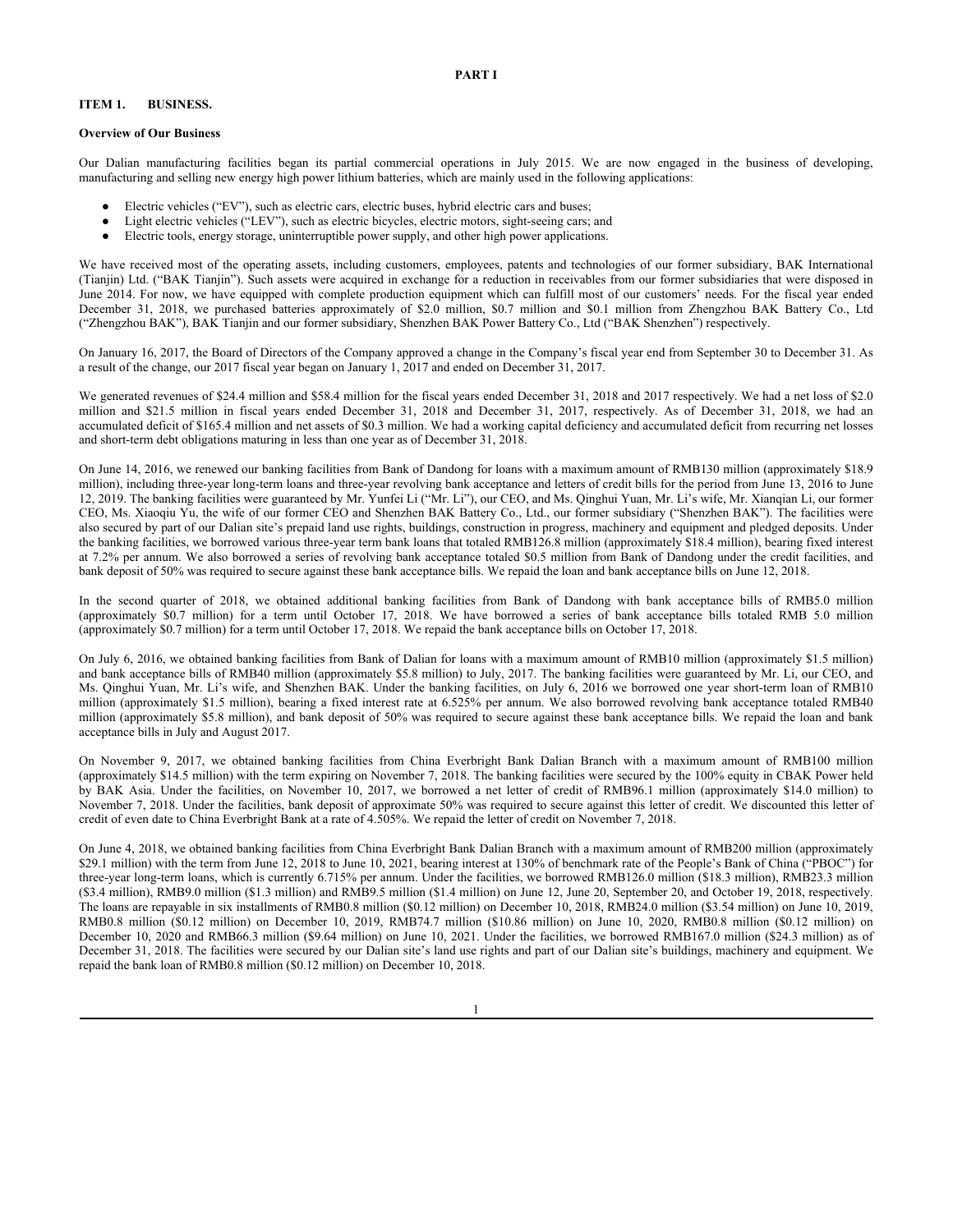# **ITEM 1. BUSINESS.**

#### **Overview of Our Business**

Our Dalian manufacturing facilities began its partial commercial operations in July 2015. We are now engaged in the business of developing, manufacturing and selling new energy high power lithium batteries, which are mainly used in the following applications:

- Electric vehicles ("EV"), such as electric cars, electric buses, hybrid electric cars and buses;
- Light electric vehicles ("LEV"), such as electric bicycles, electric motors, sight-seeing cars; and
- Electric tools, energy storage, uninterruptible power supply, and other high power applications.

We have received most of the operating assets, including customers, employees, patents and technologies of our former subsidiary, BAK International (Tianjin) Ltd. ("BAK Tianjin"). Such assets were acquired in exchange for a reduction in receivables from our former subsidiaries that were disposed in June 2014. For now, we have equipped with complete production equipment which can fulfill most of our customers' needs. For the fiscal year ended December 31, 2018, we purchased batteries approximately of \$2.0 million, \$0.7 million and \$0.1 million from Zhengzhou BAK Battery Co., Ltd ("Zhengzhou BAK"), BAK Tianjin and our former subsidiary, Shenzhen BAK Power Battery Co., Ltd ("BAK Shenzhen") respectively.

On January 16, 2017, the Board of Directors of the Company approved a change in the Company's fiscal year end from September 30 to December 31. As a result of the change, our 2017 fiscal year began on January 1, 2017 and ended on December 31, 2017.

We generated revenues of \$24.4 million and \$58.4 million for the fiscal years ended December 31, 2018 and 2017 respectively. We had a net loss of \$2.0 million and \$21.5 million in fiscal years ended December 31, 2018 and December 31, 2017, respectively. As of December 31, 2018, we had an accumulated deficit of \$165.4 million and net assets of \$0.3 million. We had a working capital deficiency and accumulated deficit from recurring net losses and short-term debt obligations maturing in less than one year as of December 31, 2018.

On June 14, 2016, we renewed our banking facilities from Bank of Dandong for loans with a maximum amount of RMB130 million (approximately \$18.9 million), including three-year long-term loans and three-year revolving bank acceptance and letters of credit bills for the period from June 13, 2016 to June 12, 2019. The banking facilities were guaranteed by Mr. Yunfei Li ("Mr. Li"), our CEO, and Ms. Qinghui Yuan, Mr. Li's wife, Mr. Xianqian Li, our former CEO, Ms. Xiaoqiu Yu, the wife of our former CEO and Shenzhen BAK Battery Co., Ltd., our former subsidiary ("Shenzhen BAK"). The facilities were also secured by part of our Dalian site's prepaid land use rights, buildings, construction in progress, machinery and equipment and pledged deposits. Under the banking facilities, we borrowed various three-year term bank loans that totaled RMB126.8 million (approximately \$18.4 million), bearing fixed interest at 7.2% per annum. We also borrowed a series of revolving bank acceptance totaled \$0.5 million from Bank of Dandong under the credit facilities, and bank deposit of 50% was required to secure against these bank acceptance bills. We repaid the loan and bank acceptance bills on June 12, 2018.

In the second quarter of 2018, we obtained additional banking facilities from Bank of Dandong with bank acceptance bills of RMB5.0 million (approximately \$0.7 million) for a term until October 17, 2018. We have borrowed a series of bank acceptance bills totaled RMB 5.0 million (approximately \$0.7 million) for a term until October 17, 2018. We repaid the bank acceptance bills on October 17, 2018.

On July 6, 2016, we obtained banking facilities from Bank of Dalian for loans with a maximum amount of RMB10 million (approximately \$1.5 million) and bank acceptance bills of RMB40 million (approximately \$5.8 million) to July, 2017. The banking facilities were guaranteed by Mr. Li, our CEO, and Ms. Qinghui Yuan, Mr. Li's wife, and Shenzhen BAK. Under the banking facilities, on July 6, 2016 we borrowed one year short-term loan of RMB10 million (approximately \$1.5 million), bearing a fixed interest rate at 6.525% per annum. We also borrowed revolving bank acceptance totaled RMB40 million (approximately \$5.8 million), and bank deposit of 50% was required to secure against these bank acceptance bills. We repaid the loan and bank acceptance bills in July and August 2017.

On November 9, 2017, we obtained banking facilities from China Everbright Bank Dalian Branch with a maximum amount of RMB100 million (approximately \$14.5 million) with the term expiring on November 7, 2018. The banking facilities were secured by the 100% equity in CBAK Power held by BAK Asia. Under the facilities, on November 10, 2017, we borrowed a net letter of credit of RMB96.1 million (approximately \$14.0 million) to November 7, 2018. Under the facilities, bank deposit of approximate 50% was required to secure against this letter of credit. We discounted this letter of credit of even date to China Everbright Bank at a rate of 4.505%. We repaid the letter of credit on November 7, 2018.

On June 4, 2018, we obtained banking facilities from China Everbright Bank Dalian Branch with a maximum amount of RMB200 million (approximately \$29.1 million) with the term from June 12, 2018 to June 10, 2021, bearing interest at 130% of benchmark rate of the People's Bank of China ("PBOC") for three-year long-term loans, which is currently 6.715% per annum. Under the facilities, we borrowed RMB126.0 million (\$18.3 million), RMB23.3 million (\$3.4 million), RMB9.0 million (\$1.3 million) and RMB9.5 million (\$1.4 million) on June 12, June 20, September 20, and October 19, 2018, respectively. The loans are repayable in six installments of RMB0.8 million (\$0.12 million) on December 10, 2018, RMB24.0 million (\$3.54 million) on June 10, 2019, RMB0.8 million (\$0.12 million) on December 10, 2019, RMB74.7 million (\$10.86 million) on June 10, 2020, RMB0.8 million (\$0.12 million) on December 10, 2020 and RMB66.3 million (\$9.64 million) on June 10, 2021. Under the facilities, we borrowed RMB167.0 million (\$24.3 million) as of December 31, 2018. The facilities were secured by our Dalian site's land use rights and part of our Dalian site's buildings, machinery and equipment. We repaid the bank loan of RMB0.8 million (\$0.12 million) on December 10, 2018.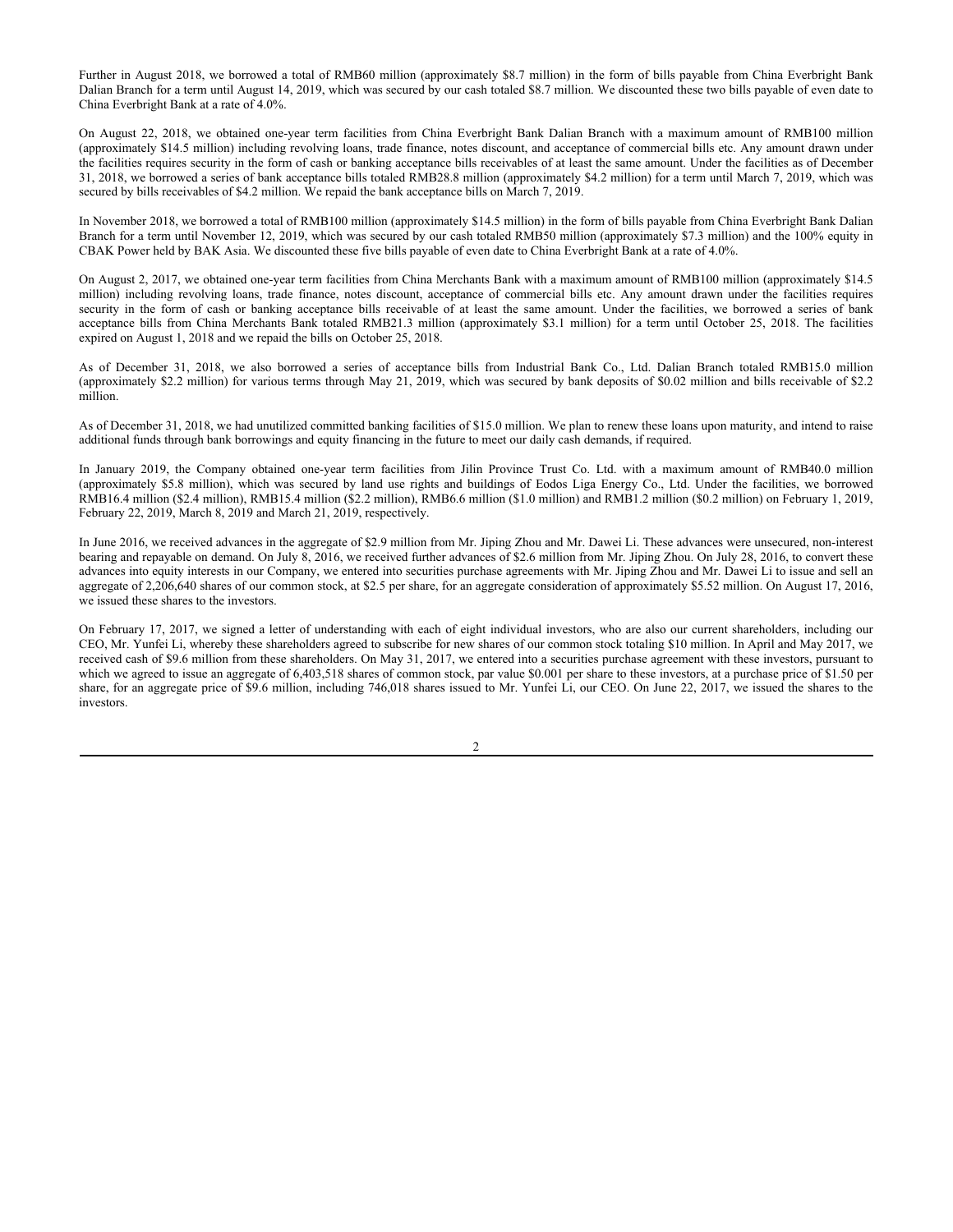Further in August 2018, we borrowed a total of RMB60 million (approximately \$8.7 million) in the form of bills payable from China Everbright Bank Dalian Branch for a term until August 14, 2019, which was secured by our cash totaled \$8.7 million. We discounted these two bills payable of even date to China Everbright Bank at a rate of 4.0%.

On August 22, 2018, we obtained one-year term facilities from China Everbright Bank Dalian Branch with a maximum amount of RMB100 million (approximately \$14.5 million) including revolving loans, trade finance, notes discount, and acceptance of commercial bills etc. Any amount drawn under the facilities requires security in the form of cash or banking acceptance bills receivables of at least the same amount. Under the facilities as of December 31, 2018, we borrowed a series of bank acceptance bills totaled RMB28.8 million (approximately \$4.2 million) for a term until March 7, 2019, which was secured by bills receivables of \$4.2 million. We repaid the bank acceptance bills on March 7, 2019.

In November 2018, we borrowed a total of RMB100 million (approximately \$14.5 million) in the form of bills payable from China Everbright Bank Dalian Branch for a term until November 12, 2019, which was secured by our cash totaled RMB50 million (approximately \$7.3 million) and the 100% equity in CBAK Power held by BAK Asia. We discounted these five bills payable of even date to China Everbright Bank at a rate of 4.0%.

On August 2, 2017, we obtained one-year term facilities from China Merchants Bank with a maximum amount of RMB100 million (approximately \$14.5 million) including revolving loans, trade finance, notes discount, acceptance of commercial bills etc. Any amount drawn under the facilities requires security in the form of cash or banking acceptance bills receivable of at least the same amount. Under the facilities, we borrowed a series of bank acceptance bills from China Merchants Bank totaled RMB21.3 million (approximately \$3.1 million) for a term until October 25, 2018. The facilities expired on August 1, 2018 and we repaid the bills on October 25, 2018.

As of December 31, 2018, we also borrowed a series of acceptance bills from Industrial Bank Co., Ltd. Dalian Branch totaled RMB15.0 million (approximately \$2.2 million) for various terms through May 21, 2019, which was secured by bank deposits of \$0.02 million and bills receivable of \$2.2 million.

As of December 31, 2018, we had unutilized committed banking facilities of \$15.0 million. We plan to renew these loans upon maturity, and intend to raise additional funds through bank borrowings and equity financing in the future to meet our daily cash demands, if required.

In January 2019, the Company obtained one-year term facilities from Jilin Province Trust Co. Ltd. with a maximum amount of RMB40.0 million (approximately \$5.8 million), which was secured by land use rights and buildings of Eodos Liga Energy Co., Ltd. Under the facilities, we borrowed RMB16.4 million (\$2.4 million), RMB15.4 million (\$2.2 million), RMB6.6 million (\$1.0 million) and RMB1.2 million (\$0.2 million) on February 1, 2019, February 22, 2019, March 8, 2019 and March 21, 2019, respectively.

In June 2016, we received advances in the aggregate of \$2.9 million from Mr. Jiping Zhou and Mr. Dawei Li. These advances were unsecured, non-interest bearing and repayable on demand. On July 8, 2016, we received further advances of \$2.6 million from Mr. Jiping Zhou. On July 28, 2016, to convert these advances into equity interests in our Company, we entered into securities purchase agreements with Mr. Jiping Zhou and Mr. Dawei Li to issue and sell an aggregate of 2,206,640 shares of our common stock, at \$2.5 per share, for an aggregate consideration of approximately \$5.52 million. On August 17, 2016, we issued these shares to the investors.

On February 17, 2017, we signed a letter of understanding with each of eight individual investors, who are also our current shareholders, including our CEO, Mr. Yunfei Li, whereby these shareholders agreed to subscribe for new shares of our common stock totaling \$10 million. In April and May 2017, we received cash of \$9.6 million from these shareholders. On May 31, 2017, we entered into a securities purchase agreement with these investors, pursuant to which we agreed to issue an aggregate of 6,403,518 shares of common stock, par value \$0.001 per share to these investors, at a purchase price of \$1.50 per share, for an aggregate price of \$9.6 million, including 746,018 shares issued to Mr. Yunfei Li, our CEO. On June 22, 2017, we issued the shares to the investors.

 $\mathfrak{D}$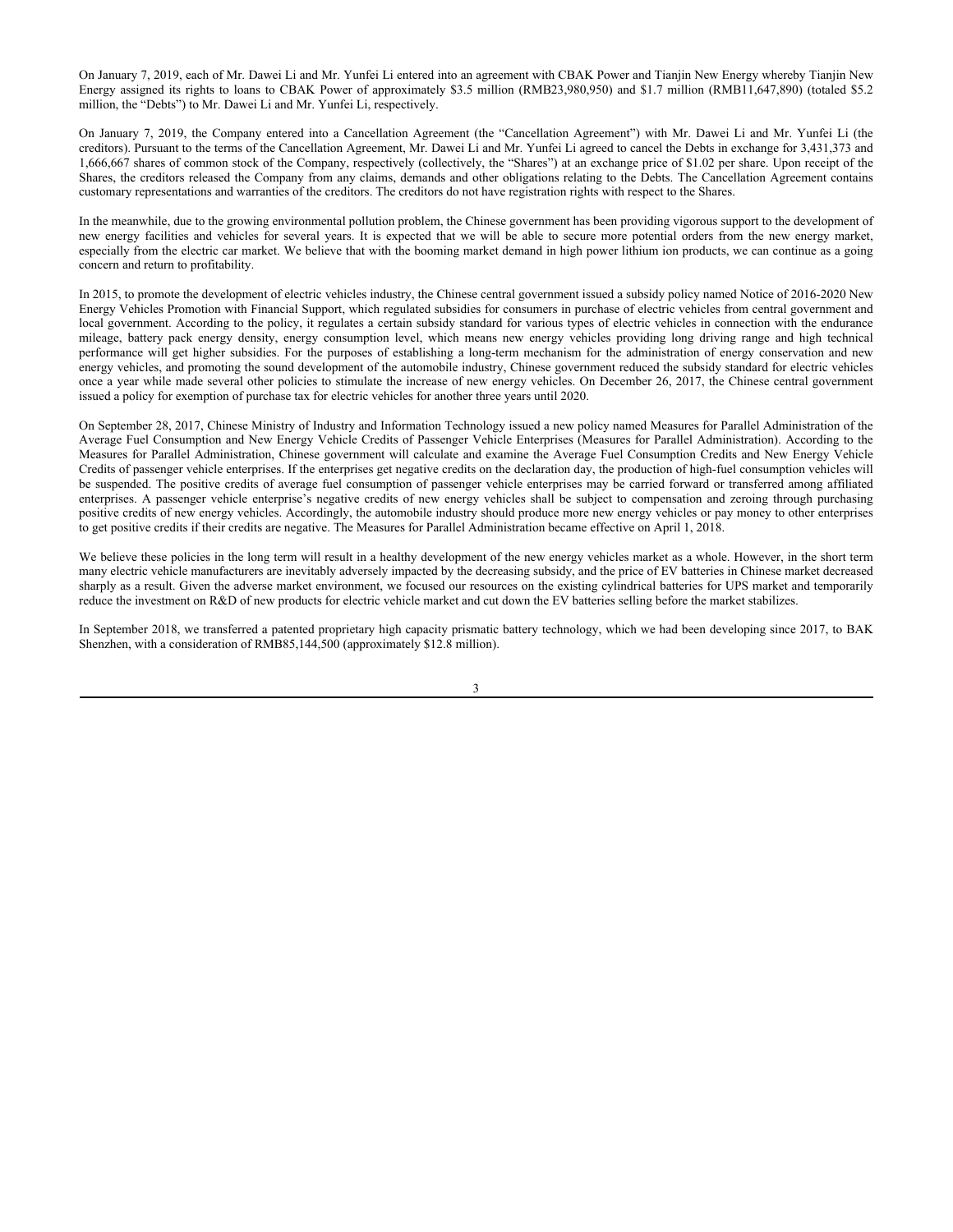On January 7, 2019, each of Mr. Dawei Li and Mr. Yunfei Li entered into an agreement with CBAK Power and Tianjin New Energy whereby Tianjin New Energy assigned its rights to loans to CBAK Power of approximately \$3.5 million (RMB23,980,950) and \$1.7 million (RMB11,647,890) (totaled \$5.2 million, the "Debts") to Mr. Dawei Li and Mr. Yunfei Li, respectively.

On January 7, 2019, the Company entered into a Cancellation Agreement (the "Cancellation Agreement") with Mr. Dawei Li and Mr. Yunfei Li (the creditors). Pursuant to the terms of the Cancellation Agreement, Mr. Dawei Li and Mr. Yunfei Li agreed to cancel the Debts in exchange for 3,431,373 and 1,666,667 shares of common stock of the Company, respectively (collectively, the "Shares") at an exchange price of \$1.02 per share. Upon receipt of the Shares, the creditors released the Company from any claims, demands and other obligations relating to the Debts. The Cancellation Agreement contains customary representations and warranties of the creditors. The creditors do not have registration rights with respect to the Shares.

In the meanwhile, due to the growing environmental pollution problem, the Chinese government has been providing vigorous support to the development of new energy facilities and vehicles for several years. It is expected that we will be able to secure more potential orders from the new energy market, especially from the electric car market. We believe that with the booming market demand in high power lithium ion products, we can continue as a going concern and return to profitability.

In 2015, to promote the development of electric vehicles industry, the Chinese central government issued a subsidy policy named Notice of 2016-2020 New Energy Vehicles Promotion with Financial Support, which regulated subsidies for consumers in purchase of electric vehicles from central government and local government. According to the policy, it regulates a certain subsidy standard for various types of electric vehicles in connection with the endurance mileage, battery pack energy density, energy consumption level, which means new energy vehicles providing long driving range and high technical performance will get higher subsidies. For the purposes of establishing a long-term mechanism for the administration of energy conservation and new energy vehicles, and promoting the sound development of the automobile industry, Chinese government reduced the subsidy standard for electric vehicles once a year while made several other policies to stimulate the increase of new energy vehicles. On December 26, 2017, the Chinese central government issued a policy for exemption of purchase tax for electric vehicles for another three years until 2020.

On September 28, 2017, Chinese Ministry of Industry and Information Technology issued a new policy named Measures for Parallel Administration of the Average Fuel Consumption and New Energy Vehicle Credits of Passenger Vehicle Enterprises (Measures for Parallel Administration). According to the Measures for Parallel Administration, Chinese government will calculate and examine the Average Fuel Consumption Credits and New Energy Vehicle Credits of passenger vehicle enterprises. If the enterprises get negative credits on the declaration day, the production of high-fuel consumption vehicles will be suspended. The positive credits of average fuel consumption of passenger vehicle enterprises may be carried forward or transferred among affiliated enterprises. A passenger vehicle enterprise's negative credits of new energy vehicles shall be subject to compensation and zeroing through purchasing positive credits of new energy vehicles. Accordingly, the automobile industry should produce more new energy vehicles or pay money to other enterprises to get positive credits if their credits are negative. The Measures for Parallel Administration became effective on April 1, 2018.

We believe these policies in the long term will result in a healthy development of the new energy vehicles market as a whole. However, in the short term many electric vehicle manufacturers are inevitably adversely impacted by the decreasing subsidy, and the price of EV batteries in Chinese market decreased sharply as a result. Given the adverse market environment, we focused our resources on the existing cylindrical batteries for UPS market and temporarily reduce the investment on R&D of new products for electric vehicle market and cut down the EV batteries selling before the market stabilizes.

In September 2018, we transferred a patented proprietary high capacity prismatic battery technology, which we had been developing since 2017, to BAK Shenzhen, with a consideration of RMB85,144,500 (approximately \$12.8 million).

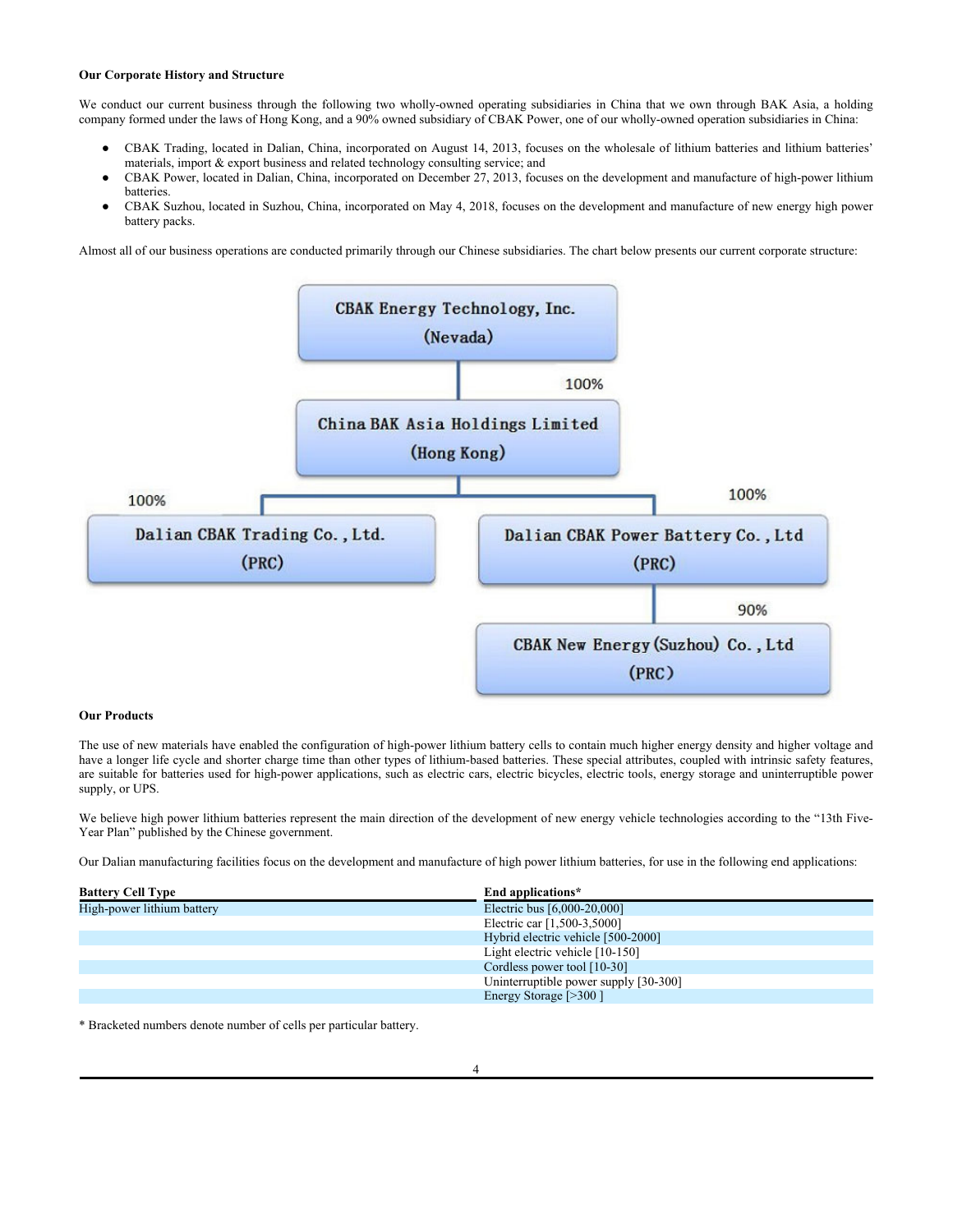# **Our Corporate History and Structure**

We conduct our current business through the following two wholly-owned operating subsidiaries in China that we own through BAK Asia, a holding company formed under the laws of Hong Kong, and a 90% owned subsidiary of CBAK Power, one of our wholly-owned operation subsidiaries in China:

- CBAK Trading, located in Dalian, China, incorporated on August 14, 2013, focuses on the wholesale of lithium batteries and lithium batteries' materials, import & export business and related technology consulting service; and
- CBAK Power, located in Dalian, China, incorporated on December 27, 2013, focuses on the development and manufacture of high-power lithium batteries.
- **●** CBAK Suzhou, located in Suzhou, China, incorporated on May 4, 2018, focuses on the development and manufacture of new energy high power battery packs.

Almost all of our business operations are conducted primarily through our Chinese subsidiaries. The chart below presents our current corporate structure:



#### **Our Products**

The use of new materials have enabled the configuration of high-power lithium battery cells to contain much higher energy density and higher voltage and have a longer life cycle and shorter charge time than other types of lithium-based batteries. These special attributes, coupled with intrinsic safety features, are suitable for batteries used for high-power applications, such as electric cars, electric bicycles, electric tools, energy storage and uninterruptible power supply, or UPS.

We believe high power lithium batteries represent the main direction of the development of new energy vehicle technologies according to the "13th Five-Year Plan" published by the Chinese government.

Our Dalian manufacturing facilities focus on the development and manufacture of high power lithium batteries, for use in the following end applications:

| <b>Battery Cell Type</b>   | End applications*                     |
|----------------------------|---------------------------------------|
| High-power lithium battery | Electric bus [6,000-20,000]           |
|                            | Electric car [1,500-3,5000]           |
|                            | Hybrid electric vehicle [500-2000]    |
|                            | Light electric vehicle $[10-150]$     |
|                            | Cordless power tool [10-30]           |
|                            | Uninterruptible power supply [30-300] |
|                            | Energy Storage [>300]                 |
|                            |                                       |

\* Bracketed numbers denote number of cells per particular battery.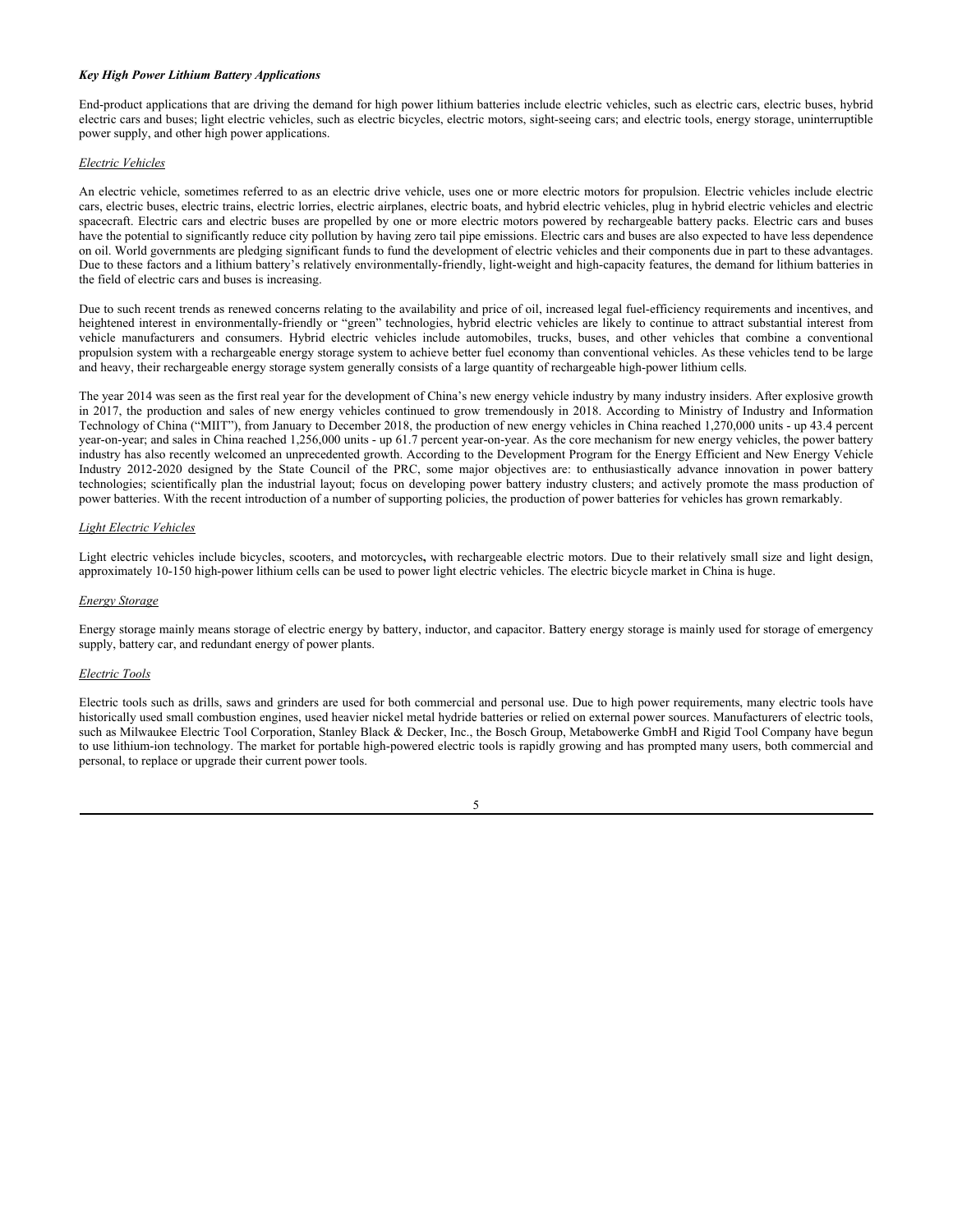# *Key High Power Lithium Battery Applications*

End-product applications that are driving the demand for high power lithium batteries include electric vehicles, such as electric cars, electric buses, hybrid electric cars and buses; light electric vehicles, such as electric bicycles, electric motors, sight-seeing cars; and electric tools, energy storage, uninterruptible power supply, and other high power applications.

## *Electric Vehicles*

An electric vehicle, sometimes referred to as an electric drive vehicle, uses one or more electric motors for propulsion. Electric vehicles include electric cars, electric buses, electric trains, electric lorries, electric airplanes, electric boats, and hybrid electric vehicles, plug in hybrid electric vehicles and electric spacecraft. Electric cars and electric buses are propelled by one or more electric motors powered by rechargeable battery packs. Electric cars and buses have the potential to significantly reduce city pollution by having zero tail pipe emissions. Electric cars and buses are also expected to have less dependence on oil. World governments are pledging significant funds to fund the development of electric vehicles and their components due in part to these advantages. Due to these factors and a lithium battery's relatively environmentally-friendly, light-weight and high-capacity features, the demand for lithium batteries in the field of electric cars and buses is increasing.

Due to such recent trends as renewed concerns relating to the availability and price of oil, increased legal fuel-efficiency requirements and incentives, and heightened interest in environmentally-friendly or "green" technologies, hybrid electric vehicles are likely to continue to attract substantial interest from vehicle manufacturers and consumers. Hybrid electric vehicles include automobiles, trucks, buses, and other vehicles that combine a conventional propulsion system with a rechargeable energy storage system to achieve better fuel economy than conventional vehicles. As these vehicles tend to be large and heavy, their rechargeable energy storage system generally consists of a large quantity of rechargeable high-power lithium cells.

The year 2014 was seen as the first real year for the development of China's new energy vehicle industry by many industry insiders. After explosive growth in 2017, the production and sales of new energy vehicles continued to grow tremendously in 2018. According to Ministry of Industry and Information Technology of China ("MIIT"), from January to December 2018, the production of new energy vehicles in China reached 1,270,000 units - up 43.4 percent year-on-year; and sales in China reached 1,256,000 units - up 61.7 percent year-on-year. As the core mechanism for new energy vehicles, the power battery industry has also recently welcomed an unprecedented growth. According to the Development Program for the Energy Efficient and New Energy Vehicle Industry 2012-2020 designed by the State Council of the PRC, some major objectives are: to enthusiastically advance innovation in power battery technologies; scientifically plan the industrial layout; focus on developing power battery industry clusters; and actively promote the mass production of power batteries. With the recent introduction of a number of supporting policies, the production of power batteries for vehicles has grown remarkably.

## *Light Electric Vehicles*

Light electric vehicles include bicycles, scooters, and motorcycles**,** with rechargeable electric motors. Due to their relatively small size and light design, approximately 10-150 high-power lithium cells can be used to power light electric vehicles. The electric bicycle market in China is huge.

#### *Energy Storage*

Energy storage mainly means storage of electric energy by battery, inductor, and capacitor. Battery energy storage is mainly used for storage of emergency supply, battery car, and redundant energy of power plants.

#### *Electric Tools*

Electric tools such as drills, saws and grinders are used for both commercial and personal use. Due to high power requirements, many electric tools have historically used small combustion engines, used heavier nickel metal hydride batteries or relied on external power sources. Manufacturers of electric tools, such as Milwaukee Electric Tool Corporation, Stanley Black & Decker, Inc., the Bosch Group, Metabowerke GmbH and Rigid Tool Company have begun to use lithium-ion technology. The market for portable high-powered electric tools is rapidly growing and has prompted many users, both commercial and personal, to replace or upgrade their current power tools.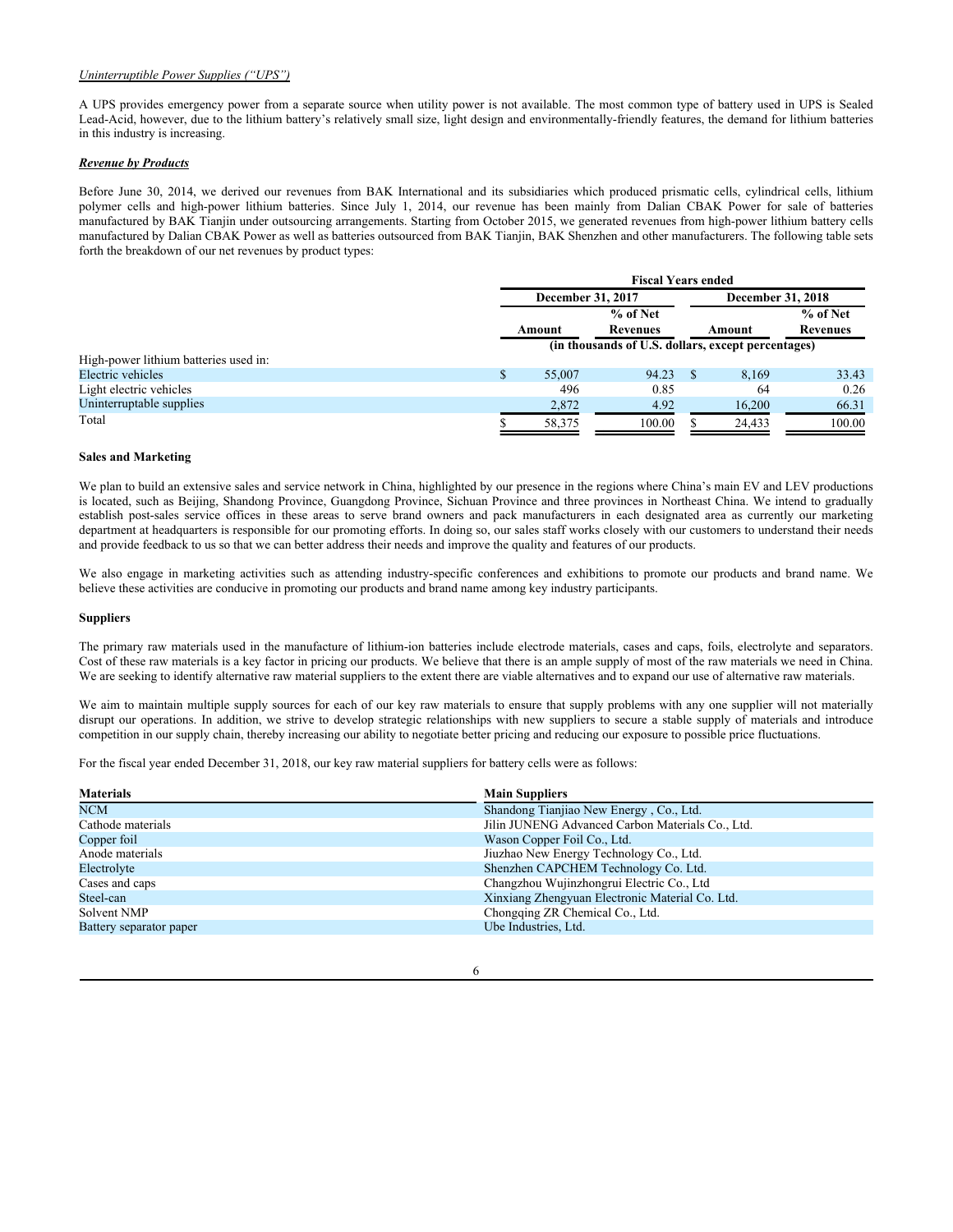## *Uninterruptible Power Supplies ("UPS")*

A UPS provides emergency power from a separate source when utility power is not available. The most common type of battery used in UPS is Sealed Lead-Acid, however, due to the lithium battery's relatively small size, light design and environmentally-friendly features, the demand for lithium batteries in this industry is increasing.

## *Revenue by Products*

Before June 30, 2014, we derived our revenues from BAK International and its subsidiaries which produced prismatic cells, cylindrical cells, lithium polymer cells and high-power lithium batteries. Since July 1, 2014, our revenue has been mainly from Dalian CBAK Power for sale of batteries manufactured by BAK Tianjin under outsourcing arrangements. Starting from October 2015, we generated revenues from high-power lithium battery cells manufactured by Dalian CBAK Power as well as batteries outsourced from BAK Tianjin, BAK Shenzhen and other manufacturers. The following table sets forth the breakdown of our net revenues by product types:

|                                       | <b>Fiscal Years ended</b>                          |                 |  |                          |                 |
|---------------------------------------|----------------------------------------------------|-----------------|--|--------------------------|-----------------|
|                                       | <b>December 31, 2017</b>                           |                 |  | <b>December 31, 2018</b> |                 |
|                                       | % of Net                                           |                 |  |                          | % of Net        |
|                                       | Amount                                             | <b>Revenues</b> |  | Amount                   | <b>Revenues</b> |
|                                       | (in thousands of U.S. dollars, except percentages) |                 |  |                          |                 |
| High-power lithium batteries used in: |                                                    |                 |  |                          |                 |
| Electric vehicles                     | \$<br>55,007                                       | 94.23           |  | 8.169                    | 33.43           |
| Light electric vehicles               | 496                                                | 0.85            |  | 64                       | 0.26            |
| Uninterruptable supplies              | 2,872                                              | 4.92            |  | 16,200                   | 66.31           |
| Total                                 | 58,375                                             | 100.00          |  | 24.433                   | 100.00          |

#### **Sales and Marketing**

We plan to build an extensive sales and service network in China, highlighted by our presence in the regions where China's main EV and LEV productions is located, such as Beijing, Shandong Province, Guangdong Province, Sichuan Province and three provinces in Northeast China. We intend to gradually establish post-sales service offices in these areas to serve brand owners and pack manufacturers in each designated area as currently our marketing department at headquarters is responsible for our promoting efforts. In doing so, our sales staff works closely with our customers to understand their needs and provide feedback to us so that we can better address their needs and improve the quality and features of our products.

We also engage in marketing activities such as attending industry-specific conferences and exhibitions to promote our products and brand name. We believe these activities are conducive in promoting our products and brand name among key industry participants.

## **Suppliers**

The primary raw materials used in the manufacture of lithium-ion batteries include electrode materials, cases and caps, foils, electrolyte and separators. Cost of these raw materials is a key factor in pricing our products. We believe that there is an ample supply of most of the raw materials we need in China. We are seeking to identify alternative raw material suppliers to the extent there are viable alternatives and to expand our use of alternative raw materials.

We aim to maintain multiple supply sources for each of our key raw materials to ensure that supply problems with any one supplier will not materially disrupt our operations. In addition, we strive to develop strategic relationships with new suppliers to secure a stable supply of materials and introduce competition in our supply chain, thereby increasing our ability to negotiate better pricing and reducing our exposure to possible price fluctuations.

For the fiscal year ended December 31, 2018, our key raw material suppliers for battery cells were as follows:

| <b>Materials</b>        | <b>Main Suppliers</b>                            |
|-------------------------|--------------------------------------------------|
| <b>NCM</b>              | Shandong Tianjiao New Energy, Co., Ltd.          |
| Cathode materials       | Jilin JUNENG Advanced Carbon Materials Co., Ltd. |
| Copper foil             | Wason Copper Foil Co., Ltd.                      |
| Anode materials         | Jiuzhao New Energy Technology Co., Ltd.          |
| Electrolyte             | Shenzhen CAPCHEM Technology Co. Ltd.             |
| Cases and caps          | Changzhou Wujinzhongrui Electric Co., Ltd        |
| Steel-can               | Xinxiang Zhengyuan Electronic Material Co. Ltd.  |
| Solvent NMP             | Chongqing ZR Chemical Co., Ltd.                  |
| Battery separator paper | Ube Industries, Ltd.                             |
|                         |                                                  |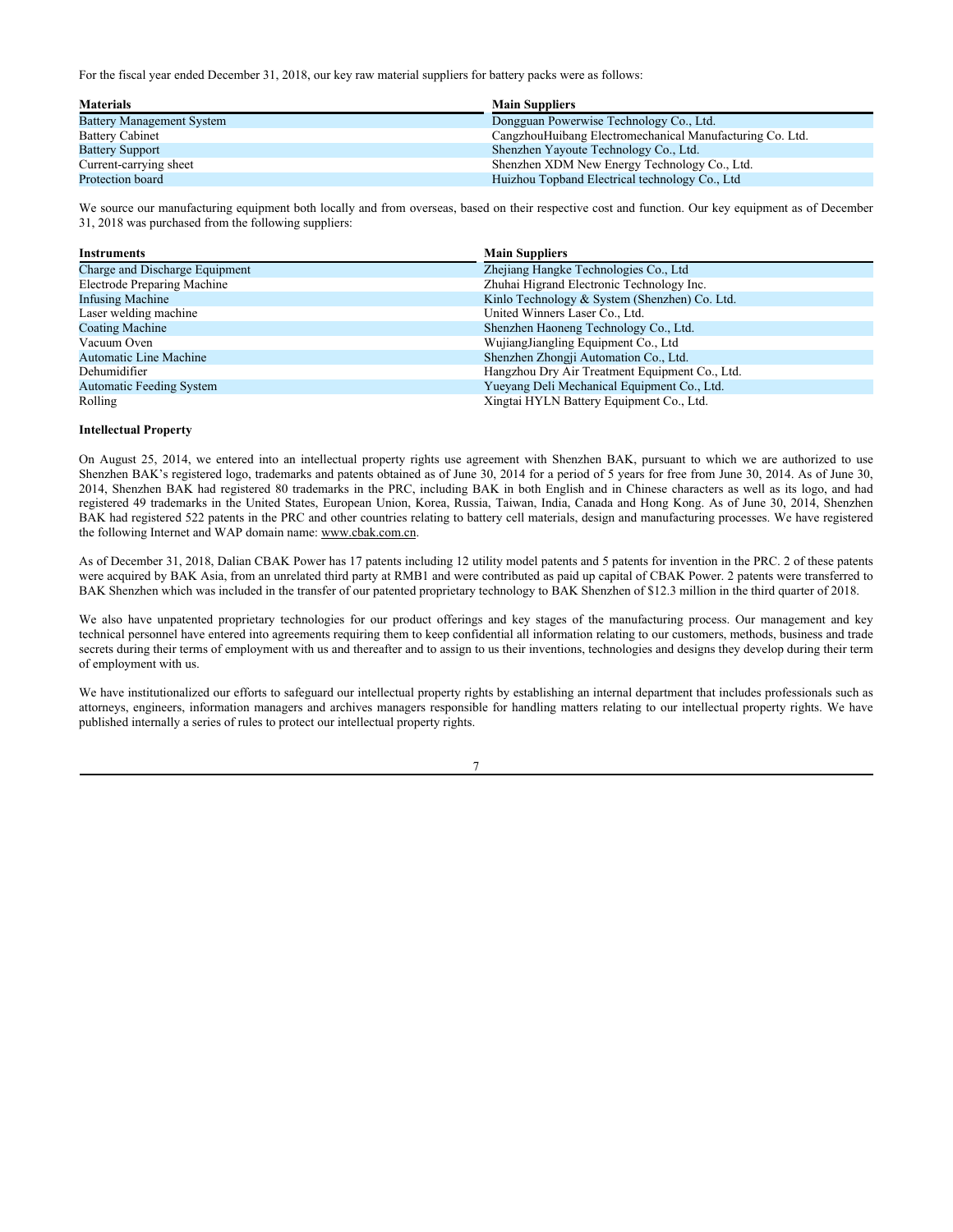For the fiscal year ended December 31, 2018, our key raw material suppliers for battery packs were as follows:

| <b>Materials</b>                 | <b>Main Suppliers</b>                                    |
|----------------------------------|----------------------------------------------------------|
| <b>Battery Management System</b> | Dongguan Powerwise Technology Co., Ltd.                  |
| <b>Battery Cabinet</b>           | CangzhouHuibang Electromechanical Manufacturing Co. Ltd. |
| <b>Battery Support</b>           | Shenzhen Yayoute Technology Co., Ltd.                    |
| Current-carrying sheet           | Shenzhen XDM New Energy Technology Co., Ltd.             |
| Protection board                 | Huizhou Topband Electrical technology Co., Ltd           |

We source our manufacturing equipment both locally and from overseas, based on their respective cost and function. Our key equipment as of December 31, 2018 was purchased from the following suppliers:

| Instruments                     | <b>Main Suppliers</b>                          |
|---------------------------------|------------------------------------------------|
| Charge and Discharge Equipment  | Zhejiang Hangke Technologies Co., Ltd.         |
| Electrode Preparing Machine     | Zhuhai Higrand Electronic Technology Inc.      |
| Infusing Machine                | Kinlo Technology & System (Shenzhen) Co. Ltd.  |
| Laser welding machine           | United Winners Laser Co., Ltd.                 |
| Coating Machine                 | Shenzhen Haoneng Technology Co., Ltd.          |
| Vacuum Oven                     | WujiangJiangling Equipment Co., Ltd            |
| Automatic Line Machine          | Shenzhen Zhongji Automation Co., Ltd.          |
| Dehumidifier                    | Hangzhou Dry Air Treatment Equipment Co., Ltd. |
| <b>Automatic Feeding System</b> | Yueyang Deli Mechanical Equipment Co., Ltd.    |
| Rolling                         | Xingtai HYLN Battery Equipment Co., Ltd.       |

#### **Intellectual Property**

On August 25, 2014, we entered into an intellectual property rights use agreement with Shenzhen BAK, pursuant to which we are authorized to use Shenzhen BAK's registered logo, trademarks and patents obtained as of June 30, 2014 for a period of 5 years for free from June 30, 2014. As of June 30, 2014, Shenzhen BAK had registered 80 trademarks in the PRC, including BAK in both English and in Chinese characters as well as its logo, and had registered 49 trademarks in the United States, European Union, Korea, Russia, Taiwan, India, Canada and Hong Kong. As of June 30, 2014, Shenzhen BAK had registered 522 patents in the PRC and other countries relating to battery cell materials, design and manufacturing processes. We have registered the following Internet and WAP domain name: www.cbak.com.cn.

As of December 31, 2018, Dalian CBAK Power has 17 patents including 12 utility model patents and 5 patents for invention in the PRC. 2 of these patents were acquired by BAK Asia, from an unrelated third party at RMB1 and were contributed as paid up capital of CBAK Power. 2 patents were transferred to BAK Shenzhen which was included in the transfer of our patented proprietary technology to BAK Shenzhen of \$12.3 million in the third quarter of 2018.

We also have unpatented proprietary technologies for our product offerings and key stages of the manufacturing process. Our management and key technical personnel have entered into agreements requiring them to keep confidential all information relating to our customers, methods, business and trade secrets during their terms of employment with us and thereafter and to assign to us their inventions, technologies and designs they develop during their term of employment with us.

We have institutionalized our efforts to safeguard our intellectual property rights by establishing an internal department that includes professionals such as attorneys, engineers, information managers and archives managers responsible for handling matters relating to our intellectual property rights. We have published internally a series of rules to protect our intellectual property rights.

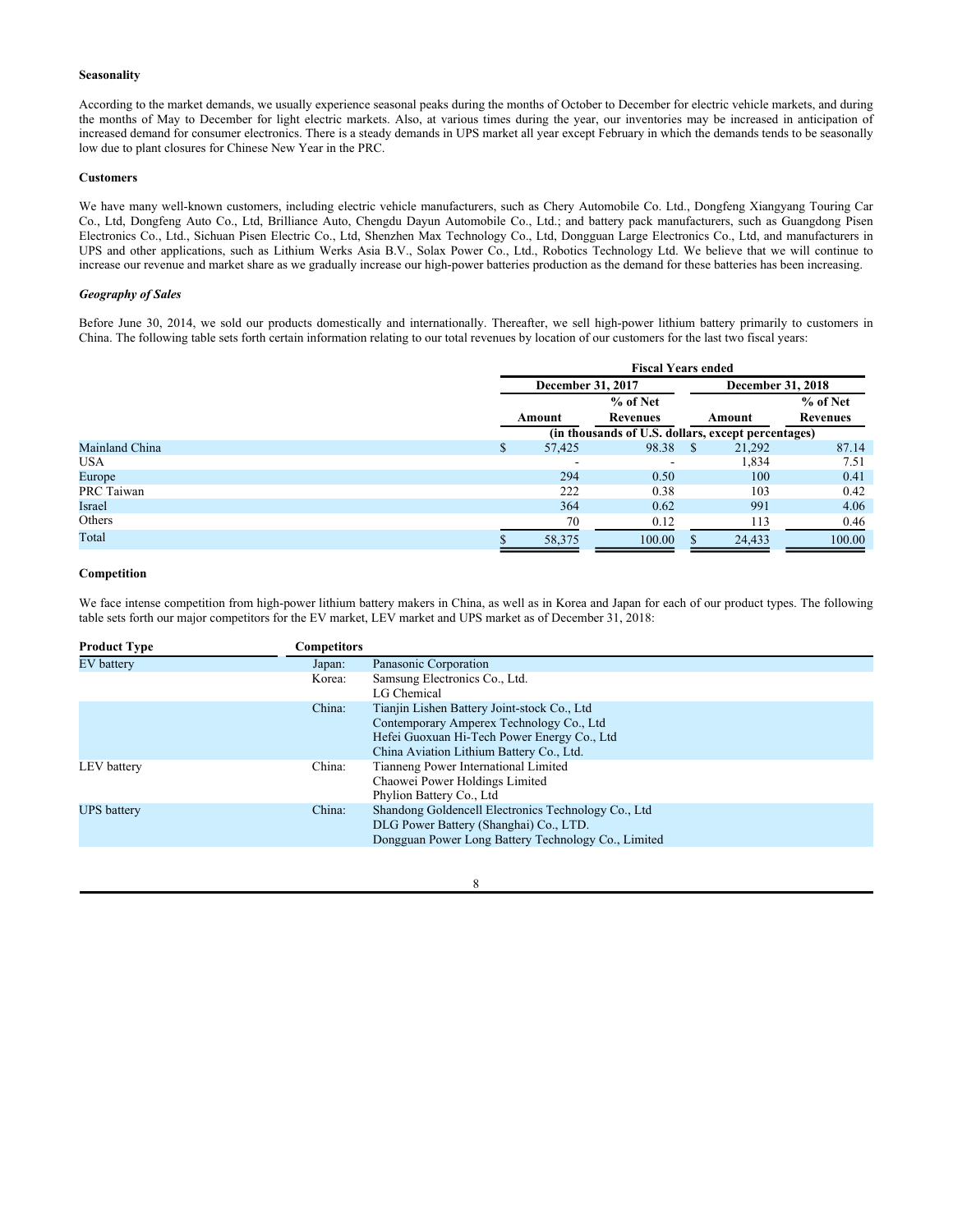# **Seasonality**

According to the market demands, we usually experience seasonal peaks during the months of October to December for electric vehicle markets, and during the months of May to December for light electric markets. Also, at various times during the year, our inventories may be increased in anticipation of increased demand for consumer electronics. There is a steady demands in UPS market all year except February in which the demands tends to be seasonally low due to plant closures for Chinese New Year in the PRC.

#### **Customers**

We have many well-known customers, including electric vehicle manufacturers, such as Chery Automobile Co. Ltd., Dongfeng Xiangyang Touring Car Co., Ltd, Dongfeng Auto Co., Ltd, Brilliance Auto, Chengdu Dayun Automobile Co., Ltd.; and battery pack manufacturers, such as Guangdong Pisen Electronics Co., Ltd., Sichuan Pisen Electric Co., Ltd, Shenzhen Max Technology Co., Ltd, Dongguan Large Electronics Co., Ltd, and manufacturers in UPS and other applications, such as Lithium Werks Asia B.V., Solax Power Co., Ltd., Robotics Technology Ltd. We believe that we will continue to increase our revenue and market share as we gradually increase our high-power batteries production as the demand for these batteries has been increasing.

# *Geography of Sales*

Before June 30, 2014, we sold our products domestically and internationally. Thereafter, we sell high-power lithium battery primarily to customers in China. The following table sets forth certain information relating to our total revenues by location of our customers for the last two fiscal years:

|                | <b>Fiscal Years ended</b> |                                                    |    |                          |                 |
|----------------|---------------------------|----------------------------------------------------|----|--------------------------|-----------------|
|                | December 31, 2017         |                                                    |    | <b>December 31, 2018</b> |                 |
|                | % of Net                  |                                                    |    |                          | % of Net        |
|                | Amount                    | <b>Revenues</b>                                    |    | Amount                   | <b>Revenues</b> |
|                |                           | (in thousands of U.S. dollars, except percentages) |    |                          |                 |
| Mainland China | \$<br>57,425              | 98.38                                              | \$ | 21,292                   | 87.14           |
| <b>USA</b>     |                           |                                                    |    | 1,834                    | 7.51            |
| Europe         | 294                       | 0.50                                               |    | 100                      | 0.41            |
| PRC Taiwan     | 222                       | 0.38                                               |    | 103                      | 0.42            |
| Israel         | 364                       | 0.62                                               |    | 991                      | 4.06            |
| Others         | 70                        | 0.12                                               |    | 113                      | 0.46            |
| Total          | 58,375                    | 100.00                                             |    | 24,433                   | 100.00          |

# **Competition**

We face intense competition from high-power lithium battery makers in China, as well as in Korea and Japan for each of our product types. The following table sets forth our major competitors for the EV market, LEV market and UPS market as of December 31, 2018:

| <b>Product Type</b> | Competitors |                                                                                                                                                                                    |
|---------------------|-------------|------------------------------------------------------------------------------------------------------------------------------------------------------------------------------------|
| EV battery          | Japan:      | Panasonic Corporation                                                                                                                                                              |
|                     | Korea:      | Samsung Electronics Co., Ltd.<br>LG Chemical                                                                                                                                       |
|                     | China:      | Tianjin Lishen Battery Joint-stock Co., Ltd<br>Contemporary Amperex Technology Co., Ltd<br>Hefei Guoxuan Hi-Tech Power Energy Co., Ltd<br>China Aviation Lithium Battery Co., Ltd. |
| LEV battery         | China:      | Tianneng Power International Limited<br>Chaowei Power Holdings Limited<br>Phylion Battery Co., Ltd                                                                                 |
| <b>UPS</b> battery  | China:      | Shandong Goldencell Electronics Technology Co., Ltd<br>DLG Power Battery (Shanghai) Co., LTD.<br>Dongguan Power Long Battery Technology Co., Limited                               |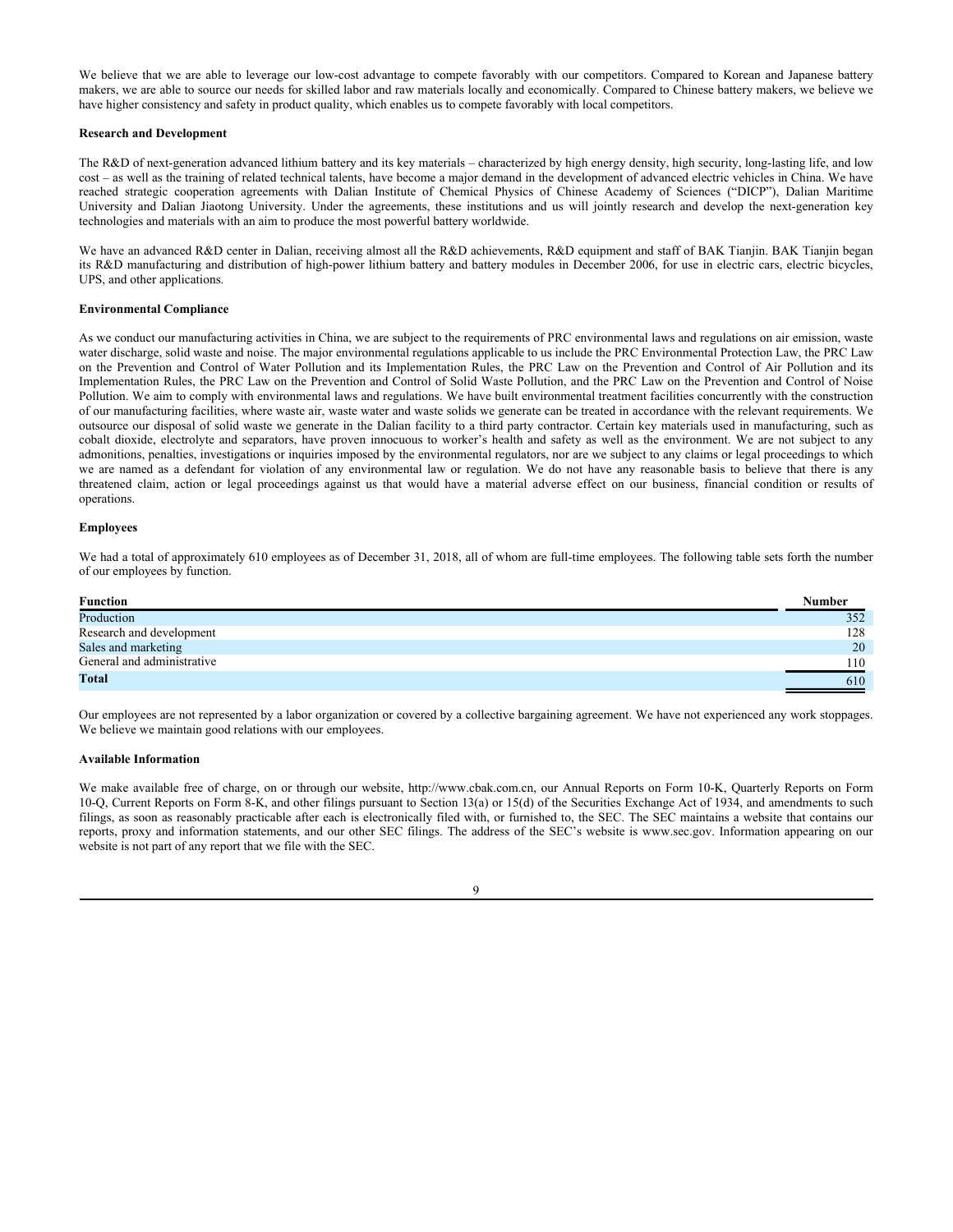We believe that we are able to leverage our low-cost advantage to compete favorably with our competitors. Compared to Korean and Japanese battery makers, we are able to source our needs for skilled labor and raw materials locally and economically. Compared to Chinese battery makers, we believe we have higher consistency and safety in product quality, which enables us to compete favorably with local competitors.

#### **Research and Development**

The R&D of next-generation advanced lithium battery and its key materials – characterized by high energy density, high security, long-lasting life, and low cost – as well as the training of related technical talents, have become a major demand in the development of advanced electric vehicles in China. We have reached strategic cooperation agreements with Dalian Institute of Chemical Physics of Chinese Academy of Sciences ("DICP"), Dalian Maritime University and Dalian Jiaotong University. Under the agreements, these institutions and us will jointly research and develop the next-generation key technologies and materials with an aim to produce the most powerful battery worldwide.

We have an advanced R&D center in Dalian, receiving almost all the R&D achievements, R&D equipment and staff of BAK Tianjin. BAK Tianjin began its R&D manufacturing and distribution of high-power lithium battery and battery modules in December 2006, for use in electric cars, electric bicycles, UPS, and other applications.

## **Environmental Compliance**

As we conduct our manufacturing activities in China, we are subject to the requirements of PRC environmental laws and regulations on air emission, waste water discharge, solid waste and noise. The major environmental regulations applicable to us include the PRC Environmental Protection Law, the PRC Law on the Prevention and Control of Water Pollution and its Implementation Rules, the PRC Law on the Prevention and Control of Air Pollution and its Implementation Rules, the PRC Law on the Prevention and Control of Solid Waste Pollution, and the PRC Law on the Prevention and Control of Noise Pollution. We aim to comply with environmental laws and regulations. We have built environmental treatment facilities concurrently with the construction of our manufacturing facilities, where waste air, waste water and waste solids we generate can be treated in accordance with the relevant requirements. We outsource our disposal of solid waste we generate in the Dalian facility to a third party contractor. Certain key materials used in manufacturing, such as cobalt dioxide, electrolyte and separators, have proven innocuous to worker's health and safety as well as the environment. We are not subject to any admonitions, penalties, investigations or inquiries imposed by the environmental regulators, nor are we subject to any claims or legal proceedings to which we are named as a defendant for violation of any environmental law or regulation. We do not have any reasonable basis to believe that there is any threatened claim, action or legal proceedings against us that would have a material adverse effect on our business, financial condition or results of operations.

## **Employees**

We had a total of approximately 610 employees as of December 31, 2018, all of whom are full-time employees. The following table sets forth the number of our employees by function.

| <b>Function</b>            | <b>Number</b> |
|----------------------------|---------------|
| Production                 | 352           |
| Research and development   | 128           |
| Sales and marketing        | 20            |
| General and administrative | 110           |
| <b>Total</b>               | 610           |

Our employees are not represented by a labor organization or covered by a collective bargaining agreement. We have not experienced any work stoppages. We believe we maintain good relations with our employees.

#### **Available Information**

We make available free of charge, on or through our website, http://www.cbak.com.cn, our Annual Reports on Form 10-K, Quarterly Reports on Form 10-Q, Current Reports on Form 8-K, and other filings pursuant to Section 13(a) or 15(d) of the Securities Exchange Act of 1934, and amendments to such filings, as soon as reasonably practicable after each is electronically filed with, or furnished to, the SEC. The SEC maintains a website that contains our reports, proxy and information statements, and our other SEC filings. The address of the SEC's website is www.sec.gov. Information appearing on our website is not part of any report that we file with the SEC.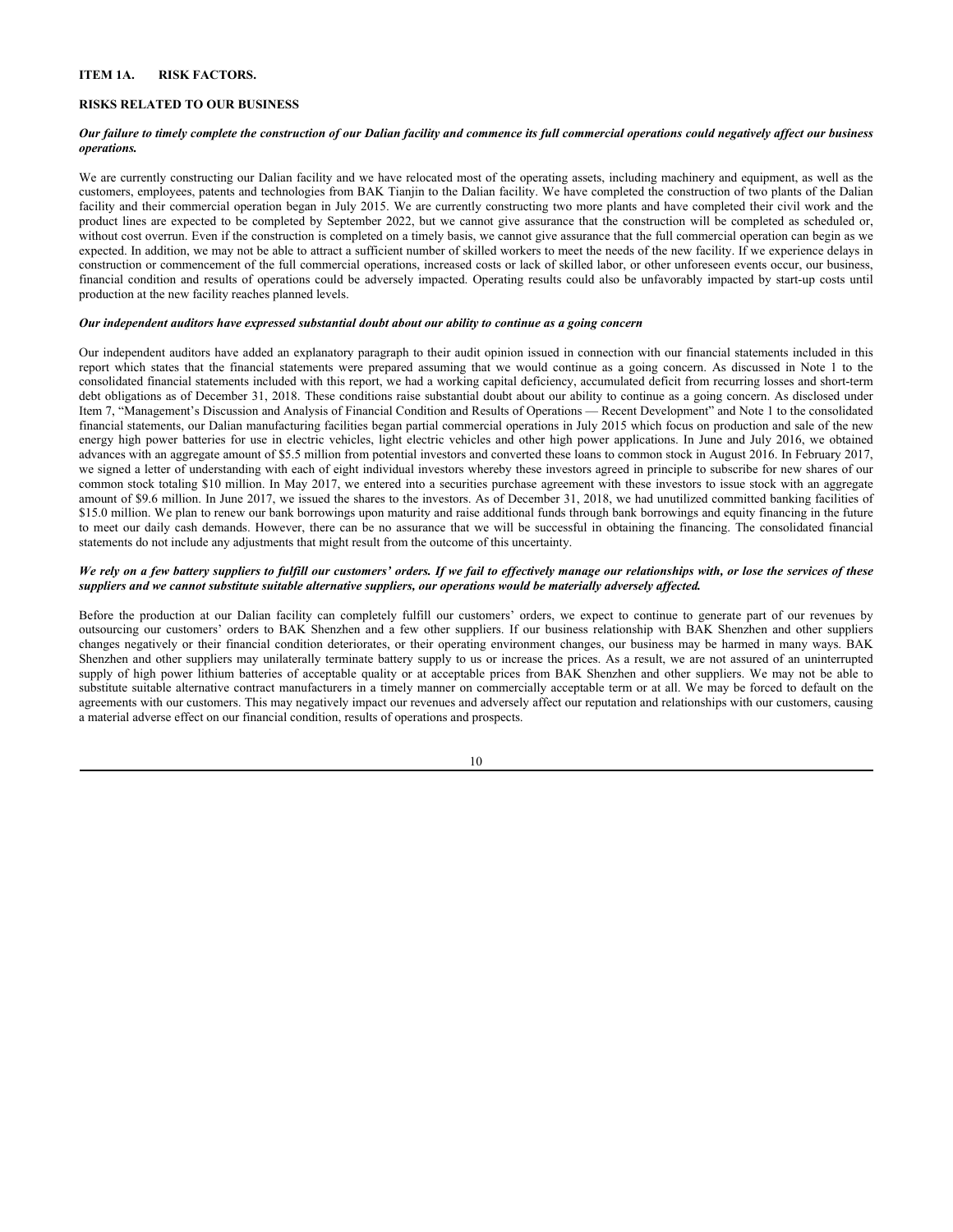# **ITEM 1A. RISK FACTORS.**

# **RISKS RELATED TO OUR BUSINESS**

#### *Our failure to timely complete the construction of our Dalian facility and commence its full commercial operations could negatively affect our business operations.*

We are currently constructing our Dalian facility and we have relocated most of the operating assets, including machinery and equipment, as well as the customers, employees, patents and technologies from BAK Tianjin to the Dalian facility. We have completed the construction of two plants of the Dalian facility and their commercial operation began in July 2015. We are currently constructing two more plants and have completed their civil work and the product lines are expected to be completed by September 2022, but we cannot give assurance that the construction will be completed as scheduled or, without cost overrun. Even if the construction is completed on a timely basis, we cannot give assurance that the full commercial operation can begin as we expected. In addition, we may not be able to attract a sufficient number of skilled workers to meet the needs of the new facility. If we experience delays in construction or commencement of the full commercial operations, increased costs or lack of skilled labor, or other unforeseen events occur, our business, financial condition and results of operations could be adversely impacted. Operating results could also be unfavorably impacted by start-up costs until production at the new facility reaches planned levels.

#### *Our independent auditors have expressed substantial doubt about our ability to continue as a going concern*

Our independent auditors have added an explanatory paragraph to their audit opinion issued in connection with our financial statements included in this report which states that the financial statements were prepared assuming that we would continue as a going concern. As discussed in Note 1 to the consolidated financial statements included with this report, we had a working capital deficiency, accumulated deficit from recurring losses and short-term debt obligations as of December 31, 2018. These conditions raise substantial doubt about our ability to continue as a going concern. As disclosed under Item 7, "Management's Discussion and Analysis of Financial Condition and Results of Operations — Recent Development" and Note 1 to the consolidated financial statements, our Dalian manufacturing facilities began partial commercial operations in July 2015 which focus on production and sale of the new energy high power batteries for use in electric vehicles, light electric vehicles and other high power applications. In June and July 2016, we obtained advances with an aggregate amount of \$5.5 million from potential investors and converted these loans to common stock in August 2016. In February 2017, we signed a letter of understanding with each of eight individual investors whereby these investors agreed in principle to subscribe for new shares of our common stock totaling \$10 million. In May 2017, we entered into a securities purchase agreement with these investors to issue stock with an aggregate amount of \$9.6 million. In June 2017, we issued the shares to the investors. As of December 31, 2018, we had unutilized committed banking facilities of \$15.0 million. We plan to renew our bank borrowings upon maturity and raise additional funds through bank borrowings and equity financing in the future to meet our daily cash demands. However, there can be no assurance that we will be successful in obtaining the financing. The consolidated financial statements do not include any adjustments that might result from the outcome of this uncertainty.

## *We rely on a few battery suppliers to fulfill our customers' orders. If we fail to effectively manage our relationships with, or lose the services of these suppliers and we cannot substitute suitable alternative suppliers, our operations would be materially adversely affected.*

Before the production at our Dalian facility can completely fulfill our customers' orders, we expect to continue to generate part of our revenues by outsourcing our customers' orders to BAK Shenzhen and a few other suppliers. If our business relationship with BAK Shenzhen and other suppliers changes negatively or their financial condition deteriorates, or their operating environment changes, our business may be harmed in many ways. BAK Shenzhen and other suppliers may unilaterally terminate battery supply to us or increase the prices. As a result, we are not assured of an uninterrupted supply of high power lithium batteries of acceptable quality or at acceptable prices from BAK Shenzhen and other suppliers. We may not be able to substitute suitable alternative contract manufacturers in a timely manner on commercially acceptable term or at all. We may be forced to default on the agreements with our customers. This may negatively impact our revenues and adversely affect our reputation and relationships with our customers, causing a material adverse effect on our financial condition, results of operations and prospects.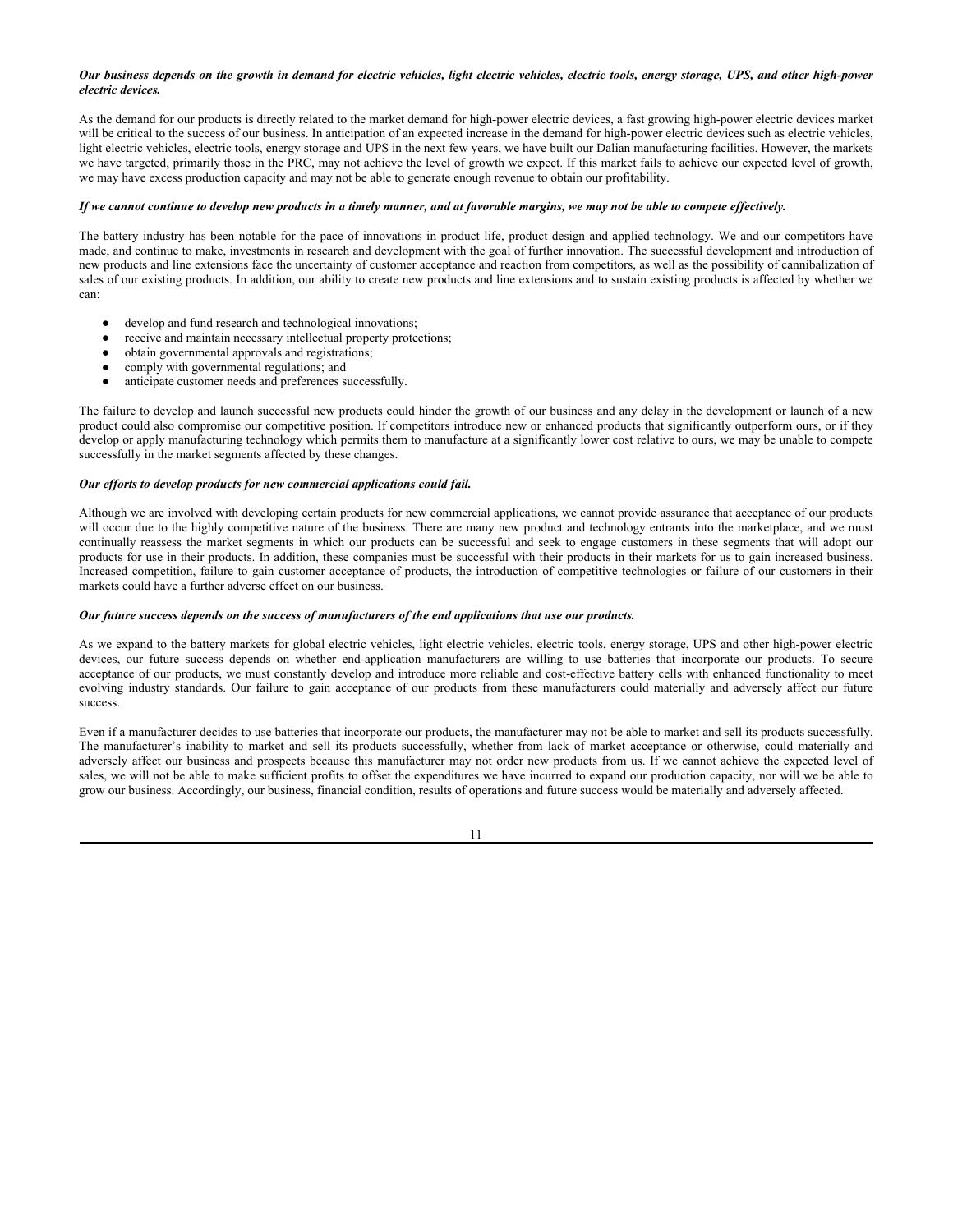## *Our business depends on the growth in demand for electric vehicles, light electric vehicles, electric tools, energy storage, UPS, and other high-power electric devices.*

As the demand for our products is directly related to the market demand for high-power electric devices, a fast growing high-power electric devices market will be critical to the success of our business. In anticipation of an expected increase in the demand for high-power electric devices such as electric vehicles, light electric vehicles, electric tools, energy storage and UPS in the next few years, we have built our Dalian manufacturing facilities. However, the markets we have targeted, primarily those in the PRC, may not achieve the level of growth we expect. If this market fails to achieve our expected level of growth, we may have excess production capacity and may not be able to generate enough revenue to obtain our profitability.

## *If we cannot continue to develop new products in a timely manner, and at favorable margins, we may not be able to compete effectively.*

The battery industry has been notable for the pace of innovations in product life, product design and applied technology. We and our competitors have made, and continue to make, investments in research and development with the goal of further innovation. The successful development and introduction of new products and line extensions face the uncertainty of customer acceptance and reaction from competitors, as well as the possibility of cannibalization of sales of our existing products. In addition, our ability to create new products and line extensions and to sustain existing products is affected by whether we can:

- develop and fund research and technological innovations;
- receive and maintain necessary intellectual property protections;
- obtain governmental approvals and registrations;
- comply with governmental regulations; and
- anticipate customer needs and preferences successfully.

The failure to develop and launch successful new products could hinder the growth of our business and any delay in the development or launch of a new product could also compromise our competitive position. If competitors introduce new or enhanced products that significantly outperform ours, or if they develop or apply manufacturing technology which permits them to manufacture at a significantly lower cost relative to ours, we may be unable to compete successfully in the market segments affected by these changes.

#### *Our efforts to develop products for new commercial applications could fail.*

Although we are involved with developing certain products for new commercial applications, we cannot provide assurance that acceptance of our products will occur due to the highly competitive nature of the business. There are many new product and technology entrants into the marketplace, and we must continually reassess the market segments in which our products can be successful and seek to engage customers in these segments that will adopt our products for use in their products. In addition, these companies must be successful with their products in their markets for us to gain increased business. Increased competition, failure to gain customer acceptance of products, the introduction of competitive technologies or failure of our customers in their markets could have a further adverse effect on our business.

#### *Our future success depends on the success of manufacturers of the end applications that use our products.*

As we expand to the battery markets for global electric vehicles, light electric vehicles, electric tools, energy storage, UPS and other high-power electric devices, our future success depends on whether end-application manufacturers are willing to use batteries that incorporate our products. To secure acceptance of our products, we must constantly develop and introduce more reliable and cost-effective battery cells with enhanced functionality to meet evolving industry standards. Our failure to gain acceptance of our products from these manufacturers could materially and adversely affect our future success.

Even if a manufacturer decides to use batteries that incorporate our products, the manufacturer may not be able to market and sell its products successfully. The manufacturer's inability to market and sell its products successfully, whether from lack of market acceptance or otherwise, could materially and adversely affect our business and prospects because this manufacturer may not order new products from us. If we cannot achieve the expected level of sales, we will not be able to make sufficient profits to offset the expenditures we have incurred to expand our production capacity, nor will we be able to grow our business. Accordingly, our business, financial condition, results of operations and future success would be materially and adversely affected.

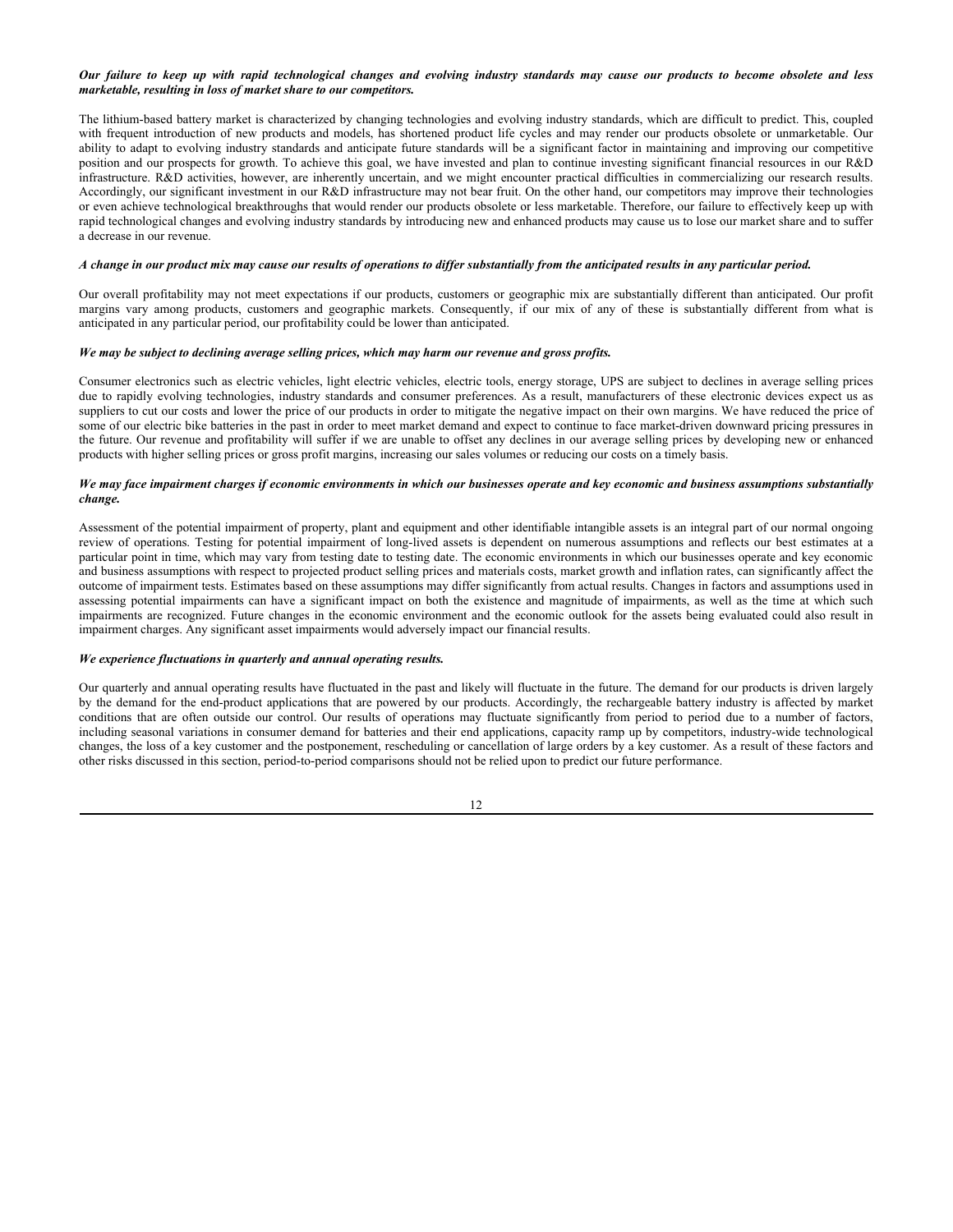# *Our failure to keep up with rapid technological changes and evolving industry standards may cause our products to become obsolete and less marketable, resulting in loss of market share to our competitors.*

The lithium-based battery market is characterized by changing technologies and evolving industry standards, which are difficult to predict. This, coupled with frequent introduction of new products and models, has shortened product life cycles and may render our products obsolete or unmarketable. Our ability to adapt to evolving industry standards and anticipate future standards will be a significant factor in maintaining and improving our competitive position and our prospects for growth. To achieve this goal, we have invested and plan to continue investing significant financial resources in our R&D infrastructure. R&D activities, however, are inherently uncertain, and we might encounter practical difficulties in commercializing our research results. Accordingly, our significant investment in our R&D infrastructure may not bear fruit. On the other hand, our competitors may improve their technologies or even achieve technological breakthroughs that would render our products obsolete or less marketable. Therefore, our failure to effectively keep up with rapid technological changes and evolving industry standards by introducing new and enhanced products may cause us to lose our market share and to suffer a decrease in our revenue.

### *A change in our product mix may cause our results of operations to differ substantially from the anticipated results in any particular period.*

Our overall profitability may not meet expectations if our products, customers or geographic mix are substantially different than anticipated. Our profit margins vary among products, customers and geographic markets. Consequently, if our mix of any of these is substantially different from what is anticipated in any particular period, our profitability could be lower than anticipated.

#### *We may be subject to declining average selling prices, which may harm our revenue and gross profits.*

Consumer electronics such as electric vehicles, light electric vehicles, electric tools, energy storage, UPS are subject to declines in average selling prices due to rapidly evolving technologies, industry standards and consumer preferences. As a result, manufacturers of these electronic devices expect us as suppliers to cut our costs and lower the price of our products in order to mitigate the negative impact on their own margins. We have reduced the price of some of our electric bike batteries in the past in order to meet market demand and expect to continue to face market-driven downward pricing pressures in the future. Our revenue and profitability will suffer if we are unable to offset any declines in our average selling prices by developing new or enhanced products with higher selling prices or gross profit margins, increasing our sales volumes or reducing our costs on a timely basis.

#### *We may face impairment charges if economic environments in which our businesses operate and key economic and business assumptions substantially change.*

Assessment of the potential impairment of property, plant and equipment and other identifiable intangible assets is an integral part of our normal ongoing review of operations. Testing for potential impairment of long-lived assets is dependent on numerous assumptions and reflects our best estimates at a particular point in time, which may vary from testing date to testing date. The economic environments in which our businesses operate and key economic and business assumptions with respect to projected product selling prices and materials costs, market growth and inflation rates, can significantly affect the outcome of impairment tests. Estimates based on these assumptions may differ significantly from actual results. Changes in factors and assumptions used in assessing potential impairments can have a significant impact on both the existence and magnitude of impairments, as well as the time at which such impairments are recognized. Future changes in the economic environment and the economic outlook for the assets being evaluated could also result in impairment charges. Any significant asset impairments would adversely impact our financial results.

# *We experience fluctuations in quarterly and annual operating results.*

Our quarterly and annual operating results have fluctuated in the past and likely will fluctuate in the future. The demand for our products is driven largely by the demand for the end-product applications that are powered by our products. Accordingly, the rechargeable battery industry is affected by market conditions that are often outside our control. Our results of operations may fluctuate significantly from period to period due to a number of factors, including seasonal variations in consumer demand for batteries and their end applications, capacity ramp up by competitors, industry-wide technological changes, the loss of a key customer and the postponement, rescheduling or cancellation of large orders by a key customer. As a result of these factors and other risks discussed in this section, period-to-period comparisons should not be relied upon to predict our future performance.

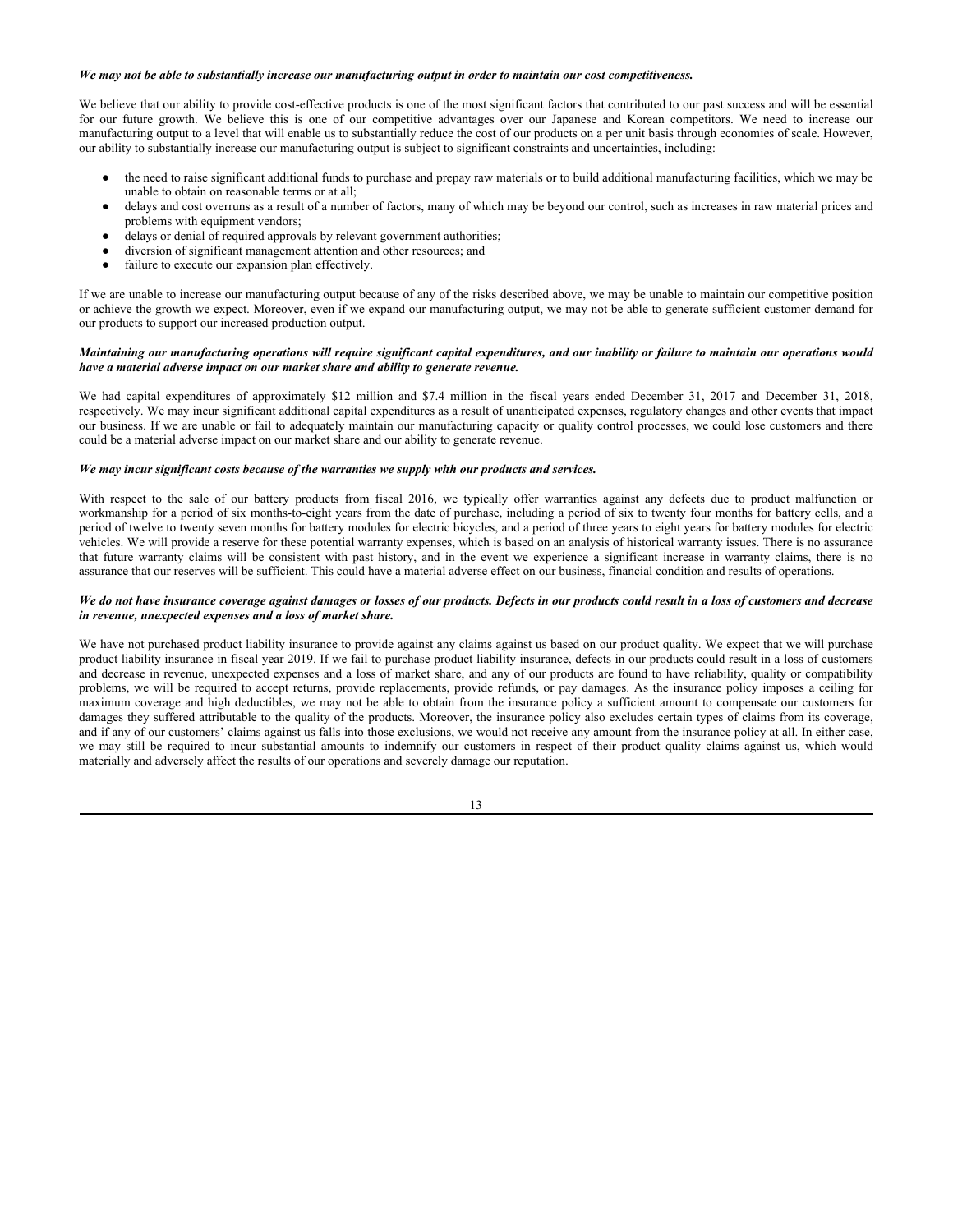#### *We may not be able to substantially increase our manufacturing output in order to maintain our cost competitiveness.*

We believe that our ability to provide cost-effective products is one of the most significant factors that contributed to our past success and will be essential for our future growth. We believe this is one of our competitive advantages over our Japanese and Korean competitors. We need to increase our manufacturing output to a level that will enable us to substantially reduce the cost of our products on a per unit basis through economies of scale. However, our ability to substantially increase our manufacturing output is subject to significant constraints and uncertainties, including:

- the need to raise significant additional funds to purchase and prepay raw materials or to build additional manufacturing facilities, which we may be unable to obtain on reasonable terms or at all;
- delays and cost overruns as a result of a number of factors, many of which may be beyond our control, such as increases in raw material prices and problems with equipment vendors;
- delays or denial of required approvals by relevant government authorities;
- diversion of significant management attention and other resources; and
- failure to execute our expansion plan effectively.

If we are unable to increase our manufacturing output because of any of the risks described above, we may be unable to maintain our competitive position or achieve the growth we expect. Moreover, even if we expand our manufacturing output, we may not be able to generate sufficient customer demand for our products to support our increased production output.

## *Maintaining our manufacturing operations will require significant capital expenditures, and our inability or failure to maintain our operations would have a material adverse impact on our market share and ability to generate revenue.*

We had capital expenditures of approximately \$12 million and \$7.4 million in the fiscal years ended December 31, 2017 and December 31, 2018, respectively. We may incur significant additional capital expenditures as a result of unanticipated expenses, regulatory changes and other events that impact our business. If we are unable or fail to adequately maintain our manufacturing capacity or quality control processes, we could lose customers and there could be a material adverse impact on our market share and our ability to generate revenue.

## *We may incur significant costs because of the warranties we supply with our products and services.*

With respect to the sale of our battery products from fiscal 2016, we typically offer warranties against any defects due to product malfunction or workmanship for a period of six months-to-eight years from the date of purchase, including a period of six to twenty four months for battery cells, and a period of twelve to twenty seven months for battery modules for electric bicycles, and a period of three years to eight years for battery modules for electric vehicles. We will provide a reserve for these potential warranty expenses, which is based on an analysis of historical warranty issues. There is no assurance that future warranty claims will be consistent with past history, and in the event we experience a significant increase in warranty claims, there is no assurance that our reserves will be sufficient. This could have a material adverse effect on our business, financial condition and results of operations.

## *We do not have insurance coverage against damages or losses of our products. Defects in our products could result in a loss of customers and decrease in revenue, unexpected expenses and a loss of market share.*

We have not purchased product liability insurance to provide against any claims against us based on our product quality. We expect that we will purchase product liability insurance in fiscal year 2019. If we fail to purchase product liability insurance, defects in our products could result in a loss of customers and decrease in revenue, unexpected expenses and a loss of market share, and any of our products are found to have reliability, quality or compatibility problems, we will be required to accept returns, provide replacements, provide refunds, or pay damages. As the insurance policy imposes a ceiling for maximum coverage and high deductibles, we may not be able to obtain from the insurance policy a sufficient amount to compensate our customers for damages they suffered attributable to the quality of the products. Moreover, the insurance policy also excludes certain types of claims from its coverage, and if any of our customers' claims against us falls into those exclusions, we would not receive any amount from the insurance policy at all. In either case, we may still be required to incur substantial amounts to indemnify our customers in respect of their product quality claims against us, which would materially and adversely affect the results of our operations and severely damage our reputation.

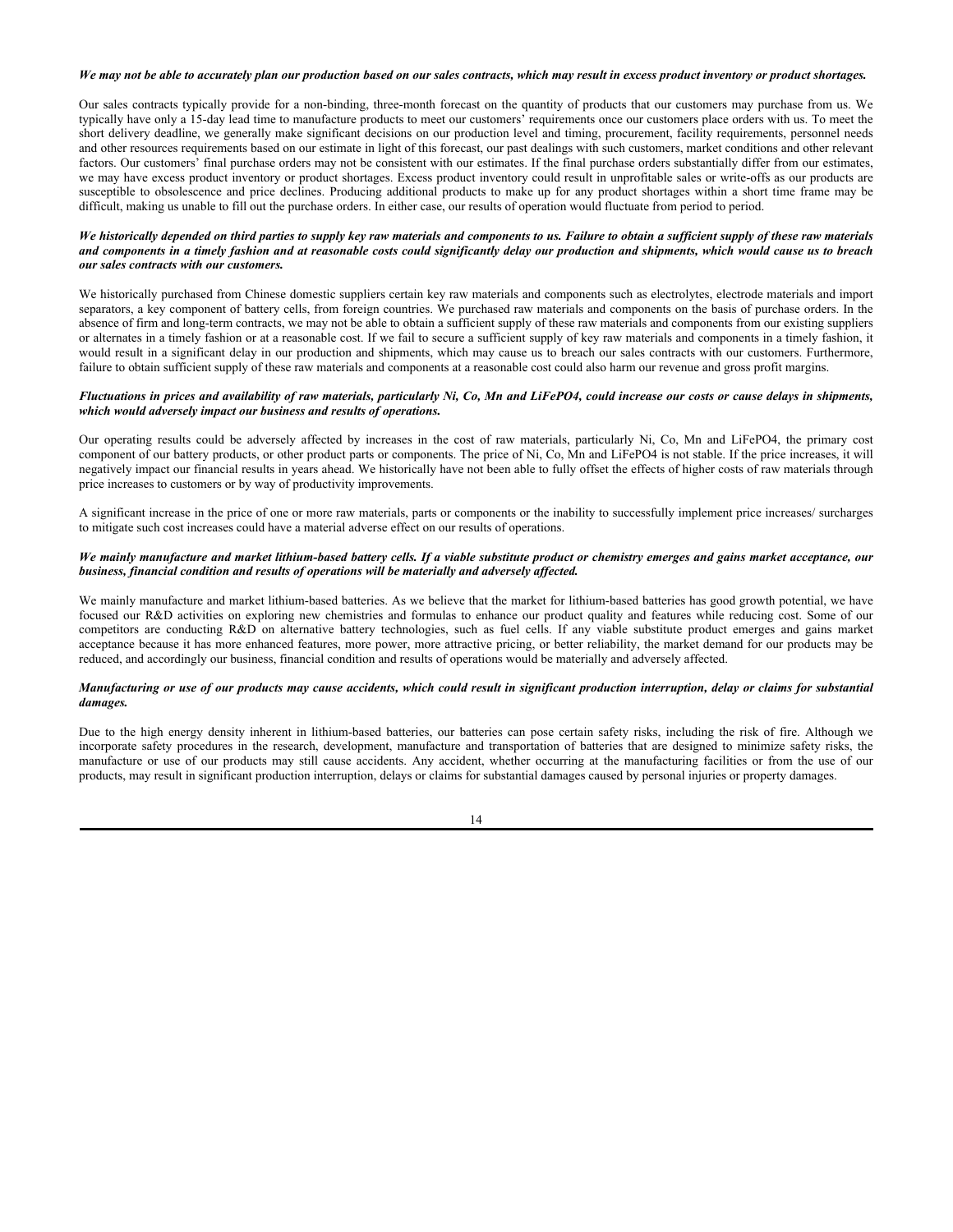# *We may not be able to accurately plan our production based on our sales contracts, which may result in excess product inventory or product shortages.*

Our sales contracts typically provide for a non-binding, three-month forecast on the quantity of products that our customers may purchase from us. We typically have only a 15-day lead time to manufacture products to meet our customers' requirements once our customers place orders with us. To meet the short delivery deadline, we generally make significant decisions on our production level and timing, procurement, facility requirements, personnel needs and other resources requirements based on our estimate in light of this forecast, our past dealings with such customers, market conditions and other relevant factors. Our customers' final purchase orders may not be consistent with our estimates. If the final purchase orders substantially differ from our estimates, we may have excess product inventory or product shortages. Excess product inventory could result in unprofitable sales or write-offs as our products are susceptible to obsolescence and price declines. Producing additional products to make up for any product shortages within a short time frame may be difficult, making us unable to fill out the purchase orders. In either case, our results of operation would fluctuate from period to period.

#### *We historically depended on third parties to supply key raw materials and components to us. Failure to obtain a sufficient supply of these raw materials and components in a timely fashion and at reasonable costs could significantly delay our production and shipments, which would cause us to breach our sales contracts with our customers.*

We historically purchased from Chinese domestic suppliers certain key raw materials and components such as electrolytes, electrode materials and import separators, a key component of battery cells, from foreign countries. We purchased raw materials and components on the basis of purchase orders. In the absence of firm and long-term contracts, we may not be able to obtain a sufficient supply of these raw materials and components from our existing suppliers or alternates in a timely fashion or at a reasonable cost. If we fail to secure a sufficient supply of key raw materials and components in a timely fashion, it would result in a significant delay in our production and shipments, which may cause us to breach our sales contracts with our customers. Furthermore, failure to obtain sufficient supply of these raw materials and components at a reasonable cost could also harm our revenue and gross profit margins.

# *Fluctuations in prices and availability of raw materials, particularly Ni, Co, Mn and LiFePO4, could increase our costs or cause delays in shipments, which would adversely impact our business and results of operations.*

Our operating results could be adversely affected by increases in the cost of raw materials, particularly Ni, Co, Mn and LiFePO4, the primary cost component of our battery products, or other product parts or components. The price of Ni, Co, Mn and LiFePO4 is not stable. If the price increases, it will negatively impact our financial results in years ahead. We historically have not been able to fully offset the effects of higher costs of raw materials through price increases to customers or by way of productivity improvements.

A significant increase in the price of one or more raw materials, parts or components or the inability to successfully implement price increases/ surcharges to mitigate such cost increases could have a material adverse effect on our results of operations.

#### *We mainly manufacture and market lithium-based battery cells. If a viable substitute product or chemistry emerges and gains market acceptance, our business, financial condition and results of operations will be materially and adversely affected.*

We mainly manufacture and market lithium-based batteries. As we believe that the market for lithium-based batteries has good growth potential, we have focused our R&D activities on exploring new chemistries and formulas to enhance our product quality and features while reducing cost. Some of our competitors are conducting R&D on alternative battery technologies, such as fuel cells. If any viable substitute product emerges and gains market acceptance because it has more enhanced features, more power, more attractive pricing, or better reliability, the market demand for our products may be reduced, and accordingly our business, financial condition and results of operations would be materially and adversely affected.

#### *Manufacturing or use of our products may cause accidents, which could result in significant production interruption, delay or claims for substantial damages.*

Due to the high energy density inherent in lithium-based batteries, our batteries can pose certain safety risks, including the risk of fire. Although we incorporate safety procedures in the research, development, manufacture and transportation of batteries that are designed to minimize safety risks, the manufacture or use of our products may still cause accidents. Any accident, whether occurring at the manufacturing facilities or from the use of our products, may result in significant production interruption, delays or claims for substantial damages caused by personal injuries or property damages.

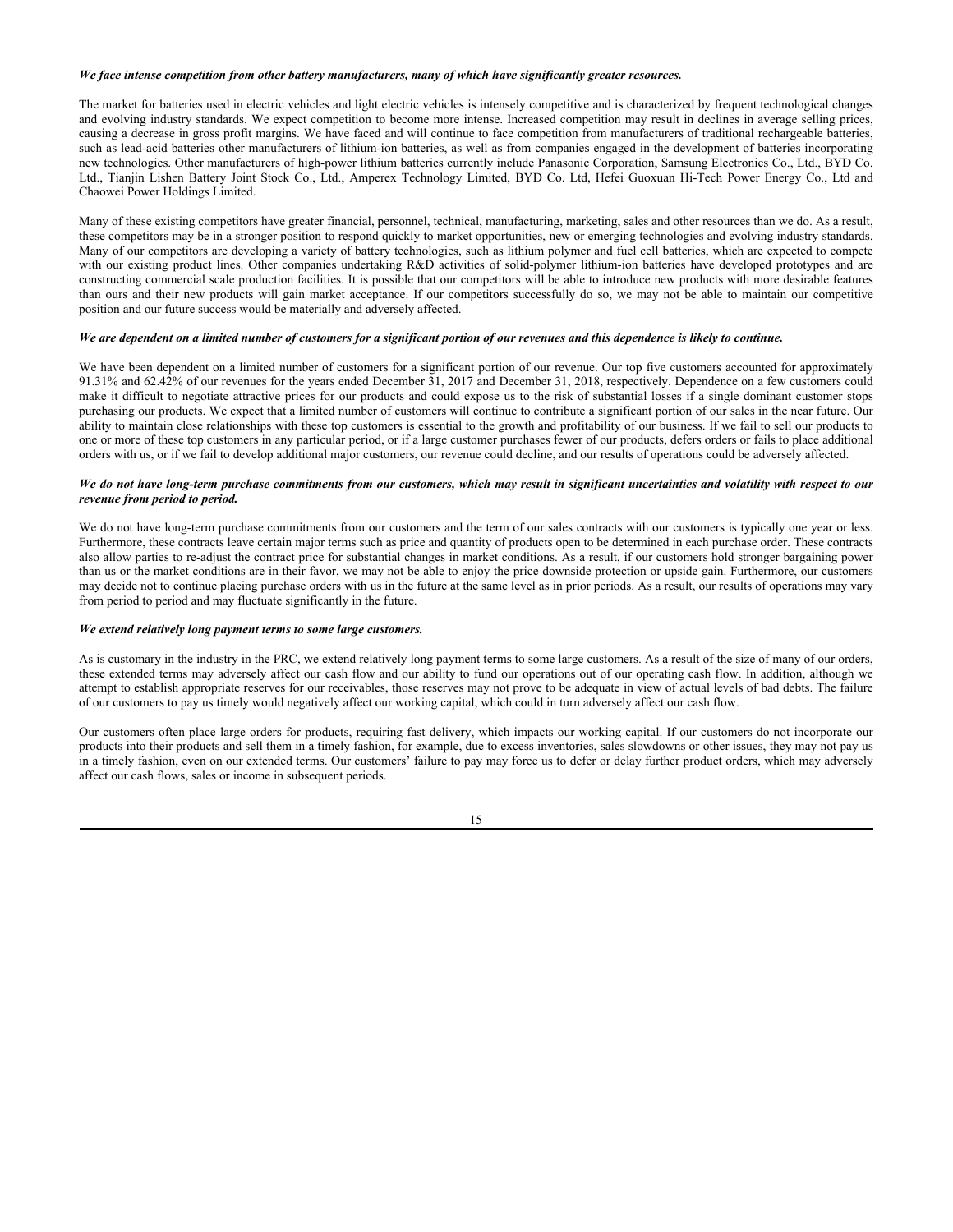# *We face intense competition from other battery manufacturers, many of which have significantly greater resources.*

The market for batteries used in electric vehicles and light electric vehicles is intensely competitive and is characterized by frequent technological changes and evolving industry standards. We expect competition to become more intense. Increased competition may result in declines in average selling prices, causing a decrease in gross profit margins. We have faced and will continue to face competition from manufacturers of traditional rechargeable batteries, such as lead-acid batteries other manufacturers of lithium-ion batteries, as well as from companies engaged in the development of batteries incorporating new technologies. Other manufacturers of high-power lithium batteries currently include Panasonic Corporation, Samsung Electronics Co., Ltd., BYD Co. Ltd., Tianjin Lishen Battery Joint Stock Co., Ltd., Amperex Technology Limited, BYD Co. Ltd, Hefei Guoxuan Hi-Tech Power Energy Co., Ltd and Chaowei Power Holdings Limited.

Many of these existing competitors have greater financial, personnel, technical, manufacturing, marketing, sales and other resources than we do. As a result, these competitors may be in a stronger position to respond quickly to market opportunities, new or emerging technologies and evolving industry standards. Many of our competitors are developing a variety of battery technologies, such as lithium polymer and fuel cell batteries, which are expected to compete with our existing product lines. Other companies undertaking R&D activities of solid-polymer lithium-ion batteries have developed prototypes and are constructing commercial scale production facilities. It is possible that our competitors will be able to introduce new products with more desirable features than ours and their new products will gain market acceptance. If our competitors successfully do so, we may not be able to maintain our competitive position and our future success would be materially and adversely affected.

### *We are dependent on a limited number of customers for a significant portion of our revenues and this dependence is likely to continue.*

We have been dependent on a limited number of customers for a significant portion of our revenue. Our top five customers accounted for approximately 91.31% and 62.42% of our revenues for the years ended December 31, 2017 and December 31, 2018, respectively. Dependence on a few customers could make it difficult to negotiate attractive prices for our products and could expose us to the risk of substantial losses if a single dominant customer stops purchasing our products. We expect that a limited number of customers will continue to contribute a significant portion of our sales in the near future. Our ability to maintain close relationships with these top customers is essential to the growth and profitability of our business. If we fail to sell our products to one or more of these top customers in any particular period, or if a large customer purchases fewer of our products, defers orders or fails to place additional orders with us, or if we fail to develop additional major customers, our revenue could decline, and our results of operations could be adversely affected.

#### *We do not have long-term purchase commitments from our customers, which may result in significant uncertainties and volatility with respect to our revenue from period to period.*

We do not have long-term purchase commitments from our customers and the term of our sales contracts with our customers is typically one year or less. Furthermore, these contracts leave certain major terms such as price and quantity of products open to be determined in each purchase order. These contracts also allow parties to re-adjust the contract price for substantial changes in market conditions. As a result, if our customers hold stronger bargaining power than us or the market conditions are in their favor, we may not be able to enjoy the price downside protection or upside gain. Furthermore, our customers may decide not to continue placing purchase orders with us in the future at the same level as in prior periods. As a result, our results of operations may vary from period to period and may fluctuate significantly in the future.

#### *We extend relatively long payment terms to some large customers.*

As is customary in the industry in the PRC, we extend relatively long payment terms to some large customers. As a result of the size of many of our orders, these extended terms may adversely affect our cash flow and our ability to fund our operations out of our operating cash flow. In addition, although we attempt to establish appropriate reserves for our receivables, those reserves may not prove to be adequate in view of actual levels of bad debts. The failure of our customers to pay us timely would negatively affect our working capital, which could in turn adversely affect our cash flow.

Our customers often place large orders for products, requiring fast delivery, which impacts our working capital. If our customers do not incorporate our products into their products and sell them in a timely fashion, for example, due to excess inventories, sales slowdowns or other issues, they may not pay us in a timely fashion, even on our extended terms. Our customers' failure to pay may force us to defer or delay further product orders, which may adversely affect our cash flows, sales or income in subsequent periods.

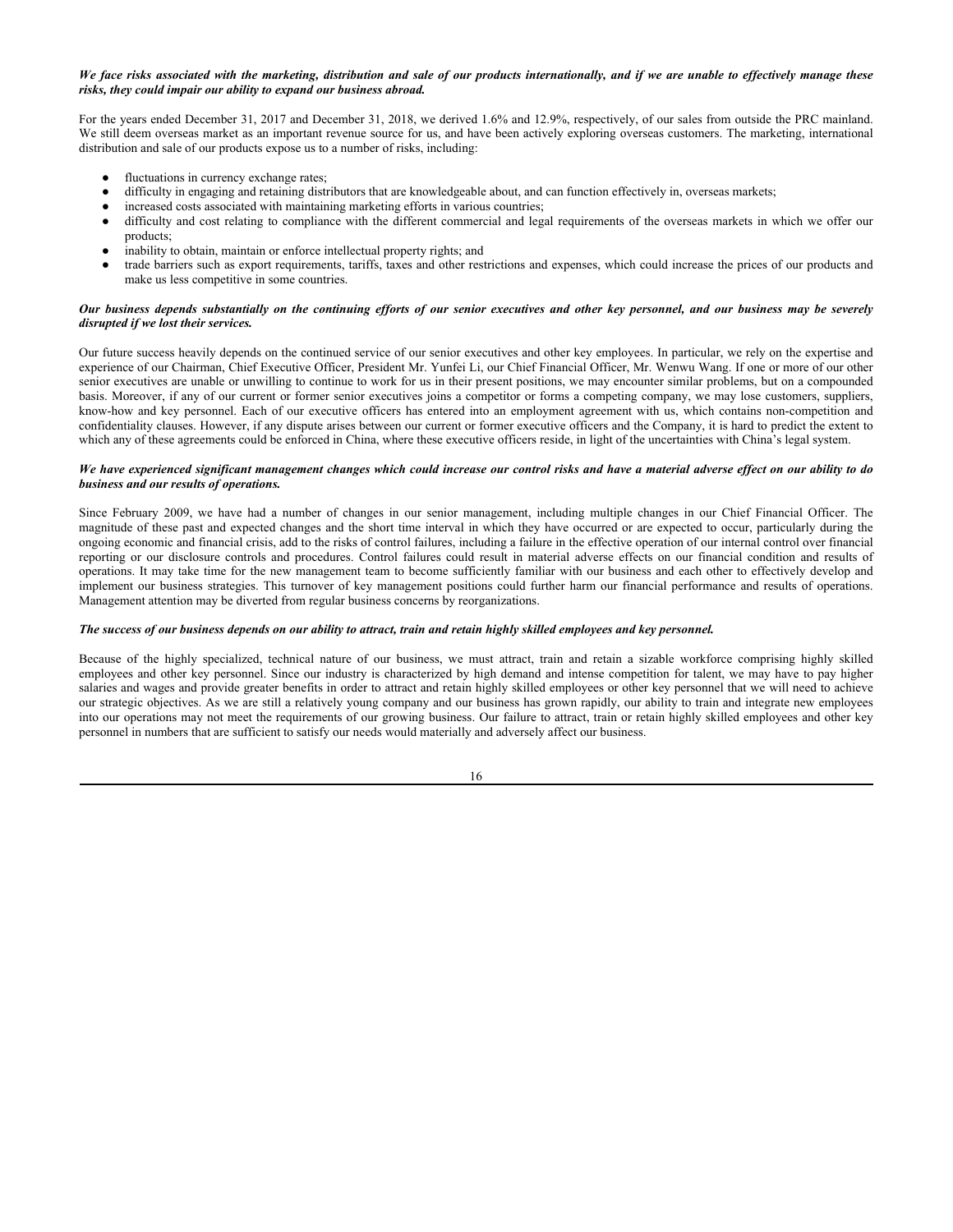# *We face risks associated with the marketing, distribution and sale of our products internationally, and if we are unable to effectively manage these risks, they could impair our ability to expand our business abroad.*

For the years ended December 31, 2017 and December 31, 2018, we derived 1.6% and 12.9%, respectively, of our sales from outside the PRC mainland. We still deem overseas market as an important revenue source for us, and have been actively exploring overseas customers. The marketing, international distribution and sale of our products expose us to a number of risks, including:

- fluctuations in currency exchange rates;
- difficulty in engaging and retaining distributors that are knowledgeable about, and can function effectively in, overseas markets;
- increased costs associated with maintaining marketing efforts in various countries;
- difficulty and cost relating to compliance with the different commercial and legal requirements of the overseas markets in which we offer our products;
- inability to obtain, maintain or enforce intellectual property rights; and
- trade barriers such as export requirements, tariffs, taxes and other restrictions and expenses, which could increase the prices of our products and make us less competitive in some countries.

## *Our business depends substantially on the continuing efforts of our senior executives and other key personnel, and our business may be severely disrupted if we lost their services.*

Our future success heavily depends on the continued service of our senior executives and other key employees. In particular, we rely on the expertise and experience of our Chairman, Chief Executive Officer, President Mr. Yunfei Li, our Chief Financial Officer, Mr. Wenwu Wang. If one or more of our other senior executives are unable or unwilling to continue to work for us in their present positions, we may encounter similar problems, but on a compounded basis. Moreover, if any of our current or former senior executives joins a competitor or forms a competing company, we may lose customers, suppliers, know-how and key personnel. Each of our executive officers has entered into an employment agreement with us, which contains non-competition and confidentiality clauses. However, if any dispute arises between our current or former executive officers and the Company, it is hard to predict the extent to which any of these agreements could be enforced in China, where these executive officers reside, in light of the uncertainties with China's legal system.

## *We have experienced significant management changes which could increase our control risks and have a material adverse effect on our ability to do business and our results of operations.*

Since February 2009, we have had a number of changes in our senior management, including multiple changes in our Chief Financial Officer. The magnitude of these past and expected changes and the short time interval in which they have occurred or are expected to occur, particularly during the ongoing economic and financial crisis, add to the risks of control failures, including a failure in the effective operation of our internal control over financial reporting or our disclosure controls and procedures. Control failures could result in material adverse effects on our financial condition and results of operations. It may take time for the new management team to become sufficiently familiar with our business and each other to effectively develop and implement our business strategies. This turnover of key management positions could further harm our financial performance and results of operations. Management attention may be diverted from regular business concerns by reorganizations.

## *The success of our business depends on our ability to attract, train and retain highly skilled employees and key personnel.*

Because of the highly specialized, technical nature of our business, we must attract, train and retain a sizable workforce comprising highly skilled employees and other key personnel. Since our industry is characterized by high demand and intense competition for talent, we may have to pay higher salaries and wages and provide greater benefits in order to attract and retain highly skilled employees or other key personnel that we will need to achieve our strategic objectives. As we are still a relatively young company and our business has grown rapidly, our ability to train and integrate new employees into our operations may not meet the requirements of our growing business. Our failure to attract, train or retain highly skilled employees and other key personnel in numbers that are sufficient to satisfy our needs would materially and adversely affect our business.

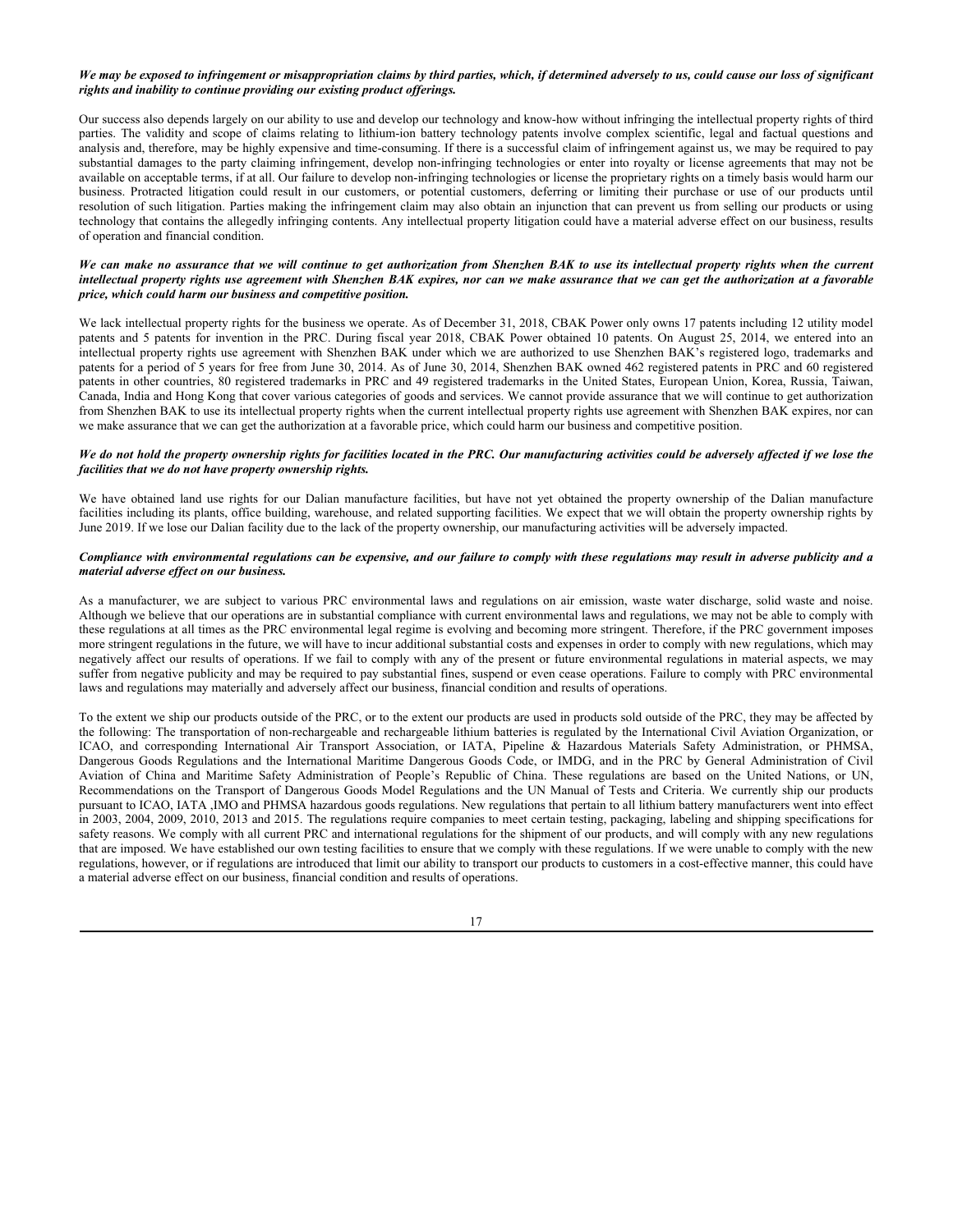# *We may be exposed to infringement or misappropriation claims by third parties, which, if determined adversely to us, could cause our loss of significant rights and inability to continue providing our existing product offerings.*

Our success also depends largely on our ability to use and develop our technology and know-how without infringing the intellectual property rights of third parties. The validity and scope of claims relating to lithium-ion battery technology patents involve complex scientific, legal and factual questions and analysis and, therefore, may be highly expensive and time-consuming. If there is a successful claim of infringement against us, we may be required to pay substantial damages to the party claiming infringement, develop non-infringing technologies or enter into royalty or license agreements that may not be available on acceptable terms, if at all. Our failure to develop non-infringing technologies or license the proprietary rights on a timely basis would harm our business. Protracted litigation could result in our customers, or potential customers, deferring or limiting their purchase or use of our products until resolution of such litigation. Parties making the infringement claim may also obtain an injunction that can prevent us from selling our products or using technology that contains the allegedly infringing contents. Any intellectual property litigation could have a material adverse effect on our business, results of operation and financial condition.

## *We can make no assurance that we will continue to get authorization from Shenzhen BAK to use its intellectual property rights when the current intellectual property rights use agreement with Shenzhen BAK expires, nor can we make assurance that we can get the authorization at a favorable price, which could harm our business and competitive position.*

We lack intellectual property rights for the business we operate. As of December 31, 2018, CBAK Power only owns 17 patents including 12 utility model patents and 5 patents for invention in the PRC. During fiscal year 2018, CBAK Power obtained 10 patents. On August 25, 2014, we entered into an intellectual property rights use agreement with Shenzhen BAK under which we are authorized to use Shenzhen BAK's registered logo, trademarks and patents for a period of 5 years for free from June 30, 2014. As of June 30, 2014, Shenzhen BAK owned 462 registered patents in PRC and 60 registered patents in other countries, 80 registered trademarks in PRC and 49 registered trademarks in the United States, European Union, Korea, Russia, Taiwan, Canada, India and Hong Kong that cover various categories of goods and services. We cannot provide assurance that we will continue to get authorization from Shenzhen BAK to use its intellectual property rights when the current intellectual property rights use agreement with Shenzhen BAK expires, nor can we make assurance that we can get the authorization at a favorable price, which could harm our business and competitive position.

## *We do not hold the property ownership rights for facilities located in the PRC. Our manufacturing activities could be adversely affected if we lose the facilities that we do not have property ownership rights.*

We have obtained land use rights for our Dalian manufacture facilities, but have not yet obtained the property ownership of the Dalian manufacture facilities including its plants, office building, warehouse, and related supporting facilities. We expect that we will obtain the property ownership rights by June 2019. If we lose our Dalian facility due to the lack of the property ownership, our manufacturing activities will be adversely impacted.

#### *Compliance with environmental regulations can be expensive, and our failure to comply with these regulations may result in adverse publicity and a material adverse effect on our business.*

As a manufacturer, we are subject to various PRC environmental laws and regulations on air emission, waste water discharge, solid waste and noise. Although we believe that our operations are in substantial compliance with current environmental laws and regulations, we may not be able to comply with these regulations at all times as the PRC environmental legal regime is evolving and becoming more stringent. Therefore, if the PRC government imposes more stringent regulations in the future, we will have to incur additional substantial costs and expenses in order to comply with new regulations, which may negatively affect our results of operations. If we fail to comply with any of the present or future environmental regulations in material aspects, we may suffer from negative publicity and may be required to pay substantial fines, suspend or even cease operations. Failure to comply with PRC environmental laws and regulations may materially and adversely affect our business, financial condition and results of operations.

To the extent we ship our products outside of the PRC, or to the extent our products are used in products sold outside of the PRC, they may be affected by the following: The transportation of non-rechargeable and rechargeable lithium batteries is regulated by the International Civil Aviation Organization, or ICAO, and corresponding International Air Transport Association, or IATA, Pipeline & Hazardous Materials Safety Administration, or PHMSA, Dangerous Goods Regulations and the International Maritime Dangerous Goods Code, or IMDG, and in the PRC by General Administration of Civil Aviation of China and Maritime Safety Administration of People's Republic of China. These regulations are based on the United Nations, or UN, Recommendations on the Transport of Dangerous Goods Model Regulations and the UN Manual of Tests and Criteria. We currently ship our products pursuant to ICAO, IATA ,IMO and PHMSA hazardous goods regulations. New regulations that pertain to all lithium battery manufacturers went into effect in 2003, 2004, 2009, 2010, 2013 and 2015. The regulations require companies to meet certain testing, packaging, labeling and shipping specifications for safety reasons. We comply with all current PRC and international regulations for the shipment of our products, and will comply with any new regulations that are imposed. We have established our own testing facilities to ensure that we comply with these regulations. If we were unable to comply with the new regulations, however, or if regulations are introduced that limit our ability to transport our products to customers in a cost-effective manner, this could have a material adverse effect on our business, financial condition and results of operations.

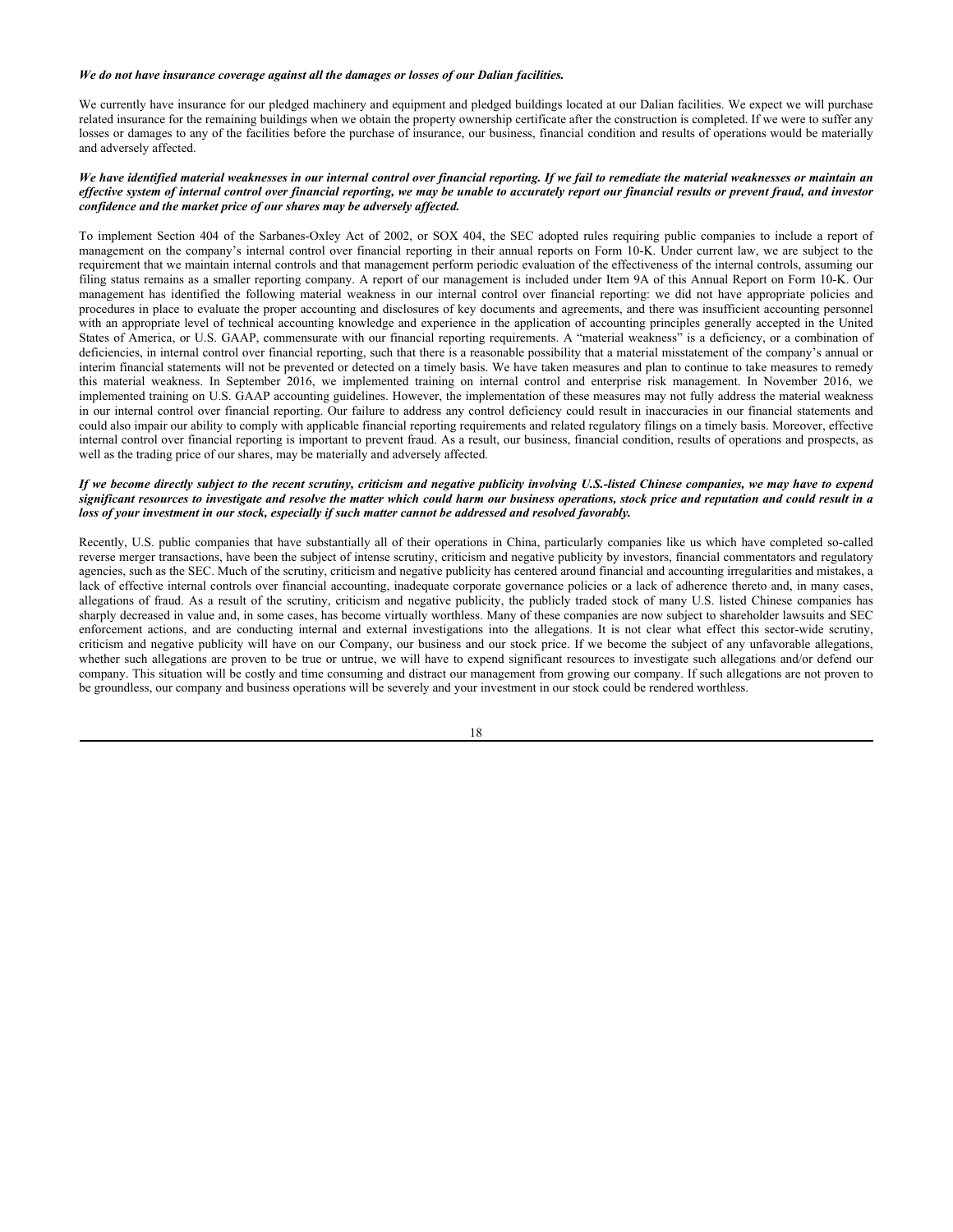# *We do not have insurance coverage against all the damages or losses of our Dalian facilities.*

We currently have insurance for our pledged machinery and equipment and pledged buildings located at our Dalian facilities. We expect we will purchase related insurance for the remaining buildings when we obtain the property ownership certificate after the construction is completed. If we were to suffer any losses or damages to any of the facilities before the purchase of insurance, our business, financial condition and results of operations would be materially and adversely affected.

## *We have identified material weaknesses in our internal control over financial reporting. If we fail to remediate the material weaknesses or maintain an effective system of internal control over financial reporting, we may be unable to accurately report our financial results or prevent fraud, and investor confidence and the market price of our shares may be adversely affected.*

To implement Section 404 of the Sarbanes-Oxley Act of 2002, or SOX 404, the SEC adopted rules requiring public companies to include a report of management on the company's internal control over financial reporting in their annual reports on Form 10-K. Under current law, we are subject to the requirement that we maintain internal controls and that management perform periodic evaluation of the effectiveness of the internal controls, assuming our filing status remains as a smaller reporting company. A report of our management is included under Item 9A of this Annual Report on Form 10-K. Our management has identified the following material weakness in our internal control over financial reporting: we did not have appropriate policies and procedures in place to evaluate the proper accounting and disclosures of key documents and agreements, and there was insufficient accounting personnel with an appropriate level of technical accounting knowledge and experience in the application of accounting principles generally accepted in the United States of America, or U.S. GAAP, commensurate with our financial reporting requirements. A "material weakness" is a deficiency, or a combination of deficiencies, in internal control over financial reporting, such that there is a reasonable possibility that a material misstatement of the company's annual or interim financial statements will not be prevented or detected on a timely basis. We have taken measures and plan to continue to take measures to remedy this material weakness. In September 2016, we implemented training on internal control and enterprise risk management. In November 2016, we implemented training on U.S. GAAP accounting guidelines. However, the implementation of these measures may not fully address the material weakness in our internal control over financial reporting. Our failure to address any control deficiency could result in inaccuracies in our financial statements and could also impair our ability to comply with applicable financial reporting requirements and related regulatory filings on a timely basis. Moreover, effective internal control over financial reporting is important to prevent fraud. As a result, our business, financial condition, results of operations and prospects, as well as the trading price of our shares, may be materially and adversely affected.

#### *If we become directly subject to the recent scrutiny, criticism and negative publicity involving U.S.-listed Chinese companies, we may have to expend significant resources to investigate and resolve the matter which could harm our business operations, stock price and reputation and could result in a loss of your investment in our stock, especially if such matter cannot be addressed and resolved favorably.*

Recently, U.S. public companies that have substantially all of their operations in China, particularly companies like us which have completed so-called reverse merger transactions, have been the subject of intense scrutiny, criticism and negative publicity by investors, financial commentators and regulatory agencies, such as the SEC. Much of the scrutiny, criticism and negative publicity has centered around financial and accounting irregularities and mistakes, a lack of effective internal controls over financial accounting, inadequate corporate governance policies or a lack of adherence thereto and, in many cases, allegations of fraud. As a result of the scrutiny, criticism and negative publicity, the publicly traded stock of many U.S. listed Chinese companies has sharply decreased in value and, in some cases, has become virtually worthless. Many of these companies are now subject to shareholder lawsuits and SEC enforcement actions, and are conducting internal and external investigations into the allegations. It is not clear what effect this sector-wide scrutiny, criticism and negative publicity will have on our Company, our business and our stock price. If we become the subject of any unfavorable allegations, whether such allegations are proven to be true or untrue, we will have to expend significant resources to investigate such allegations and/or defend our company. This situation will be costly and time consuming and distract our management from growing our company. If such allegations are not proven to be groundless, our company and business operations will be severely and your investment in our stock could be rendered worthless.

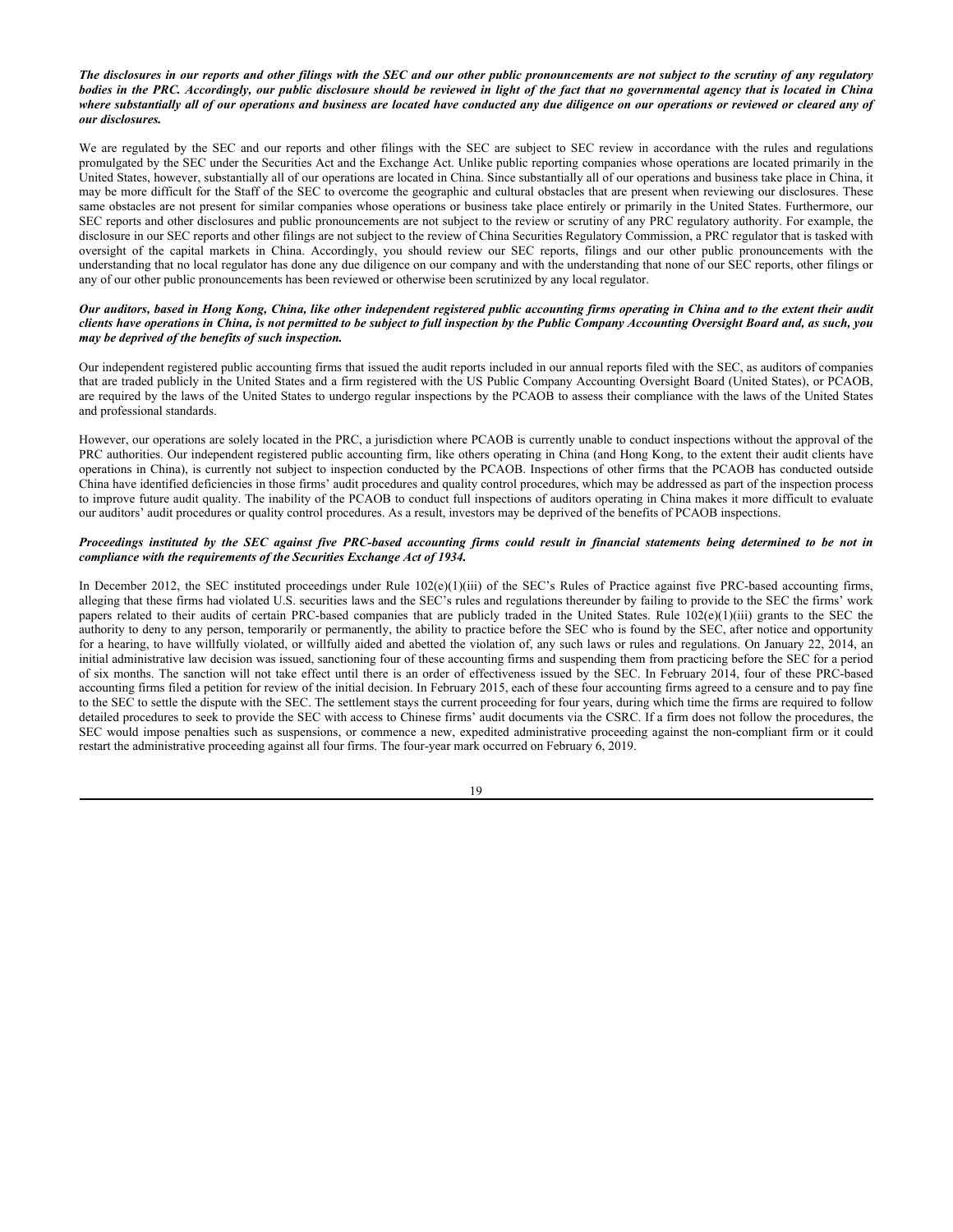### *The disclosures in our reports and other filings with the SEC and our other public pronouncements are not subject to the scrutiny of any regulatory bodies in the PRC. Accordingly, our public disclosure should be reviewed in light of the fact that no governmental agency that is located in China where substantially all of our operations and business are located have conducted any due diligence on our operations or reviewed or cleared any of our disclosures.*

We are regulated by the SEC and our reports and other filings with the SEC are subject to SEC review in accordance with the rules and regulations promulgated by the SEC under the Securities Act and the Exchange Act. Unlike public reporting companies whose operations are located primarily in the United States, however, substantially all of our operations are located in China. Since substantially all of our operations and business take place in China, it may be more difficult for the Staff of the SEC to overcome the geographic and cultural obstacles that are present when reviewing our disclosures. These same obstacles are not present for similar companies whose operations or business take place entirely or primarily in the United States. Furthermore, our SEC reports and other disclosures and public pronouncements are not subject to the review or scrutiny of any PRC regulatory authority. For example, the disclosure in our SEC reports and other filings are not subject to the review of China Securities Regulatory Commission, a PRC regulator that is tasked with oversight of the capital markets in China. Accordingly, you should review our SEC reports, filings and our other public pronouncements with the understanding that no local regulator has done any due diligence on our company and with the understanding that none of our SEC reports, other filings or any of our other public pronouncements has been reviewed or otherwise been scrutinized by any local regulator.

## *Our auditors, based in Hong Kong, China, like other independent registered public accounting firms operating in China and to the extent their audit clients have operations in China, is not permitted to be subject to full inspection by the Public Company Accounting Oversight Board and, as such, you may be deprived of the benefits of such inspection.*

Our independent registered public accounting firms that issued the audit reports included in our annual reports filed with the SEC, as auditors of companies that are traded publicly in the United States and a firm registered with the US Public Company Accounting Oversight Board (United States), or PCAOB, are required by the laws of the United States to undergo regular inspections by the PCAOB to assess their compliance with the laws of the United States and professional standards.

However, our operations are solely located in the PRC, a jurisdiction where PCAOB is currently unable to conduct inspections without the approval of the PRC authorities. Our independent registered public accounting firm, like others operating in China (and Hong Kong, to the extent their audit clients have operations in China), is currently not subject to inspection conducted by the PCAOB. Inspections of other firms that the PCAOB has conducted outside China have identified deficiencies in those firms' audit procedures and quality control procedures, which may be addressed as part of the inspection process to improve future audit quality. The inability of the PCAOB to conduct full inspections of auditors operating in China makes it more difficult to evaluate our auditors' audit procedures or quality control procedures. As a result, investors may be deprived of the benefits of PCAOB inspections.

## *Proceedings instituted by the SEC against five PRC-based accounting firms could result in financial statements being determined to be not in compliance with the requirements of the Securities Exchange Act of 1934.*

In December 2012, the SEC instituted proceedings under Rule 102(e)(1)(iii) of the SEC's Rules of Practice against five PRC-based accounting firms, alleging that these firms had violated U.S. securities laws and the SEC's rules and regulations thereunder by failing to provide to the SEC the firms' work papers related to their audits of certain PRC-based companies that are publicly traded in the United States. Rule 102(e)(1)(iii) grants to the SEC the authority to deny to any person, temporarily or permanently, the ability to practice before the SEC who is found by the SEC, after notice and opportunity for a hearing, to have willfully violated, or willfully aided and abetted the violation of, any such laws or rules and regulations. On January 22, 2014, an initial administrative law decision was issued, sanctioning four of these accounting firms and suspending them from practicing before the SEC for a period of six months. The sanction will not take effect until there is an order of effectiveness issued by the SEC. In February 2014, four of these PRC-based accounting firms filed a petition for review of the initial decision. In February 2015, each of these four accounting firms agreed to a censure and to pay fine to the SEC to settle the dispute with the SEC. The settlement stays the current proceeding for four years, during which time the firms are required to follow detailed procedures to seek to provide the SEC with access to Chinese firms' audit documents via the CSRC. If a firm does not follow the procedures, the SEC would impose penalties such as suspensions, or commence a new, expedited administrative proceeding against the non-compliant firm or it could restart the administrative proceeding against all four firms. The four-year mark occurred on February 6, 2019.

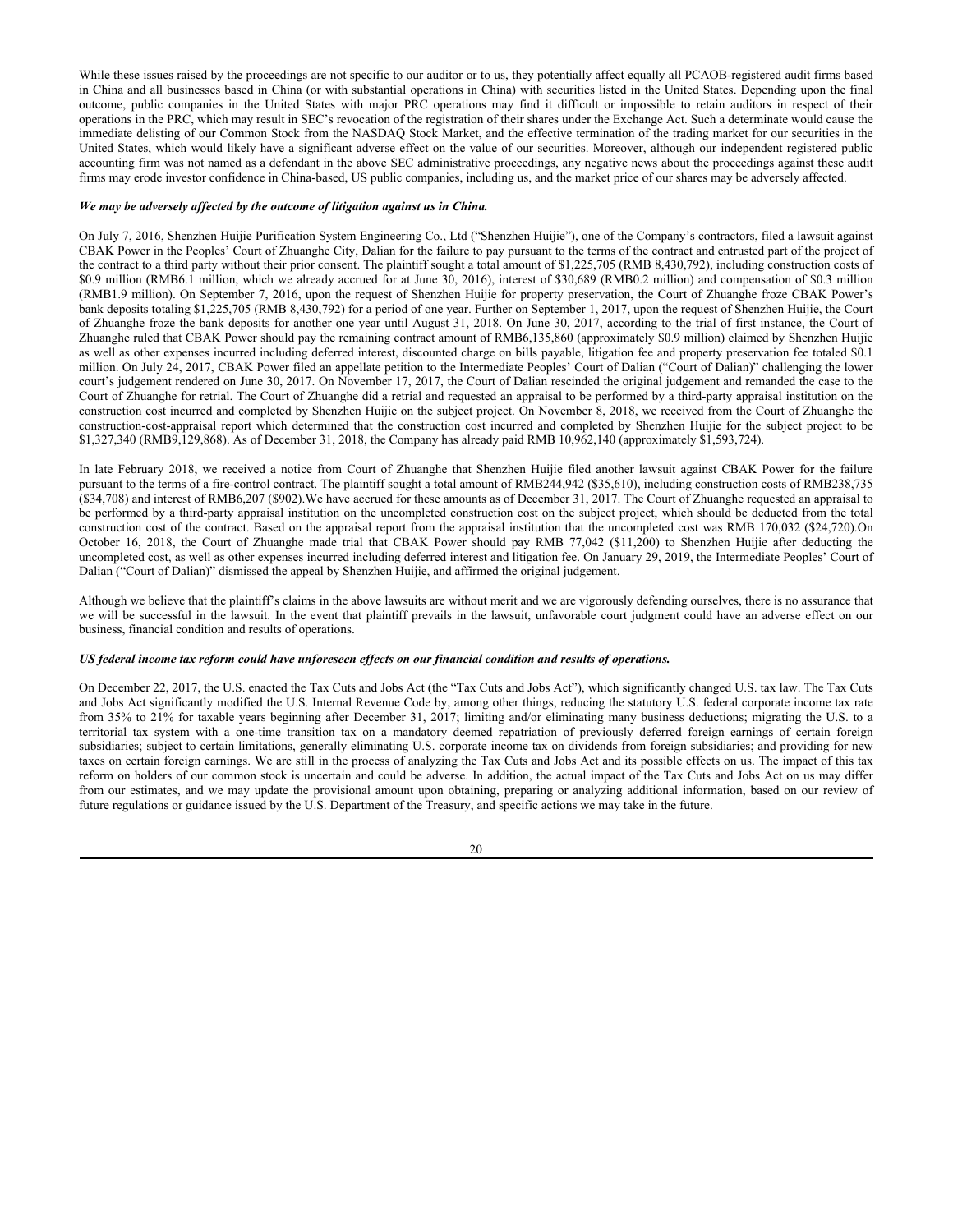While these issues raised by the proceedings are not specific to our auditor or to us, they potentially affect equally all PCAOB-registered audit firms based in China and all businesses based in China (or with substantial operations in China) with securities listed in the United States. Depending upon the final outcome, public companies in the United States with major PRC operations may find it difficult or impossible to retain auditors in respect of their operations in the PRC, which may result in SEC's revocation of the registration of their shares under the Exchange Act. Such a determinate would cause the immediate delisting of our Common Stock from the NASDAQ Stock Market, and the effective termination of the trading market for our securities in the United States, which would likely have a significant adverse effect on the value of our securities. Moreover, although our independent registered public accounting firm was not named as a defendant in the above SEC administrative proceedings, any negative news about the proceedings against these audit firms may erode investor confidence in China-based, US public companies, including us, and the market price of our shares may be adversely affected.

#### *We may be adversely affected by the outcome of litigation against us in China.*

On July 7, 2016, Shenzhen Huijie Purification System Engineering Co., Ltd ("Shenzhen Huijie"), one of the Company's contractors, filed a lawsuit against CBAK Power in the Peoples' Court of Zhuanghe City, Dalian for the failure to pay pursuant to the terms of the contract and entrusted part of the project of the contract to a third party without their prior consent. The plaintiff sought a total amount of \$1,225,705 (RMB 8,430,792), including construction costs of \$0.9 million (RMB6.1 million, which we already accrued for at June 30, 2016), interest of \$30,689 (RMB0.2 million) and compensation of \$0.3 million (RMB1.9 million). On September 7, 2016, upon the request of Shenzhen Huijie for property preservation, the Court of Zhuanghe froze CBAK Power's bank deposits totaling \$1,225,705 (RMB 8,430,792) for a period of one year. Further on September 1, 2017, upon the request of Shenzhen Huijie, the Court of Zhuanghe froze the bank deposits for another one year until August 31, 2018. On June 30, 2017, according to the trial of first instance, the Court of Zhuanghe ruled that CBAK Power should pay the remaining contract amount of RMB6,135,860 (approximately \$0.9 million) claimed by Shenzhen Huijie as well as other expenses incurred including deferred interest, discounted charge on bills payable, litigation fee and property preservation fee totaled \$0.1 million. On July 24, 2017, CBAK Power filed an appellate petition to the Intermediate Peoples' Court of Dalian ("Court of Dalian)" challenging the lower court's judgement rendered on June 30, 2017. On November 17, 2017, the Court of Dalian rescinded the original judgement and remanded the case to the Court of Zhuanghe for retrial. The Court of Zhuanghe did a retrial and requested an appraisal to be performed by a third-party appraisal institution on the construction cost incurred and completed by Shenzhen Huijie on the subject project. On November 8, 2018, we received from the Court of Zhuanghe the construction-cost-appraisal report which determined that the construction cost incurred and completed by Shenzhen Huijie for the subject project to be \$1,327,340 (RMB9,129,868). As of December 31, 2018, the Company has already paid RMB 10,962,140 (approximately \$1,593,724).

In late February 2018, we received a notice from Court of Zhuanghe that Shenzhen Huijie filed another lawsuit against CBAK Power for the failure pursuant to the terms of a fire-control contract. The plaintiff sought a total amount of RMB244,942 (\$35,610), including construction costs of RMB238,735 (\$34,708) and interest of RMB6,207 (\$902).We have accrued for these amounts as of December 31, 2017. The Court of Zhuanghe requested an appraisal to be performed by a third-party appraisal institution on the uncompleted construction cost on the subject project, which should be deducted from the total construction cost of the contract. Based on the appraisal report from the appraisal institution that the uncompleted cost was RMB 170,032 (\$24,720).On October 16, 2018, the Court of Zhuanghe made trial that CBAK Power should pay RMB 77,042 (\$11,200) to Shenzhen Huijie after deducting the uncompleted cost, as well as other expenses incurred including deferred interest and litigation fee. On January 29, 2019, the Intermediate Peoples' Court of Dalian ("Court of Dalian)" dismissed the appeal by Shenzhen Huijie, and affirmed the original judgement.

Although we believe that the plaintiff's claims in the above lawsuits are without merit and we are vigorously defending ourselves, there is no assurance that we will be successful in the lawsuit. In the event that plaintiff prevails in the lawsuit, unfavorable court judgment could have an adverse effect on our business, financial condition and results of operations.

#### *US federal income tax reform could have unforeseen effects on our financial condition and results of operations.*

On December 22, 2017, the U.S. enacted the Tax Cuts and Jobs Act (the "Tax Cuts and Jobs Act"), which significantly changed U.S. tax law. The Tax Cuts and Jobs Act significantly modified the U.S. Internal Revenue Code by, among other things, reducing the statutory U.S. federal corporate income tax rate from 35% to 21% for taxable years beginning after December 31, 2017; limiting and/or eliminating many business deductions; migrating the U.S. to a territorial tax system with a one-time transition tax on a mandatory deemed repatriation of previously deferred foreign earnings of certain foreign subsidiaries; subject to certain limitations, generally eliminating U.S. corporate income tax on dividends from foreign subsidiaries; and providing for new taxes on certain foreign earnings. We are still in the process of analyzing the Tax Cuts and Jobs Act and its possible effects on us. The impact of this tax reform on holders of our common stock is uncertain and could be adverse. In addition, the actual impact of the Tax Cuts and Jobs Act on us may differ from our estimates, and we may update the provisional amount upon obtaining, preparing or analyzing additional information, based on our review of future regulations or guidance issued by the U.S. Department of the Treasury, and specific actions we may take in the future.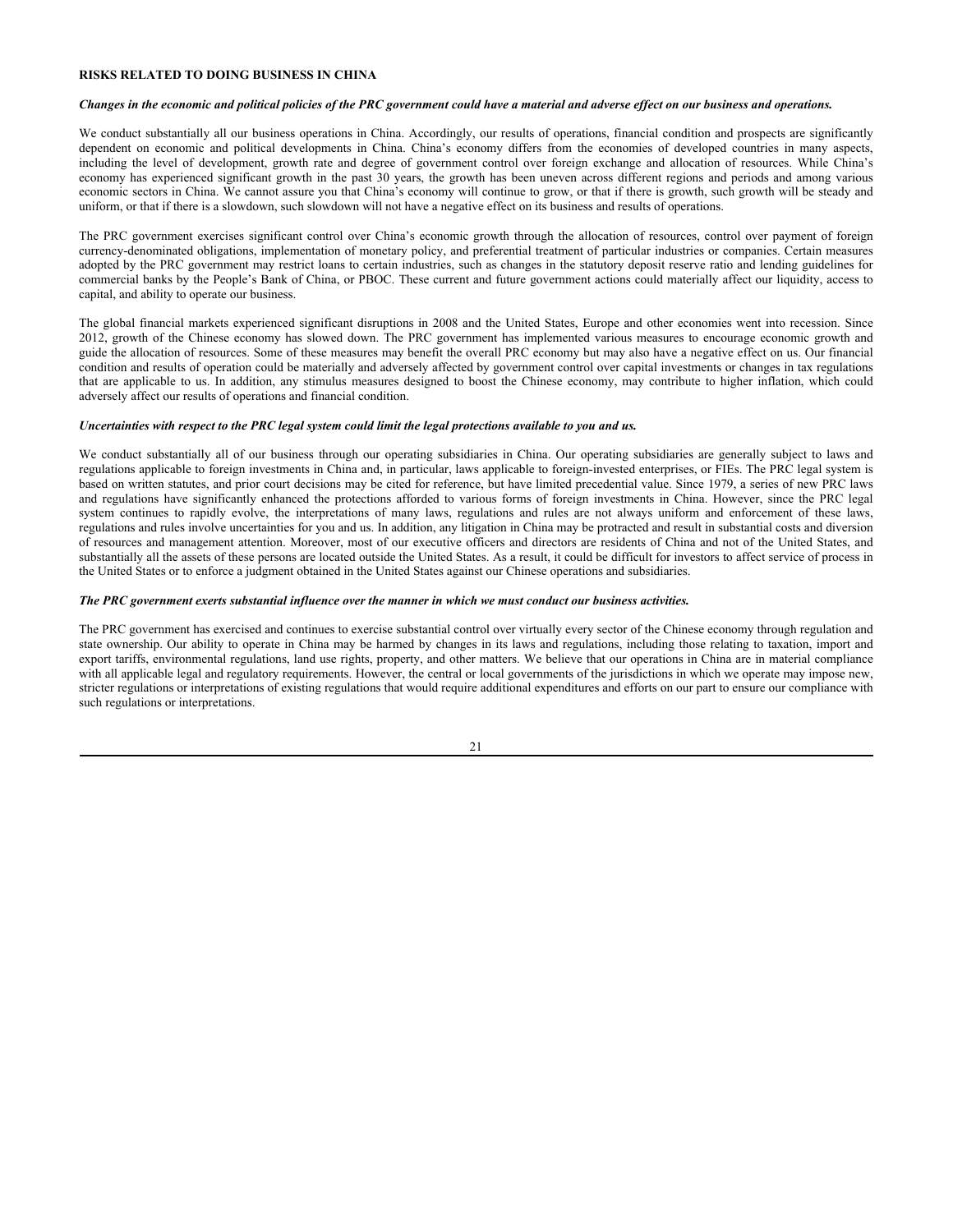# **RISKS RELATED TO DOING BUSINESS IN CHINA**

## *Changes in the economic and political policies of the PRC government could have a material and adverse effect on our business and operations.*

We conduct substantially all our business operations in China. Accordingly, our results of operations, financial condition and prospects are significantly dependent on economic and political developments in China. China's economy differs from the economies of developed countries in many aspects, including the level of development, growth rate and degree of government control over foreign exchange and allocation of resources. While China's economy has experienced significant growth in the past 30 years, the growth has been uneven across different regions and periods and among various economic sectors in China. We cannot assure you that China's economy will continue to grow, or that if there is growth, such growth will be steady and uniform, or that if there is a slowdown, such slowdown will not have a negative effect on its business and results of operations.

The PRC government exercises significant control over China's economic growth through the allocation of resources, control over payment of foreign currency-denominated obligations, implementation of monetary policy, and preferential treatment of particular industries or companies. Certain measures adopted by the PRC government may restrict loans to certain industries, such as changes in the statutory deposit reserve ratio and lending guidelines for commercial banks by the People's Bank of China, or PBOC. These current and future government actions could materially affect our liquidity, access to capital, and ability to operate our business.

The global financial markets experienced significant disruptions in 2008 and the United States, Europe and other economies went into recession. Since 2012, growth of the Chinese economy has slowed down. The PRC government has implemented various measures to encourage economic growth and guide the allocation of resources. Some of these measures may benefit the overall PRC economy but may also have a negative effect on us. Our financial condition and results of operation could be materially and adversely affected by government control over capital investments or changes in tax regulations that are applicable to us. In addition, any stimulus measures designed to boost the Chinese economy, may contribute to higher inflation, which could adversely affect our results of operations and financial condition.

## *Uncertainties with respect to the PRC legal system could limit the legal protections available to you and us.*

We conduct substantially all of our business through our operating subsidiaries in China. Our operating subsidiaries are generally subject to laws and regulations applicable to foreign investments in China and, in particular, laws applicable to foreign-invested enterprises, or FIEs. The PRC legal system is based on written statutes, and prior court decisions may be cited for reference, but have limited precedential value. Since 1979, a series of new PRC laws and regulations have significantly enhanced the protections afforded to various forms of foreign investments in China. However, since the PRC legal system continues to rapidly evolve, the interpretations of many laws, regulations and rules are not always uniform and enforcement of these laws, regulations and rules involve uncertainties for you and us. In addition, any litigation in China may be protracted and result in substantial costs and diversion of resources and management attention. Moreover, most of our executive officers and directors are residents of China and not of the United States, and substantially all the assets of these persons are located outside the United States. As a result, it could be difficult for investors to affect service of process in the United States or to enforce a judgment obtained in the United States against our Chinese operations and subsidiaries.

#### *The PRC government exerts substantial influence over the manner in which we must conduct our business activities.*

The PRC government has exercised and continues to exercise substantial control over virtually every sector of the Chinese economy through regulation and state ownership. Our ability to operate in China may be harmed by changes in its laws and regulations, including those relating to taxation, import and export tariffs, environmental regulations, land use rights, property, and other matters. We believe that our operations in China are in material compliance with all applicable legal and regulatory requirements. However, the central or local governments of the jurisdictions in which we operate may impose new, stricter regulations or interpretations of existing regulations that would require additional expenditures and efforts on our part to ensure our compliance with such regulations or interpretations.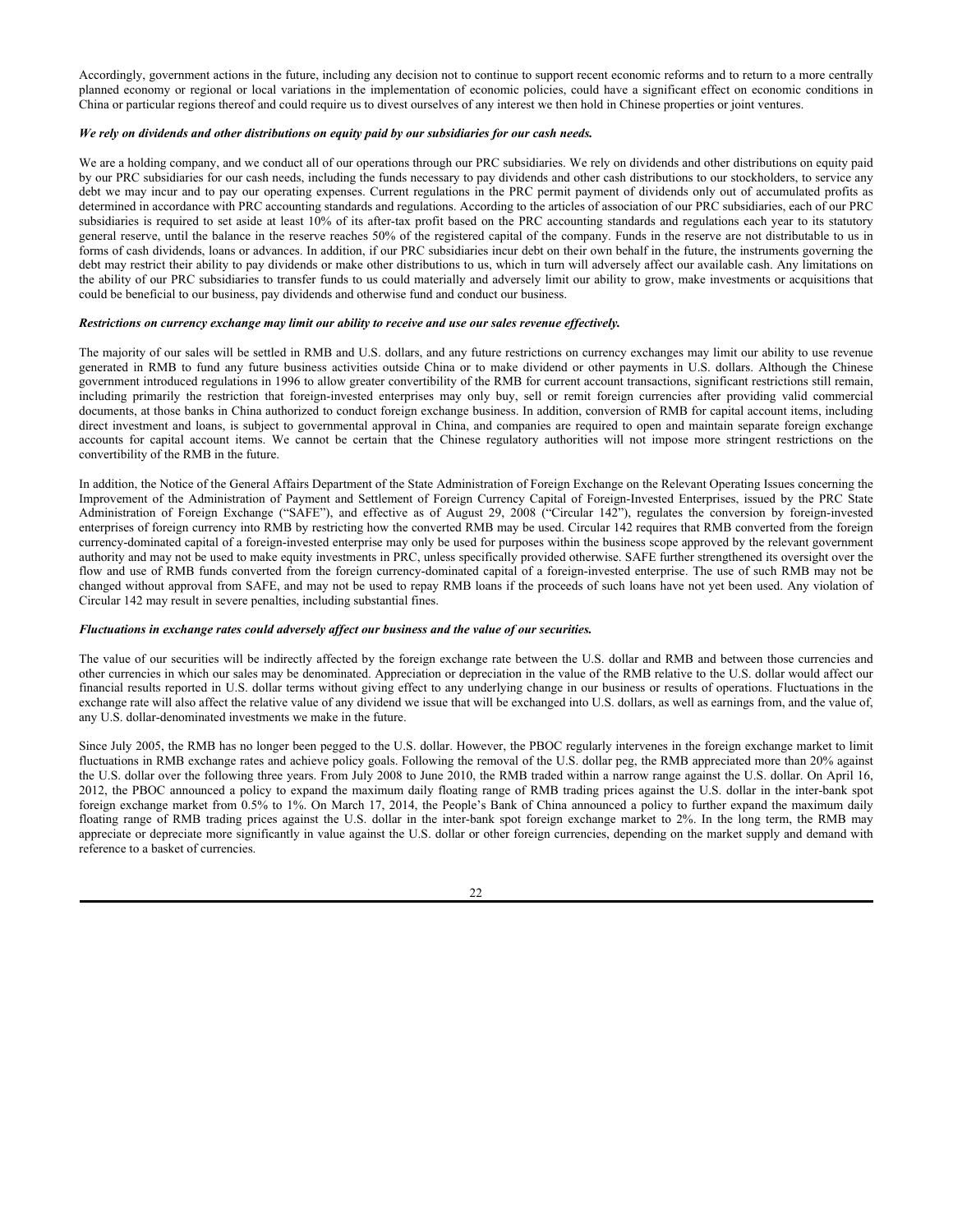Accordingly, government actions in the future, including any decision not to continue to support recent economic reforms and to return to a more centrally planned economy or regional or local variations in the implementation of economic policies, could have a significant effect on economic conditions in China or particular regions thereof and could require us to divest ourselves of any interest we then hold in Chinese properties or joint ventures.

#### *We rely on dividends and other distributions on equity paid by our subsidiaries for our cash needs.*

We are a holding company, and we conduct all of our operations through our PRC subsidiaries. We rely on dividends and other distributions on equity paid by our PRC subsidiaries for our cash needs, including the funds necessary to pay dividends and other cash distributions to our stockholders, to service any debt we may incur and to pay our operating expenses. Current regulations in the PRC permit payment of dividends only out of accumulated profits as determined in accordance with PRC accounting standards and regulations. According to the articles of association of our PRC subsidiaries, each of our PRC subsidiaries is required to set aside at least 10% of its after-tax profit based on the PRC accounting standards and regulations each year to its statutory general reserve, until the balance in the reserve reaches 50% of the registered capital of the company. Funds in the reserve are not distributable to us in forms of cash dividends, loans or advances. In addition, if our PRC subsidiaries incur debt on their own behalf in the future, the instruments governing the debt may restrict their ability to pay dividends or make other distributions to us, which in turn will adversely affect our available cash. Any limitations on the ability of our PRC subsidiaries to transfer funds to us could materially and adversely limit our ability to grow, make investments or acquisitions that could be beneficial to our business, pay dividends and otherwise fund and conduct our business.

## *Restrictions on currency exchange may limit our ability to receive and use our sales revenue effectively.*

The majority of our sales will be settled in RMB and U.S. dollars, and any future restrictions on currency exchanges may limit our ability to use revenue generated in RMB to fund any future business activities outside China or to make dividend or other payments in U.S. dollars. Although the Chinese government introduced regulations in 1996 to allow greater convertibility of the RMB for current account transactions, significant restrictions still remain, including primarily the restriction that foreign-invested enterprises may only buy, sell or remit foreign currencies after providing valid commercial documents, at those banks in China authorized to conduct foreign exchange business. In addition, conversion of RMB for capital account items, including direct investment and loans, is subject to governmental approval in China, and companies are required to open and maintain separate foreign exchange accounts for capital account items. We cannot be certain that the Chinese regulatory authorities will not impose more stringent restrictions on the convertibility of the RMB in the future.

In addition, the Notice of the General Affairs Department of the State Administration of Foreign Exchange on the Relevant Operating Issues concerning the Improvement of the Administration of Payment and Settlement of Foreign Currency Capital of Foreign-Invested Enterprises, issued by the PRC State Administration of Foreign Exchange ("SAFE"), and effective as of August 29, 2008 ("Circular 142"), regulates the conversion by foreign-invested enterprises of foreign currency into RMB by restricting how the converted RMB may be used. Circular 142 requires that RMB converted from the foreign currency-dominated capital of a foreign-invested enterprise may only be used for purposes within the business scope approved by the relevant government authority and may not be used to make equity investments in PRC, unless specifically provided otherwise. SAFE further strengthened its oversight over the flow and use of RMB funds converted from the foreign currency-dominated capital of a foreign-invested enterprise. The use of such RMB may not be changed without approval from SAFE, and may not be used to repay RMB loans if the proceeds of such loans have not yet been used. Any violation of Circular 142 may result in severe penalties, including substantial fines.

#### *Fluctuations in exchange rates could adversely affect our business and the value of our securities.*

The value of our securities will be indirectly affected by the foreign exchange rate between the U.S. dollar and RMB and between those currencies and other currencies in which our sales may be denominated. Appreciation or depreciation in the value of the RMB relative to the U.S. dollar would affect our financial results reported in U.S. dollar terms without giving effect to any underlying change in our business or results of operations. Fluctuations in the exchange rate will also affect the relative value of any dividend we issue that will be exchanged into U.S. dollars, as well as earnings from, and the value of, any U.S. dollar-denominated investments we make in the future.

Since July 2005, the RMB has no longer been pegged to the U.S. dollar. However, the PBOC regularly intervenes in the foreign exchange market to limit fluctuations in RMB exchange rates and achieve policy goals. Following the removal of the U.S. dollar peg, the RMB appreciated more than 20% against the U.S. dollar over the following three years. From July 2008 to June 2010, the RMB traded within a narrow range against the U.S. dollar. On April 16, 2012, the PBOC announced a policy to expand the maximum daily floating range of RMB trading prices against the U.S. dollar in the inter-bank spot foreign exchange market from 0.5% to 1%. On March 17, 2014, the People's Bank of China announced a policy to further expand the maximum daily floating range of RMB trading prices against the U.S. dollar in the inter-bank spot foreign exchange market to 2%. In the long term, the RMB may appreciate or depreciate more significantly in value against the U.S. dollar or other foreign currencies, depending on the market supply and demand with reference to a basket of currencies.

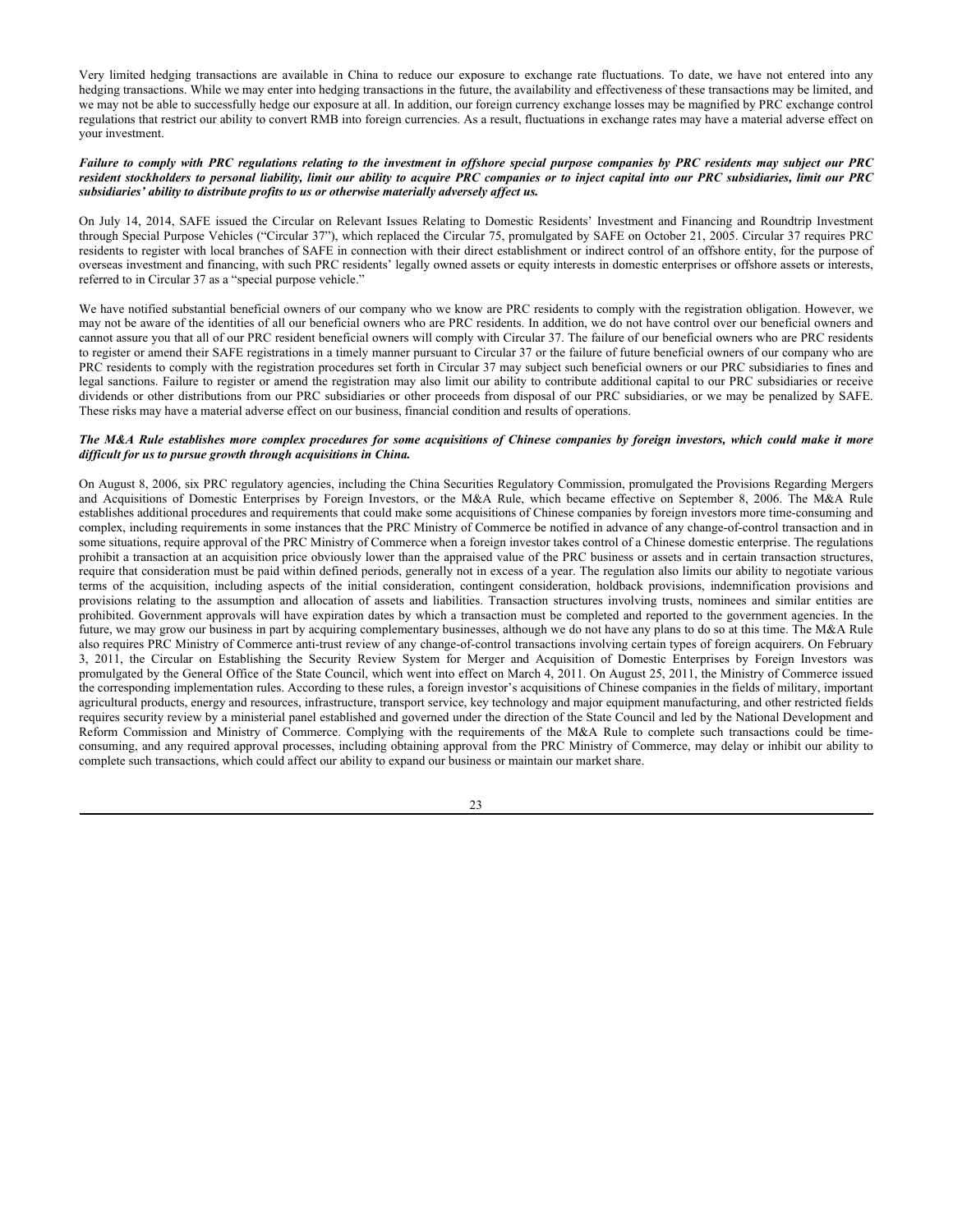Very limited hedging transactions are available in China to reduce our exposure to exchange rate fluctuations. To date, we have not entered into any hedging transactions. While we may enter into hedging transactions in the future, the availability and effectiveness of these transactions may be limited, and we may not be able to successfully hedge our exposure at all. In addition, our foreign currency exchange losses may be magnified by PRC exchange control regulations that restrict our ability to convert RMB into foreign currencies. As a result, fluctuations in exchange rates may have a material adverse effect on your investment.

#### *Failure to comply with PRC regulations relating to the investment in offshore special purpose companies by PRC residents may subject our PRC resident stockholders to personal liability, limit our ability to acquire PRC companies or to inject capital into our PRC subsidiaries, limit our PRC subsidiaries' ability to distribute profits to us or otherwise materially adversely affect us.*

On July 14, 2014, SAFE issued the Circular on Relevant Issues Relating to Domestic Residents' Investment and Financing and Roundtrip Investment through Special Purpose Vehicles ("Circular 37"), which replaced the Circular 75, promulgated by SAFE on October 21, 2005. Circular 37 requires PRC residents to register with local branches of SAFE in connection with their direct establishment or indirect control of an offshore entity, for the purpose of overseas investment and financing, with such PRC residents' legally owned assets or equity interests in domestic enterprises or offshore assets or interests, referred to in Circular 37 as a "special purpose vehicle."

We have notified substantial beneficial owners of our company who we know are PRC residents to comply with the registration obligation. However, we may not be aware of the identities of all our beneficial owners who are PRC residents. In addition, we do not have control over our beneficial owners and cannot assure you that all of our PRC resident beneficial owners will comply with Circular 37. The failure of our beneficial owners who are PRC residents to register or amend their SAFE registrations in a timely manner pursuant to Circular 37 or the failure of future beneficial owners of our company who are PRC residents to comply with the registration procedures set forth in Circular 37 may subject such beneficial owners or our PRC subsidiaries to fines and legal sanctions. Failure to register or amend the registration may also limit our ability to contribute additional capital to our PRC subsidiaries or receive dividends or other distributions from our PRC subsidiaries or other proceeds from disposal of our PRC subsidiaries, or we may be penalized by SAFE. These risks may have a material adverse effect on our business, financial condition and results of operations.

## *The M&A Rule establishes more complex procedures for some acquisitions of Chinese companies by foreign investors, which could make it more difficult for us to pursue growth through acquisitions in China.*

On August 8, 2006, six PRC regulatory agencies, including the China Securities Regulatory Commission, promulgated the Provisions Regarding Mergers and Acquisitions of Domestic Enterprises by Foreign Investors, or the M&A Rule, which became effective on September 8, 2006. The M&A Rule establishes additional procedures and requirements that could make some acquisitions of Chinese companies by foreign investors more time-consuming and complex, including requirements in some instances that the PRC Ministry of Commerce be notified in advance of any change-of-control transaction and in some situations, require approval of the PRC Ministry of Commerce when a foreign investor takes control of a Chinese domestic enterprise. The regulations prohibit a transaction at an acquisition price obviously lower than the appraised value of the PRC business or assets and in certain transaction structures, require that consideration must be paid within defined periods, generally not in excess of a year. The regulation also limits our ability to negotiate various terms of the acquisition, including aspects of the initial consideration, contingent consideration, holdback provisions, indemnification provisions and provisions relating to the assumption and allocation of assets and liabilities. Transaction structures involving trusts, nominees and similar entities are prohibited. Government approvals will have expiration dates by which a transaction must be completed and reported to the government agencies. In the future, we may grow our business in part by acquiring complementary businesses, although we do not have any plans to do so at this time. The M&A Rule also requires PRC Ministry of Commerce anti-trust review of any change-of-control transactions involving certain types of foreign acquirers. On February 3, 2011, the Circular on Establishing the Security Review System for Merger and Acquisition of Domestic Enterprises by Foreign Investors was promulgated by the General Office of the State Council, which went into effect on March 4, 2011. On August 25, 2011, the Ministry of Commerce issued the corresponding implementation rules. According to these rules, a foreign investor's acquisitions of Chinese companies in the fields of military, important agricultural products, energy and resources, infrastructure, transport service, key technology and major equipment manufacturing, and other restricted fields requires security review by a ministerial panel established and governed under the direction of the State Council and led by the National Development and Reform Commission and Ministry of Commerce. Complying with the requirements of the M&A Rule to complete such transactions could be timeconsuming, and any required approval processes, including obtaining approval from the PRC Ministry of Commerce, may delay or inhibit our ability to complete such transactions, which could affect our ability to expand our business or maintain our market share.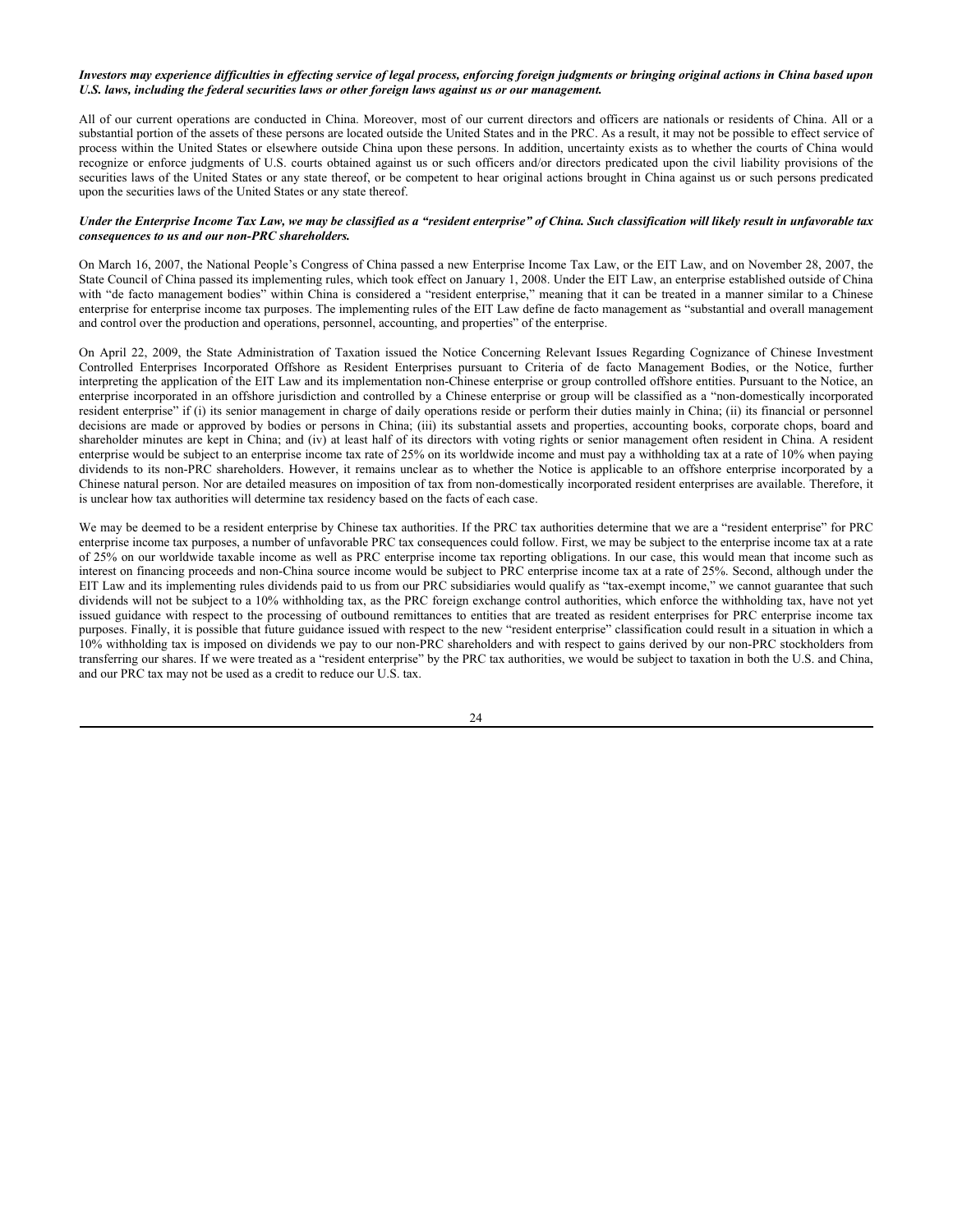## *Investors may experience difficulties in effecting service of legal process, enforcing foreign judgments or bringing original actions in China based upon U.S. laws, including the federal securities laws or other foreign laws against us or our management.*

All of our current operations are conducted in China. Moreover, most of our current directors and officers are nationals or residents of China. All or a substantial portion of the assets of these persons are located outside the United States and in the PRC. As a result, it may not be possible to effect service of process within the United States or elsewhere outside China upon these persons. In addition, uncertainty exists as to whether the courts of China would recognize or enforce judgments of U.S. courts obtained against us or such officers and/or directors predicated upon the civil liability provisions of the securities laws of the United States or any state thereof, or be competent to hear original actions brought in China against us or such persons predicated upon the securities laws of the United States or any state thereof.

## *Under the Enterprise Income Tax Law, we may be classified as a "resident enterprise" of China. Such classification will likely result in unfavorable tax consequences to us and our non-PRC shareholders.*

On March 16, 2007, the National People's Congress of China passed a new Enterprise Income Tax Law, or the EIT Law, and on November 28, 2007, the State Council of China passed its implementing rules, which took effect on January 1, 2008. Under the EIT Law, an enterprise established outside of China with "de facto management bodies" within China is considered a "resident enterprise," meaning that it can be treated in a manner similar to a Chinese enterprise for enterprise income tax purposes. The implementing rules of the EIT Law define de facto management as "substantial and overall management and control over the production and operations, personnel, accounting, and properties" of the enterprise.

On April 22, 2009, the State Administration of Taxation issued the Notice Concerning Relevant Issues Regarding Cognizance of Chinese Investment Controlled Enterprises Incorporated Offshore as Resident Enterprises pursuant to Criteria of de facto Management Bodies, or the Notice, further interpreting the application of the EIT Law and its implementation non-Chinese enterprise or group controlled offshore entities. Pursuant to the Notice, an enterprise incorporated in an offshore jurisdiction and controlled by a Chinese enterprise or group will be classified as a "non-domestically incorporated resident enterprise" if (i) its senior management in charge of daily operations reside or perform their duties mainly in China; (ii) its financial or personnel decisions are made or approved by bodies or persons in China; (iii) its substantial assets and properties, accounting books, corporate chops, board and shareholder minutes are kept in China; and (iv) at least half of its directors with voting rights or senior management often resident in China. A resident enterprise would be subject to an enterprise income tax rate of 25% on its worldwide income and must pay a withholding tax at a rate of 10% when paying dividends to its non-PRC shareholders. However, it remains unclear as to whether the Notice is applicable to an offshore enterprise incorporated by a Chinese natural person. Nor are detailed measures on imposition of tax from non-domestically incorporated resident enterprises are available. Therefore, it is unclear how tax authorities will determine tax residency based on the facts of each case.

We may be deemed to be a resident enterprise by Chinese tax authorities. If the PRC tax authorities determine that we are a "resident enterprise" for PRC enterprise income tax purposes, a number of unfavorable PRC tax consequences could follow. First, we may be subject to the enterprise income tax at a rate of 25% on our worldwide taxable income as well as PRC enterprise income tax reporting obligations. In our case, this would mean that income such as interest on financing proceeds and non-China source income would be subject to PRC enterprise income tax at a rate of 25%. Second, although under the EIT Law and its implementing rules dividends paid to us from our PRC subsidiaries would qualify as "tax-exempt income," we cannot guarantee that such dividends will not be subject to a 10% withholding tax, as the PRC foreign exchange control authorities, which enforce the withholding tax, have not yet issued guidance with respect to the processing of outbound remittances to entities that are treated as resident enterprises for PRC enterprise income tax purposes. Finally, it is possible that future guidance issued with respect to the new "resident enterprise" classification could result in a situation in which a 10% withholding tax is imposed on dividends we pay to our non-PRC shareholders and with respect to gains derived by our non-PRC stockholders from transferring our shares. If we were treated as a "resident enterprise" by the PRC tax authorities, we would be subject to taxation in both the U.S. and China, and our PRC tax may not be used as a credit to reduce our U.S. tax.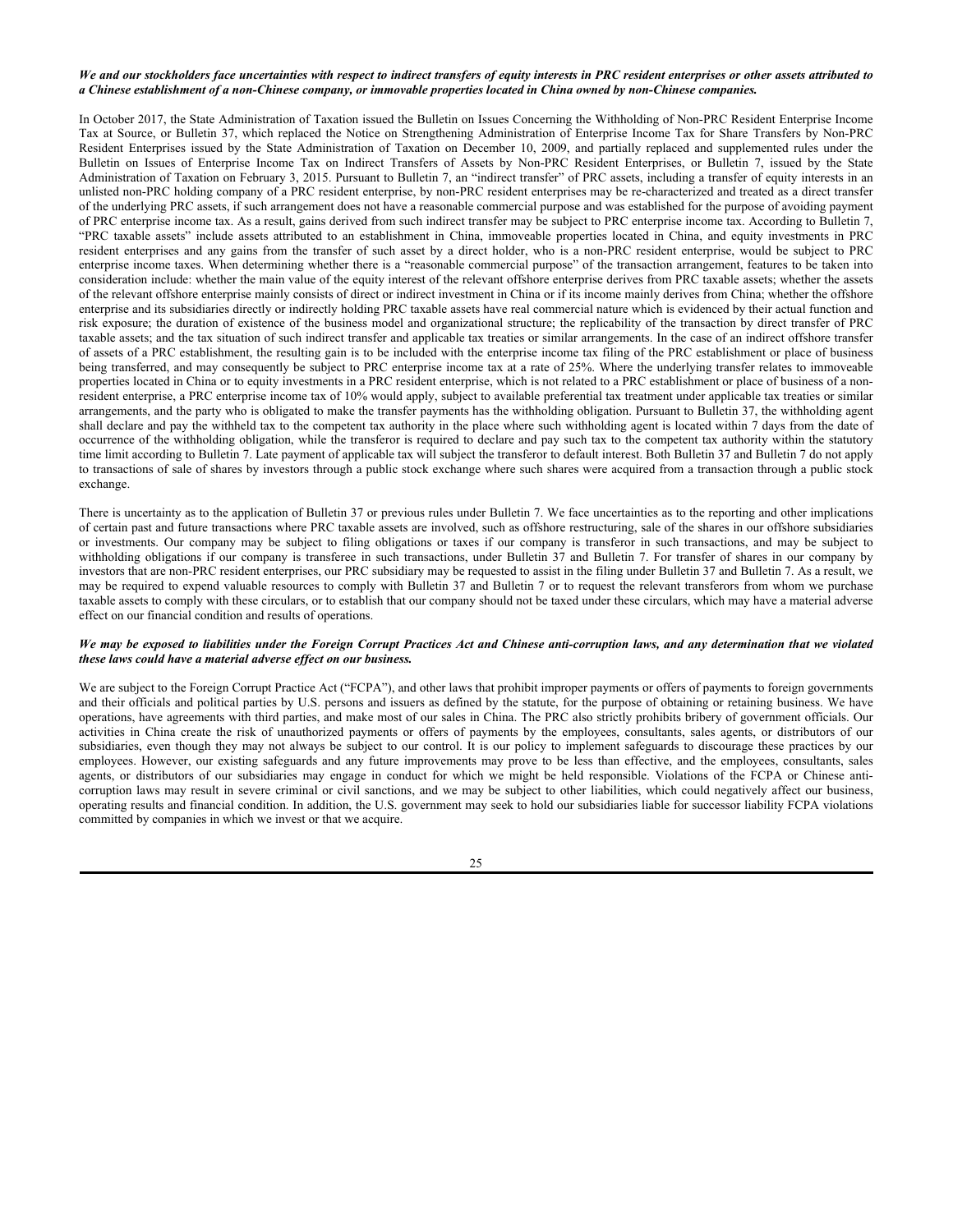# *We and our stockholders face uncertainties with respect to indirect transfers of equity interests in PRC resident enterprises or other assets attributed to a Chinese establishment of a non-Chinese company, or immovable properties located in China owned by non-Chinese companies.*

In October 2017, the State Administration of Taxation issued the Bulletin on Issues Concerning the Withholding of Non-PRC Resident Enterprise Income Tax at Source, or Bulletin 37, which replaced the Notice on Strengthening Administration of Enterprise Income Tax for Share Transfers by Non-PRC Resident Enterprises issued by the State Administration of Taxation on December 10, 2009, and partially replaced and supplemented rules under the Bulletin on Issues of Enterprise Income Tax on Indirect Transfers of Assets by Non-PRC Resident Enterprises, or Bulletin 7, issued by the State Administration of Taxation on February 3, 2015. Pursuant to Bulletin 7, an "indirect transfer" of PRC assets, including a transfer of equity interests in an unlisted non-PRC holding company of a PRC resident enterprise, by non-PRC resident enterprises may be re-characterized and treated as a direct transfer of the underlying PRC assets, if such arrangement does not have a reasonable commercial purpose and was established for the purpose of avoiding payment of PRC enterprise income tax. As a result, gains derived from such indirect transfer may be subject to PRC enterprise income tax. According to Bulletin 7, "PRC taxable assets" include assets attributed to an establishment in China, immoveable properties located in China, and equity investments in PRC resident enterprises and any gains from the transfer of such asset by a direct holder, who is a non-PRC resident enterprise, would be subject to PRC enterprise income taxes. When determining whether there is a "reasonable commercial purpose" of the transaction arrangement, features to be taken into consideration include: whether the main value of the equity interest of the relevant offshore enterprise derives from PRC taxable assets; whether the assets of the relevant offshore enterprise mainly consists of direct or indirect investment in China or if its income mainly derives from China; whether the offshore enterprise and its subsidiaries directly or indirectly holding PRC taxable assets have real commercial nature which is evidenced by their actual function and risk exposure; the duration of existence of the business model and organizational structure; the replicability of the transaction by direct transfer of PRC taxable assets; and the tax situation of such indirect transfer and applicable tax treaties or similar arrangements. In the case of an indirect offshore transfer of assets of a PRC establishment, the resulting gain is to be included with the enterprise income tax filing of the PRC establishment or place of business being transferred, and may consequently be subject to PRC enterprise income tax at a rate of 25%. Where the underlying transfer relates to immoveable properties located in China or to equity investments in a PRC resident enterprise, which is not related to a PRC establishment or place of business of a nonresident enterprise, a PRC enterprise income tax of 10% would apply, subject to available preferential tax treatment under applicable tax treaties or similar arrangements, and the party who is obligated to make the transfer payments has the withholding obligation. Pursuant to Bulletin 37, the withholding agent shall declare and pay the withheld tax to the competent tax authority in the place where such withholding agent is located within 7 days from the date of occurrence of the withholding obligation, while the transferor is required to declare and pay such tax to the competent tax authority within the statutory time limit according to Bulletin 7. Late payment of applicable tax will subject the transferor to default interest. Both Bulletin 37 and Bulletin 7 do not apply to transactions of sale of shares by investors through a public stock exchange where such shares were acquired from a transaction through a public stock exchange.

There is uncertainty as to the application of Bulletin 37 or previous rules under Bulletin 7. We face uncertainties as to the reporting and other implications of certain past and future transactions where PRC taxable assets are involved, such as offshore restructuring, sale of the shares in our offshore subsidiaries or investments. Our company may be subject to filing obligations or taxes if our company is transferor in such transactions, and may be subject to withholding obligations if our company is transferee in such transactions, under Bulletin 37 and Bulletin 7. For transfer of shares in our company by investors that are non-PRC resident enterprises, our PRC subsidiary may be requested to assist in the filing under Bulletin 37 and Bulletin 7. As a result, we may be required to expend valuable resources to comply with Bulletin 37 and Bulletin 7 or to request the relevant transferors from whom we purchase taxable assets to comply with these circulars, or to establish that our company should not be taxed under these circulars, which may have a material adverse effect on our financial condition and results of operations.

## *We may be exposed to liabilities under the Foreign Corrupt Practices Act and Chinese anti-corruption laws, and any determination that we violated these laws could have a material adverse effect on our business.*

We are subject to the Foreign Corrupt Practice Act ("FCPA"), and other laws that prohibit improper payments or offers of payments to foreign governments and their officials and political parties by U.S. persons and issuers as defined by the statute, for the purpose of obtaining or retaining business. We have operations, have agreements with third parties, and make most of our sales in China. The PRC also strictly prohibits bribery of government officials. Our activities in China create the risk of unauthorized payments or offers of payments by the employees, consultants, sales agents, or distributors of our subsidiaries, even though they may not always be subject to our control. It is our policy to implement safeguards to discourage these practices by our employees. However, our existing safeguards and any future improvements may prove to be less than effective, and the employees, consultants, sales agents, or distributors of our subsidiaries may engage in conduct for which we might be held responsible. Violations of the FCPA or Chinese anticorruption laws may result in severe criminal or civil sanctions, and we may be subject to other liabilities, which could negatively affect our business, operating results and financial condition. In addition, the U.S. government may seek to hold our subsidiaries liable for successor liability FCPA violations committed by companies in which we invest or that we acquire.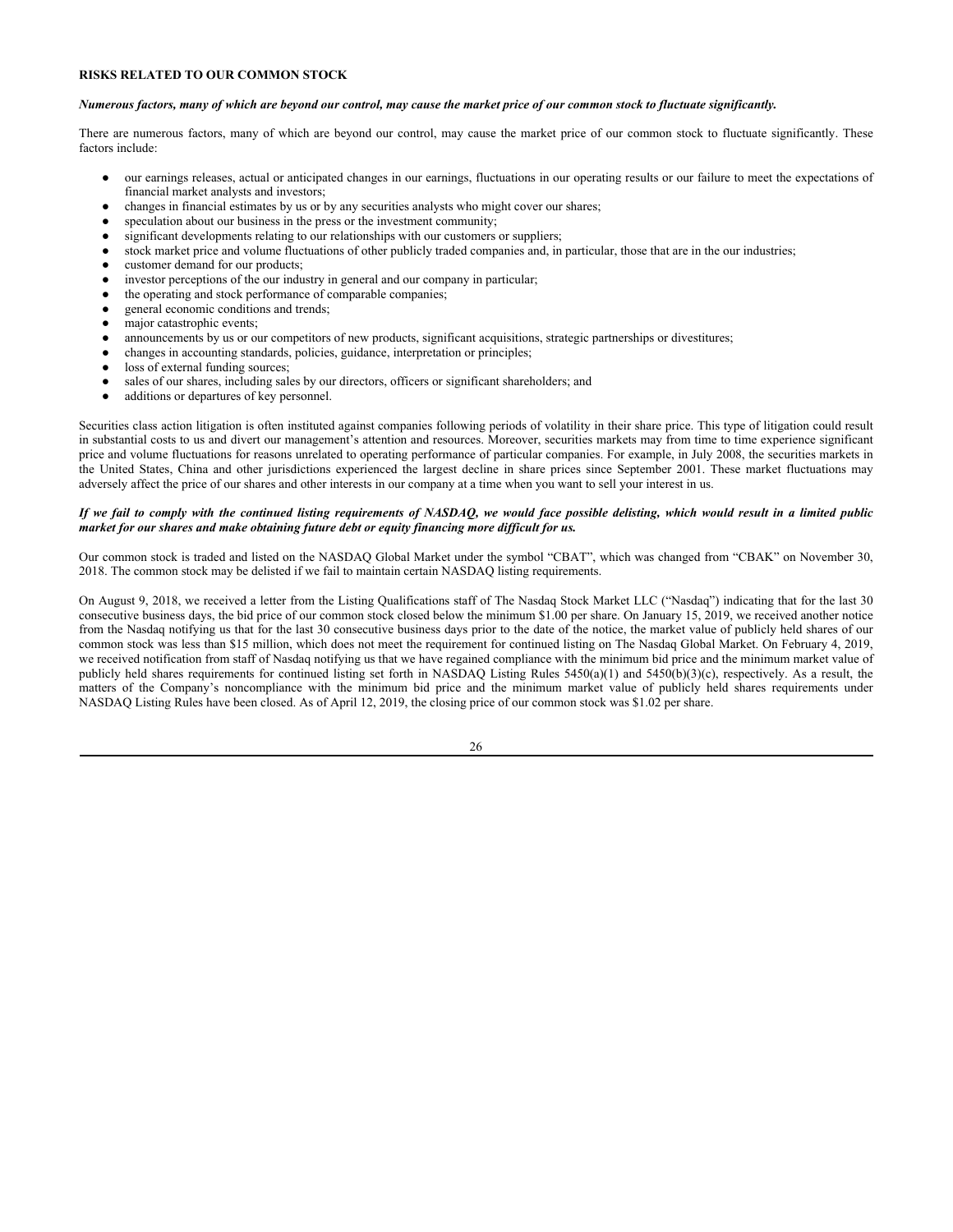# **RISKS RELATED TO OUR COMMON STOCK**

#### *Numerous factors, many of which are beyond our control, may cause the market price of our common stock to fluctuate significantly.*

There are numerous factors, many of which are beyond our control, may cause the market price of our common stock to fluctuate significantly. These factors include:

- our earnings releases, actual or anticipated changes in our earnings, fluctuations in our operating results or our failure to meet the expectations of financial market analysts and investors;
- changes in financial estimates by us or by any securities analysts who might cover our shares;
- speculation about our business in the press or the investment community;
- significant developments relating to our relationships with our customers or suppliers;
- stock market price and volume fluctuations of other publicly traded companies and, in particular, those that are in the our industries;
- customer demand for our products;
- investor perceptions of the our industry in general and our company in particular;
- the operating and stock performance of comparable companies;
- general economic conditions and trends;
- major catastrophic events;
- announcements by us or our competitors of new products, significant acquisitions, strategic partnerships or divestitures;
- changes in accounting standards, policies, guidance, interpretation or principles;
- loss of external funding sources;
- sales of our shares, including sales by our directors, officers or significant shareholders; and
- additions or departures of key personnel.

Securities class action litigation is often instituted against companies following periods of volatility in their share price. This type of litigation could result in substantial costs to us and divert our management's attention and resources. Moreover, securities markets may from time to time experience significant price and volume fluctuations for reasons unrelated to operating performance of particular companies. For example, in July 2008, the securities markets in the United States, China and other jurisdictions experienced the largest decline in share prices since September 2001. These market fluctuations may adversely affect the price of our shares and other interests in our company at a time when you want to sell your interest in us.

# *If we fail to comply with the continued listing requirements of NASDAQ, we would face possible delisting, which would result in a limited public market for our shares and make obtaining future debt or equity financing more difficult for us.*

Our common stock is traded and listed on the NASDAQ Global Market under the symbol "CBAT", which was changed from "CBAK" on November 30, 2018. The common stock may be delisted if we fail to maintain certain NASDAQ listing requirements.

On August 9, 2018, we received a letter from the Listing Qualifications staff of The Nasdaq Stock Market LLC ("Nasdaq") indicating that for the last 30 consecutive business days, the bid price of our common stock closed below the minimum \$1.00 per share. On January 15, 2019, we received another notice from the Nasdaq notifying us that for the last 30 consecutive business days prior to the date of the notice, the market value of publicly held shares of our common stock was less than \$15 million, which does not meet the requirement for continued listing on The Nasdaq Global Market. On February 4, 2019, we received notification from staff of Nasdaq notifying us that we have regained compliance with the minimum bid price and the minimum market value of publicly held shares requirements for continued listing set forth in NASDAQ Listing Rules 5450(a)(1) and 5450(b)(3)(c), respectively. As a result, the matters of the Company's noncompliance with the minimum bid price and the minimum market value of publicly held shares requirements under NASDAQ Listing Rules have been closed. As of April 12, 2019, the closing price of our common stock was \$1.02 per share.

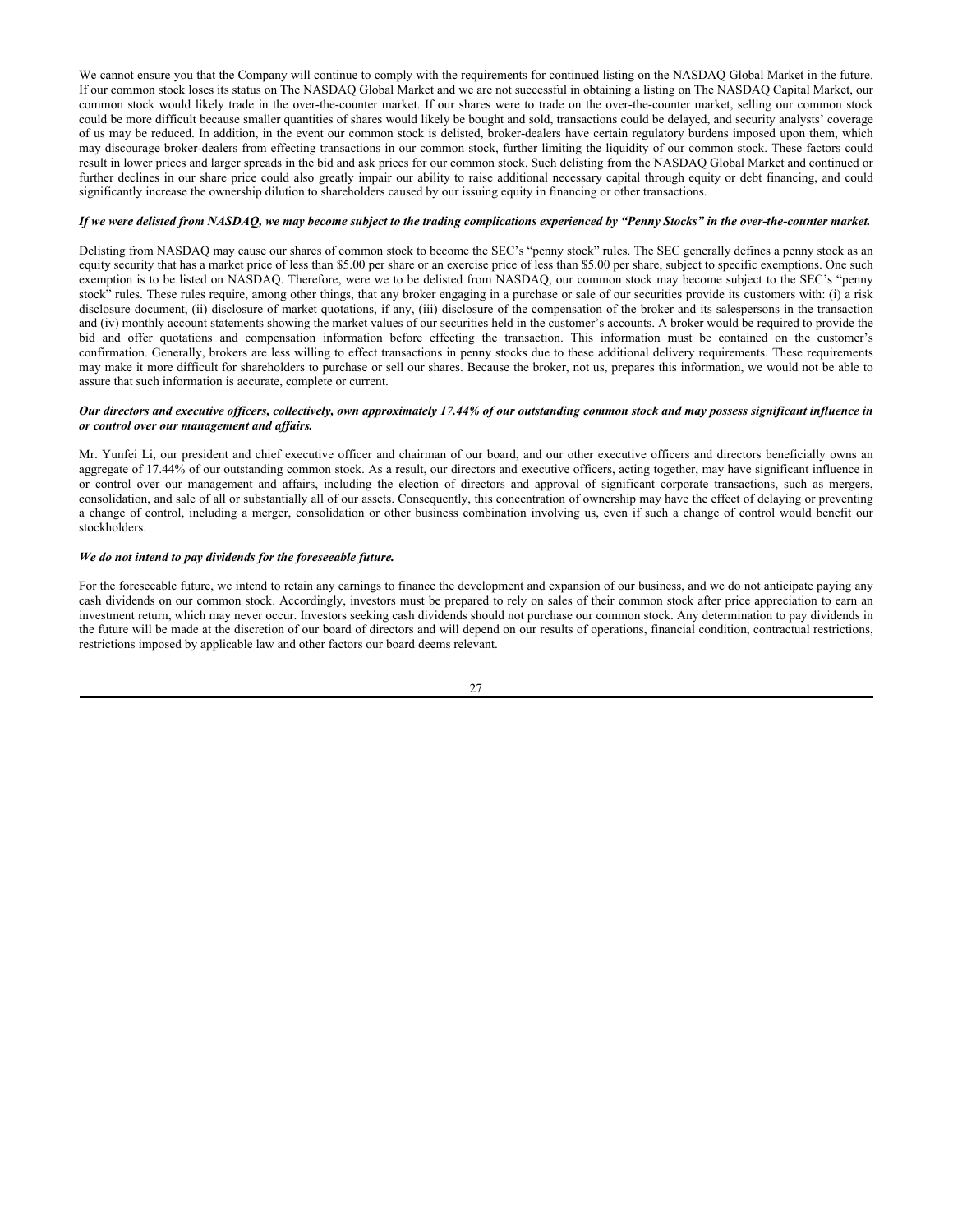We cannot ensure you that the Company will continue to comply with the requirements for continued listing on the NASDAQ Global Market in the future. If our common stock loses its status on The NASDAQ Global Market and we are not successful in obtaining a listing on The NASDAQ Capital Market, our common stock would likely trade in the over-the-counter market. If our shares were to trade on the over-the-counter market, selling our common stock could be more difficult because smaller quantities of shares would likely be bought and sold, transactions could be delayed, and security analysts' coverage of us may be reduced. In addition, in the event our common stock is delisted, broker-dealers have certain regulatory burdens imposed upon them, which may discourage broker-dealers from effecting transactions in our common stock, further limiting the liquidity of our common stock. These factors could result in lower prices and larger spreads in the bid and ask prices for our common stock. Such delisting from the NASDAQ Global Market and continued or further declines in our share price could also greatly impair our ability to raise additional necessary capital through equity or debt financing, and could significantly increase the ownership dilution to shareholders caused by our issuing equity in financing or other transactions.

## *If we were delisted from NASDAQ, we may become subject to the trading complications experienced by "Penny Stocks" in the over-the-counter market.*

Delisting from NASDAQ may cause our shares of common stock to become the SEC's "penny stock" rules. The SEC generally defines a penny stock as an equity security that has a market price of less than \$5.00 per share or an exercise price of less than \$5.00 per share, subject to specific exemptions. One such exemption is to be listed on NASDAQ. Therefore, were we to be delisted from NASDAQ, our common stock may become subject to the SEC's "penny stock" rules. These rules require, among other things, that any broker engaging in a purchase or sale of our securities provide its customers with: (i) a risk disclosure document, (ii) disclosure of market quotations, if any, (iii) disclosure of the compensation of the broker and its salespersons in the transaction and (iv) monthly account statements showing the market values of our securities held in the customer's accounts. A broker would be required to provide the bid and offer quotations and compensation information before effecting the transaction. This information must be contained on the customer's confirmation. Generally, brokers are less willing to effect transactions in penny stocks due to these additional delivery requirements. These requirements may make it more difficult for shareholders to purchase or sell our shares. Because the broker, not us, prepares this information, we would not be able to assure that such information is accurate, complete or current.

## *Our directors and executive officers, collectively, own approximately 17.44% of our outstanding common stock and may possess significant influence in or control over our management and affairs.*

Mr. Yunfei Li, our president and chief executive officer and chairman of our board, and our other executive officers and directors beneficially owns an aggregate of 17.44% of our outstanding common stock. As a result, our directors and executive officers, acting together, may have significant influence in or control over our management and affairs, including the election of directors and approval of significant corporate transactions, such as mergers, consolidation, and sale of all or substantially all of our assets. Consequently, this concentration of ownership may have the effect of delaying or preventing a change of control, including a merger, consolidation or other business combination involving us, even if such a change of control would benefit our stockholders.

## *We do not intend to pay dividends for the foreseeable future.*

For the foreseeable future, we intend to retain any earnings to finance the development and expansion of our business, and we do not anticipate paying any cash dividends on our common stock. Accordingly, investors must be prepared to rely on sales of their common stock after price appreciation to earn an investment return, which may never occur. Investors seeking cash dividends should not purchase our common stock. Any determination to pay dividends in the future will be made at the discretion of our board of directors and will depend on our results of operations, financial condition, contractual restrictions, restrictions imposed by applicable law and other factors our board deems relevant.

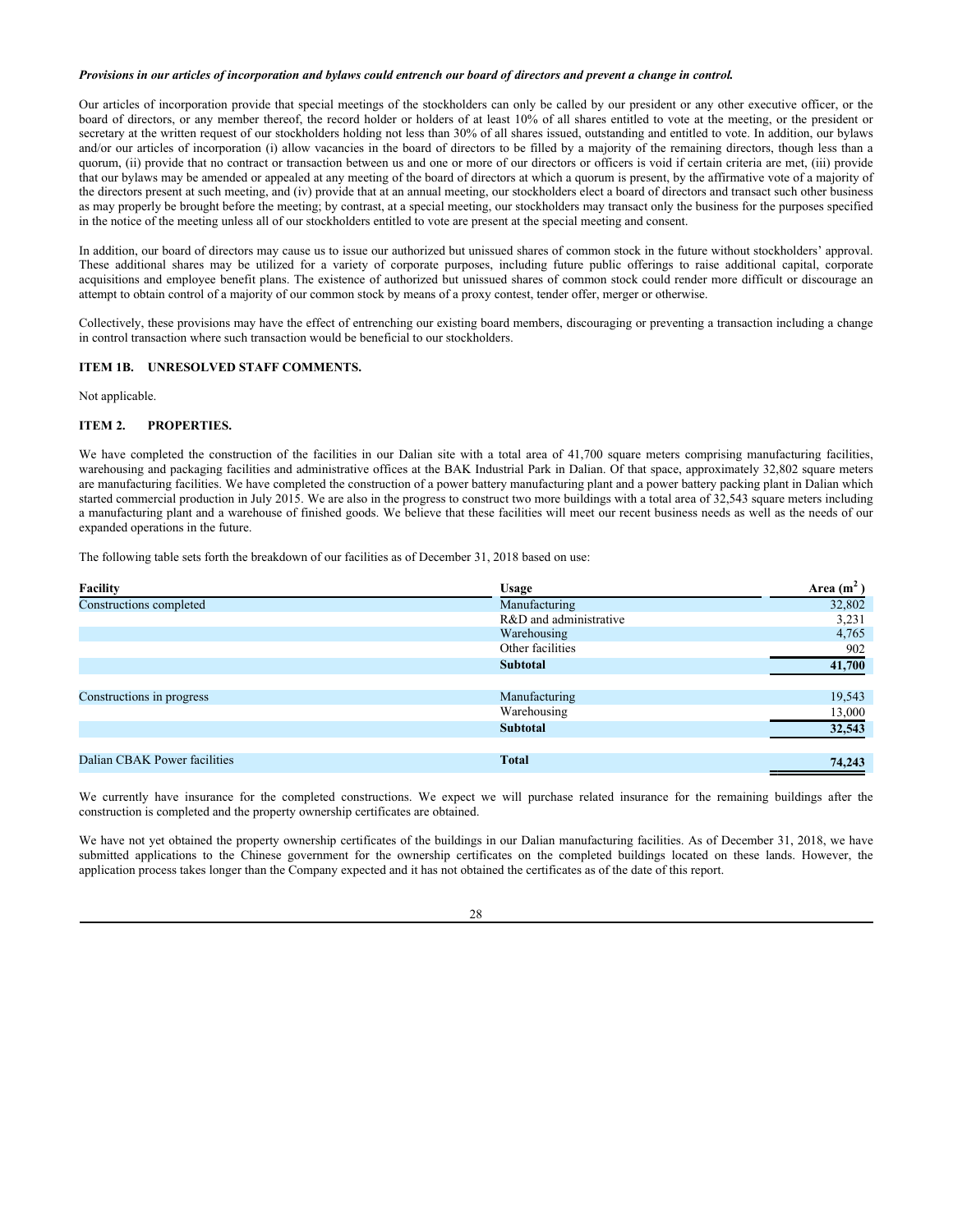# *Provisions in our articles of incorporation and bylaws could entrench our board of directors and prevent a change in control.*

Our articles of incorporation provide that special meetings of the stockholders can only be called by our president or any other executive officer, or the board of directors, or any member thereof, the record holder or holders of at least 10% of all shares entitled to vote at the meeting, or the president or secretary at the written request of our stockholders holding not less than 30% of all shares issued, outstanding and entitled to vote. In addition, our bylaws and/or our articles of incorporation (i) allow vacancies in the board of directors to be filled by a majority of the remaining directors, though less than a quorum, (ii) provide that no contract or transaction between us and one or more of our directors or officers is void if certain criteria are met, (iii) provide that our bylaws may be amended or appealed at any meeting of the board of directors at which a quorum is present, by the affirmative vote of a majority of the directors present at such meeting, and (iv) provide that at an annual meeting, our stockholders elect a board of directors and transact such other business as may properly be brought before the meeting; by contrast, at a special meeting, our stockholders may transact only the business for the purposes specified in the notice of the meeting unless all of our stockholders entitled to vote are present at the special meeting and consent.

In addition, our board of directors may cause us to issue our authorized but unissued shares of common stock in the future without stockholders' approval. These additional shares may be utilized for a variety of corporate purposes, including future public offerings to raise additional capital, corporate acquisitions and employee benefit plans. The existence of authorized but unissued shares of common stock could render more difficult or discourage an attempt to obtain control of a majority of our common stock by means of a proxy contest, tender offer, merger or otherwise.

Collectively, these provisions may have the effect of entrenching our existing board members, discouraging or preventing a transaction including a change in control transaction where such transaction would be beneficial to our stockholders.

# **ITEM 1B. UNRESOLVED STAFF COMMENTS.**

Not applicable.

# **ITEM 2. PROPERTIES.**

We have completed the construction of the facilities in our Dalian site with a total area of 41,700 square meters comprising manufacturing facilities, warehousing and packaging facilities and administrative offices at the BAK Industrial Park in Dalian. Of that space, approximately 32,802 square meters are manufacturing facilities. We have completed the construction of a power battery manufacturing plant and a power battery packing plant in Dalian which started commercial production in July 2015. We are also in the progress to construct two more buildings with a total area of 32,543 square meters including a manufacturing plant and a warehouse of finished goods. We believe that these facilities will meet our recent business needs as well as the needs of our expanded operations in the future.

The following table sets forth the breakdown of our facilities as of December 31, 2018 based on use:

| <b>Facility</b>              | <b>Usage</b>           | Area $(m^2)$ |
|------------------------------|------------------------|--------------|
| Constructions completed      | Manufacturing          | 32,802       |
|                              | R&D and administrative | 3,231        |
|                              | Warehousing            | 4,765        |
|                              | Other facilities       | 902          |
|                              | <b>Subtotal</b>        | 41,700       |
|                              |                        |              |
| Constructions in progress    | Manufacturing          | 19,543       |
|                              | Warehousing            | 13,000       |
|                              | <b>Subtotal</b>        | 32,543       |
|                              |                        |              |
| Dalian CBAK Power facilities | <b>Total</b>           | 74,243       |

We currently have insurance for the completed constructions. We expect we will purchase related insurance for the remaining buildings after the construction is completed and the property ownership certificates are obtained.

We have not yet obtained the property ownership certificates of the buildings in our Dalian manufacturing facilities. As of December 31, 2018, we have submitted applications to the Chinese government for the ownership certificates on the completed buildings located on these lands. However, the application process takes longer than the Company expected and it has not obtained the certificates as of the date of this report.

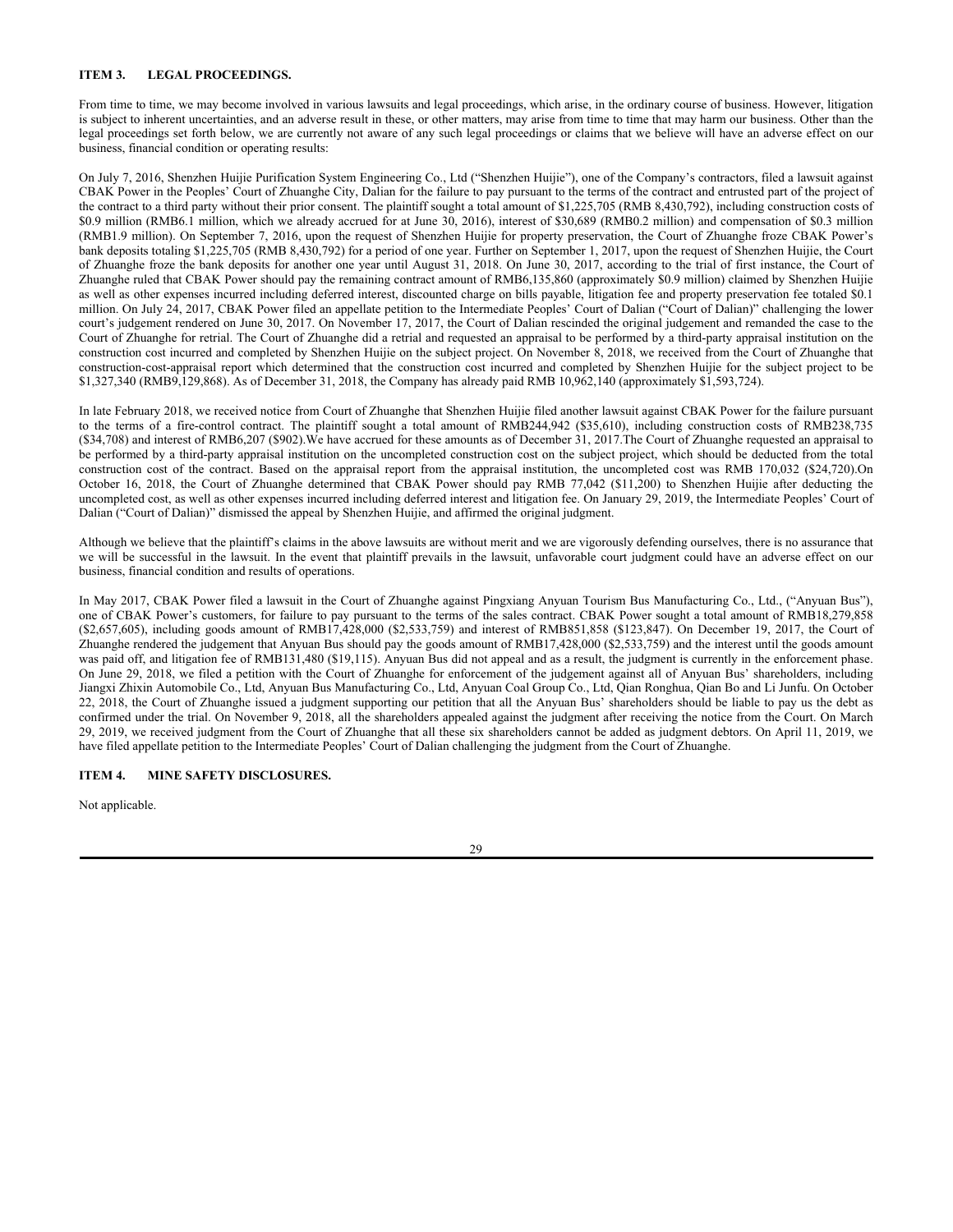# **ITEM 3. LEGAL PROCEEDINGS.**

From time to time, we may become involved in various lawsuits and legal proceedings, which arise, in the ordinary course of business. However, litigation is subject to inherent uncertainties, and an adverse result in these, or other matters, may arise from time to time that may harm our business. Other than the legal proceedings set forth below, we are currently not aware of any such legal proceedings or claims that we believe will have an adverse effect on our business, financial condition or operating results:

On July 7, 2016, Shenzhen Huijie Purification System Engineering Co., Ltd ("Shenzhen Huijie"), one of the Company's contractors, filed a lawsuit against CBAK Power in the Peoples' Court of Zhuanghe City, Dalian for the failure to pay pursuant to the terms of the contract and entrusted part of the project of the contract to a third party without their prior consent. The plaintiff sought a total amount of \$1,225,705 (RMB 8,430,792), including construction costs of \$0.9 million (RMB6.1 million, which we already accrued for at June 30, 2016), interest of \$30,689 (RMB0.2 million) and compensation of \$0.3 million (RMB1.9 million). On September 7, 2016, upon the request of Shenzhen Huijie for property preservation, the Court of Zhuanghe froze CBAK Power's bank deposits totaling \$1,225,705 (RMB 8,430,792) for a period of one year. Further on September 1, 2017, upon the request of Shenzhen Huijie, the Court of Zhuanghe froze the bank deposits for another one year until August 31, 2018. On June 30, 2017, according to the trial of first instance, the Court of Zhuanghe ruled that CBAK Power should pay the remaining contract amount of RMB6,135,860 (approximately \$0.9 million) claimed by Shenzhen Huijie as well as other expenses incurred including deferred interest, discounted charge on bills payable, litigation fee and property preservation fee totaled \$0.1 million. On July 24, 2017, CBAK Power filed an appellate petition to the Intermediate Peoples' Court of Dalian ("Court of Dalian)" challenging the lower court's judgement rendered on June 30, 2017. On November 17, 2017, the Court of Dalian rescinded the original judgement and remanded the case to the Court of Zhuanghe for retrial. The Court of Zhuanghe did a retrial and requested an appraisal to be performed by a third-party appraisal institution on the construction cost incurred and completed by Shenzhen Huijie on the subject project. On November 8, 2018, we received from the Court of Zhuanghe that construction-cost-appraisal report which determined that the construction cost incurred and completed by Shenzhen Huijie for the subject project to be \$1,327,340 (RMB9,129,868). As of December 31, 2018, the Company has already paid RMB 10,962,140 (approximately \$1,593,724).

In late February 2018, we received notice from Court of Zhuanghe that Shenzhen Huijie filed another lawsuit against CBAK Power for the failure pursuant to the terms of a fire-control contract. The plaintiff sought a total amount of RMB244,942 (\$35,610), including construction costs of RMB238,735 (\$34,708) and interest of RMB6,207 (\$902).We have accrued for these amounts as of December 31, 2017.The Court of Zhuanghe requested an appraisal to be performed by a third-party appraisal institution on the uncompleted construction cost on the subject project, which should be deducted from the total construction cost of the contract. Based on the appraisal report from the appraisal institution, the uncompleted cost was RMB 170,032 (\$24,720).On October 16, 2018, the Court of Zhuanghe determined that CBAK Power should pay RMB 77,042 (\$11,200) to Shenzhen Huijie after deducting the uncompleted cost, as well as other expenses incurred including deferred interest and litigation fee. On January 29, 2019, the Intermediate Peoples' Court of Dalian ("Court of Dalian)" dismissed the appeal by Shenzhen Huijie, and affirmed the original judgment.

Although we believe that the plaintiff's claims in the above lawsuits are without merit and we are vigorously defending ourselves, there is no assurance that we will be successful in the lawsuit. In the event that plaintiff prevails in the lawsuit, unfavorable court judgment could have an adverse effect on our business, financial condition and results of operations.

In May 2017, CBAK Power filed a lawsuit in the Court of Zhuanghe against Pingxiang Anyuan Tourism Bus Manufacturing Co., Ltd., ("Anyuan Bus"), one of CBAK Power's customers, for failure to pay pursuant to the terms of the sales contract. CBAK Power sought a total amount of RMB18,279,858 (\$2,657,605), including goods amount of RMB17,428,000 (\$2,533,759) and interest of RMB851,858 (\$123,847). On December 19, 2017, the Court of Zhuanghe rendered the judgement that Anyuan Bus should pay the goods amount of RMB17,428,000 (\$2,533,759) and the interest until the goods amount was paid off, and litigation fee of RMB131,480 (\$19,115). Anyuan Bus did not appeal and as a result, the judgment is currently in the enforcement phase. On June 29, 2018, we filed a petition with the Court of Zhuanghe for enforcement of the judgement against all of Anyuan Bus' shareholders, including Jiangxi Zhixin Automobile Co., Ltd, Anyuan Bus Manufacturing Co., Ltd, Anyuan Coal Group Co., Ltd, Qian Ronghua, Qian Bo and Li Junfu. On October 22, 2018, the Court of Zhuanghe issued a judgment supporting our petition that all the Anyuan Bus' shareholders should be liable to pay us the debt as confirmed under the trial. On November 9, 2018, all the shareholders appealed against the judgment after receiving the notice from the Court. On March 29, 2019, we received judgment from the Court of Zhuanghe that all these six shareholders cannot be added as judgment debtors. On April 11, 2019, we have filed appellate petition to the Intermediate Peoples' Court of Dalian challenging the judgment from the Court of Zhuanghe.

## **ITEM 4. MINE SAFETY DISCLOSURES.**

Not applicable.

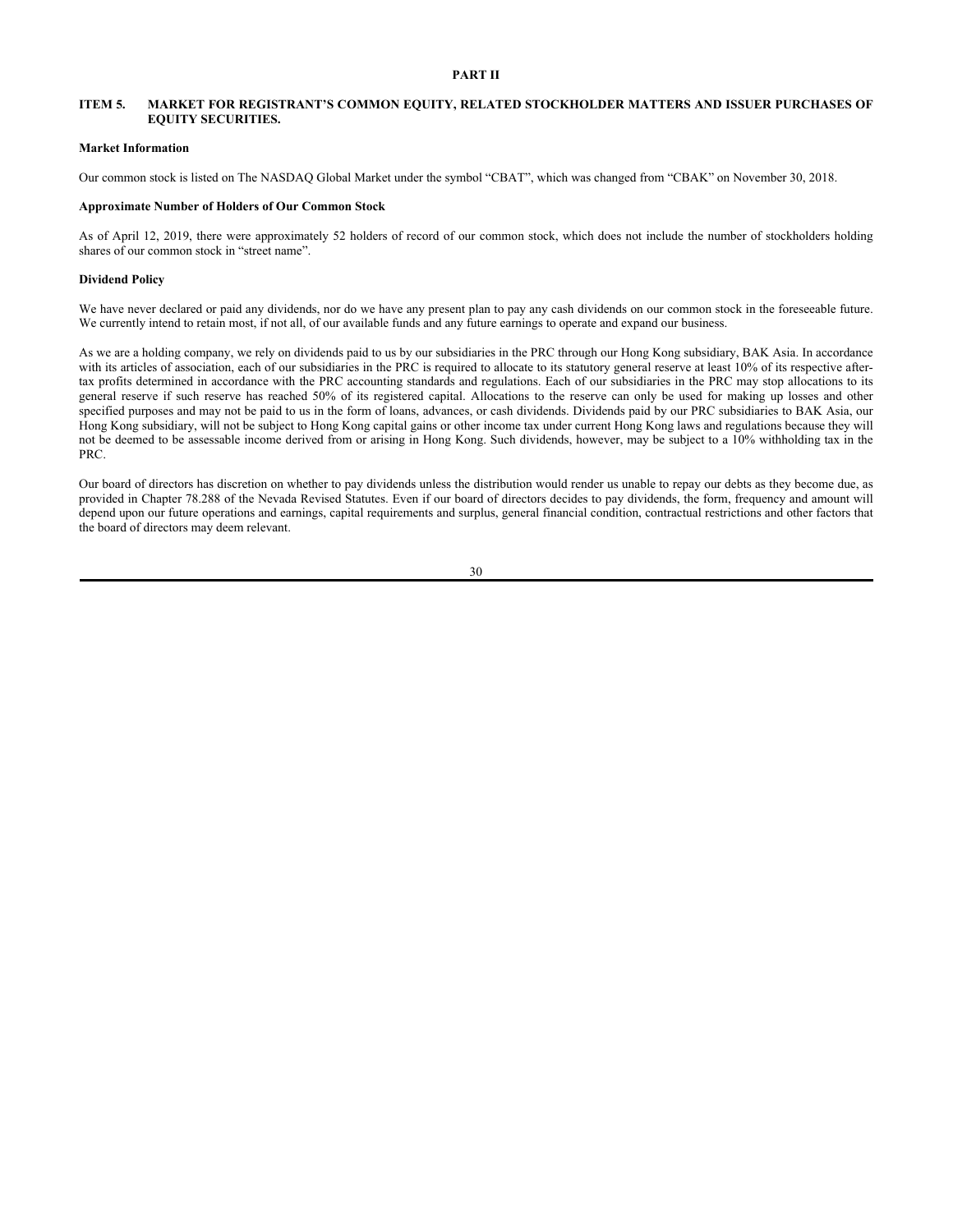# **PART II**

# **ITEM 5. MARKET FOR REGISTRANT'S COMMON EQUITY, RELATED STOCKHOLDER MATTERS AND ISSUER PURCHASES OF EQUITY SECURITIES.**

## **Market Information**

Our common stock is listed on The NASDAQ Global Market under the symbol "CBAT", which was changed from "CBAK" on November 30, 2018.

#### **Approximate Number of Holders of Our Common Stock**

As of April 12, 2019, there were approximately 52 holders of record of our common stock, which does not include the number of stockholders holding shares of our common stock in "street name".

#### **Dividend Policy**

We have never declared or paid any dividends, nor do we have any present plan to pay any cash dividends on our common stock in the foreseeable future. We currently intend to retain most, if not all, of our available funds and any future earnings to operate and expand our business.

As we are a holding company, we rely on dividends paid to us by our subsidiaries in the PRC through our Hong Kong subsidiary, BAK Asia. In accordance with its articles of association, each of our subsidiaries in the PRC is required to allocate to its statutory general reserve at least 10% of its respective aftertax profits determined in accordance with the PRC accounting standards and regulations. Each of our subsidiaries in the PRC may stop allocations to its general reserve if such reserve has reached 50% of its registered capital. Allocations to the reserve can only be used for making up losses and other specified purposes and may not be paid to us in the form of loans, advances, or cash dividends. Dividends paid by our PRC subsidiaries to BAK Asia, our Hong Kong subsidiary, will not be subject to Hong Kong capital gains or other income tax under current Hong Kong laws and regulations because they will not be deemed to be assessable income derived from or arising in Hong Kong. Such dividends, however, may be subject to a 10% withholding tax in the PRC.

Our board of directors has discretion on whether to pay dividends unless the distribution would render us unable to repay our debts as they become due, as provided in Chapter 78.288 of the Nevada Revised Statutes. Even if our board of directors decides to pay dividends, the form, frequency and amount will depend upon our future operations and earnings, capital requirements and surplus, general financial condition, contractual restrictions and other factors that the board of directors may deem relevant.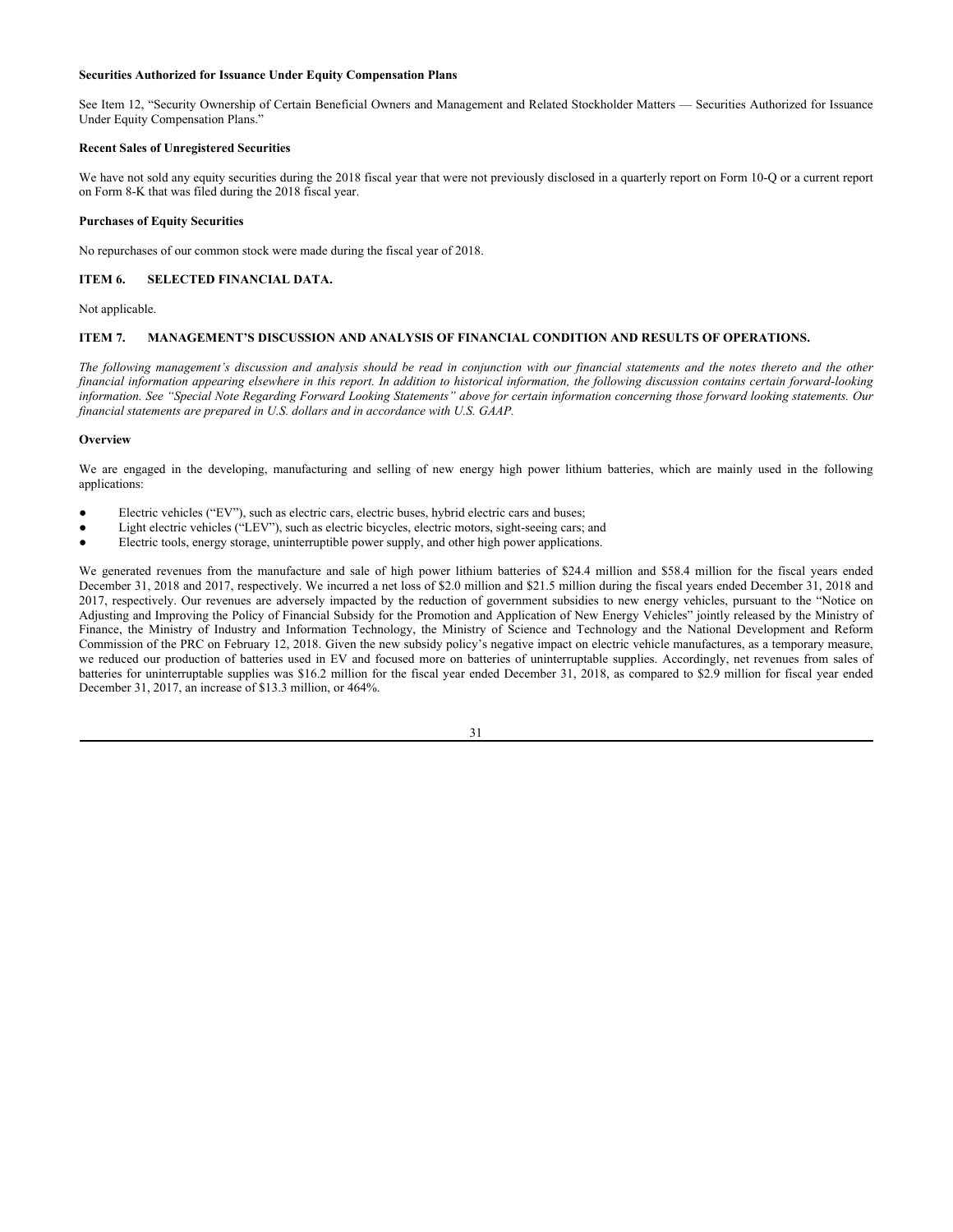# **Securities Authorized for Issuance Under Equity Compensation Plans**

See Item 12, "Security Ownership of Certain Beneficial Owners and Management and Related Stockholder Matters — Securities Authorized for Issuance Under Equity Compensation Plans."

# **Recent Sales of Unregistered Securities**

We have not sold any equity securities during the 2018 fiscal year that were not previously disclosed in a quarterly report on Form 10-Q or a current report on Form 8-K that was filed during the 2018 fiscal year.

## **Purchases of Equity Securities**

No repurchases of our common stock were made during the fiscal year of 2018.

## **ITEM 6. SELECTED FINANCIAL DATA.**

Not applicable.

# **ITEM 7. MANAGEMENT'S DISCUSSION AND ANALYSIS OF FINANCIAL CONDITION AND RESULTS OF OPERATIONS.**

*The following management's discussion and analysis should be read in conjunction with our financial statements and the notes thereto and the other financial information appearing elsewhere in this report. In addition to historical information, the following discussion contains certain forward-looking information. See "Special Note Regarding Forward Looking Statements" above for certain information concerning those forward looking statements. Our financial statements are prepared in U.S. dollars and in accordance with U.S. GAAP.* 

## **Overview**

We are engaged in the developing, manufacturing and selling of new energy high power lithium batteries, which are mainly used in the following applications:

- Electric vehicles ("EV"), such as electric cars, electric buses, hybrid electric cars and buses;
- Light electric vehicles ("LEV"), such as electric bicycles, electric motors, sight-seeing cars; and
- Electric tools, energy storage, uninterruptible power supply, and other high power applications.

We generated revenues from the manufacture and sale of high power lithium batteries of \$24.4 million and \$58.4 million for the fiscal years ended December 31, 2018 and 2017, respectively. We incurred a net loss of \$2.0 million and \$21.5 million during the fiscal years ended December 31, 2018 and 2017, respectively. Our revenues are adversely impacted by the reduction of government subsidies to new energy vehicles, pursuant to the "Notice on Adjusting and Improving the Policy of Financial Subsidy for the Promotion and Application of New Energy Vehicles" jointly released by the Ministry of Finance, the Ministry of Industry and Information Technology, the Ministry of Science and Technology and the National Development and Reform Commission of the PRC on February 12, 2018. Given the new subsidy policy's negative impact on electric vehicle manufactures, as a temporary measure, we reduced our production of batteries used in EV and focused more on batteries of uninterruptable supplies. Accordingly, net revenues from sales of batteries for uninterruptable supplies was \$16.2 million for the fiscal year ended December 31, 2018, as compared to \$2.9 million for fiscal year ended December 31, 2017, an increase of \$13.3 million, or 464%.

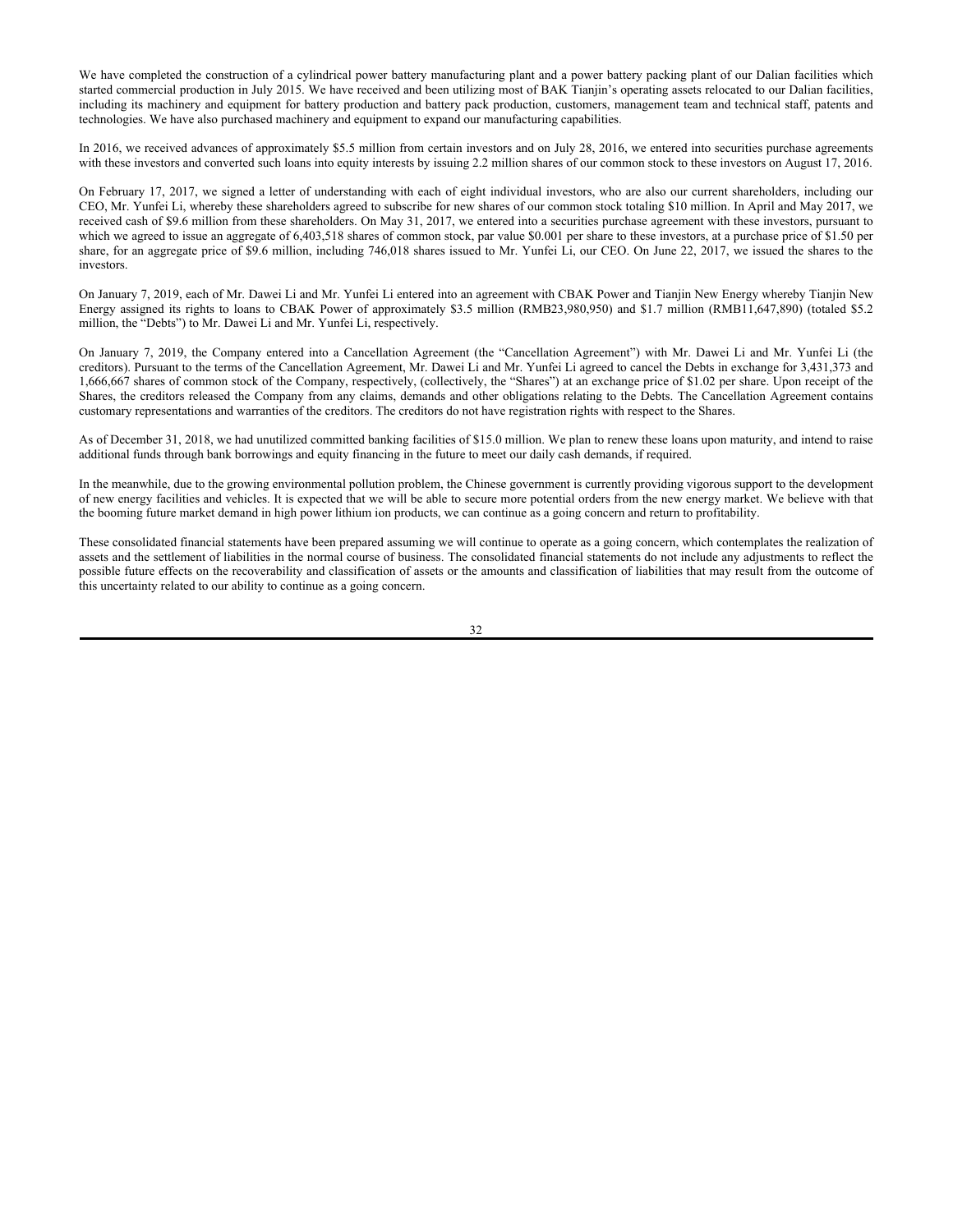We have completed the construction of a cylindrical power battery manufacturing plant and a power battery packing plant of our Dalian facilities which started commercial production in July 2015. We have received and been utilizing most of BAK Tianjin's operating assets relocated to our Dalian facilities, including its machinery and equipment for battery production and battery pack production, customers, management team and technical staff, patents and technologies. We have also purchased machinery and equipment to expand our manufacturing capabilities.

In 2016, we received advances of approximately \$5.5 million from certain investors and on July 28, 2016, we entered into securities purchase agreements with these investors and converted such loans into equity interests by issuing 2.2 million shares of our common stock to these investors on August 17, 2016.

On February 17, 2017, we signed a letter of understanding with each of eight individual investors, who are also our current shareholders, including our CEO, Mr. Yunfei Li, whereby these shareholders agreed to subscribe for new shares of our common stock totaling \$10 million. In April and May 2017, we received cash of \$9.6 million from these shareholders. On May 31, 2017, we entered into a securities purchase agreement with these investors, pursuant to which we agreed to issue an aggregate of 6,403,518 shares of common stock, par value \$0.001 per share to these investors, at a purchase price of \$1.50 per share, for an aggregate price of \$9.6 million, including 746,018 shares issued to Mr. Yunfei Li, our CEO. On June 22, 2017, we issued the shares to the investors.

On January 7, 2019, each of Mr. Dawei Li and Mr. Yunfei Li entered into an agreement with CBAK Power and Tianjin New Energy whereby Tianjin New Energy assigned its rights to loans to CBAK Power of approximately \$3.5 million (RMB23,980,950) and \$1.7 million (RMB11,647,890) (totaled \$5.2 million, the "Debts") to Mr. Dawei Li and Mr. Yunfei Li, respectively.

On January 7, 2019, the Company entered into a Cancellation Agreement (the "Cancellation Agreement") with Mr. Dawei Li and Mr. Yunfei Li (the creditors). Pursuant to the terms of the Cancellation Agreement, Mr. Dawei Li and Mr. Yunfei Li agreed to cancel the Debts in exchange for 3,431,373 and 1,666,667 shares of common stock of the Company, respectively, (collectively, the "Shares") at an exchange price of \$1.02 per share. Upon receipt of the Shares, the creditors released the Company from any claims, demands and other obligations relating to the Debts. The Cancellation Agreement contains customary representations and warranties of the creditors. The creditors do not have registration rights with respect to the Shares.

As of December 31, 2018, we had unutilized committed banking facilities of \$15.0 million. We plan to renew these loans upon maturity, and intend to raise additional funds through bank borrowings and equity financing in the future to meet our daily cash demands, if required.

In the meanwhile, due to the growing environmental pollution problem, the Chinese government is currently providing vigorous support to the development of new energy facilities and vehicles. It is expected that we will be able to secure more potential orders from the new energy market. We believe with that the booming future market demand in high power lithium ion products, we can continue as a going concern and return to profitability.

These consolidated financial statements have been prepared assuming we will continue to operate as a going concern, which contemplates the realization of assets and the settlement of liabilities in the normal course of business. The consolidated financial statements do not include any adjustments to reflect the possible future effects on the recoverability and classification of assets or the amounts and classification of liabilities that may result from the outcome of this uncertainty related to our ability to continue as a going concern.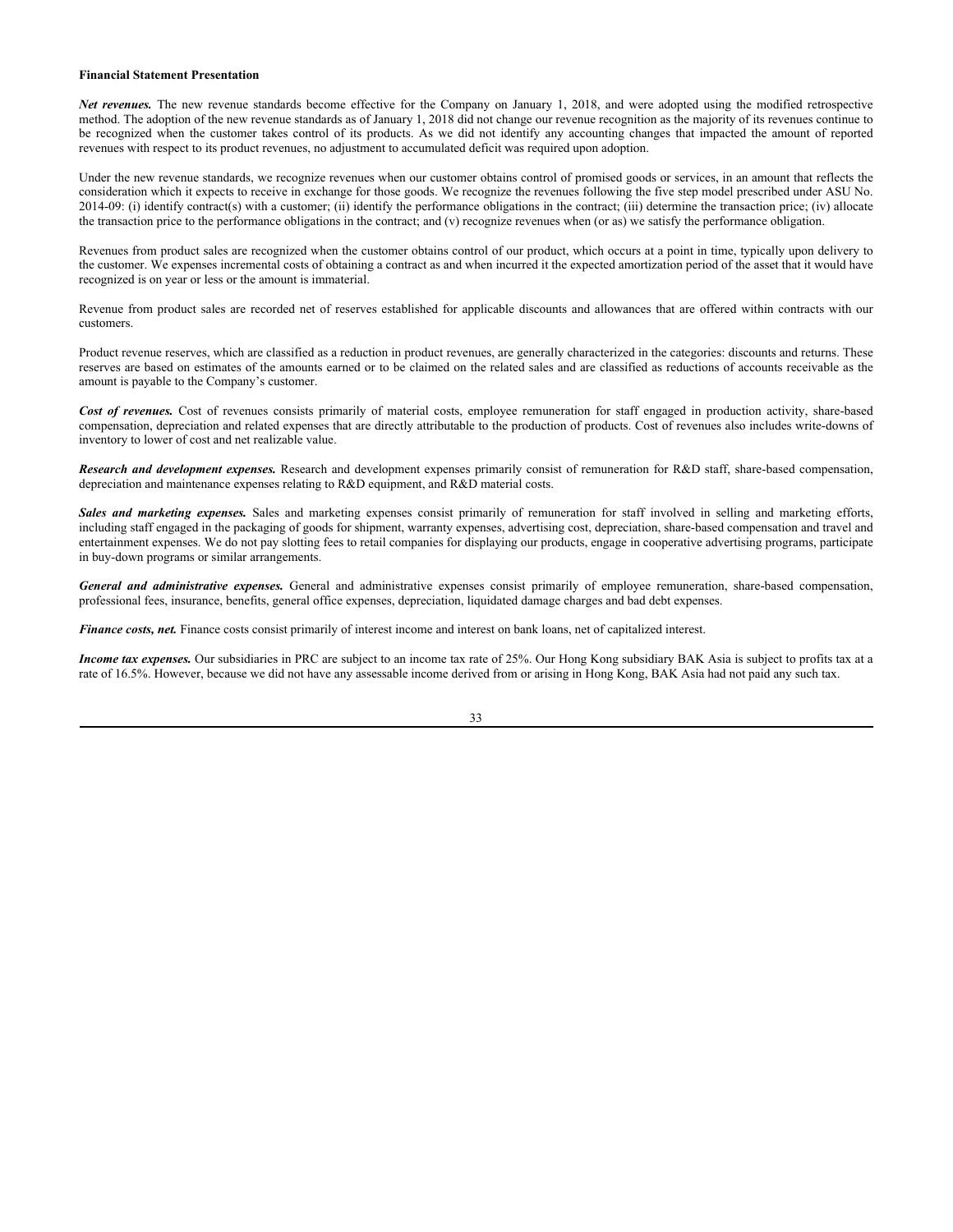# **Financial Statement Presentation**

*Net revenues.* The new revenue standards become effective for the Company on January 1, 2018, and were adopted using the modified retrospective method. The adoption of the new revenue standards as of January 1, 2018 did not change our revenue recognition as the majority of its revenues continue to be recognized when the customer takes control of its products. As we did not identify any accounting changes that impacted the amount of reported revenues with respect to its product revenues, no adjustment to accumulated deficit was required upon adoption.

Under the new revenue standards, we recognize revenues when our customer obtains control of promised goods or services, in an amount that reflects the consideration which it expects to receive in exchange for those goods. We recognize the revenues following the five step model prescribed under ASU No. 2014-09: (i) identify contract(s) with a customer; (ii) identify the performance obligations in the contract; (iii) determine the transaction price; (iv) allocate the transaction price to the performance obligations in the contract; and (v) recognize revenues when (or as) we satisfy the performance obligation.

Revenues from product sales are recognized when the customer obtains control of our product, which occurs at a point in time, typically upon delivery to the customer. We expenses incremental costs of obtaining a contract as and when incurred it the expected amortization period of the asset that it would have recognized is on year or less or the amount is immaterial.

Revenue from product sales are recorded net of reserves established for applicable discounts and allowances that are offered within contracts with our customers.

Product revenue reserves, which are classified as a reduction in product revenues, are generally characterized in the categories: discounts and returns. These reserves are based on estimates of the amounts earned or to be claimed on the related sales and are classified as reductions of accounts receivable as the amount is payable to the Company's customer.

Cost of revenues. Cost of revenues consists primarily of material costs, employee remuneration for staff engaged in production activity, share-based compensation, depreciation and related expenses that are directly attributable to the production of products. Cost of revenues also includes write-downs of inventory to lower of cost and net realizable value.

*Research and development expenses.* Research and development expenses primarily consist of remuneration for R&D staff, share-based compensation, depreciation and maintenance expenses relating to R&D equipment, and R&D material costs.

Sales and marketing expenses. Sales and marketing expenses consist primarily of remuneration for staff involved in selling and marketing efforts, including staff engaged in the packaging of goods for shipment, warranty expenses, advertising cost, depreciation, share-based compensation and travel and entertainment expenses. We do not pay slotting fees to retail companies for displaying our products, engage in cooperative advertising programs, participate in buy-down programs or similar arrangements.

*General and administrative expenses.* General and administrative expenses consist primarily of employee remuneration, share-based compensation, professional fees, insurance, benefits, general office expenses, depreciation, liquidated damage charges and bad debt expenses.

*Finance costs, net.* Finance costs consist primarily of interest income and interest on bank loans, net of capitalized interest.

*Income tax expenses.* Our subsidiaries in PRC are subject to an income tax rate of 25%. Our Hong Kong subsidiary BAK Asia is subject to profits tax at a rate of 16.5%. However, because we did not have any assessable income derived from or arising in Hong Kong, BAK Asia had not paid any such tax.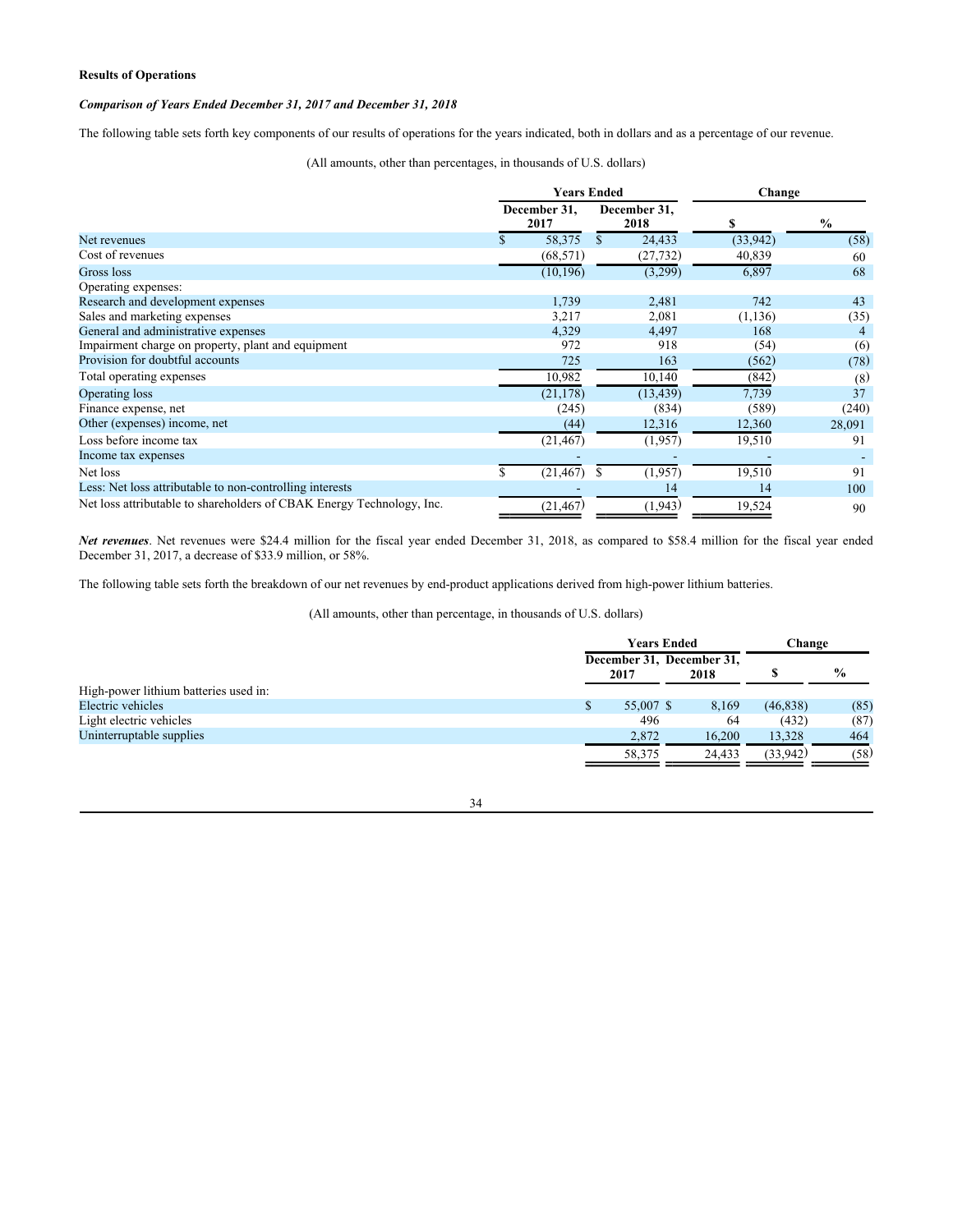# **Results of Operations**

# *Comparison of Years Ended December 31, 2017 and December 31, 2018*

The following table sets forth key components of our results of operations for the years indicated, both in dollars and as a percentage of our revenue.

(All amounts, other than percentages, in thousands of U.S. dollars)

|                                                                       | <b>Years Ended</b> |                      |     |                      | Change   |               |  |
|-----------------------------------------------------------------------|--------------------|----------------------|-----|----------------------|----------|---------------|--|
|                                                                       |                    | December 31,<br>2017 |     | December 31,<br>2018 | S        | $\frac{6}{9}$ |  |
| Net revenues                                                          |                    | 58,375               | \$. | 24,433               | (33,942) | (58)          |  |
| Cost of revenues                                                      |                    | (68, 571)            |     | (27, 732)            | 40,839   | 60            |  |
| Gross loss                                                            |                    | (10, 196)            |     | (3,299)              | 6,897    | 68            |  |
| Operating expenses:                                                   |                    |                      |     |                      |          |               |  |
| Research and development expenses                                     |                    | 1,739                |     | 2,481                | 742      | 43            |  |
| Sales and marketing expenses                                          |                    | 3,217                |     | 2,081                | (1, 136) | (35)          |  |
| General and administrative expenses                                   |                    | 4,329                |     | 4,497                | 168      | 4             |  |
| Impairment charge on property, plant and equipment                    |                    | 972                  |     | 918                  | (54)     | (6)           |  |
| Provision for doubtful accounts                                       |                    | 725                  |     | 163                  | (562)    | (78)          |  |
| Total operating expenses                                              |                    | 10,982               |     | 10,140               | (842)    | (8)           |  |
| Operating loss                                                        |                    | (21, 178)            |     | (13, 439)            | 7,739    | 37            |  |
| Finance expense, net                                                  |                    | (245)                |     | (834)                | (589)    | (240)         |  |
| Other (expenses) income, net                                          |                    | (44)                 |     | 12,316               | 12,360   | 28,091        |  |
| Loss before income tax                                                |                    | (21, 467)            |     | (1,957)              | 19,510   | 91            |  |
| Income tax expenses                                                   |                    |                      |     |                      |          |               |  |
| Net loss                                                              |                    | (21, 467)            |     | (1,957)              | 19,510   | 91            |  |
| Less: Net loss attributable to non-controlling interests              |                    |                      |     | 14                   | 14       | 100           |  |
| Net loss attributable to shareholders of CBAK Energy Technology, Inc. |                    | (21, 467)            |     | (1, 943)             | 19,524   | 90            |  |

*Net revenues*. Net revenues were \$24.4 million for the fiscal year ended December 31, 2018, as compared to \$58.4 million for the fiscal year ended December 31, 2017, a decrease of \$33.9 million, or 58%.

The following table sets forth the breakdown of our net revenues by end-product applications derived from high-power lithium batteries.

(All amounts, other than percentage, in thousands of U.S. dollars)

|                                       | <b>Years Ended</b> | Change                            |           |               |
|---------------------------------------|--------------------|-----------------------------------|-----------|---------------|
|                                       | 2017               | December 31, December 31,<br>2018 |           | $\frac{6}{9}$ |
| High-power lithium batteries used in: |                    |                                   |           |               |
| Electric vehicles                     | 55,007 \$          | 8,169                             | (46, 838) | (85)          |
| Light electric vehicles               | 496                | 64                                | (432)     | (87)          |
| Uninterruptable supplies              | 2.872              | 16,200                            | 13,328    | 464           |
|                                       | 58,375             | 24.433                            | (33,942)  | (58)          |

# 34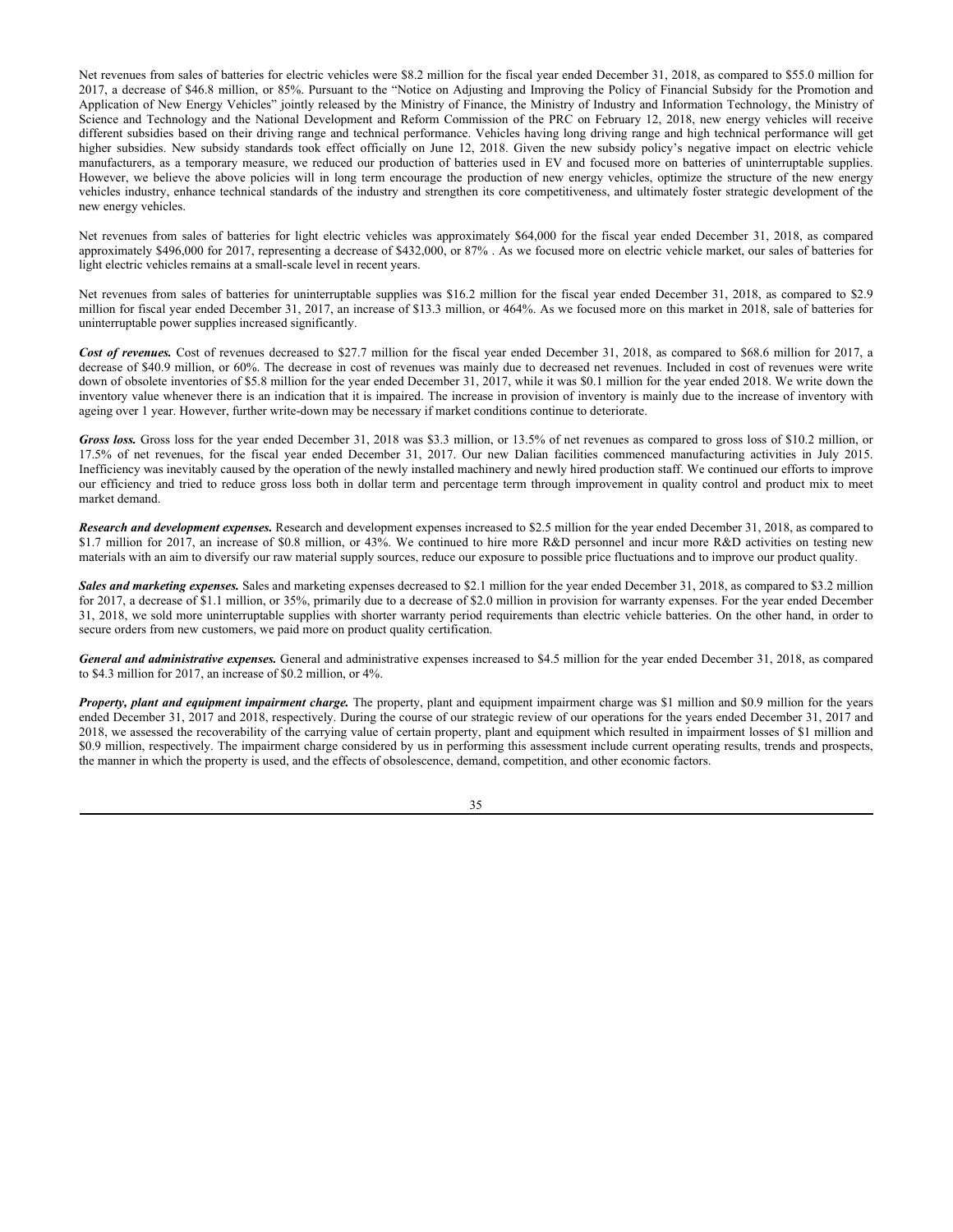Net revenues from sales of batteries for electric vehicles were \$8.2 million for the fiscal year ended December 31, 2018, as compared to \$55.0 million for 2017, a decrease of \$46.8 million, or 85%. Pursuant to the "Notice on Adjusting and Improving the Policy of Financial Subsidy for the Promotion and Application of New Energy Vehicles" jointly released by the Ministry of Finance, the Ministry of Industry and Information Technology, the Ministry of Science and Technology and the National Development and Reform Commission of the PRC on February 12, 2018, new energy vehicles will receive different subsidies based on their driving range and technical performance. Vehicles having long driving range and high technical performance will get higher subsidies. New subsidy standards took effect officially on June 12, 2018. Given the new subsidy policy's negative impact on electric vehicle manufacturers, as a temporary measure, we reduced our production of batteries used in EV and focused more on batteries of uninterruptable supplies. However, we believe the above policies will in long term encourage the production of new energy vehicles, optimize the structure of the new energy vehicles industry, enhance technical standards of the industry and strengthen its core competitiveness, and ultimately foster strategic development of the new energy vehicles.

Net revenues from sales of batteries for light electric vehicles was approximately \$64,000 for the fiscal year ended December 31, 2018, as compared approximately \$496,000 for 2017, representing a decrease of \$432,000, or 87% . As we focused more on electric vehicle market, our sales of batteries for light electric vehicles remains at a small-scale level in recent years.

Net revenues from sales of batteries for uninterruptable supplies was \$16.2 million for the fiscal year ended December 31, 2018, as compared to \$2.9 million for fiscal year ended December 31, 2017, an increase of \$13.3 million, or 464%. As we focused more on this market in 2018, sale of batteries for uninterruptable power supplies increased significantly.

Cost of revenues. Cost of revenues decreased to \$27.7 million for the fiscal year ended December 31, 2018, as compared to \$68.6 million for 2017, a decrease of \$40.9 million, or 60%. The decrease in cost of revenues was mainly due to decreased net revenues. Included in cost of revenues were write down of obsolete inventories of \$5.8 million for the year ended December 31, 2017, while it was \$0.1 million for the year ended 2018. We write down the inventory value whenever there is an indication that it is impaired. The increase in provision of inventory is mainly due to the increase of inventory with ageing over 1 year. However, further write-down may be necessary if market conditions continue to deteriorate.

*Gross loss.* Gross loss for the year ended December 31, 2018 was \$3.3 million, or 13.5% of net revenues as compared to gross loss of \$10.2 million, or 17.5% of net revenues, for the fiscal year ended December 31, 2017. Our new Dalian facilities commenced manufacturing activities in July 2015. Inefficiency was inevitably caused by the operation of the newly installed machinery and newly hired production staff. We continued our efforts to improve our efficiency and tried to reduce gross loss both in dollar term and percentage term through improvement in quality control and product mix to meet market demand.

*Research and development expenses.* Research and development expenses increased to \$2.5 million for the year ended December 31, 2018, as compared to \$1.7 million for 2017, an increase of \$0.8 million, or 43%. We continued to hire more R&D personnel and incur more R&D activities on testing new materials with an aim to diversify our raw material supply sources, reduce our exposure to possible price fluctuations and to improve our product quality.

*Sales and marketing expenses.* Sales and marketing expenses decreased to \$2.1 million for the year ended December 31, 2018, as compared to \$3.2 million for 2017, a decrease of \$1.1 million, or 35%, primarily due to a decrease of \$2.0 million in provision for warranty expenses. For the year ended December 31, 2018, we sold more uninterruptable supplies with shorter warranty period requirements than electric vehicle batteries. On the other hand, in order to secure orders from new customers, we paid more on product quality certification.

*General and administrative expenses.* General and administrative expenses increased to \$4.5 million for the year ended December 31, 2018, as compared to \$4.3 million for 2017, an increase of \$0.2 million, or 4%.

*Property, plant and equipment impairment charge.* The property, plant and equipment impairment charge was \$1 million and \$0.9 million for the years ended December 31, 2017 and 2018, respectively. During the course of our strategic review of our operations for the years ended December 31, 2017 and 2018, we assessed the recoverability of the carrying value of certain property, plant and equipment which resulted in impairment losses of \$1 million and \$0.9 million, respectively. The impairment charge considered by us in performing this assessment include current operating results, trends and prospects, the manner in which the property is used, and the effects of obsolescence, demand, competition, and other economic factors.

35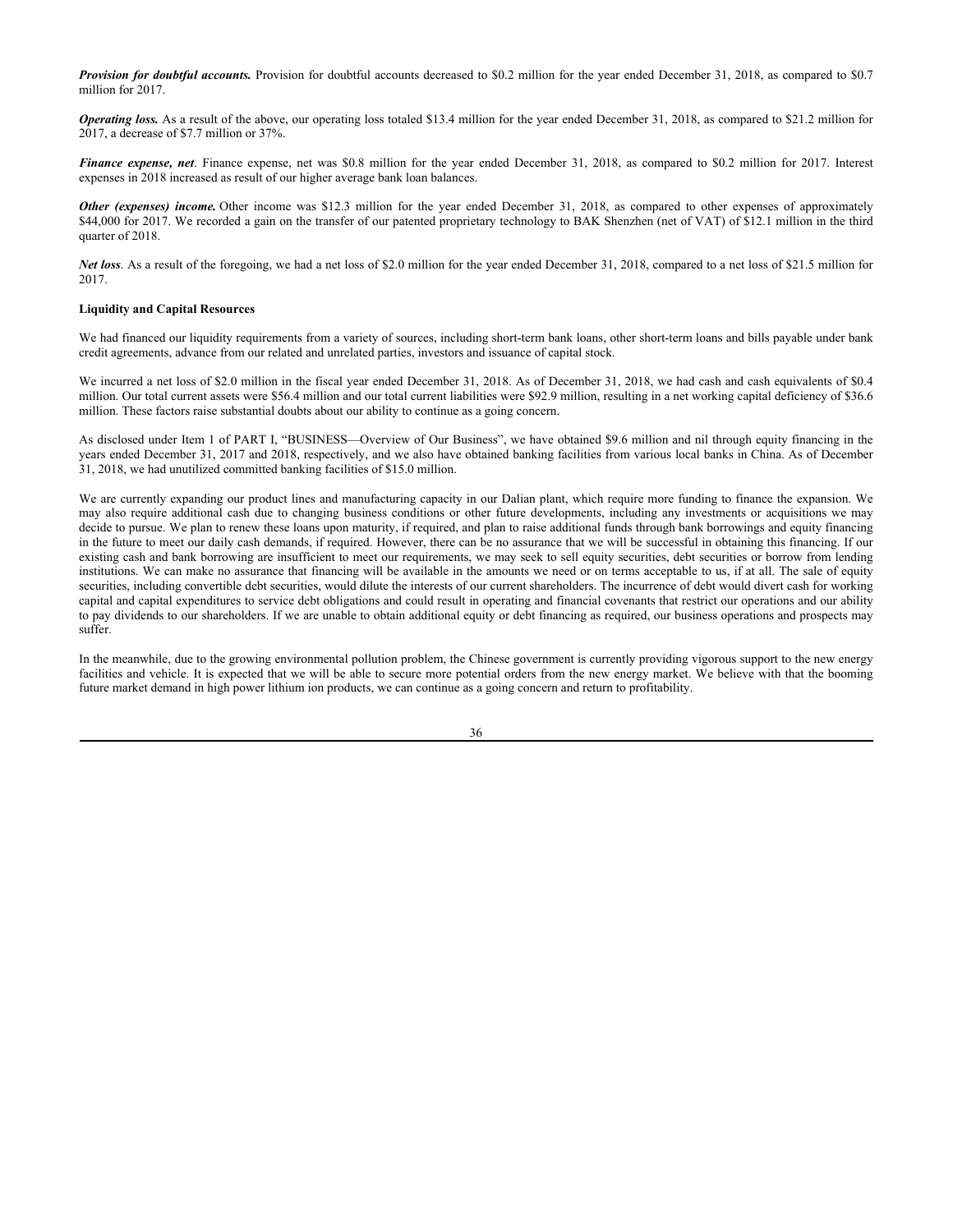*Provision for doubtful accounts.* Provision for doubtful accounts decreased to \$0.2 million for the year ended December 31, 2018, as compared to \$0.7 million for 2017.

*Operating loss.* As a result of the above, our operating loss totaled \$13.4 million for the year ended December 31, 2018, as compared to \$21.2 million for 2017, a decrease of \$7.7 million or 37%.

*Finance expense, net*. Finance expense, net was \$0.8 million for the year ended December 31, 2018, as compared to \$0.2 million for 2017. Interest expenses in 2018 increased as result of our higher average bank loan balances.

*Other (expenses) income.* Other income was \$12.3 million for the year ended December 31, 2018, as compared to other expenses of approximately \$44,000 for 2017. We recorded a gain on the transfer of our patented proprietary technology to BAK Shenzhen (net of VAT) of \$12.1 million in the third quarter of 2018.

*Net loss*. As a result of the foregoing, we had a net loss of \$2.0 million for the year ended December 31, 2018, compared to a net loss of \$21.5 million for 2017.

## **Liquidity and Capital Resources**

We had financed our liquidity requirements from a variety of sources, including short-term bank loans, other short-term loans and bills payable under bank credit agreements, advance from our related and unrelated parties, investors and issuance of capital stock.

We incurred a net loss of \$2.0 million in the fiscal year ended December 31, 2018. As of December 31, 2018, we had cash and cash equivalents of \$0.4 million. Our total current assets were \$56.4 million and our total current liabilities were \$92.9 million, resulting in a net working capital deficiency of \$36.6 million. These factors raise substantial doubts about our ability to continue as a going concern.

As disclosed under Item 1 of PART I, "BUSINESS—Overview of Our Business", we have obtained \$9.6 million and nil through equity financing in the years ended December 31, 2017 and 2018, respectively, and we also have obtained banking facilities from various local banks in China. As of December 31, 2018, we had unutilized committed banking facilities of \$15.0 million.

We are currently expanding our product lines and manufacturing capacity in our Dalian plant, which require more funding to finance the expansion. We may also require additional cash due to changing business conditions or other future developments, including any investments or acquisitions we may decide to pursue. We plan to renew these loans upon maturity, if required, and plan to raise additional funds through bank borrowings and equity financing in the future to meet our daily cash demands, if required. However, there can be no assurance that we will be successful in obtaining this financing. If our existing cash and bank borrowing are insufficient to meet our requirements, we may seek to sell equity securities, debt securities or borrow from lending institutions. We can make no assurance that financing will be available in the amounts we need or on terms acceptable to us, if at all. The sale of equity securities, including convertible debt securities, would dilute the interests of our current shareholders. The incurrence of debt would divert cash for working capital and capital expenditures to service debt obligations and could result in operating and financial covenants that restrict our operations and our ability to pay dividends to our shareholders. If we are unable to obtain additional equity or debt financing as required, our business operations and prospects may suffer.

In the meanwhile, due to the growing environmental pollution problem, the Chinese government is currently providing vigorous support to the new energy facilities and vehicle. It is expected that we will be able to secure more potential orders from the new energy market. We believe with that the booming future market demand in high power lithium ion products, we can continue as a going concern and return to profitability.

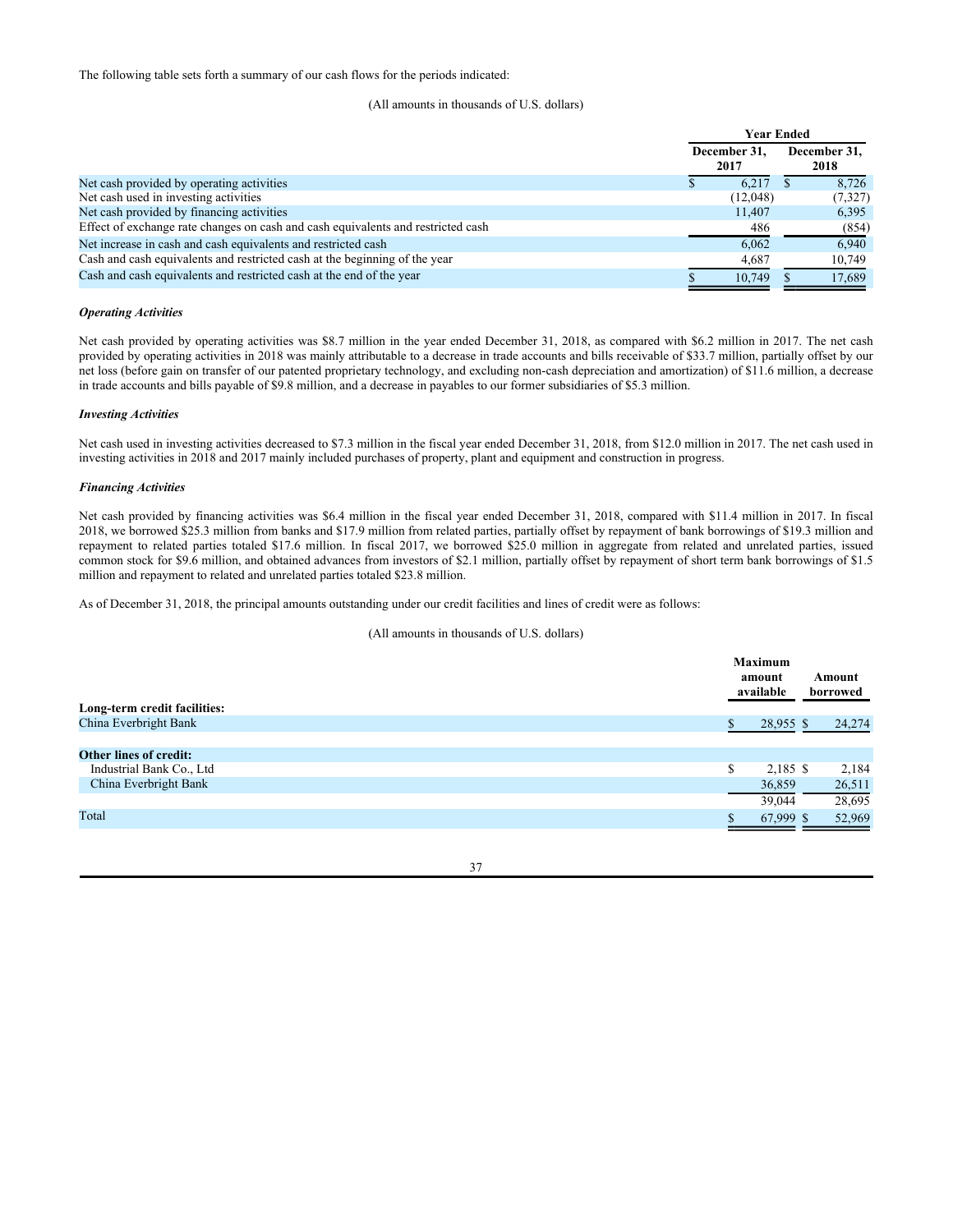The following table sets forth a summary of our cash flows for the periods indicated:

# (All amounts in thousands of U.S. dollars)

|                                                                                  | <b>Year Ended</b> |          |  |              |
|----------------------------------------------------------------------------------|-------------------|----------|--|--------------|
|                                                                                  | December 31.      |          |  | December 31, |
|                                                                                  |                   | 2017     |  | 2018         |
| Net cash provided by operating activities                                        |                   | 6.217    |  | 8,726        |
| Net cash used in investing activities                                            |                   | (12,048) |  | (7,327)      |
| Net cash provided by financing activities                                        |                   | 11,407   |  | 6,395        |
| Effect of exchange rate changes on cash and cash equivalents and restricted cash |                   | 486      |  | (854)        |
| Net increase in cash and cash equivalents and restricted cash                    |                   | 6.062    |  | 6.940        |
| Cash and cash equivalents and restricted cash at the beginning of the year       |                   | 4.687    |  | 10,749       |
| Cash and cash equivalents and restricted cash at the end of the year             |                   | 10.749   |  | 17.689       |

#### *Operating Activities*

Net cash provided by operating activities was \$8.7 million in the year ended December 31, 2018, as compared with \$6.2 million in 2017. The net cash provided by operating activities in 2018 was mainly attributable to a decrease in trade accounts and bills receivable of \$33.7 million, partially offset by our net loss (before gain on transfer of our patented proprietary technology, and excluding non-cash depreciation and amortization) of \$11.6 million, a decrease in trade accounts and bills payable of \$9.8 million, and a decrease in payables to our former subsidiaries of \$5.3 million.

#### *Investing Activities*

Net cash used in investing activities decreased to \$7.3 million in the fiscal year ended December 31, 2018, from \$12.0 million in 2017. The net cash used in investing activities in 2018 and 2017 mainly included purchases of property, plant and equipment and construction in progress.

#### *Financing Activities*

Net cash provided by financing activities was \$6.4 million in the fiscal year ended December 31, 2018, compared with \$11.4 million in 2017. In fiscal 2018, we borrowed \$25.3 million from banks and \$17.9 million from related parties, partially offset by repayment of bank borrowings of \$19.3 million and repayment to related parties totaled \$17.6 million. In fiscal 2017, we borrowed \$25.0 million in aggregate from related and unrelated parties, issued common stock for \$9.6 million, and obtained advances from investors of \$2.1 million, partially offset by repayment of short term bank borrowings of \$1.5 million and repayment to related and unrelated parties totaled \$23.8 million.

As of December 31, 2018, the principal amounts outstanding under our credit facilities and lines of credit were as follows:

# (All amounts in thousands of U.S. dollars)

|                               | <b>Maximum</b><br>amount<br>available | Amount<br>borrowed |
|-------------------------------|---------------------------------------|--------------------|
| Long-term credit facilities:  |                                       |                    |
| China Everbright Bank         | 28,955 \$                             | 24,274             |
|                               |                                       |                    |
| <b>Other lines of credit:</b> |                                       |                    |
| Industrial Bank Co., Ltd      | $2,185$ \$<br>\$                      | 2,184              |
| China Everbright Bank         | 36,859                                | 26,511             |
|                               | 39,044                                | 28,695             |
| Total                         | 67,999 \$                             | 52,969             |
|                               |                                       |                    |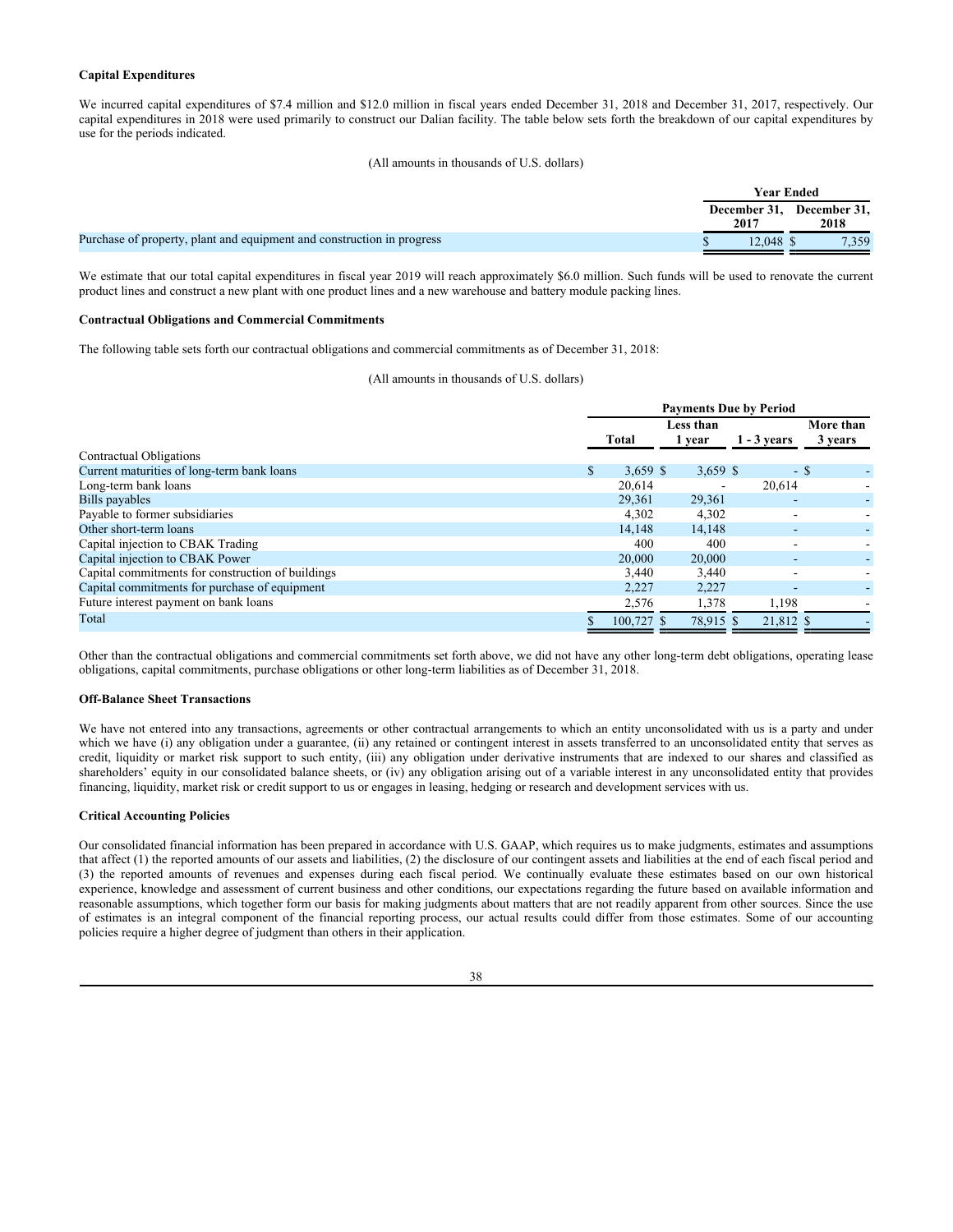# **Capital Expenditures**

We incurred capital expenditures of \$7.4 million and \$12.0 million in fiscal years ended December 31, 2018 and December 31, 2017, respectively. Our capital expenditures in 2018 were used primarily to construct our Dalian facility. The table below sets forth the breakdown of our capital expenditures by use for the periods indicated.

#### (All amounts in thousands of U.S. dollars)

|                                                                        |           | Year Ended                        |
|------------------------------------------------------------------------|-----------|-----------------------------------|
|                                                                        | 2017      | December 31, December 31,<br>2018 |
| Purchase of property, plant and equipment and construction in progress | 12.048 \$ | 7,359                             |

We estimate that our total capital expenditures in fiscal year 2019 will reach approximately \$6.0 million. Such funds will be used to renovate the current product lines and construct a new plant with one product lines and a new warehouse and battery module packing lines.

#### **Contractual Obligations and Commercial Commitments**

The following table sets forth our contractual obligations and commercial commitments as of December 31, 2018:

(All amounts in thousands of U.S. dollars)

|                                                   |    | <b>Payments Due by Period</b> |                     |               |                      |  |  |
|---------------------------------------------------|----|-------------------------------|---------------------|---------------|----------------------|--|--|
|                                                   |    | <b>Total</b>                  | Less than<br>1 year | $1 - 3$ vears | More than<br>3 years |  |  |
| Contractual Obligations                           |    |                               |                     |               |                      |  |  |
| Current maturities of long-term bank loans        | S. | $3,659$ \$                    | $3,659$ \$          |               | - S                  |  |  |
| Long-term bank loans                              |    | 20.614                        |                     | 20,614        |                      |  |  |
| Bills payables                                    |    | 29.361                        | 29,361              |               |                      |  |  |
| Payable to former subsidiaries                    |    | 4,302                         | 4,302               | ۰             |                      |  |  |
| Other short-term loans                            |    | 14.148                        | 14,148              | ٠             |                      |  |  |
| Capital injection to CBAK Trading                 |    | 400                           | 400                 | ۰             |                      |  |  |
| Capital injection to CBAK Power                   |    | 20,000                        | 20,000              |               |                      |  |  |
| Capital commitments for construction of buildings |    | 3,440                         | 3,440               |               |                      |  |  |
| Capital commitments for purchase of equipment     |    | 2,227                         | 2,227               | -             |                      |  |  |
| Future interest payment on bank loans             |    | 2,576                         | 1,378               | 1,198         |                      |  |  |
| Total                                             |    | $100.727$ \$                  | 78.915 \$           | 21,812 \$     |                      |  |  |

Other than the contractual obligations and commercial commitments set forth above, we did not have any other long-term debt obligations, operating lease obligations, capital commitments, purchase obligations or other long-term liabilities as of December 31, 2018.

#### **Off-Balance Sheet Transactions**

We have not entered into any transactions, agreements or other contractual arrangements to which an entity unconsolidated with us is a party and under which we have (i) any obligation under a guarantee, (ii) any retained or contingent interest in assets transferred to an unconsolidated entity that serves as credit, liquidity or market risk support to such entity, (iii) any obligation under derivative instruments that are indexed to our shares and classified as shareholders' equity in our consolidated balance sheets, or (iv) any obligation arising out of a variable interest in any unconsolidated entity that provides financing, liquidity, market risk or credit support to us or engages in leasing, hedging or research and development services with us.

#### **Critical Accounting Policies**

Our consolidated financial information has been prepared in accordance with U.S. GAAP, which requires us to make judgments, estimates and assumptions that affect (1) the reported amounts of our assets and liabilities, (2) the disclosure of our contingent assets and liabilities at the end of each fiscal period and (3) the reported amounts of revenues and expenses during each fiscal period. We continually evaluate these estimates based on our own historical experience, knowledge and assessment of current business and other conditions, our expectations regarding the future based on available information and reasonable assumptions, which together form our basis for making judgments about matters that are not readily apparent from other sources. Since the use of estimates is an integral component of the financial reporting process, our actual results could differ from those estimates. Some of our accounting policies require a higher degree of judgment than others in their application.

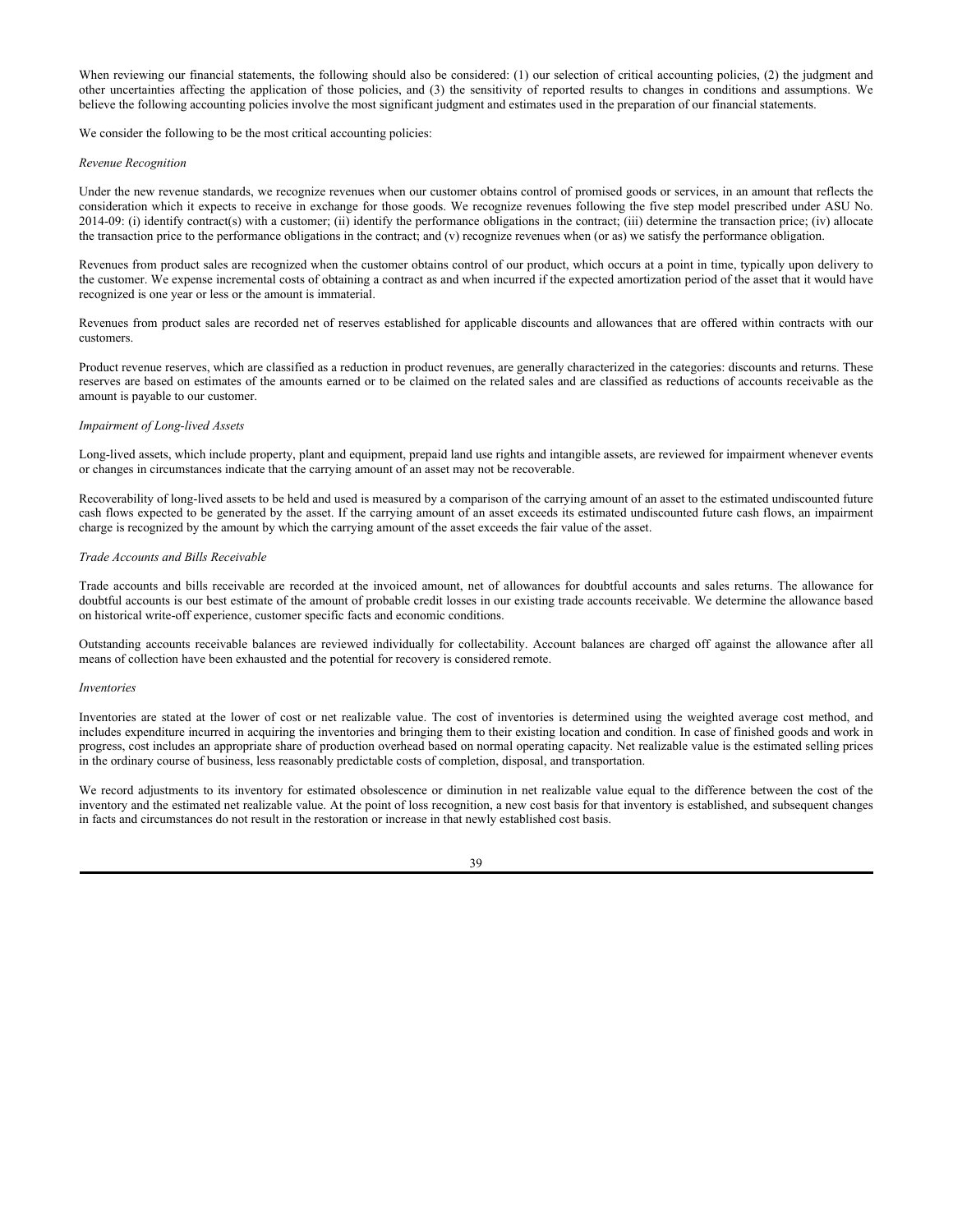When reviewing our financial statements, the following should also be considered: (1) our selection of critical accounting policies, (2) the judgment and other uncertainties affecting the application of those policies, and (3) the sensitivity of reported results to changes in conditions and assumptions. We believe the following accounting policies involve the most significant judgment and estimates used in the preparation of our financial statements.

We consider the following to be the most critical accounting policies:

#### *Revenue Recognition*

Under the new revenue standards, we recognize revenues when our customer obtains control of promised goods or services, in an amount that reflects the consideration which it expects to receive in exchange for those goods. We recognize revenues following the five step model prescribed under ASU No. 2014-09: (i) identify contract(s) with a customer; (ii) identify the performance obligations in the contract; (iii) determine the transaction price; (iv) allocate the transaction price to the performance obligations in the contract; and (v) recognize revenues when (or as) we satisfy the performance obligation.

Revenues from product sales are recognized when the customer obtains control of our product, which occurs at a point in time, typically upon delivery to the customer. We expense incremental costs of obtaining a contract as and when incurred if the expected amortization period of the asset that it would have recognized is one year or less or the amount is immaterial.

Revenues from product sales are recorded net of reserves established for applicable discounts and allowances that are offered within contracts with our customers.

Product revenue reserves, which are classified as a reduction in product revenues, are generally characterized in the categories: discounts and returns. These reserves are based on estimates of the amounts earned or to be claimed on the related sales and are classified as reductions of accounts receivable as the amount is payable to our customer.

## *Impairment of Long-lived Assets*

Long-lived assets, which include property, plant and equipment, prepaid land use rights and intangible assets, are reviewed for impairment whenever events or changes in circumstances indicate that the carrying amount of an asset may not be recoverable.

Recoverability of long-lived assets to be held and used is measured by a comparison of the carrying amount of an asset to the estimated undiscounted future cash flows expected to be generated by the asset. If the carrying amount of an asset exceeds its estimated undiscounted future cash flows, an impairment charge is recognized by the amount by which the carrying amount of the asset exceeds the fair value of the asset.

## *Trade Accounts and Bills Receivable*

Trade accounts and bills receivable are recorded at the invoiced amount, net of allowances for doubtful accounts and sales returns. The allowance for doubtful accounts is our best estimate of the amount of probable credit losses in our existing trade accounts receivable. We determine the allowance based on historical write-off experience, customer specific facts and economic conditions.

Outstanding accounts receivable balances are reviewed individually for collectability. Account balances are charged off against the allowance after all means of collection have been exhausted and the potential for recovery is considered remote.

#### *Inventories*

Inventories are stated at the lower of cost or net realizable value. The cost of inventories is determined using the weighted average cost method, and includes expenditure incurred in acquiring the inventories and bringing them to their existing location and condition. In case of finished goods and work in progress, cost includes an appropriate share of production overhead based on normal operating capacity. Net realizable value is the estimated selling prices in the ordinary course of business, less reasonably predictable costs of completion, disposal, and transportation.

We record adjustments to its inventory for estimated obsolescence or diminution in net realizable value equal to the difference between the cost of the inventory and the estimated net realizable value. At the point of loss recognition, a new cost basis for that inventory is established, and subsequent changes in facts and circumstances do not result in the restoration or increase in that newly established cost basis.

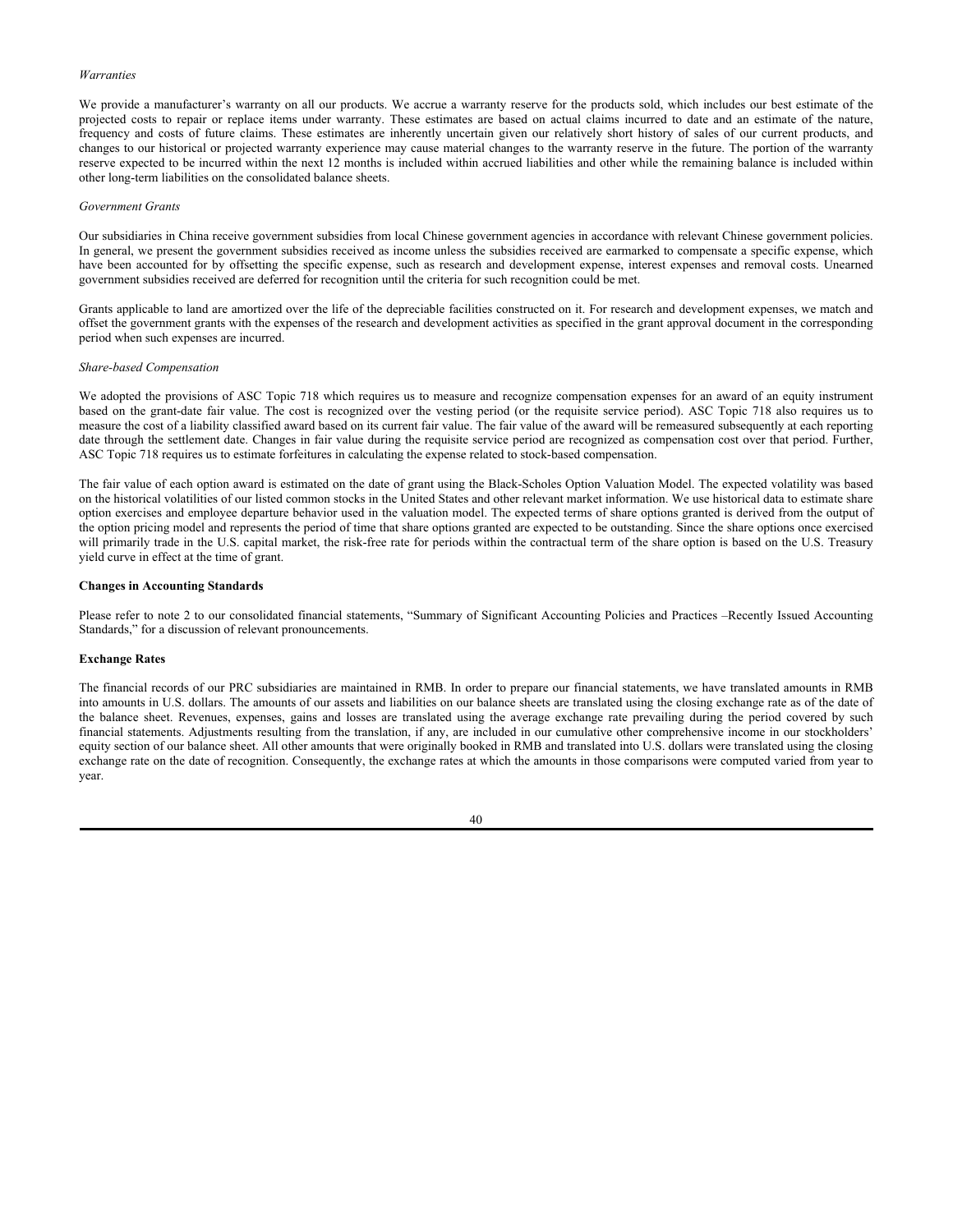# *Warranties*

We provide a manufacturer's warranty on all our products. We accrue a warranty reserve for the products sold, which includes our best estimate of the projected costs to repair or replace items under warranty. These estimates are based on actual claims incurred to date and an estimate of the nature, frequency and costs of future claims. These estimates are inherently uncertain given our relatively short history of sales of our current products, and changes to our historical or projected warranty experience may cause material changes to the warranty reserve in the future. The portion of the warranty reserve expected to be incurred within the next 12 months is included within accrued liabilities and other while the remaining balance is included within other long-term liabilities on the consolidated balance sheets.

#### *Government Grants*

Our subsidiaries in China receive government subsidies from local Chinese government agencies in accordance with relevant Chinese government policies. In general, we present the government subsidies received as income unless the subsidies received are earmarked to compensate a specific expense, which have been accounted for by offsetting the specific expense, such as research and development expense, interest expenses and removal costs. Unearned government subsidies received are deferred for recognition until the criteria for such recognition could be met.

Grants applicable to land are amortized over the life of the depreciable facilities constructed on it. For research and development expenses, we match and offset the government grants with the expenses of the research and development activities as specified in the grant approval document in the corresponding period when such expenses are incurred.

#### *Share-based Compensation*

We adopted the provisions of ASC Topic 718 which requires us to measure and recognize compensation expenses for an award of an equity instrument based on the grant-date fair value. The cost is recognized over the vesting period (or the requisite service period). ASC Topic 718 also requires us to measure the cost of a liability classified award based on its current fair value. The fair value of the award will be remeasured subsequently at each reporting date through the settlement date. Changes in fair value during the requisite service period are recognized as compensation cost over that period. Further, ASC Topic 718 requires us to estimate forfeitures in calculating the expense related to stock-based compensation.

The fair value of each option award is estimated on the date of grant using the Black-Scholes Option Valuation Model. The expected volatility was based on the historical volatilities of our listed common stocks in the United States and other relevant market information. We use historical data to estimate share option exercises and employee departure behavior used in the valuation model. The expected terms of share options granted is derived from the output of the option pricing model and represents the period of time that share options granted are expected to be outstanding. Since the share options once exercised will primarily trade in the U.S. capital market, the risk-free rate for periods within the contractual term of the share option is based on the U.S. Treasury yield curve in effect at the time of grant.

#### **Changes in Accounting Standards**

Please refer to note 2 to our consolidated financial statements, "Summary of Significant Accounting Policies and Practices –Recently Issued Accounting Standards," for a discussion of relevant pronouncements.

#### **Exchange Rates**

The financial records of our PRC subsidiaries are maintained in RMB. In order to prepare our financial statements, we have translated amounts in RMB into amounts in U.S. dollars. The amounts of our assets and liabilities on our balance sheets are translated using the closing exchange rate as of the date of the balance sheet. Revenues, expenses, gains and losses are translated using the average exchange rate prevailing during the period covered by such financial statements. Adjustments resulting from the translation, if any, are included in our cumulative other comprehensive income in our stockholders' equity section of our balance sheet. All other amounts that were originally booked in RMB and translated into U.S. dollars were translated using the closing exchange rate on the date of recognition. Consequently, the exchange rates at which the amounts in those comparisons were computed varied from year to year.

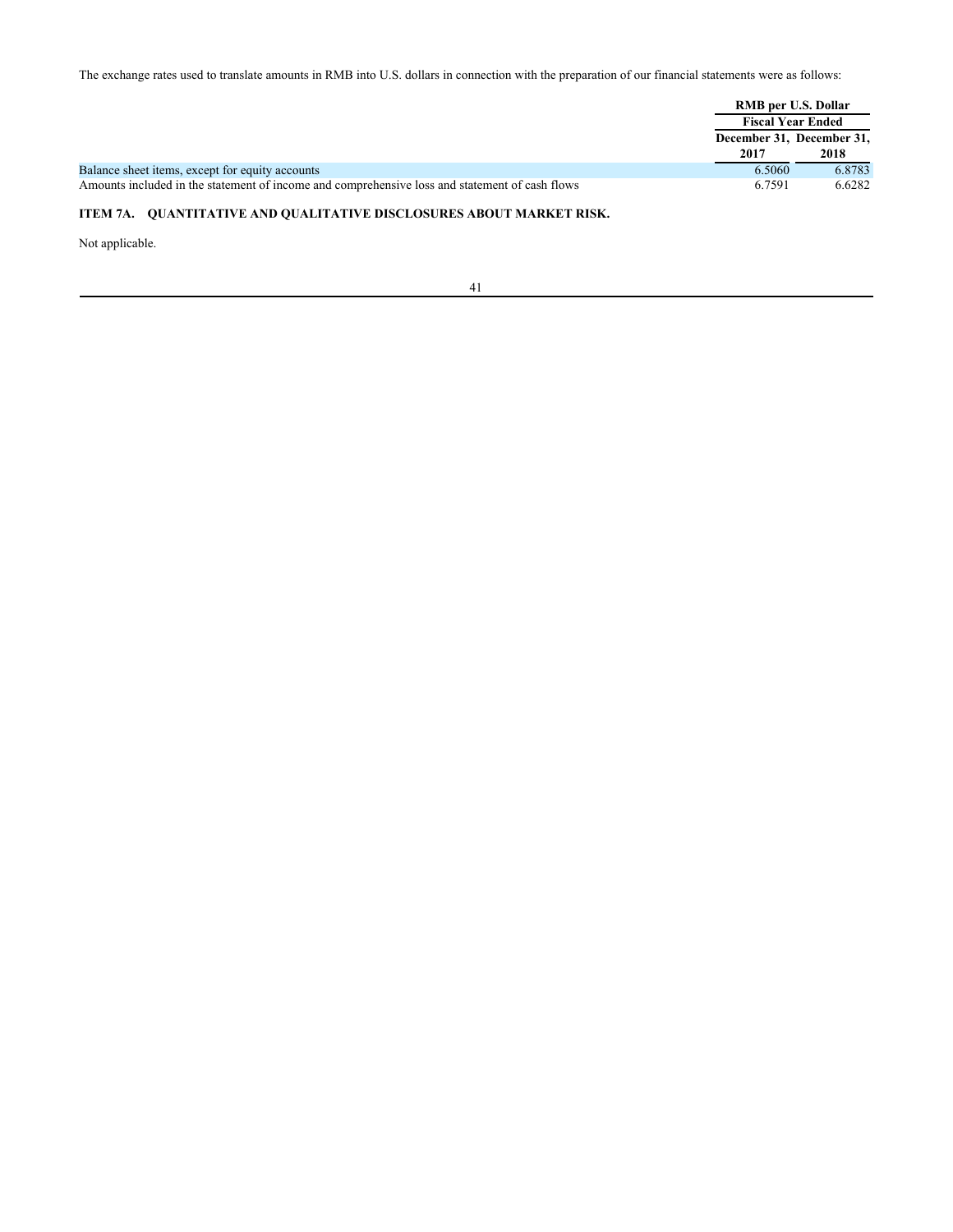The exchange rates used to translate amounts in RMB into U.S. dollars in connection with the preparation of our financial statements were as follows:

|                                                                                                |                          | RMB per U.S. Dollar       |  |
|------------------------------------------------------------------------------------------------|--------------------------|---------------------------|--|
|                                                                                                | <b>Fiscal Year Ended</b> |                           |  |
|                                                                                                |                          | December 31, December 31, |  |
|                                                                                                | 2017                     | 2018                      |  |
| Balance sheet items, except for equity accounts                                                | 6.5060                   | 6.8783                    |  |
| Amounts included in the statement of income and comprehensive loss and statement of cash flows | 6.7591                   | 6.6282                    |  |

# **ITEM 7A. QUANTITATIVE AND QUALITATIVE DISCLOSURES ABOUT MARKET RISK.**

Not applicable.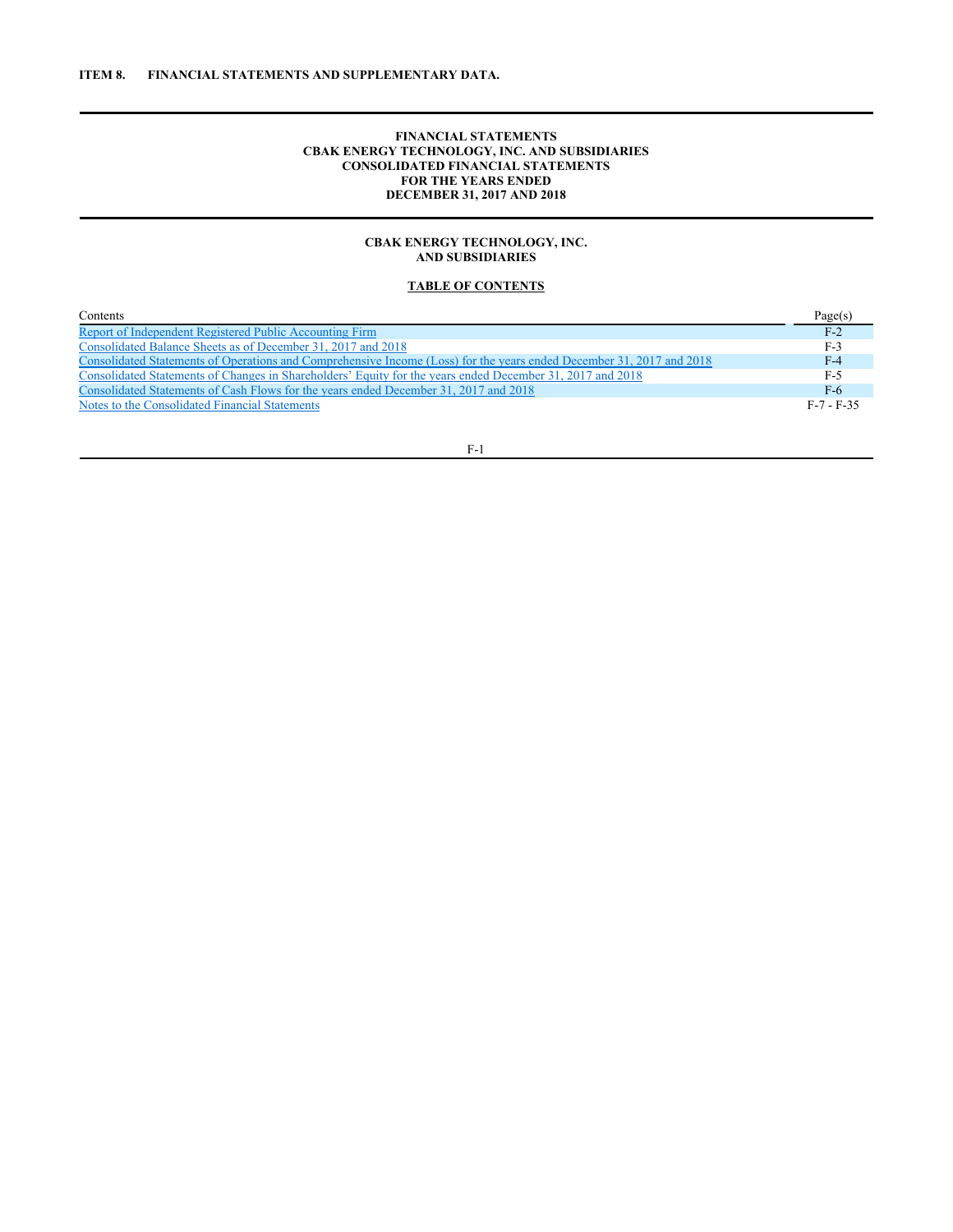# **FINANCIAL STATEMENTS CBAK ENERGY TECHNOLOGY, INC. AND SUBSIDIARIES CONSOLIDATED FINANCIAL STATEMENTS FOR THE YEARS ENDED DECEMBER 31, 2017 AND 2018**

# **CBAK ENERGY TECHNOLOGY, INC. AND SUBSIDIARIES**

# **TABLE OF CONTENTS**

| Contents                                                                                                             | Page(s)      |
|----------------------------------------------------------------------------------------------------------------------|--------------|
| Report of Independent Registered Public Accounting Firm                                                              | $F-2$        |
| Consolidated Balance Sheets as of December 31, 2017 and 2018                                                         | $F-3$        |
| Consolidated Statements of Operations and Comprehensive Income (Loss) for the years ended December 31, 2017 and 2018 | $F-4$        |
| Consolidated Statements of Changes in Shareholders' Equity for the years ended December 31, 2017 and 2018            | $F-5$        |
| Consolidated Statements of Cash Flows for the years ended December 31, 2017 and 2018                                 | $F-6$        |
| Notes to the Consolidated Financial Statements                                                                       | $F-7 - F-35$ |

F-1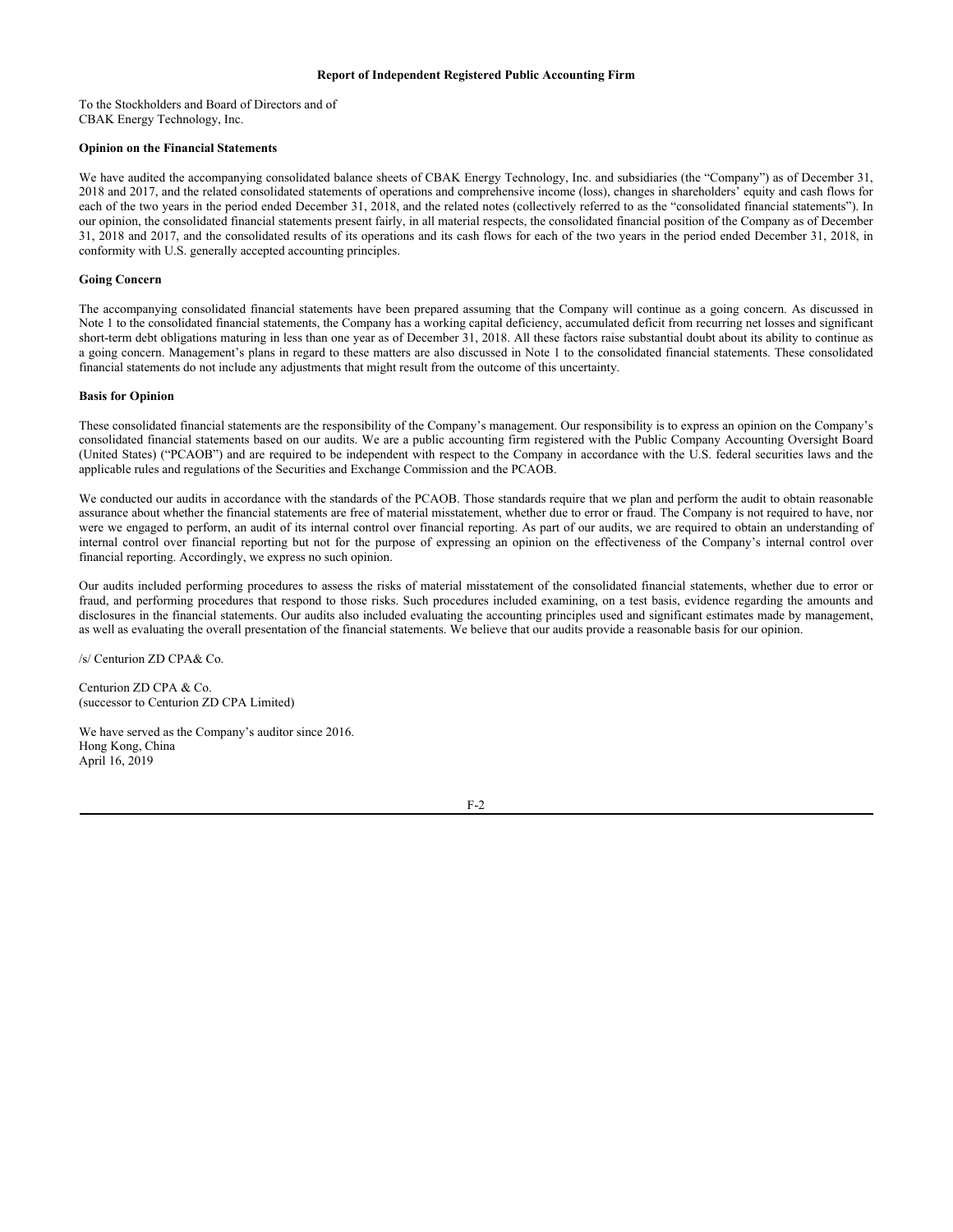## **Report of Independent Registered Public Accounting Firm**

To the Stockholders and Board of Directors and of CBAK Energy Technology, Inc.

#### **Opinion on the Financial Statements**

We have audited the accompanying consolidated balance sheets of CBAK Energy Technology, Inc. and subsidiaries (the "Company") as of December 31, 2018 and 2017, and the related consolidated statements of operations and comprehensive income (loss), changes in shareholders' equity and cash flows for each of the two years in the period ended December 31, 2018, and the related notes (collectively referred to as the "consolidated financial statements"). In our opinion, the consolidated financial statements present fairly, in all material respects, the consolidated financial position of the Company as of December 31, 2018 and 2017, and the consolidated results of its operations and its cash flows for each of the two years in the period ended December 31, 2018, in conformity with U.S. generally accepted accounting principles.

## **Going Concern**

The accompanying consolidated financial statements have been prepared assuming that the Company will continue as a going concern. As discussed in Note 1 to the consolidated financial statements, the Company has a working capital deficiency, accumulated deficit from recurring net losses and significant short-term debt obligations maturing in less than one year as of December 31, 2018. All these factors raise substantial doubt about its ability to continue as a going concern. Management's plans in regard to these matters are also discussed in Note 1 to the consolidated financial statements. These consolidated financial statements do not include any adjustments that might result from the outcome of this uncertainty.

#### **Basis for Opinion**

These consolidated financial statements are the responsibility of the Company's management. Our responsibility is to express an opinion on the Company's consolidated financial statements based on our audits. We are a public accounting firm registered with the Public Company Accounting Oversight Board (United States) ("PCAOB") and are required to be independent with respect to the Company in accordance with the U.S. federal securities laws and the applicable rules and regulations of the Securities and Exchange Commission and the PCAOB.

We conducted our audits in accordance with the standards of the PCAOB. Those standards require that we plan and perform the audit to obtain reasonable assurance about whether the financial statements are free of material misstatement, whether due to error or fraud. The Company is not required to have, nor were we engaged to perform, an audit of its internal control over financial reporting. As part of our audits, we are required to obtain an understanding of internal control over financial reporting but not for the purpose of expressing an opinion on the effectiveness of the Company's internal control over financial reporting. Accordingly, we express no such opinion.

Our audits included performing procedures to assess the risks of material misstatement of the consolidated financial statements, whether due to error or fraud, and performing procedures that respond to those risks. Such procedures included examining, on a test basis, evidence regarding the amounts and disclosures in the financial statements. Our audits also included evaluating the accounting principles used and significant estimates made by management, as well as evaluating the overall presentation of the financial statements. We believe that our audits provide a reasonable basis for our opinion.

/s/ Centurion ZD CPA& Co.

Centurion ZD CPA & Co. (successor to Centurion ZD CPA Limited)

We have served as the Company's auditor since 2016. Hong Kong, China April 16, 2019

F-2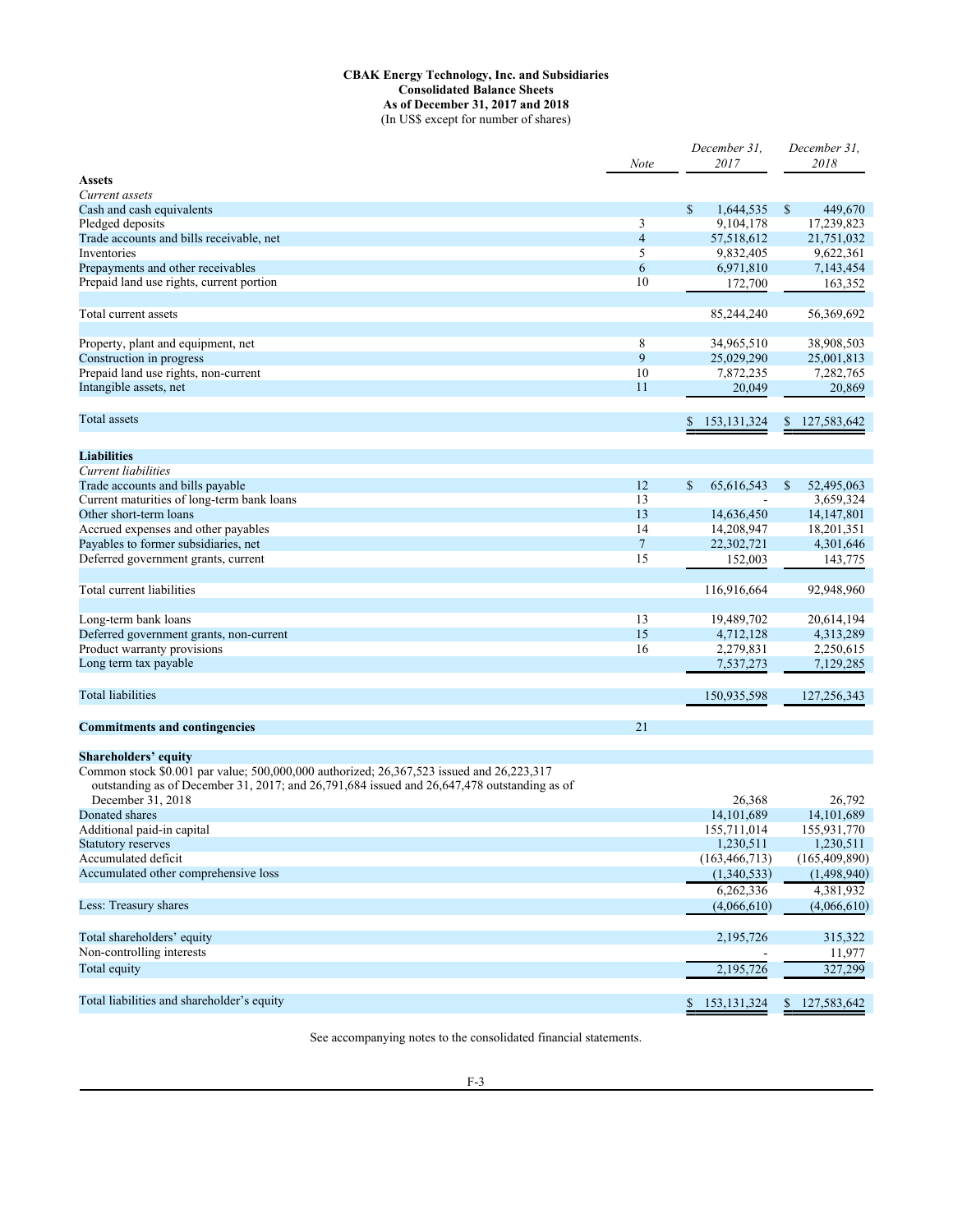## **CBAK Energy Technology, Inc. and Subsidiaries Consolidated Balance Sheets As of December 31, 2017 and 2018** (In US\$ except for number of shares)

|                                                                                                                                                                                                                        | Note           | December 31,<br>2017     | December 31.<br>2018     |
|------------------------------------------------------------------------------------------------------------------------------------------------------------------------------------------------------------------------|----------------|--------------------------|--------------------------|
| <b>Assets</b>                                                                                                                                                                                                          |                |                          |                          |
| Current assets                                                                                                                                                                                                         |                |                          |                          |
| Cash and cash equivalents                                                                                                                                                                                              |                | \$<br>1,644,535          | \$<br>449,670            |
| Pledged deposits                                                                                                                                                                                                       | 3              | 9,104,178                | 17,239,823               |
| Trade accounts and bills receivable, net                                                                                                                                                                               | $\overline{4}$ | 57,518,612               | 21,751,032               |
| Inventories                                                                                                                                                                                                            | 5              | 9,832,405                | 9,622,361                |
| Prepayments and other receivables                                                                                                                                                                                      | 6              | 6,971,810                | 7,143,454                |
| Prepaid land use rights, current portion                                                                                                                                                                               | 10             | 172,700                  | 163,352                  |
| Total current assets                                                                                                                                                                                                   |                | 85,244,240               | 56,369,692               |
| Property, plant and equipment, net                                                                                                                                                                                     | 8              | 34,965,510               | 38,908,503               |
| Construction in progress                                                                                                                                                                                               | 9              | 25,029,290               | 25,001,813               |
| Prepaid land use rights, non-current                                                                                                                                                                                   | 10             | 7,872,235                | 7,282,765                |
| Intangible assets, net                                                                                                                                                                                                 | 11             | 20,049                   | 20,869                   |
|                                                                                                                                                                                                                        |                |                          |                          |
| Total assets                                                                                                                                                                                                           |                | 153, 131, 324<br>\$      | 127,583,642<br>\$        |
| <b>Liabilities</b>                                                                                                                                                                                                     |                |                          |                          |
| Current liabilities                                                                                                                                                                                                    |                |                          |                          |
| Trade accounts and bills payable                                                                                                                                                                                       | 12             | \$<br>65.616.543         | S<br>52,495,063          |
| Current maturities of long-term bank loans                                                                                                                                                                             | 13             |                          | 3,659,324                |
| Other short-term loans                                                                                                                                                                                                 | 13             | 14,636,450               | 14, 147, 801             |
| Accrued expenses and other payables                                                                                                                                                                                    | 14             | 14,208,947               | 18,201,351               |
| Payables to former subsidiaries, net                                                                                                                                                                                   | $\overline{7}$ | 22,302,721               | 4,301,646                |
| Deferred government grants, current                                                                                                                                                                                    | 15             |                          |                          |
|                                                                                                                                                                                                                        |                | 152,003                  | 143,775                  |
| Total current liabilities                                                                                                                                                                                              |                | 116,916,664              | 92,948,960               |
| Long-term bank loans                                                                                                                                                                                                   | 13             | 19,489,702               | 20,614,194               |
| Deferred government grants, non-current                                                                                                                                                                                | 15             | 4,712,128                | 4,313,289                |
| Product warranty provisions                                                                                                                                                                                            | 16             | 2,279,831                | 2,250,615                |
| Long term tax payable                                                                                                                                                                                                  |                | 7,537,273                | 7,129,285                |
| <b>Total liabilities</b>                                                                                                                                                                                               |                | 150,935,598              | 127,256,343              |
| <b>Commitments and contingencies</b>                                                                                                                                                                                   | 21             |                          |                          |
|                                                                                                                                                                                                                        |                |                          |                          |
| <b>Shareholders' equity</b><br>Common stock \$0.001 par value; 500,000,000 authorized; 26,367,523 issued and 26,223,317<br>outstanding as of December 31, 2017; and 26,791,684 issued and 26,647,478 outstanding as of |                |                          |                          |
| December 31, 2018                                                                                                                                                                                                      |                | 26,368                   | 26,792                   |
| Donated shares                                                                                                                                                                                                         |                | 14,101,689               | 14,101,689               |
| Additional paid-in capital                                                                                                                                                                                             |                | 155,711,014              | 155,931,770              |
| Statutory reserves                                                                                                                                                                                                     |                | 1,230,511                | 1,230,511                |
| Accumulated deficit                                                                                                                                                                                                    |                | (163, 466, 713)          | (165, 409, 890)          |
| Accumulated other comprehensive loss                                                                                                                                                                                   |                | (1,340,533)              | (1,498,940)              |
| Less: Treasury shares                                                                                                                                                                                                  |                | 6,262,336<br>(4,066,610) | 4,381,932<br>(4,066,610) |
|                                                                                                                                                                                                                        |                |                          |                          |
| Total shareholders' equity                                                                                                                                                                                             |                | 2,195,726                | 315,322                  |
| Non-controlling interests                                                                                                                                                                                              |                |                          | 11,977                   |
| Total equity                                                                                                                                                                                                           |                | 2,195,726                | 327,299                  |
| Total liabilities and shareholder's equity                                                                                                                                                                             |                | \$<br>153, 131, 324      | \$127,583,642            |
|                                                                                                                                                                                                                        |                |                          |                          |

See accompanying notes to the consolidated financial statements.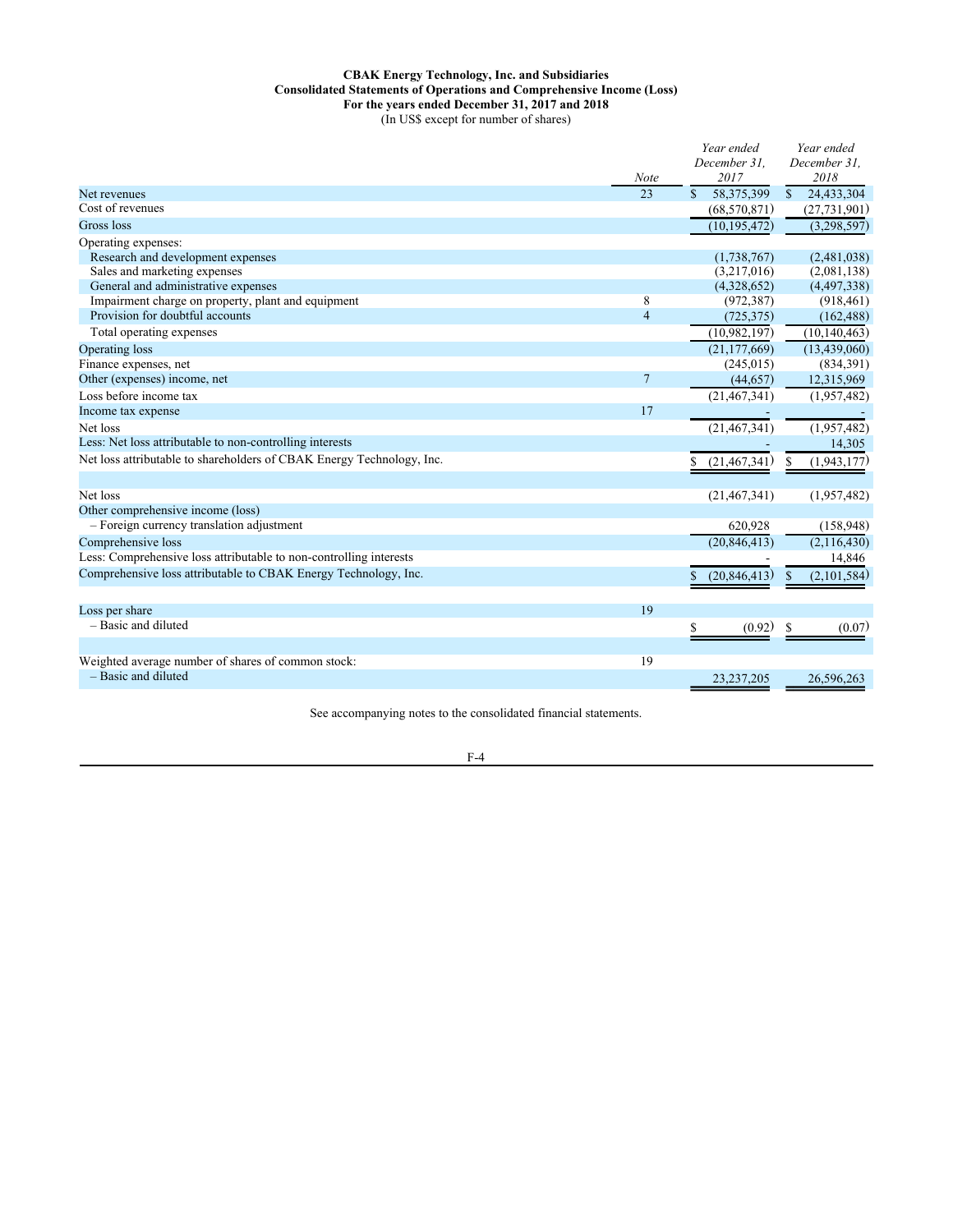# **CBAK Energy Technology, Inc. and Subsidiaries Consolidated Statements of Operations and Comprehensive Income (Loss) For the years ended December 31, 2017 and 2018** (In US\$ except for number of shares)

|                                                                           | <b>Note</b>    | Year ended<br>December 31.<br>2017 | Year ended<br>December 31.<br>2018 |
|---------------------------------------------------------------------------|----------------|------------------------------------|------------------------------------|
| Net revenues                                                              | 23             | 58,375,399<br>\$.                  | 24,433,304<br><sup>\$</sup>        |
| Cost of revenues                                                          |                | (68, 570, 871)                     | (27, 731, 901)                     |
| Gross loss                                                                |                | (10, 195, 472)                     | (3,298,597)                        |
| Operating expenses:                                                       |                |                                    |                                    |
| Research and development expenses                                         |                | (1,738,767)                        | (2,481,038)                        |
| Sales and marketing expenses                                              |                | (3,217,016)                        | (2,081,138)                        |
| General and administrative expenses                                       |                | (4,328,652)                        | (4,497,338)                        |
| Impairment charge on property, plant and equipment                        | 8              | (972, 387)                         | (918, 461)                         |
| Provision for doubtful accounts                                           | $\overline{4}$ | (725, 375)                         | (162, 488)                         |
| Total operating expenses                                                  |                | (10,982,197)                       | (10, 140, 463)                     |
| Operating loss                                                            |                | (21, 177, 669)                     | (13, 439, 060)                     |
| Finance expenses, net                                                     |                | (245, 015)                         | (834,391)                          |
| Other (expenses) income, net                                              | $\overline{7}$ | (44, 657)                          | 12,315,969                         |
| Loss before income tax                                                    |                | (21, 467, 341)                     | (1,957,482)                        |
| Income tax expense                                                        | 17             |                                    |                                    |
| Net loss                                                                  |                | (21, 467, 341)                     | (1,957,482)                        |
| Less: Net loss attributable to non-controlling interests                  |                |                                    | 14,305                             |
| Net loss attributable to shareholders of CBAK Energy Technology, Inc.     |                | (21, 467, 341)                     | (1,943,177)<br>S                   |
|                                                                           |                |                                    |                                    |
| Net loss                                                                  |                | (21, 467, 341)                     | (1,957,482)                        |
| Other comprehensive income (loss)                                         |                |                                    |                                    |
| - Foreign currency translation adjustment                                 |                | 620,928                            | (158,948)                          |
| Comprehensive loss                                                        |                | (20, 846, 413)                     | (2,116,430)                        |
| Less: Comprehensive loss attributable to non-controlling interests        |                |                                    | 14,846                             |
| Comprehensive loss attributable to CBAK Energy Technology, Inc.           |                | (20, 846, 413)                     | (2,101,584)                        |
|                                                                           |                |                                    |                                    |
| Loss per share                                                            | 19             |                                    |                                    |
| - Basic and diluted                                                       |                | \$<br>(0.92)                       | \$<br>(0.07)                       |
|                                                                           |                |                                    |                                    |
| Weighted average number of shares of common stock:<br>- Basic and diluted | 19             | 23, 237, 205                       | 26,596,263                         |
|                                                                           |                |                                    |                                    |

See accompanying notes to the consolidated financial statements.

F-4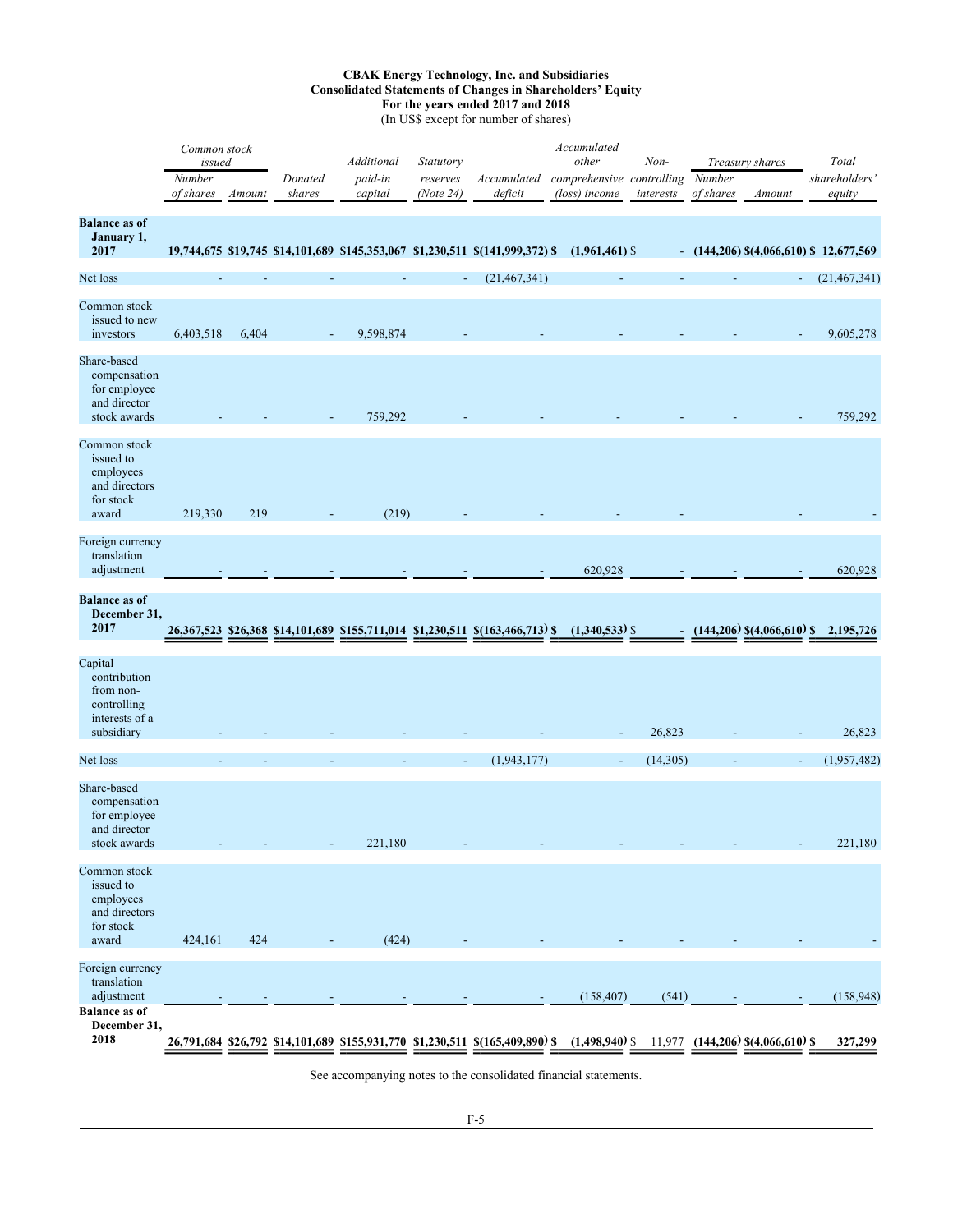# **CBAK Energy Technology, Inc. and Subsidiaries Consolidated Statements of Changes in Shareholders' Equity For the years ended 2017 and 2018**

(In US\$ except for number of shares)

|                                                                                       | Common stock<br>issued<br>Number<br>of shares | Amount | Donated<br>shares | Additional<br>paid-in<br>capital | Statutory<br>reserves<br>(Note 24) | Accumulated<br>deficit                                                                       | Accumulated<br>other<br>comprehensive controlling<br>(loss) income | $Non-$<br>interests | Number<br>of shares | Treasury shares<br>Amount         | Total<br>shareholders<br>equity           |
|---------------------------------------------------------------------------------------|-----------------------------------------------|--------|-------------------|----------------------------------|------------------------------------|----------------------------------------------------------------------------------------------|--------------------------------------------------------------------|---------------------|---------------------|-----------------------------------|-------------------------------------------|
| <b>Balance as of</b><br>January 1,<br>2017                                            |                                               |        |                   |                                  |                                    | 19,744,675 \$19,745 \$14,101,689 \$145,353,067 \$1,230,511 \$(141,999,372) \$                | $(1,961,461)$ \$                                                   |                     |                     |                                   | $-$ (144,206) \$(4,066,610) \$ 12,677,569 |
| Net loss                                                                              |                                               |        |                   |                                  | $\overline{\phantom{a}}$           | (21, 467, 341)                                                                               |                                                                    |                     |                     |                                   | (21, 467, 341)                            |
| Common stock<br>issued to new<br>investors                                            | 6,403,518                                     | 6,404  |                   | 9,598,874                        |                                    |                                                                                              |                                                                    |                     |                     |                                   | 9,605,278                                 |
| Share-based<br>compensation<br>for employee<br>and director<br>stock awards           |                                               |        |                   | 759,292                          |                                    |                                                                                              |                                                                    |                     |                     |                                   | 759,292                                   |
| Common stock<br>issued to<br>employees<br>and directors<br>for stock<br>award         | 219,330                                       | 219    |                   | (219)                            |                                    |                                                                                              |                                                                    |                     |                     |                                   |                                           |
| Foreign currency<br>translation<br>adjustment                                         |                                               |        |                   |                                  |                                    |                                                                                              | 620,928                                                            |                     |                     |                                   | 620,928                                   |
| <b>Balance as of</b><br>December 31,<br>2017                                          |                                               |        |                   |                                  |                                    | 26,367,523 \$26,368 \$14,101,689 \$155,711,014 \$1,230,511 \$(163,466,713) \$                | $(1,340,533)$ \$                                                   |                     |                     | $(144,206)$ \$ $(4,066,610)$ \$   | 2,195,726                                 |
| Capital<br>contribution<br>from non-<br>controlling<br>interests of a<br>subsidiary   |                                               |        |                   |                                  |                                    |                                                                                              |                                                                    | 26,823              |                     |                                   | 26,823                                    |
| Net loss                                                                              |                                               |        |                   |                                  | $\blacksquare$                     | (1,943,177)                                                                                  | $\blacksquare$                                                     | (14, 305)           |                     |                                   | (1,957,482)                               |
| Share-based<br>compensation<br>for employee<br>and director<br>stock awards           |                                               |        |                   | 221,180                          |                                    |                                                                                              |                                                                    |                     |                     |                                   | 221,180                                   |
| Common stock<br>issued to<br>employees<br>and directors<br>for stock<br>award         | 424,161                                       | 424    |                   | (424)                            |                                    |                                                                                              |                                                                    |                     |                     |                                   |                                           |
| Foreign currency<br>translation<br>adjustment<br><b>Balance as of</b><br>December 31, |                                               |        |                   |                                  |                                    |                                                                                              | (158, 407)                                                         | (541)               |                     |                                   | (158, 948)                                |
| 2018                                                                                  |                                               |        |                   |                                  |                                    | 26,791,684 \$26,792 \$14,101,689 \$155,931,770 \$1,230,511 \$(165,409,890) \$ (1,498,940) \$ |                                                                    |                     |                     | 11,977 (144,206) \$(4,066,610) \$ | 327,299                                   |

See accompanying notes to the consolidated financial statements.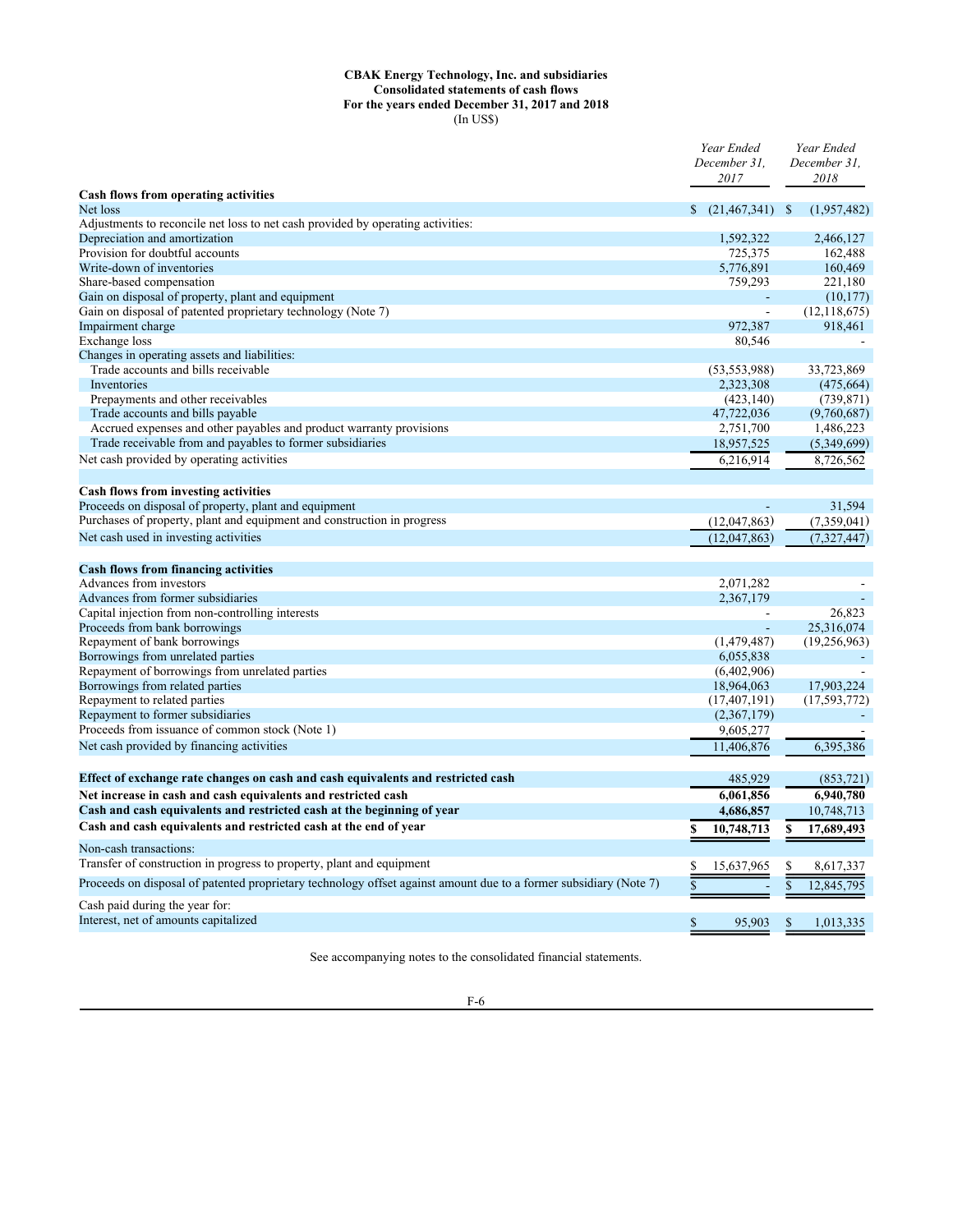#### **CBAK Energy Technology, Inc. and subsidiaries Consolidated statements of cash flows For the years ended December 31, 2017 and 2018** (In US\$)

|                                                                                                                                         | Year Ended<br>December 31,<br>2017 | Year Ended<br>December 31,<br>2018 |
|-----------------------------------------------------------------------------------------------------------------------------------------|------------------------------------|------------------------------------|
| <b>Cash flows from operating activities</b>                                                                                             |                                    |                                    |
| Net loss                                                                                                                                | $(21,467,341)$ \$<br>\$            | (1,957,482)                        |
| Adjustments to reconcile net loss to net cash provided by operating activities:                                                         |                                    |                                    |
| Depreciation and amortization                                                                                                           | 1,592,322                          | 2,466,127                          |
| Provision for doubtful accounts                                                                                                         | 725,375                            | 162,488                            |
| Write-down of inventories                                                                                                               | 5,776,891                          | 160,469                            |
| Share-based compensation                                                                                                                | 759,293                            | 221,180                            |
| Gain on disposal of property, plant and equipment                                                                                       |                                    | (10, 177)                          |
| Gain on disposal of patented proprietary technology (Note 7)                                                                            | ÷,                                 | (12, 118, 675)                     |
| Impairment charge                                                                                                                       | 972,387                            | 918,461                            |
| Exchange loss                                                                                                                           | 80,546                             |                                    |
| Changes in operating assets and liabilities:                                                                                            |                                    |                                    |
| Trade accounts and bills receivable                                                                                                     | (53, 553, 988)                     | 33,723,869                         |
| Inventories                                                                                                                             | 2,323,308                          | (475, 664)                         |
| Prepayments and other receivables                                                                                                       | (423, 140)                         | (739, 871)                         |
| Trade accounts and bills payable                                                                                                        | 47,722,036                         | (9,760,687)                        |
| Accrued expenses and other payables and product warranty provisions                                                                     | 2,751,700                          | 1,486,223                          |
| Trade receivable from and payables to former subsidiaries                                                                               | 18,957,525                         | (5,349,699)                        |
| Net cash provided by operating activities                                                                                               | 6,216,914                          | 8,726,562                          |
| <b>Cash flows from investing activities</b>                                                                                             |                                    |                                    |
| Proceeds on disposal of property, plant and equipment                                                                                   |                                    | 31,594                             |
| Purchases of property, plant and equipment and construction in progress                                                                 | (12,047,863)                       | (7,359,041)                        |
| Net cash used in investing activities                                                                                                   | (12,047,863)                       | (7, 327, 447)                      |
| <b>Cash flows from financing activities</b>                                                                                             |                                    |                                    |
| Advances from investors                                                                                                                 | 2,071,282                          |                                    |
| Advances from former subsidiaries                                                                                                       | 2,367,179                          |                                    |
| Capital injection from non-controlling interests                                                                                        |                                    | 26,823                             |
| Proceeds from bank borrowings                                                                                                           |                                    | 25,316,074                         |
| Repayment of bank borrowings                                                                                                            | (1,479,487)                        | (19,256,963)                       |
| Borrowings from unrelated parties                                                                                                       | 6,055,838                          |                                    |
| Repayment of borrowings from unrelated parties                                                                                          | (6,402,906)                        |                                    |
| Borrowings from related parties                                                                                                         | 18,964,063                         | 17,903,224                         |
| Repayment to related parties                                                                                                            | (17, 407, 191)                     | (17, 593, 772)                     |
| Repayment to former subsidiaries                                                                                                        | (2,367,179)                        |                                    |
| Proceeds from issuance of common stock (Note 1)                                                                                         | 9,605,277                          |                                    |
| Net cash provided by financing activities                                                                                               | 11,406,876                         | 6,395,386                          |
| Effect of exchange rate changes on cash and cash equivalents and restricted cash                                                        | 485,929                            | (853, 721)                         |
|                                                                                                                                         |                                    |                                    |
| Net increase in cash and cash equivalents and restricted cash<br>Cash and cash equivalents and restricted cash at the beginning of year | 6.061.856<br>4,686,857             | 6,940,780<br>10,748,713            |
| Cash and cash equivalents and restricted cash at the end of year                                                                        | \$<br>10,748,713                   | 17,689,493<br>S                    |
| Non-cash transactions:                                                                                                                  |                                    |                                    |
| Transfer of construction in progress to property, plant and equipment                                                                   | \$<br>15,637,965                   | \$<br>8,617,337                    |
| Proceeds on disposal of patented proprietary technology offset against amount due to a former subsidiary (Note 7)                       | \$                                 | $\overline{\$}$<br>12,845,795      |
| Cash paid during the year for:<br>Interest, net of amounts capitalized                                                                  |                                    |                                    |
|                                                                                                                                         | \$<br>95,903                       | \$<br>1,013,335                    |

See accompanying notes to the consolidated financial statements.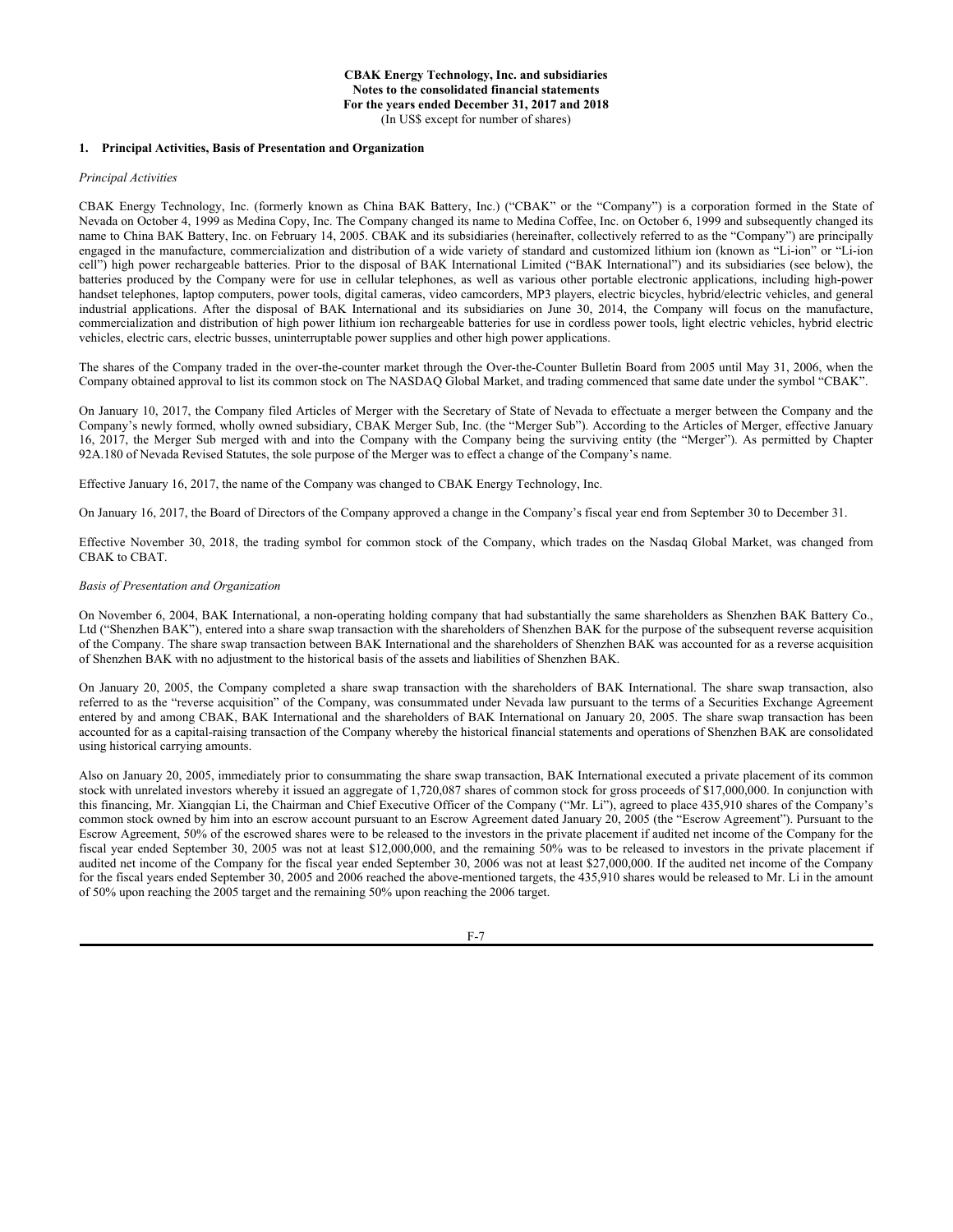#### **1. Principal Activities, Basis of Presentation and Organization**

#### *Principal Activities*

CBAK Energy Technology, Inc. (formerly known as China BAK Battery, Inc.) ("CBAK" or the "Company") is a corporation formed in the State of Nevada on October 4, 1999 as Medina Copy, Inc. The Company changed its name to Medina Coffee, Inc. on October 6, 1999 and subsequently changed its name to China BAK Battery, Inc. on February 14, 2005. CBAK and its subsidiaries (hereinafter, collectively referred to as the "Company") are principally engaged in the manufacture, commercialization and distribution of a wide variety of standard and customized lithium ion (known as "Li-ion" or "Li-ion cell") high power rechargeable batteries. Prior to the disposal of BAK International Limited ("BAK International") and its subsidiaries (see below), the batteries produced by the Company were for use in cellular telephones, as well as various other portable electronic applications, including high-power handset telephones, laptop computers, power tools, digital cameras, video camcorders, MP3 players, electric bicycles, hybrid/electric vehicles, and general industrial applications. After the disposal of BAK International and its subsidiaries on June 30, 2014, the Company will focus on the manufacture, commercialization and distribution of high power lithium ion rechargeable batteries for use in cordless power tools, light electric vehicles, hybrid electric vehicles, electric cars, electric busses, uninterruptable power supplies and other high power applications.

The shares of the Company traded in the over-the-counter market through the Over-the-Counter Bulletin Board from 2005 until May 31, 2006, when the Company obtained approval to list its common stock on The NASDAQ Global Market, and trading commenced that same date under the symbol "CBAK".

On January 10, 2017, the Company filed Articles of Merger with the Secretary of State of Nevada to effectuate a merger between the Company and the Company's newly formed, wholly owned subsidiary, CBAK Merger Sub, Inc. (the "Merger Sub"). According to the Articles of Merger, effective January 16, 2017, the Merger Sub merged with and into the Company with the Company being the surviving entity (the "Merger"). As permitted by Chapter 92A.180 of Nevada Revised Statutes, the sole purpose of the Merger was to effect a change of the Company's name.

Effective January 16, 2017, the name of the Company was changed to CBAK Energy Technology, Inc.

On January 16, 2017, the Board of Directors of the Company approved a change in the Company's fiscal year end from September 30 to December 31.

Effective November 30, 2018, the trading symbol for common stock of the Company, which trades on the Nasdaq Global Market, was changed from CBAK to CBAT.

#### *Basis of Presentation and Organization*

On November 6, 2004, BAK International, a non-operating holding company that had substantially the same shareholders as Shenzhen BAK Battery Co., Ltd ("Shenzhen BAK"), entered into a share swap transaction with the shareholders of Shenzhen BAK for the purpose of the subsequent reverse acquisition of the Company. The share swap transaction between BAK International and the shareholders of Shenzhen BAK was accounted for as a reverse acquisition of Shenzhen BAK with no adjustment to the historical basis of the assets and liabilities of Shenzhen BAK.

On January 20, 2005, the Company completed a share swap transaction with the shareholders of BAK International. The share swap transaction, also referred to as the "reverse acquisition" of the Company, was consummated under Nevada law pursuant to the terms of a Securities Exchange Agreement entered by and among CBAK, BAK International and the shareholders of BAK International on January 20, 2005. The share swap transaction has been accounted for as a capital-raising transaction of the Company whereby the historical financial statements and operations of Shenzhen BAK are consolidated using historical carrying amounts.

Also on January 20, 2005, immediately prior to consummating the share swap transaction, BAK International executed a private placement of its common stock with unrelated investors whereby it issued an aggregate of 1,720,087 shares of common stock for gross proceeds of \$17,000,000. In conjunction with this financing, Mr. Xiangqian Li, the Chairman and Chief Executive Officer of the Company ("Mr. Li"), agreed to place 435,910 shares of the Company's common stock owned by him into an escrow account pursuant to an Escrow Agreement dated January 20, 2005 (the "Escrow Agreement"). Pursuant to the Escrow Agreement, 50% of the escrowed shares were to be released to the investors in the private placement if audited net income of the Company for the fiscal year ended September 30, 2005 was not at least \$12,000,000, and the remaining 50% was to be released to investors in the private placement if audited net income of the Company for the fiscal year ended September 30, 2006 was not at least \$27,000,000. If the audited net income of the Company for the fiscal years ended September 30, 2005 and 2006 reached the above-mentioned targets, the 435,910 shares would be released to Mr. Li in the amount of 50% upon reaching the 2005 target and the remaining 50% upon reaching the 2006 target.

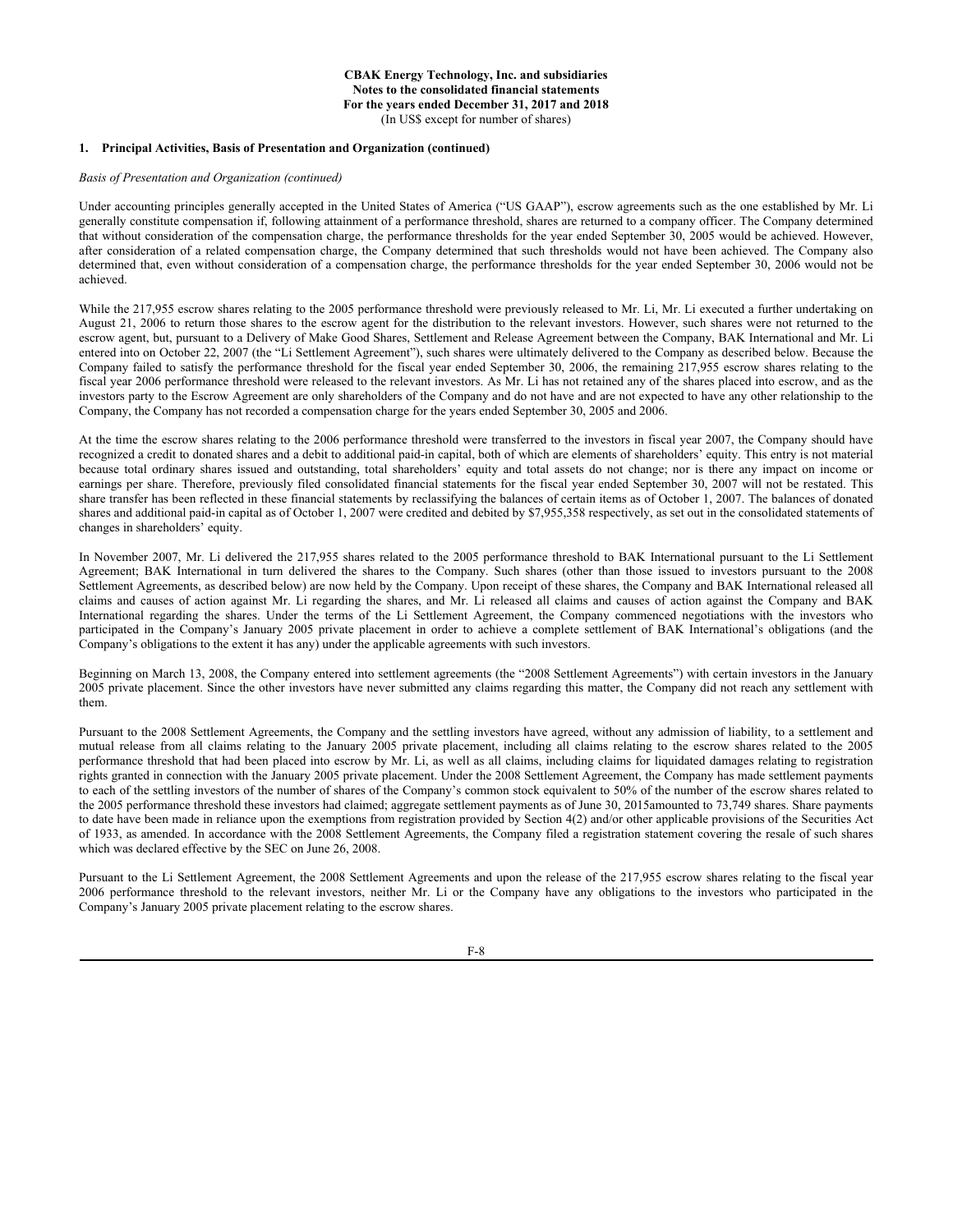#### **1. Principal Activities, Basis of Presentation and Organization (continued)**

# *Basis of Presentation and Organization (continued)*

Under accounting principles generally accepted in the United States of America ("US GAAP"), escrow agreements such as the one established by Mr. Li generally constitute compensation if, following attainment of a performance threshold, shares are returned to a company officer. The Company determined that without consideration of the compensation charge, the performance thresholds for the year ended September 30, 2005 would be achieved. However, after consideration of a related compensation charge, the Company determined that such thresholds would not have been achieved. The Company also determined that, even without consideration of a compensation charge, the performance thresholds for the year ended September 30, 2006 would not be achieved.

While the 217,955 escrow shares relating to the 2005 performance threshold were previously released to Mr. Li, Mr. Li executed a further undertaking on August 21, 2006 to return those shares to the escrow agent for the distribution to the relevant investors. However, such shares were not returned to the escrow agent, but, pursuant to a Delivery of Make Good Shares, Settlement and Release Agreement between the Company, BAK International and Mr. Li entered into on October 22, 2007 (the "Li Settlement Agreement"), such shares were ultimately delivered to the Company as described below. Because the Company failed to satisfy the performance threshold for the fiscal year ended September 30, 2006, the remaining 217,955 escrow shares relating to the fiscal year 2006 performance threshold were released to the relevant investors. As Mr. Li has not retained any of the shares placed into escrow, and as the investors party to the Escrow Agreement are only shareholders of the Company and do not have and are not expected to have any other relationship to the Company, the Company has not recorded a compensation charge for the years ended September 30, 2005 and 2006.

At the time the escrow shares relating to the 2006 performance threshold were transferred to the investors in fiscal year 2007, the Company should have recognized a credit to donated shares and a debit to additional paid-in capital, both of which are elements of shareholders' equity. This entry is not material because total ordinary shares issued and outstanding, total shareholders' equity and total assets do not change; nor is there any impact on income or earnings per share. Therefore, previously filed consolidated financial statements for the fiscal year ended September 30, 2007 will not be restated. This share transfer has been reflected in these financial statements by reclassifying the balances of certain items as of October 1, 2007. The balances of donated shares and additional paid-in capital as of October 1, 2007 were credited and debited by \$7,955,358 respectively, as set out in the consolidated statements of changes in shareholders' equity.

In November 2007, Mr. Li delivered the 217,955 shares related to the 2005 performance threshold to BAK International pursuant to the Li Settlement Agreement; BAK International in turn delivered the shares to the Company. Such shares (other than those issued to investors pursuant to the 2008 Settlement Agreements, as described below) are now held by the Company. Upon receipt of these shares, the Company and BAK International released all claims and causes of action against Mr. Li regarding the shares, and Mr. Li released all claims and causes of action against the Company and BAK International regarding the shares. Under the terms of the Li Settlement Agreement, the Company commenced negotiations with the investors who participated in the Company's January 2005 private placement in order to achieve a complete settlement of BAK International's obligations (and the Company's obligations to the extent it has any) under the applicable agreements with such investors.

Beginning on March 13, 2008, the Company entered into settlement agreements (the "2008 Settlement Agreements") with certain investors in the January 2005 private placement. Since the other investors have never submitted any claims regarding this matter, the Company did not reach any settlement with them.

Pursuant to the 2008 Settlement Agreements, the Company and the settling investors have agreed, without any admission of liability, to a settlement and mutual release from all claims relating to the January 2005 private placement, including all claims relating to the escrow shares related to the 2005 performance threshold that had been placed into escrow by Mr. Li, as well as all claims, including claims for liquidated damages relating to registration rights granted in connection with the January 2005 private placement. Under the 2008 Settlement Agreement, the Company has made settlement payments to each of the settling investors of the number of shares of the Company's common stock equivalent to 50% of the number of the escrow shares related to the 2005 performance threshold these investors had claimed; aggregate settlement payments as of June 30, 2015amounted to 73,749 shares. Share payments to date have been made in reliance upon the exemptions from registration provided by Section 4(2) and/or other applicable provisions of the Securities Act of 1933, as amended. In accordance with the 2008 Settlement Agreements, the Company filed a registration statement covering the resale of such shares which was declared effective by the SEC on June 26, 2008.

Pursuant to the Li Settlement Agreement, the 2008 Settlement Agreements and upon the release of the 217,955 escrow shares relating to the fiscal year 2006 performance threshold to the relevant investors, neither Mr. Li or the Company have any obligations to the investors who participated in the Company's January 2005 private placement relating to the escrow shares.

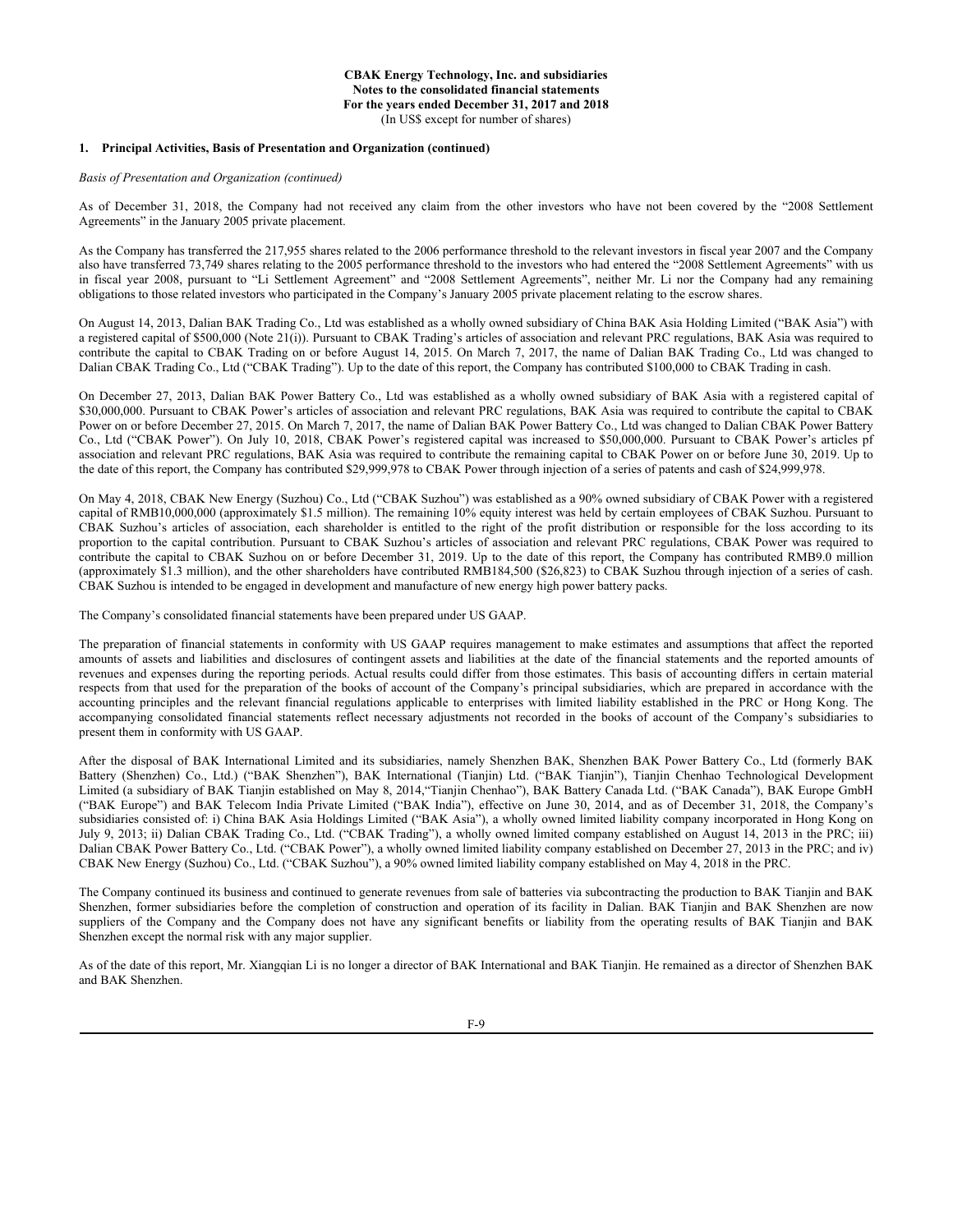#### **1. Principal Activities, Basis of Presentation and Organization (continued)**

*Basis of Presentation and Organization (continued)*

As of December 31, 2018, the Company had not received any claim from the other investors who have not been covered by the "2008 Settlement Agreements" in the January 2005 private placement.

As the Company has transferred the 217,955 shares related to the 2006 performance threshold to the relevant investors in fiscal year 2007 and the Company also have transferred 73,749 shares relating to the 2005 performance threshold to the investors who had entered the "2008 Settlement Agreements" with us in fiscal year 2008, pursuant to "Li Settlement Agreement" and "2008 Settlement Agreements", neither Mr. Li nor the Company had any remaining obligations to those related investors who participated in the Company's January 2005 private placement relating to the escrow shares.

On August 14, 2013, Dalian BAK Trading Co., Ltd was established as a wholly owned subsidiary of China BAK Asia Holding Limited ("BAK Asia") with a registered capital of \$500,000 (Note 21(i)). Pursuant to CBAK Trading's articles of association and relevant PRC regulations, BAK Asia was required to contribute the capital to CBAK Trading on or before August 14, 2015. On March 7, 2017, the name of Dalian BAK Trading Co., Ltd was changed to Dalian CBAK Trading Co., Ltd ("CBAK Trading"). Up to the date of this report, the Company has contributed \$100,000 to CBAK Trading in cash.

On December 27, 2013, Dalian BAK Power Battery Co., Ltd was established as a wholly owned subsidiary of BAK Asia with a registered capital of \$30,000,000. Pursuant to CBAK Power's articles of association and relevant PRC regulations, BAK Asia was required to contribute the capital to CBAK Power on or before December 27, 2015. On March 7, 2017, the name of Dalian BAK Power Battery Co., Ltd was changed to Dalian CBAK Power Battery Co., Ltd ("CBAK Power"). On July 10, 2018, CBAK Power's registered capital was increased to \$50,000,000. Pursuant to CBAK Power's articles pf association and relevant PRC regulations, BAK Asia was required to contribute the remaining capital to CBAK Power on or before June 30, 2019. Up to the date of this report, the Company has contributed \$29,999,978 to CBAK Power through injection of a series of patents and cash of \$24,999,978.

On May 4, 2018, CBAK New Energy (Suzhou) Co., Ltd ("CBAK Suzhou") was established as a 90% owned subsidiary of CBAK Power with a registered capital of RMB10,000,000 (approximately \$1.5 million). The remaining 10% equity interest was held by certain employees of CBAK Suzhou. Pursuant to CBAK Suzhou's articles of association, each shareholder is entitled to the right of the profit distribution or responsible for the loss according to its proportion to the capital contribution. Pursuant to CBAK Suzhou's articles of association and relevant PRC regulations, CBAK Power was required to contribute the capital to CBAK Suzhou on or before December 31, 2019. Up to the date of this report, the Company has contributed RMB9.0 million (approximately \$1.3 million), and the other shareholders have contributed RMB184,500 (\$26,823) to CBAK Suzhou through injection of a series of cash. CBAK Suzhou is intended to be engaged in development and manufacture of new energy high power battery packs.

The Company's consolidated financial statements have been prepared under US GAAP.

The preparation of financial statements in conformity with US GAAP requires management to make estimates and assumptions that affect the reported amounts of assets and liabilities and disclosures of contingent assets and liabilities at the date of the financial statements and the reported amounts of revenues and expenses during the reporting periods. Actual results could differ from those estimates. This basis of accounting differs in certain material respects from that used for the preparation of the books of account of the Company's principal subsidiaries, which are prepared in accordance with the accounting principles and the relevant financial regulations applicable to enterprises with limited liability established in the PRC or Hong Kong. The accompanying consolidated financial statements reflect necessary adjustments not recorded in the books of account of the Company's subsidiaries to present them in conformity with US GAAP.

After the disposal of BAK International Limited and its subsidiaries, namely Shenzhen BAK, Shenzhen BAK Power Battery Co., Ltd (formerly BAK Battery (Shenzhen) Co., Ltd.) ("BAK Shenzhen"), BAK International (Tianjin) Ltd. ("BAK Tianjin"), Tianjin Chenhao Technological Development Limited (a subsidiary of BAK Tianjin established on May 8, 2014,"Tianjin Chenhao"), BAK Battery Canada Ltd. ("BAK Canada"), BAK Europe GmbH ("BAK Europe") and BAK Telecom India Private Limited ("BAK India"), effective on June 30, 2014, and as of December 31, 2018, the Company's subsidiaries consisted of: i) China BAK Asia Holdings Limited ("BAK Asia"), a wholly owned limited liability company incorporated in Hong Kong on July 9, 2013; ii) Dalian CBAK Trading Co., Ltd. ("CBAK Trading"), a wholly owned limited company established on August 14, 2013 in the PRC; iii) Dalian CBAK Power Battery Co., Ltd. ("CBAK Power"), a wholly owned limited liability company established on December 27, 2013 in the PRC; and iv) CBAK New Energy (Suzhou) Co., Ltd. ("CBAK Suzhou"), a 90% owned limited liability company established on May 4, 2018 in the PRC.

The Company continued its business and continued to generate revenues from sale of batteries via subcontracting the production to BAK Tianjin and BAK Shenzhen, former subsidiaries before the completion of construction and operation of its facility in Dalian. BAK Tianjin and BAK Shenzhen are now suppliers of the Company and the Company does not have any significant benefits or liability from the operating results of BAK Tianjin and BAK Shenzhen except the normal risk with any major supplier.

As of the date of this report, Mr. Xiangqian Li is no longer a director of BAK International and BAK Tianjin. He remained as a director of Shenzhen BAK and BAK Shenzhen.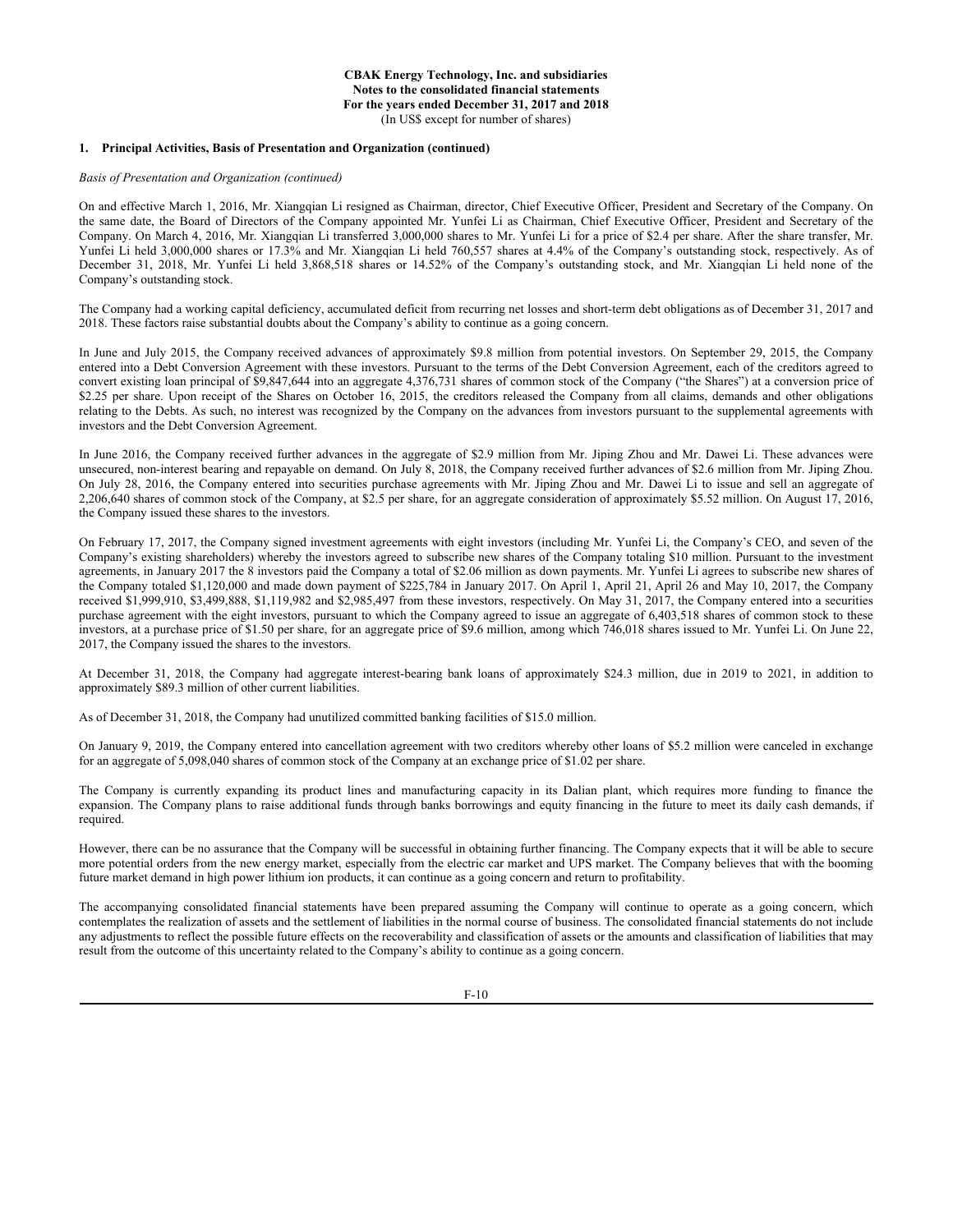#### **1. Principal Activities, Basis of Presentation and Organization (continued)**

## *Basis of Presentation and Organization (continued)*

On and effective March 1, 2016, Mr. Xiangqian Li resigned as Chairman, director, Chief Executive Officer, President and Secretary of the Company. On the same date, the Board of Directors of the Company appointed Mr. Yunfei Li as Chairman, Chief Executive Officer, President and Secretary of the Company. On March 4, 2016, Mr. Xiangqian Li transferred 3,000,000 shares to Mr. Yunfei Li for a price of \$2.4 per share. After the share transfer, Mr. Yunfei Li held 3,000,000 shares or 17.3% and Mr. Xiangqian Li held 760,557 shares at 4.4% of the Company's outstanding stock, respectively. As of December 31, 2018, Mr. Yunfei Li held 3,868,518 shares or 14.52% of the Company's outstanding stock, and Mr. Xiangqian Li held none of the Company's outstanding stock.

The Company had a working capital deficiency, accumulated deficit from recurring net losses and short-term debt obligations as of December 31, 2017 and 2018. These factors raise substantial doubts about the Company's ability to continue as a going concern.

In June and July 2015, the Company received advances of approximately \$9.8 million from potential investors. On September 29, 2015, the Company entered into a Debt Conversion Agreement with these investors. Pursuant to the terms of the Debt Conversion Agreement, each of the creditors agreed to convert existing loan principal of \$9,847,644 into an aggregate 4,376,731 shares of common stock of the Company ("the Shares") at a conversion price of \$2.25 per share. Upon receipt of the Shares on October 16, 2015, the creditors released the Company from all claims, demands and other obligations relating to the Debts. As such, no interest was recognized by the Company on the advances from investors pursuant to the supplemental agreements with investors and the Debt Conversion Agreement.

In June 2016, the Company received further advances in the aggregate of \$2.9 million from Mr. Jiping Zhou and Mr. Dawei Li. These advances were unsecured, non-interest bearing and repayable on demand. On July 8, 2018, the Company received further advances of \$2.6 million from Mr. Jiping Zhou. On July 28, 2016, the Company entered into securities purchase agreements with Mr. Jiping Zhou and Mr. Dawei Li to issue and sell an aggregate of 2,206,640 shares of common stock of the Company, at \$2.5 per share, for an aggregate consideration of approximately \$5.52 million. On August 17, 2016, the Company issued these shares to the investors.

On February 17, 2017, the Company signed investment agreements with eight investors (including Mr. Yunfei Li, the Company's CEO, and seven of the Company's existing shareholders) whereby the investors agreed to subscribe new shares of the Company totaling \$10 million. Pursuant to the investment agreements, in January 2017 the 8 investors paid the Company a total of \$2.06 million as down payments. Mr. Yunfei Li agrees to subscribe new shares of the Company totaled \$1,120,000 and made down payment of \$225,784 in January 2017. On April 1, April 21, April 26 and May 10, 2017, the Company received \$1,999,910, \$3,499,888, \$1,119,982 and \$2,985,497 from these investors, respectively. On May 31, 2017, the Company entered into a securities purchase agreement with the eight investors, pursuant to which the Company agreed to issue an aggregate of 6,403,518 shares of common stock to these investors, at a purchase price of \$1.50 per share, for an aggregate price of \$9.6 million, among which 746,018 shares issued to Mr. Yunfei Li. On June 22, 2017, the Company issued the shares to the investors.

At December 31, 2018, the Company had aggregate interest-bearing bank loans of approximately \$24.3 million, due in 2019 to 2021, in addition to approximately \$89.3 million of other current liabilities.

As of December 31, 2018, the Company had unutilized committed banking facilities of \$15.0 million.

On January 9, 2019, the Company entered into cancellation agreement with two creditors whereby other loans of \$5.2 million were canceled in exchange for an aggregate of 5,098,040 shares of common stock of the Company at an exchange price of \$1.02 per share.

The Company is currently expanding its product lines and manufacturing capacity in its Dalian plant, which requires more funding to finance the expansion. The Company plans to raise additional funds through banks borrowings and equity financing in the future to meet its daily cash demands, if required.

However, there can be no assurance that the Company will be successful in obtaining further financing. The Company expects that it will be able to secure more potential orders from the new energy market, especially from the electric car market and UPS market. The Company believes that with the booming future market demand in high power lithium ion products, it can continue as a going concern and return to profitability.

The accompanying consolidated financial statements have been prepared assuming the Company will continue to operate as a going concern, which contemplates the realization of assets and the settlement of liabilities in the normal course of business. The consolidated financial statements do not include any adjustments to reflect the possible future effects on the recoverability and classification of assets or the amounts and classification of liabilities that may result from the outcome of this uncertainty related to the Company's ability to continue as a going concern.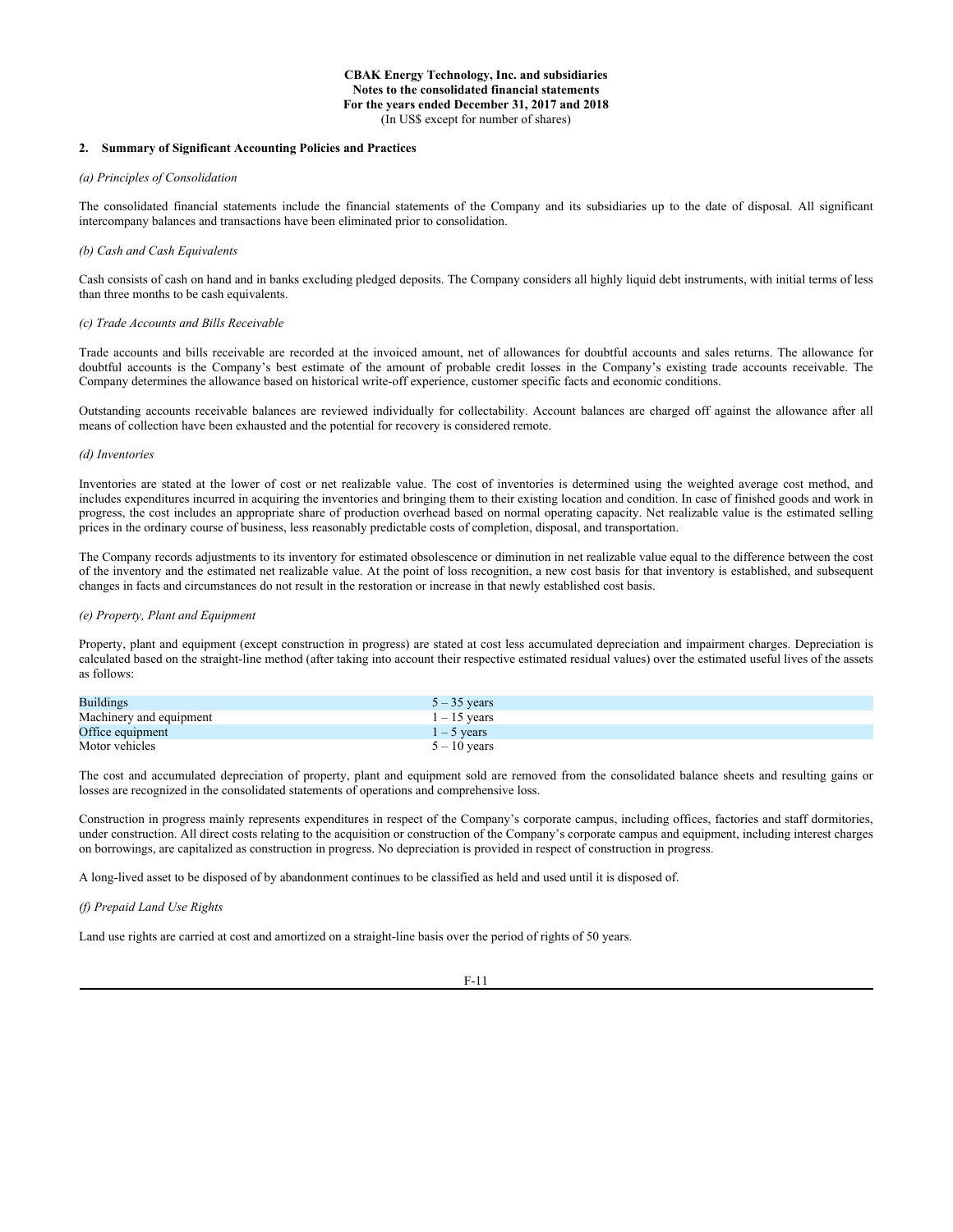#### **2. Summary of Significant Accounting Policies and Practices**

# *(a) Principles of Consolidation*

The consolidated financial statements include the financial statements of the Company and its subsidiaries up to the date of disposal. All significant intercompany balances and transactions have been eliminated prior to consolidation.

#### *(b) Cash and Cash Equivalents*

Cash consists of cash on hand and in banks excluding pledged deposits. The Company considers all highly liquid debt instruments, with initial terms of less than three months to be cash equivalents.

#### *(c) Trade Accounts and Bills Receivable*

Trade accounts and bills receivable are recorded at the invoiced amount, net of allowances for doubtful accounts and sales returns. The allowance for doubtful accounts is the Company's best estimate of the amount of probable credit losses in the Company's existing trade accounts receivable. The Company determines the allowance based on historical write-off experience, customer specific facts and economic conditions.

Outstanding accounts receivable balances are reviewed individually for collectability. Account balances are charged off against the allowance after all means of collection have been exhausted and the potential for recovery is considered remote.

#### *(d) Inventories*

Inventories are stated at the lower of cost or net realizable value. The cost of inventories is determined using the weighted average cost method, and includes expenditures incurred in acquiring the inventories and bringing them to their existing location and condition. In case of finished goods and work in progress, the cost includes an appropriate share of production overhead based on normal operating capacity. Net realizable value is the estimated selling prices in the ordinary course of business, less reasonably predictable costs of completion, disposal, and transportation.

The Company records adjustments to its inventory for estimated obsolescence or diminution in net realizable value equal to the difference between the cost of the inventory and the estimated net realizable value. At the point of loss recognition, a new cost basis for that inventory is established, and subsequent changes in facts and circumstances do not result in the restoration or increase in that newly established cost basis.

#### *(e) Property, Plant and Equipment*

Property, plant and equipment (except construction in progress) are stated at cost less accumulated depreciation and impairment charges. Depreciation is calculated based on the straight-line method (after taking into account their respective estimated residual values) over the estimated useful lives of the assets as follows:

| <b>Buildings</b>        | $5 - 35$ years |
|-------------------------|----------------|
| Machinery and equipment | $1 - 15$ vears |
| Office equipment        | $1 - 5$ years  |
| Motor vehicles          | $5 - 10$ years |

The cost and accumulated depreciation of property, plant and equipment sold are removed from the consolidated balance sheets and resulting gains or losses are recognized in the consolidated statements of operations and comprehensive loss.

Construction in progress mainly represents expenditures in respect of the Company's corporate campus, including offices, factories and staff dormitories, under construction. All direct costs relating to the acquisition or construction of the Company's corporate campus and equipment, including interest charges on borrowings, are capitalized as construction in progress. No depreciation is provided in respect of construction in progress.

A long-lived asset to be disposed of by abandonment continues to be classified as held and used until it is disposed of.

## *(f) Prepaid Land Use Rights*

Land use rights are carried at cost and amortized on a straight-line basis over the period of rights of 50 years.

F-11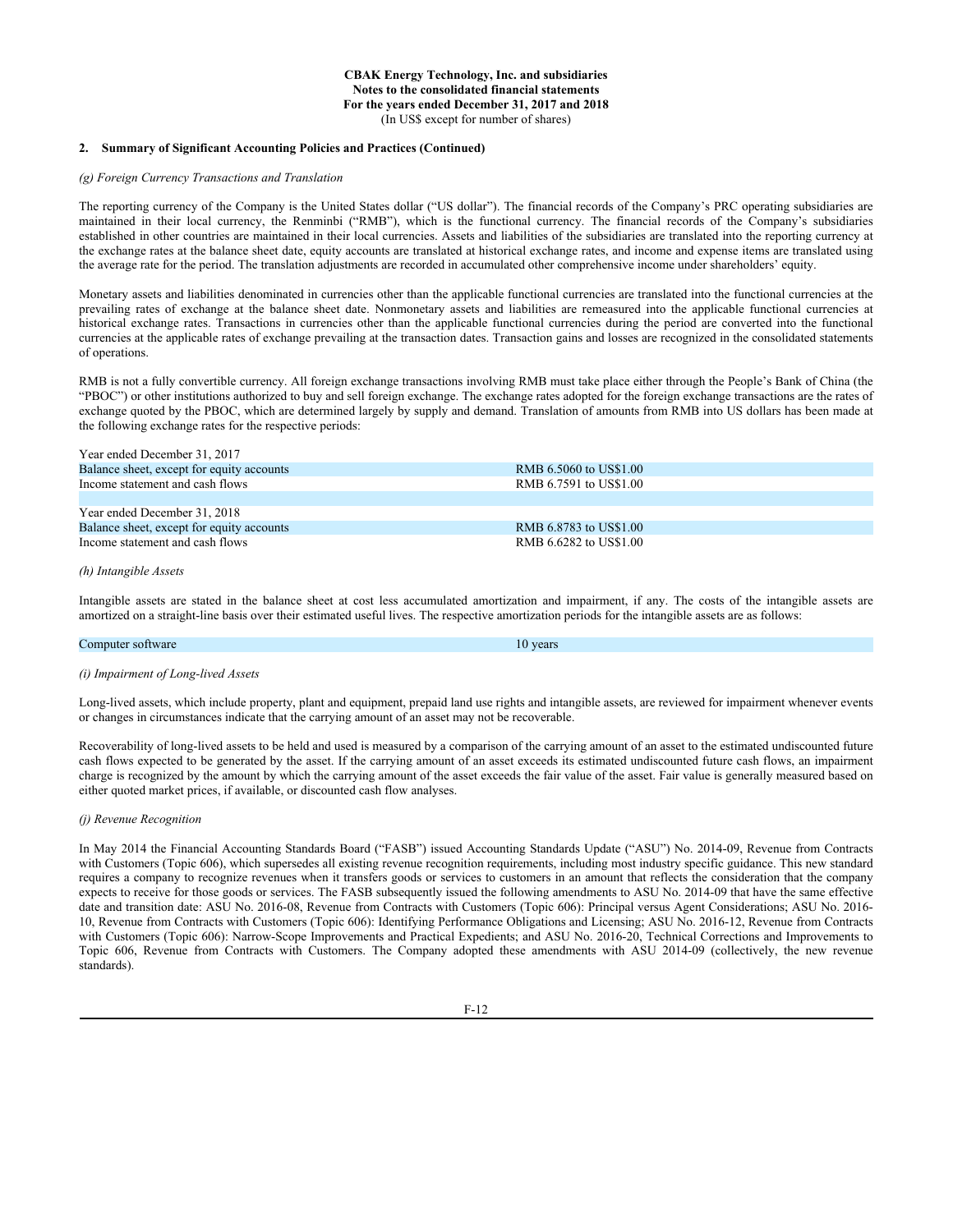#### **2. Summary of Significant Accounting Policies and Practices (Continued)**

# *(g) Foreign Currency Transactions and Translation*

The reporting currency of the Company is the United States dollar ("US dollar"). The financial records of the Company's PRC operating subsidiaries are maintained in their local currency, the Renminbi ("RMB"), which is the functional currency. The financial records of the Company's subsidiaries established in other countries are maintained in their local currencies. Assets and liabilities of the subsidiaries are translated into the reporting currency at the exchange rates at the balance sheet date, equity accounts are translated at historical exchange rates, and income and expense items are translated using the average rate for the period. The translation adjustments are recorded in accumulated other comprehensive income under shareholders' equity.

Monetary assets and liabilities denominated in currencies other than the applicable functional currencies are translated into the functional currencies at the prevailing rates of exchange at the balance sheet date. Nonmonetary assets and liabilities are remeasured into the applicable functional currencies at historical exchange rates. Transactions in currencies other than the applicable functional currencies during the period are converted into the functional currencies at the applicable rates of exchange prevailing at the transaction dates. Transaction gains and losses are recognized in the consolidated statements of operations.

RMB is not a fully convertible currency. All foreign exchange transactions involving RMB must take place either through the People's Bank of China (the "PBOC") or other institutions authorized to buy and sell foreign exchange. The exchange rates adopted for the foreign exchange transactions are the rates of exchange quoted by the PBOC, which are determined largely by supply and demand. Translation of amounts from RMB into US dollars has been made at the following exchange rates for the respective periods:

| Year ended December 31, 2017              |                        |
|-------------------------------------------|------------------------|
| Balance sheet, except for equity accounts | RMB 6.5060 to US\$1.00 |
| Income statement and cash flows           | RMB 6.7591 to US\$1.00 |
|                                           |                        |
| Year ended December 31, 2018              |                        |
| Balance sheet, except for equity accounts | RMB 6.8783 to US\$1.00 |
| Income statement and cash flows           | RMB 6.6282 to US\$1.00 |
|                                           |                        |

#### *(h) Intangible Assets*

Intangible assets are stated in the balance sheet at cost less accumulated amortization and impairment, if any. The costs of the intangible assets are amortized on a straight-line basis over their estimated useful lives. The respective amortization periods for the intangible assets are as follows:

#### **Computer software** 10 years **10** years **10** years **10** years **10** years **10** years **10** years

## *(i) Impairment of Long-lived Assets*

Long-lived assets, which include property, plant and equipment, prepaid land use rights and intangible assets, are reviewed for impairment whenever events or changes in circumstances indicate that the carrying amount of an asset may not be recoverable.

Recoverability of long-lived assets to be held and used is measured by a comparison of the carrying amount of an asset to the estimated undiscounted future cash flows expected to be generated by the asset. If the carrying amount of an asset exceeds its estimated undiscounted future cash flows, an impairment charge is recognized by the amount by which the carrying amount of the asset exceeds the fair value of the asset. Fair value is generally measured based on either quoted market prices, if available, or discounted cash flow analyses.

#### *(j) Revenue Recognition*

In May 2014 the Financial Accounting Standards Board ("FASB") issued Accounting Standards Update ("ASU") No. 2014-09, Revenue from Contracts with Customers (Topic 606), which supersedes all existing revenue recognition requirements, including most industry specific guidance. This new standard requires a company to recognize revenues when it transfers goods or services to customers in an amount that reflects the consideration that the company expects to receive for those goods or services. The FASB subsequently issued the following amendments to ASU No. 2014-09 that have the same effective date and transition date: ASU No. 2016-08, Revenue from Contracts with Customers (Topic 606): Principal versus Agent Considerations; ASU No. 2016- 10, Revenue from Contracts with Customers (Topic 606): Identifying Performance Obligations and Licensing; ASU No. 2016-12, Revenue from Contracts with Customers (Topic 606): Narrow-Scope Improvements and Practical Expedients; and ASU No. 2016-20, Technical Corrections and Improvements to Topic 606, Revenue from Contracts with Customers. The Company adopted these amendments with ASU 2014-09 (collectively, the new revenue standards).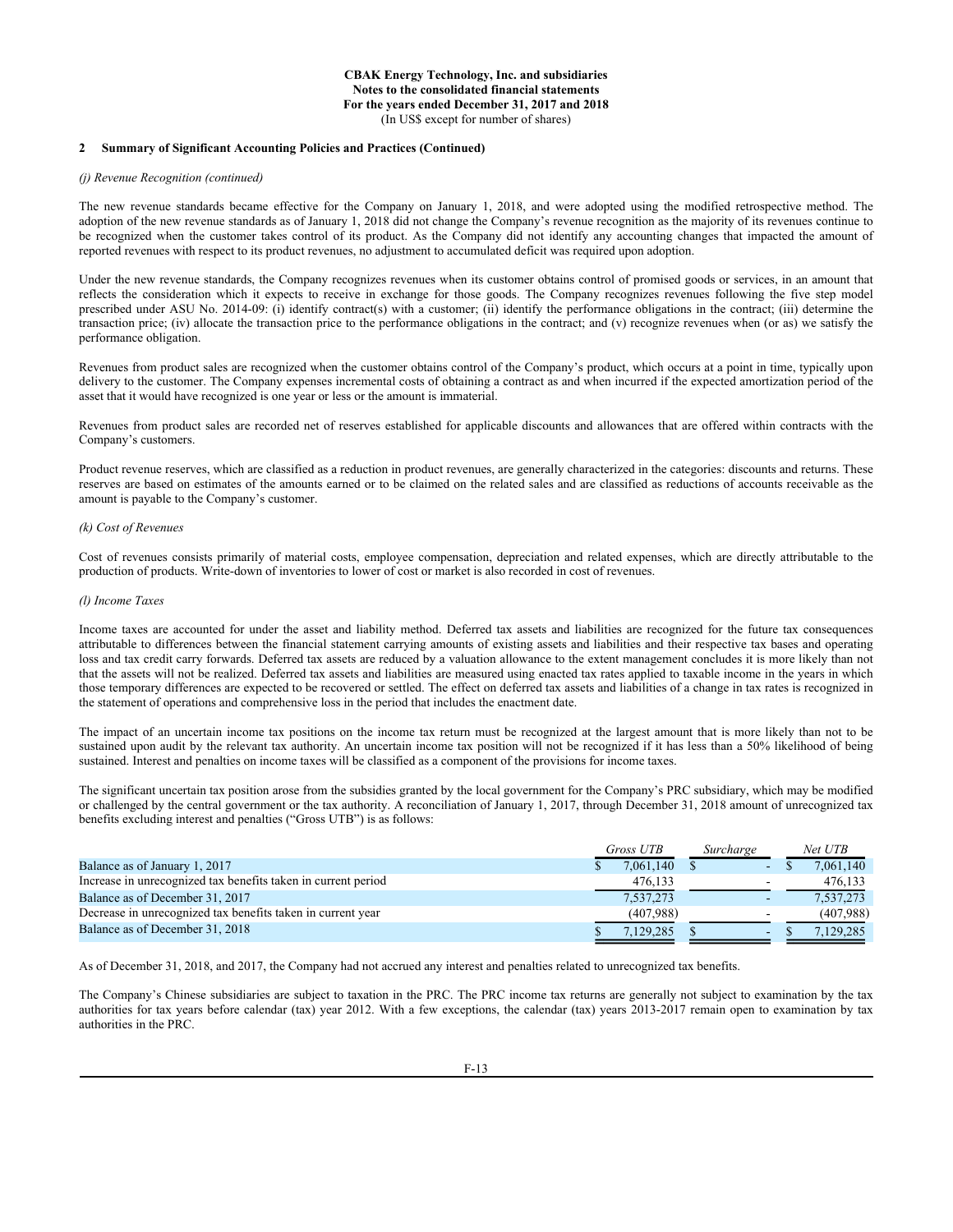# **2 Summary of Significant Accounting Policies and Practices (Continued)**

#### *(j) Revenue Recognition (continued)*

The new revenue standards became effective for the Company on January 1, 2018, and were adopted using the modified retrospective method. The adoption of the new revenue standards as of January 1, 2018 did not change the Company's revenue recognition as the majority of its revenues continue to be recognized when the customer takes control of its product. As the Company did not identify any accounting changes that impacted the amount of reported revenues with respect to its product revenues, no adjustment to accumulated deficit was required upon adoption.

Under the new revenue standards, the Company recognizes revenues when its customer obtains control of promised goods or services, in an amount that reflects the consideration which it expects to receive in exchange for those goods. The Company recognizes revenues following the five step model prescribed under ASU No. 2014-09: (i) identify contract(s) with a customer; (ii) identify the performance obligations in the contract; (iii) determine the transaction price; (iv) allocate the transaction price to the performance obligations in the contract; and (v) recognize revenues when (or as) we satisfy the performance obligation.

Revenues from product sales are recognized when the customer obtains control of the Company's product, which occurs at a point in time, typically upon delivery to the customer. The Company expenses incremental costs of obtaining a contract as and when incurred if the expected amortization period of the asset that it would have recognized is one year or less or the amount is immaterial.

Revenues from product sales are recorded net of reserves established for applicable discounts and allowances that are offered within contracts with the Company's customers.

Product revenue reserves, which are classified as a reduction in product revenues, are generally characterized in the categories: discounts and returns. These reserves are based on estimates of the amounts earned or to be claimed on the related sales and are classified as reductions of accounts receivable as the amount is payable to the Company's customer.

## *(k) Cost of Revenues*

Cost of revenues consists primarily of material costs, employee compensation, depreciation and related expenses, which are directly attributable to the production of products. Write-down of inventories to lower of cost or market is also recorded in cost of revenues.

#### *(l) Income Taxes*

Income taxes are accounted for under the asset and liability method. Deferred tax assets and liabilities are recognized for the future tax consequences attributable to differences between the financial statement carrying amounts of existing assets and liabilities and their respective tax bases and operating loss and tax credit carry forwards. Deferred tax assets are reduced by a valuation allowance to the extent management concludes it is more likely than not that the assets will not be realized. Deferred tax assets and liabilities are measured using enacted tax rates applied to taxable income in the years in which those temporary differences are expected to be recovered or settled. The effect on deferred tax assets and liabilities of a change in tax rates is recognized in the statement of operations and comprehensive loss in the period that includes the enactment date.

The impact of an uncertain income tax positions on the income tax return must be recognized at the largest amount that is more likely than not to be sustained upon audit by the relevant tax authority. An uncertain income tax position will not be recognized if it has less than a 50% likelihood of being sustained. Interest and penalties on income taxes will be classified as a component of the provisions for income taxes.

The significant uncertain tax position arose from the subsidies granted by the local government for the Company's PRC subsidiary, which may be modified or challenged by the central government or the tax authority. A reconciliation of January 1, 2017, through December 31, 2018 amount of unrecognized tax benefits excluding interest and penalties ("Gross UTB") is as follows:

|                                                               | Gross UTB | Surcharge |    | Net UTB   |
|---------------------------------------------------------------|-----------|-----------|----|-----------|
| Balance as of January 1, 2017                                 | 7,061,140 |           | ۰. | 7,061,140 |
| Increase in unrecognized tax benefits taken in current period | 476.133   |           |    | 476.133   |
| Balance as of December 31, 2017                               | 7,537,273 |           |    | 7,537,273 |
| Decrease in unrecognized tax benefits taken in current year   | (407.988) |           |    | (407.988) |
| Balance as of December 31, 2018                               | 7.129.285 |           | -  | 7.129.285 |

As of December 31, 2018, and 2017, the Company had not accrued any interest and penalties related to unrecognized tax benefits.

The Company's Chinese subsidiaries are subject to taxation in the PRC. The PRC income tax returns are generally not subject to examination by the tax authorities for tax years before calendar (tax) year 2012. With a few exceptions, the calendar (tax) years 2013-2017 remain open to examination by tax authorities in the PRC.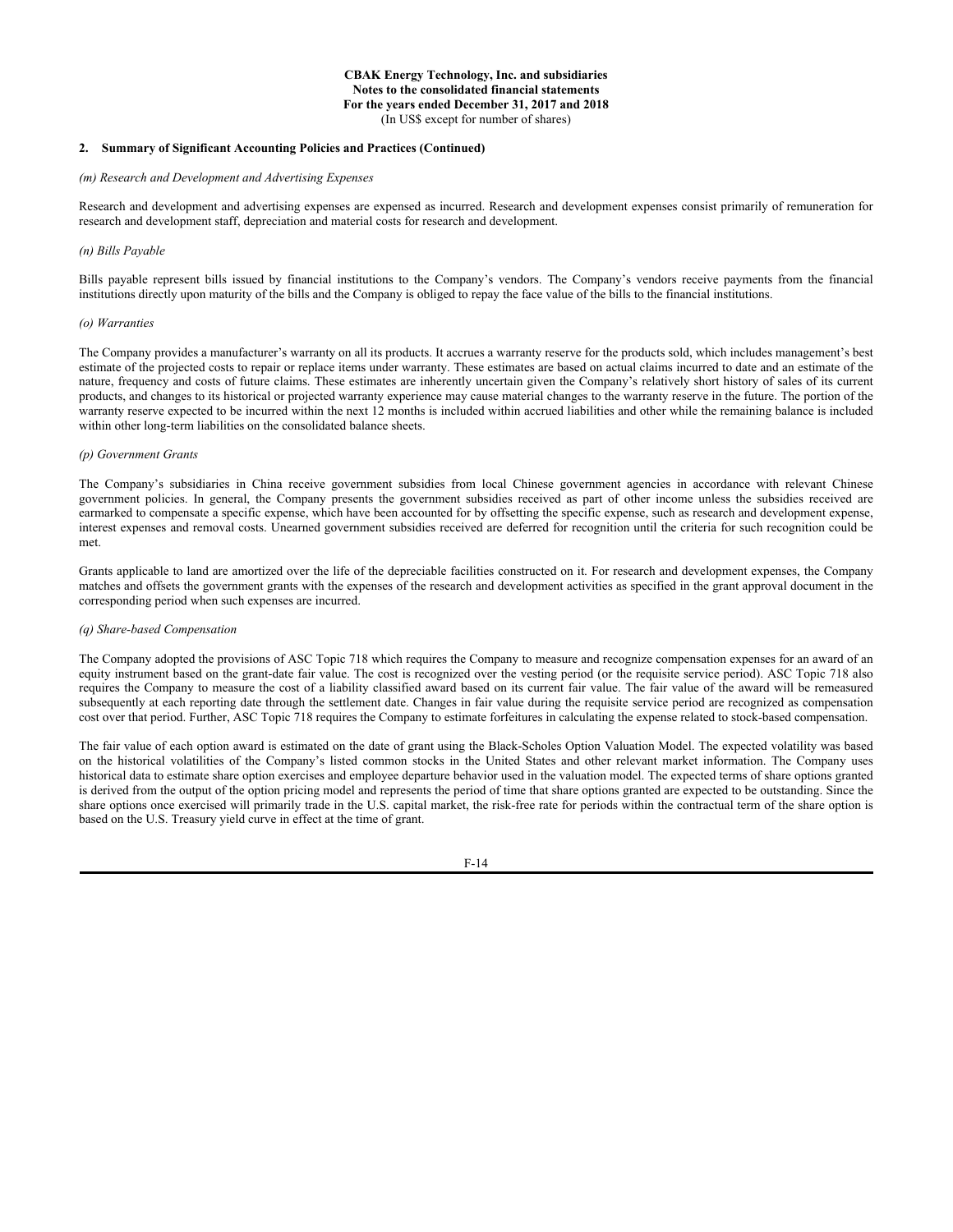#### **2. Summary of Significant Accounting Policies and Practices (Continued)**

# *(m) Research and Development and Advertising Expenses*

Research and development and advertising expenses are expensed as incurred. Research and development expenses consist primarily of remuneration for research and development staff, depreciation and material costs for research and development.

#### *(n) Bills Payable*

Bills payable represent bills issued by financial institutions to the Company's vendors. The Company's vendors receive payments from the financial institutions directly upon maturity of the bills and the Company is obliged to repay the face value of the bills to the financial institutions.

#### *(o) Warranties*

The Company provides a manufacturer's warranty on all its products. It accrues a warranty reserve for the products sold, which includes management's best estimate of the projected costs to repair or replace items under warranty. These estimates are based on actual claims incurred to date and an estimate of the nature, frequency and costs of future claims. These estimates are inherently uncertain given the Company's relatively short history of sales of its current products, and changes to its historical or projected warranty experience may cause material changes to the warranty reserve in the future. The portion of the warranty reserve expected to be incurred within the next 12 months is included within accrued liabilities and other while the remaining balance is included within other long-term liabilities on the consolidated balance sheets.

#### *(p) Government Grants*

The Company's subsidiaries in China receive government subsidies from local Chinese government agencies in accordance with relevant Chinese government policies. In general, the Company presents the government subsidies received as part of other income unless the subsidies received are earmarked to compensate a specific expense, which have been accounted for by offsetting the specific expense, such as research and development expense, interest expenses and removal costs. Unearned government subsidies received are deferred for recognition until the criteria for such recognition could be met.

Grants applicable to land are amortized over the life of the depreciable facilities constructed on it. For research and development expenses, the Company matches and offsets the government grants with the expenses of the research and development activities as specified in the grant approval document in the corresponding period when such expenses are incurred.

#### *(q) Share-based Compensation*

The Company adopted the provisions of ASC Topic 718 which requires the Company to measure and recognize compensation expenses for an award of an equity instrument based on the grant-date fair value. The cost is recognized over the vesting period (or the requisite service period). ASC Topic 718 also requires the Company to measure the cost of a liability classified award based on its current fair value. The fair value of the award will be remeasured subsequently at each reporting date through the settlement date. Changes in fair value during the requisite service period are recognized as compensation cost over that period. Further, ASC Topic 718 requires the Company to estimate forfeitures in calculating the expense related to stock-based compensation.

The fair value of each option award is estimated on the date of grant using the Black-Scholes Option Valuation Model. The expected volatility was based on the historical volatilities of the Company's listed common stocks in the United States and other relevant market information. The Company uses historical data to estimate share option exercises and employee departure behavior used in the valuation model. The expected terms of share options granted is derived from the output of the option pricing model and represents the period of time that share options granted are expected to be outstanding. Since the share options once exercised will primarily trade in the U.S. capital market, the risk-free rate for periods within the contractual term of the share option is based on the U.S. Treasury yield curve in effect at the time of grant.

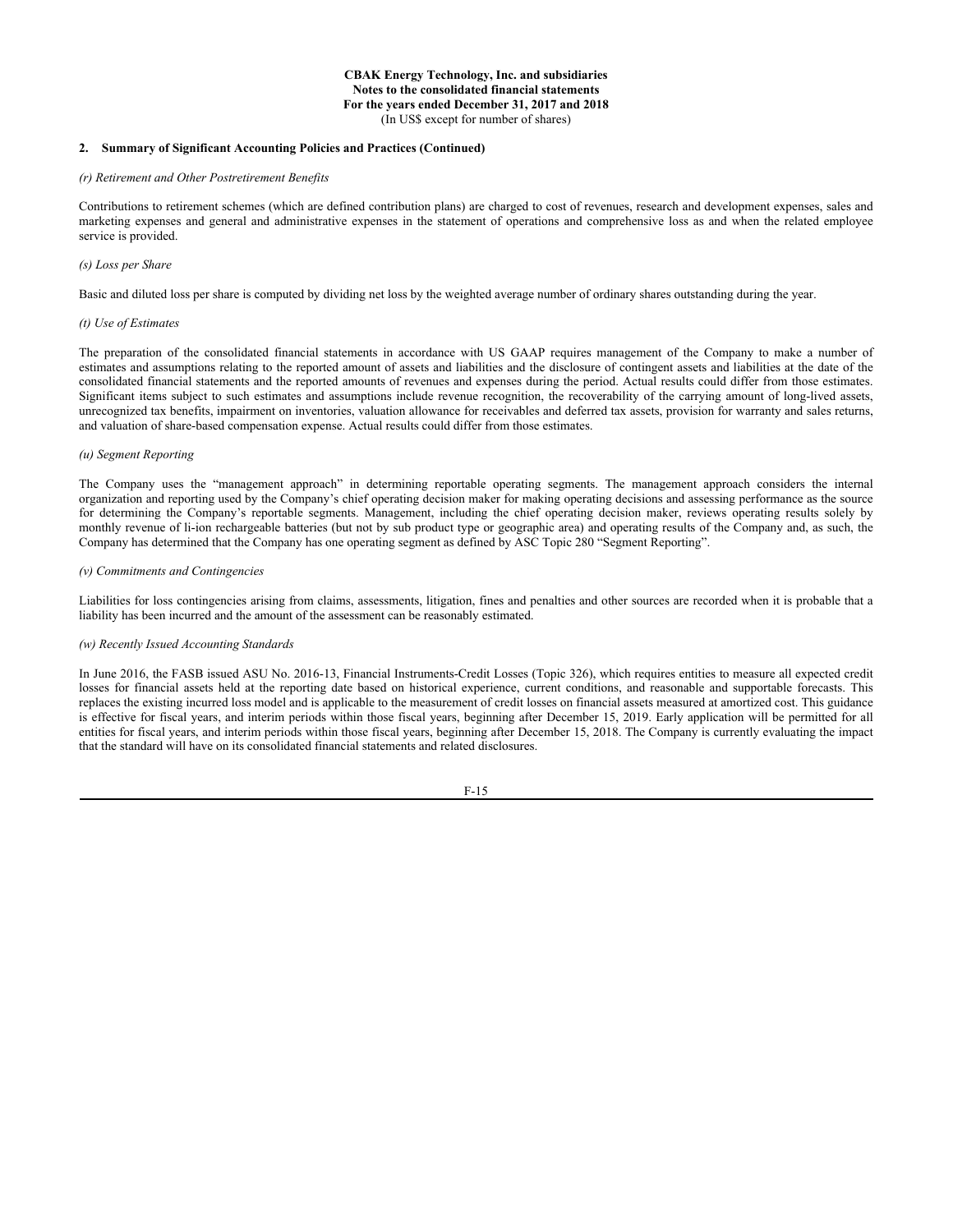#### **2. Summary of Significant Accounting Policies and Practices (Continued)**

# *(r) Retirement and Other Postretirement Benefits*

Contributions to retirement schemes (which are defined contribution plans) are charged to cost of revenues, research and development expenses, sales and marketing expenses and general and administrative expenses in the statement of operations and comprehensive loss as and when the related employee service is provided.

#### *(s) Loss per Share*

Basic and diluted loss per share is computed by dividing net loss by the weighted average number of ordinary shares outstanding during the year.

#### *(t) Use of Estimates*

The preparation of the consolidated financial statements in accordance with US GAAP requires management of the Company to make a number of estimates and assumptions relating to the reported amount of assets and liabilities and the disclosure of contingent assets and liabilities at the date of the consolidated financial statements and the reported amounts of revenues and expenses during the period. Actual results could differ from those estimates. Significant items subject to such estimates and assumptions include revenue recognition, the recoverability of the carrying amount of long-lived assets, unrecognized tax benefits, impairment on inventories, valuation allowance for receivables and deferred tax assets, provision for warranty and sales returns, and valuation of share-based compensation expense. Actual results could differ from those estimates.

#### *(u) Segment Reporting*

The Company uses the "management approach" in determining reportable operating segments. The management approach considers the internal organization and reporting used by the Company's chief operating decision maker for making operating decisions and assessing performance as the source for determining the Company's reportable segments. Management, including the chief operating decision maker, reviews operating results solely by monthly revenue of li-ion rechargeable batteries (but not by sub product type or geographic area) and operating results of the Company and, as such, the Company has determined that the Company has one operating segment as defined by ASC Topic 280 "Segment Reporting".

#### *(v) Commitments and Contingencies*

Liabilities for loss contingencies arising from claims, assessments, litigation, fines and penalties and other sources are recorded when it is probable that a liability has been incurred and the amount of the assessment can be reasonably estimated.

#### *(w) Recently Issued Accounting Standards*

In June 2016, the FASB issued ASU No. 2016-13, Financial Instruments-Credit Losses (Topic 326), which requires entities to measure all expected credit losses for financial assets held at the reporting date based on historical experience, current conditions, and reasonable and supportable forecasts. This replaces the existing incurred loss model and is applicable to the measurement of credit losses on financial assets measured at amortized cost. This guidance is effective for fiscal years, and interim periods within those fiscal years, beginning after December 15, 2019. Early application will be permitted for all entities for fiscal years, and interim periods within those fiscal years, beginning after December 15, 2018. The Company is currently evaluating the impact that the standard will have on its consolidated financial statements and related disclosures.

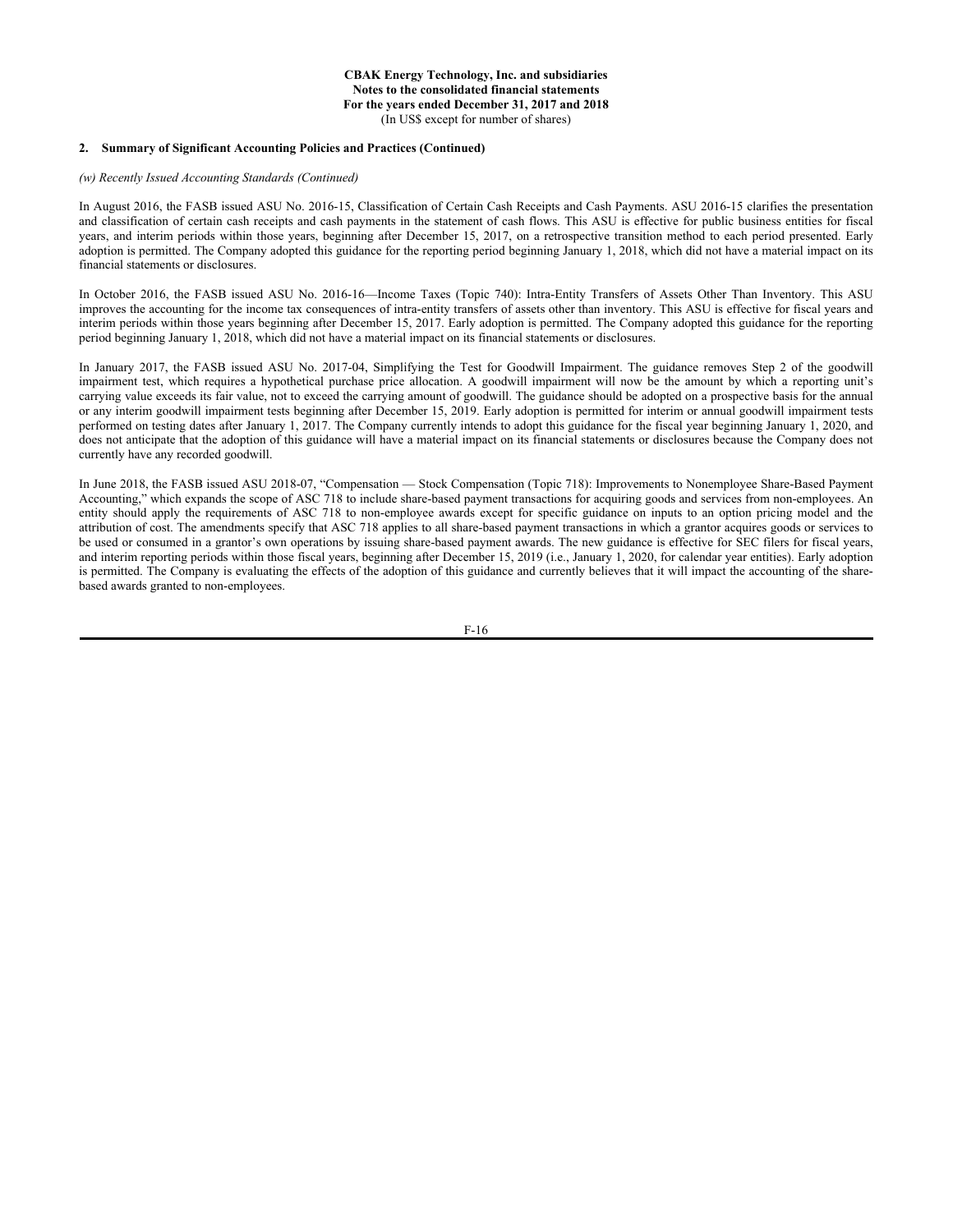# **2. Summary of Significant Accounting Policies and Practices (Continued)**

#### *(w) Recently Issued Accounting Standards (Continued)*

In August 2016, the FASB issued ASU No. 2016-15, Classification of Certain Cash Receipts and Cash Payments. ASU 2016-15 clarifies the presentation and classification of certain cash receipts and cash payments in the statement of cash flows. This ASU is effective for public business entities for fiscal years, and interim periods within those years, beginning after December 15, 2017, on a retrospective transition method to each period presented. Early adoption is permitted. The Company adopted this guidance for the reporting period beginning January 1, 2018, which did not have a material impact on its financial statements or disclosures.

In October 2016, the FASB issued ASU No. 2016-16—Income Taxes (Topic 740): Intra-Entity Transfers of Assets Other Than Inventory. This ASU improves the accounting for the income tax consequences of intra-entity transfers of assets other than inventory. This ASU is effective for fiscal years and interim periods within those years beginning after December 15, 2017. Early adoption is permitted. The Company adopted this guidance for the reporting period beginning January 1, 2018, which did not have a material impact on its financial statements or disclosures.

In January 2017, the FASB issued ASU No. 2017-04, Simplifying the Test for Goodwill Impairment. The guidance removes Step 2 of the goodwill impairment test, which requires a hypothetical purchase price allocation. A goodwill impairment will now be the amount by which a reporting unit's carrying value exceeds its fair value, not to exceed the carrying amount of goodwill. The guidance should be adopted on a prospective basis for the annual or any interim goodwill impairment tests beginning after December 15, 2019. Early adoption is permitted for interim or annual goodwill impairment tests performed on testing dates after January 1, 2017. The Company currently intends to adopt this guidance for the fiscal year beginning January 1, 2020, and does not anticipate that the adoption of this guidance will have a material impact on its financial statements or disclosures because the Company does not currently have any recorded goodwill.

In June 2018, the FASB issued ASU 2018-07, "Compensation — Stock Compensation (Topic 718): Improvements to Nonemployee Share-Based Payment Accounting," which expands the scope of ASC 718 to include share-based payment transactions for acquiring goods and services from non-employees. An entity should apply the requirements of ASC 718 to non-employee awards except for specific guidance on inputs to an option pricing model and the attribution of cost. The amendments specify that ASC 718 applies to all share-based payment transactions in which a grantor acquires goods or services to be used or consumed in a grantor's own operations by issuing share-based payment awards. The new guidance is effective for SEC filers for fiscal years, and interim reporting periods within those fiscal years, beginning after December 15, 2019 (i.e., January 1, 2020, for calendar year entities). Early adoption is permitted. The Company is evaluating the effects of the adoption of this guidance and currently believes that it will impact the accounting of the sharebased awards granted to non-employees.

F-16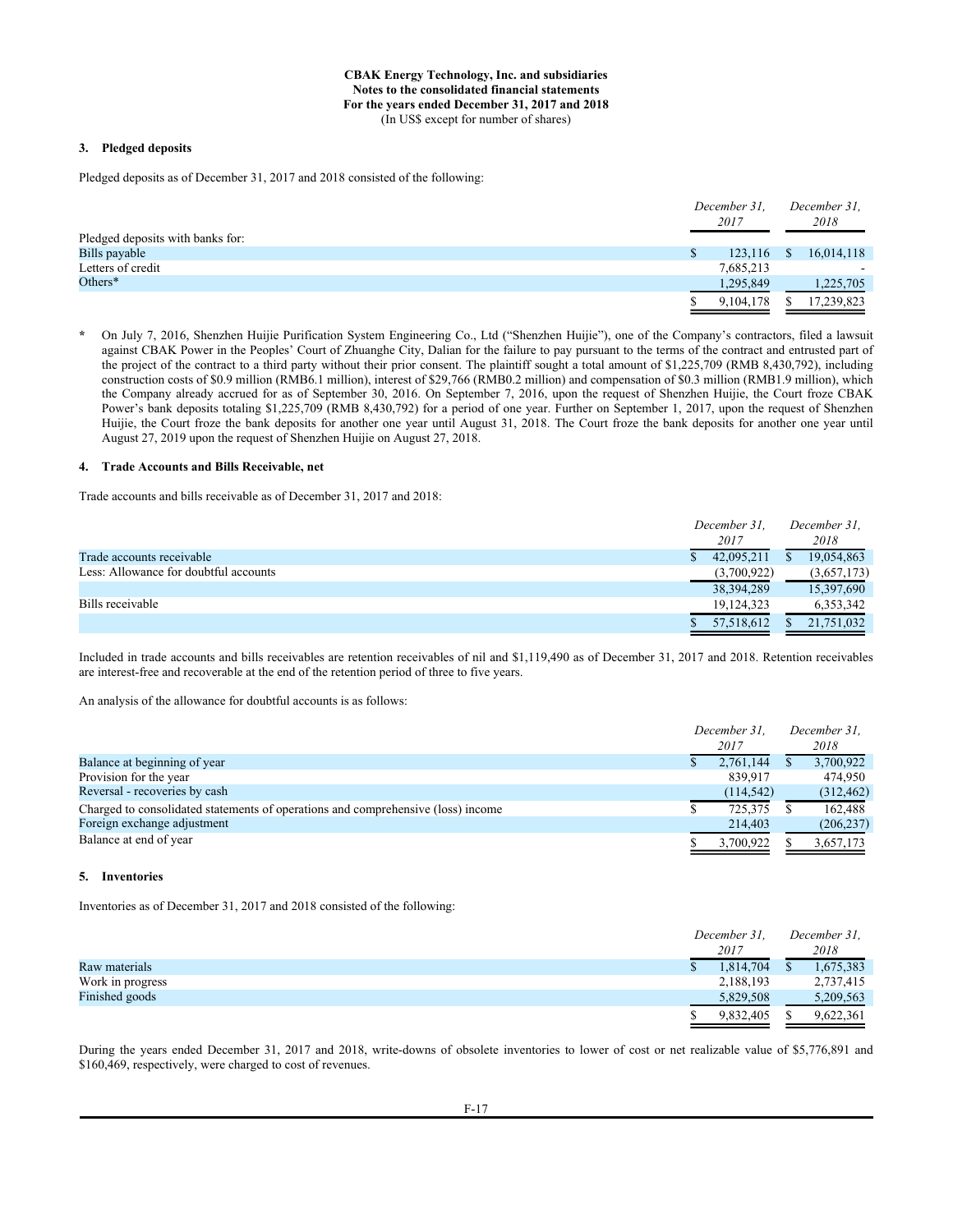## **3. Pledged deposits**

Pledged deposits as of December 31, 2017 and 2018 consisted of the following:

|                                  | December 31,<br>2017 |              | December 31.<br>2018 |
|----------------------------------|----------------------|--------------|----------------------|
| Pledged deposits with banks for: |                      |              |                      |
| Bills payable                    | 123,116              | <sup>S</sup> | 16,014,118           |
| Letters of credit                | 7,685,213            |              |                      |
| Others $*$                       | 1,295,849            |              | 1,225,705            |
|                                  | 9,104,178            |              | 17,239,823           |
|                                  |                      |              |                      |

**\*** On July 7, 2016, Shenzhen Huijie Purification System Engineering Co., Ltd ("Shenzhen Huijie"), one of the Company's contractors, filed a lawsuit against CBAK Power in the Peoples' Court of Zhuanghe City, Dalian for the failure to pay pursuant to the terms of the contract and entrusted part of the project of the contract to a third party without their prior consent. The plaintiff sought a total amount of \$1,225,709 (RMB 8,430,792), including construction costs of \$0.9 million (RMB6.1 million), interest of \$29,766 (RMB0.2 million) and compensation of \$0.3 million (RMB1.9 million), which the Company already accrued for as of September 30, 2016. On September 7, 2016, upon the request of Shenzhen Huijie, the Court froze CBAK Power's bank deposits totaling \$1,225,709 (RMB 8,430,792) for a period of one year. Further on September 1, 2017, upon the request of Shenzhen Huijie, the Court froze the bank deposits for another one year until August 31, 2018. The Court froze the bank deposits for another one year until August 27, 2019 upon the request of Shenzhen Huijie on August 27, 2018.

#### **4. Trade Accounts and Bills Receivable, net**

Trade accounts and bills receivable as of December 31, 2017 and 2018:

|                                       | December 31. | December 31. |
|---------------------------------------|--------------|--------------|
|                                       | 2017         | 2018         |
| Trade accounts receivable             | 42,095,211   | 19,054,863   |
| Less: Allowance for doubtful accounts | (3,700,922)  | (3,657,173)  |
|                                       | 38, 394, 289 | 15,397,690   |
| Bills receivable                      | 19,124,323   | 6,353,342    |
|                                       | 57,518,612   | 21,751,032   |

Included in trade accounts and bills receivables are retention receivables of nil and \$1,119,490 as of December 31, 2017 and 2018. Retention receivables are interest-free and recoverable at the end of the retention period of three to five years.

An analysis of the allowance for doubtful accounts is as follows:

|                                                                                  | December 31. |  | December 31. |
|----------------------------------------------------------------------------------|--------------|--|--------------|
|                                                                                  | 2017         |  | 2018         |
| Balance at beginning of year                                                     | 2,761,144    |  | 3,700,922    |
| Provision for the year                                                           | 839.917      |  | 474,950      |
| Reversal - recoveries by cash                                                    | (114, 542)   |  | (312, 462)   |
| Charged to consolidated statements of operations and comprehensive (loss) income | 725,375      |  | 162.488      |
| Foreign exchange adjustment                                                      | 214,403      |  | (206, 237)   |
| Balance at end of year                                                           | 3.700.922    |  | 3,657,173    |

#### **5. Inventories**

Inventories as of December 31, 2017 and 2018 consisted of the following:

|                  | December 31. | December 31. |
|------------------|--------------|--------------|
|                  | 2017         | 2018         |
| Raw materials    | 1,814,704    | 1,675,383    |
| Work in progress | 2,188,193    | 2,737,415    |
| Finished goods   | 5,829,508    | 5,209,563    |
|                  | 9,832,405    | 9,622,361    |

During the years ended December 31, 2017 and 2018, write-downs of obsolete inventories to lower of cost or net realizable value of \$5,776,891 and \$160,469, respectively, were charged to cost of revenues.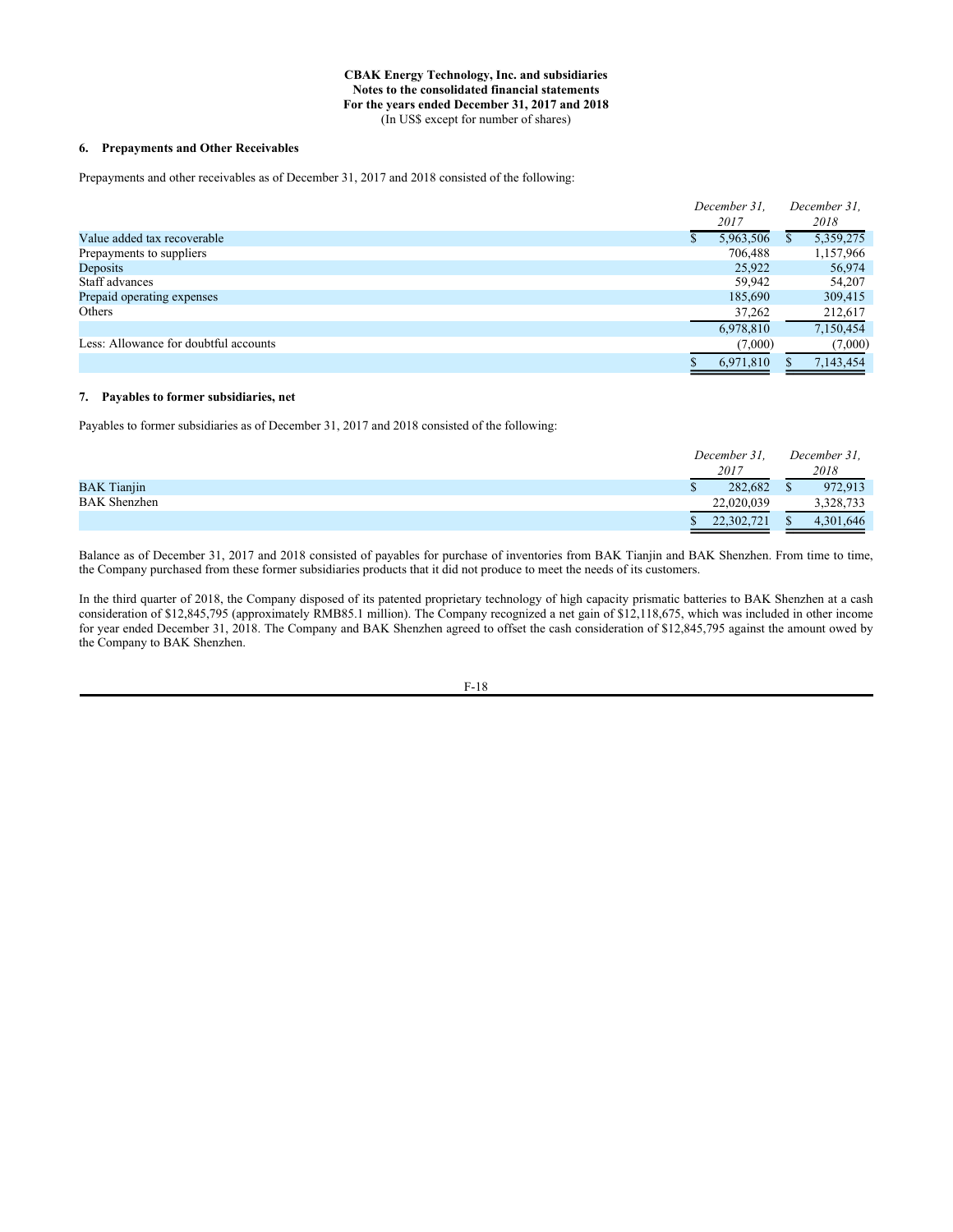# **6. Prepayments and Other Receivables**

Prepayments and other receivables as of December 31, 2017 and 2018 consisted of the following:

|                                       | December 31, |  | December 31. |
|---------------------------------------|--------------|--|--------------|
|                                       | 2017         |  | 2018         |
| Value added tax recoverable           | 5,963,506    |  | 5,359,275    |
| Prepayments to suppliers              | 706,488      |  | 1,157,966    |
| Deposits                              | 25,922       |  | 56,974       |
| Staff advances                        | 59.942       |  | 54,207       |
| Prepaid operating expenses            | 185,690      |  | 309,415      |
| Others                                | 37,262       |  | 212,617      |
|                                       | 6,978,810    |  | 7,150,454    |
| Less: Allowance for doubtful accounts | (7,000)      |  | (7,000)      |
|                                       | 6,971,810    |  | 7,143,454    |

## **7. Payables to former subsidiaries, net**

Payables to former subsidiaries as of December 31, 2017 and 2018 consisted of the following:

|                     | December 31. |  | December 31, |
|---------------------|--------------|--|--------------|
|                     | 2017         |  | 2018         |
| <b>BAK</b> Tianjin  | 282,682      |  | 972,913      |
| <b>BAK</b> Shenzhen | 22,020,039   |  | 3,328,733    |
|                     | 22,302,721   |  | 4,301,646    |

Balance as of December 31, 2017 and 2018 consisted of payables for purchase of inventories from BAK Tianjin and BAK Shenzhen. From time to time, the Company purchased from these former subsidiaries products that it did not produce to meet the needs of its customers.

In the third quarter of 2018, the Company disposed of its patented proprietary technology of high capacity prismatic batteries to BAK Shenzhen at a cash consideration of \$12,845,795 (approximately RMB85.1 million). The Company recognized a net gain of \$12,118,675, which was included in other income for year ended December 31, 2018. The Company and BAK Shenzhen agreed to offset the cash consideration of \$12,845,795 against the amount owed by the Company to BAK Shenzhen.

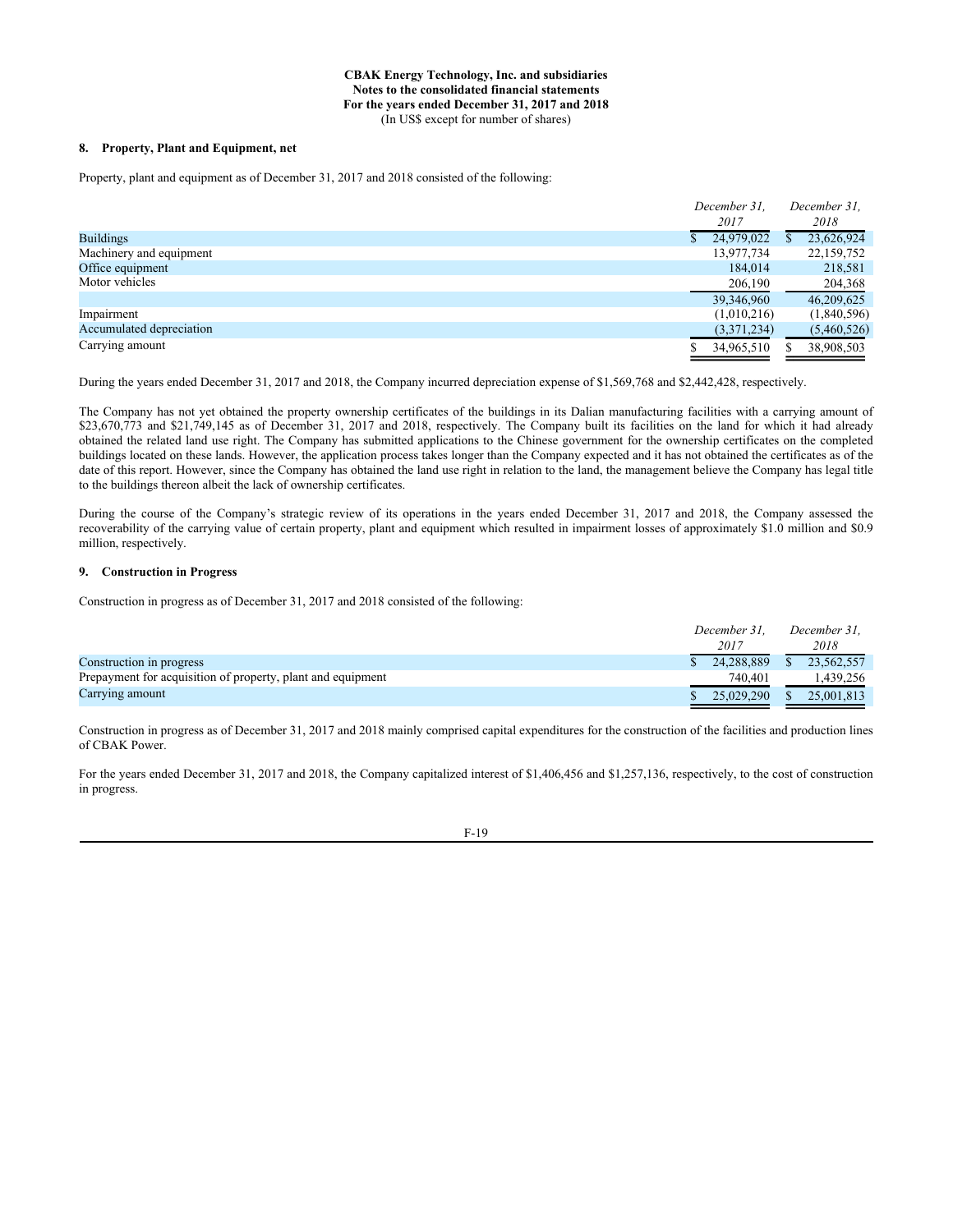#### **8. Property, Plant and Equipment, net**

Property, plant and equipment as of December 31, 2017 and 2018 consisted of the following:

|                          | December 31. |    | December 31. |
|--------------------------|--------------|----|--------------|
|                          | 2017         |    | 2018         |
| <b>Buildings</b>         | 24,979,022   | S. | 23,626,924   |
| Machinery and equipment  | 13,977,734   |    | 22,159,752   |
| Office equipment         | 184,014      |    | 218,581      |
| Motor vehicles           | 206,190      |    | 204,368      |
|                          | 39,346,960   |    | 46,209,625   |
| Impairment               | (1,010,216)  |    | (1,840,596)  |
| Accumulated depreciation | (3,371,234)  |    | (5,460,526)  |
| Carrying amount          | 34,965,510   |    | 38,908,503   |

During the years ended December 31, 2017 and 2018, the Company incurred depreciation expense of \$1,569,768 and \$2,442,428, respectively.

The Company has not yet obtained the property ownership certificates of the buildings in its Dalian manufacturing facilities with a carrying amount of \$23,670,773 and \$21,749,145 as of December 31, 2017 and 2018, respectively. The Company built its facilities on the land for which it had already obtained the related land use right. The Company has submitted applications to the Chinese government for the ownership certificates on the completed buildings located on these lands. However, the application process takes longer than the Company expected and it has not obtained the certificates as of the date of this report. However, since the Company has obtained the land use right in relation to the land, the management believe the Company has legal title to the buildings thereon albeit the lack of ownership certificates.

During the course of the Company's strategic review of its operations in the years ended December 31, 2017 and 2018, the Company assessed the recoverability of the carrying value of certain property, plant and equipment which resulted in impairment losses of approximately \$1.0 million and \$0.9 million, respectively.

# **9. Construction in Progress**

Construction in progress as of December 31, 2017 and 2018 consisted of the following:

|                                                             | December 31. | December 31. |
|-------------------------------------------------------------|--------------|--------------|
|                                                             | 2017         | 2018         |
| Construction in progress                                    | 24,288,889   | 23.562.557   |
| Prepayment for acquisition of property, plant and equipment | 740,401      | 1.439.256    |
| Carrying amount                                             | 25,029,290   | 25,001,813   |

Construction in progress as of December 31, 2017 and 2018 mainly comprised capital expenditures for the construction of the facilities and production lines of CBAK Power.

For the years ended December 31, 2017 and 2018, the Company capitalized interest of \$1,406,456 and \$1,257,136, respectively, to the cost of construction in progress.

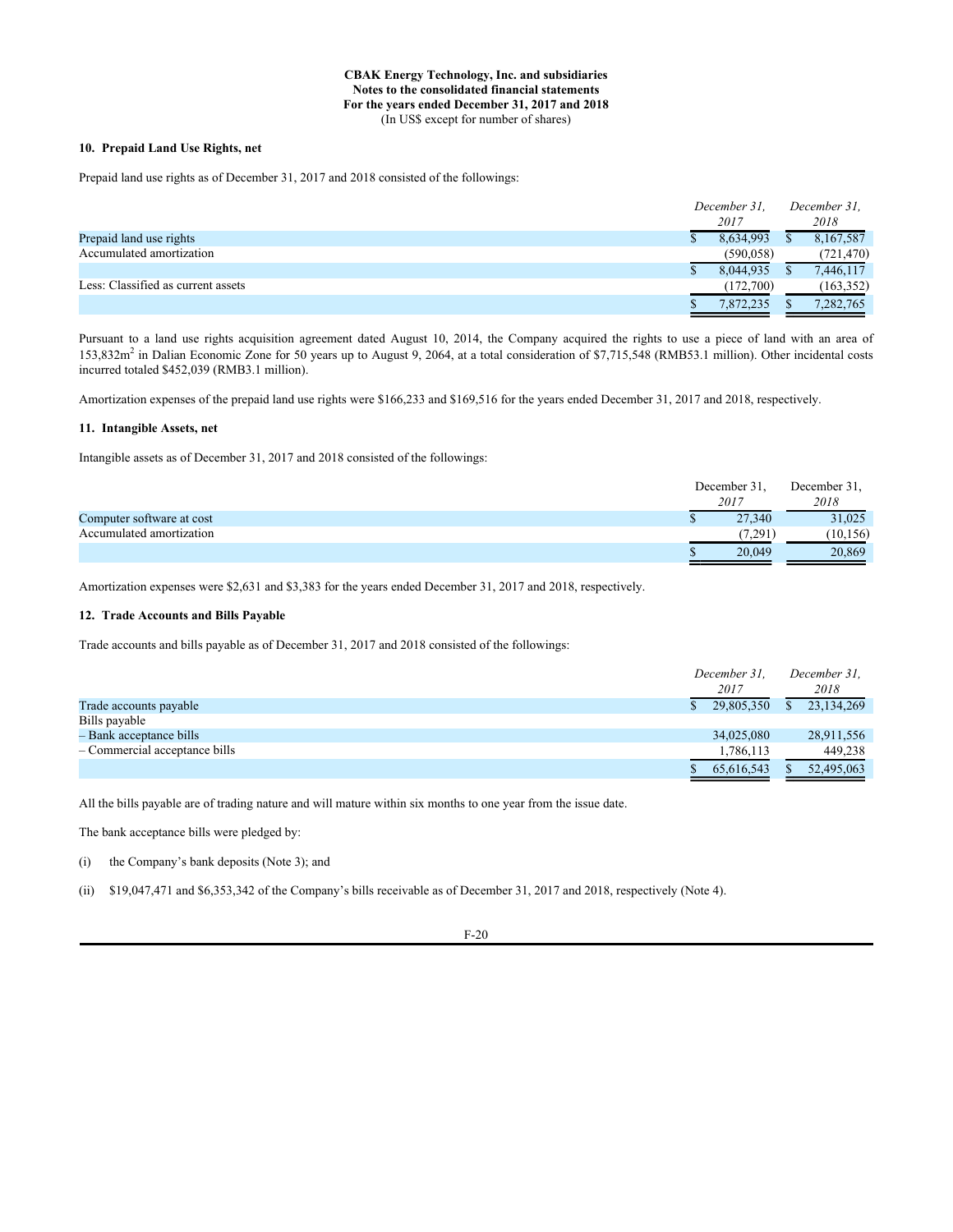# **10. Prepaid Land Use Rights, net**

Prepaid land use rights as of December 31, 2017 and 2018 consisted of the followings:

|                                    | December 31. | December 31. |            |  |
|------------------------------------|--------------|--------------|------------|--|
|                                    | 2017         |              | 2018       |  |
| Prepaid land use rights            | 8,634,993    |              | 8,167,587  |  |
| Accumulated amortization           | (590, 058)   |              | (721, 470) |  |
|                                    | 8,044,935    |              | 7,446,117  |  |
| Less: Classified as current assets | (172,700)    |              | (163, 352) |  |
|                                    | 7.872.235    |              | 7,282,765  |  |

Pursuant to a land use rights acquisition agreement dated August 10, 2014, the Company acquired the rights to use a piece of land with an area of 153,832m<sup>2</sup> in Dalian Economic Zone for 50 years up to August 9, 2064, at a total consideration of \$7,715,548 (RMB53.1 million). Other incidental costs incurred totaled \$452,039 (RMB3.1 million).

Amortization expenses of the prepaid land use rights were \$166,233 and \$169,516 for the years ended December 31, 2017 and 2018, respectively.

# **11. Intangible Assets, net**

Intangible assets as of December 31, 2017 and 2018 consisted of the followings:

|                           | December 31, | December 31, |
|---------------------------|--------------|--------------|
|                           | 2017         | 2018         |
| Computer software at cost | 27,340       | 31,025       |
| Accumulated amortization  | (7, 291)     | 10, 156)     |
|                           | 20,049       | 20,869       |

Amortization expenses were \$2,631 and \$3,383 for the years ended December 31, 2017 and 2018, respectively.

# **12. Trade Accounts and Bills Payable**

Trade accounts and bills payable as of December 31, 2017 and 2018 consisted of the followings:

|                                 | December 31.<br>2017 |    | December 31.<br>2018 |
|---------------------------------|----------------------|----|----------------------|
| Trade accounts payable          | 29,805,350           | S. | 23,134,269           |
| Bills payable                   |                      |    |                      |
| - Bank acceptance bills         | 34,025,080           |    | 28,911,556           |
| $-$ Commercial acceptance bills | 1,786,113            |    | 449,238              |
|                                 | 65,616,543           |    | 52,495,063           |

All the bills payable are of trading nature and will mature within six months to one year from the issue date.

The bank acceptance bills were pledged by:

(i) the Company's bank deposits (Note 3); and

(ii) \$19,047,471 and \$6,353,342 of the Company's bills receivable as of December 31, 2017 and 2018, respectively (Note 4).

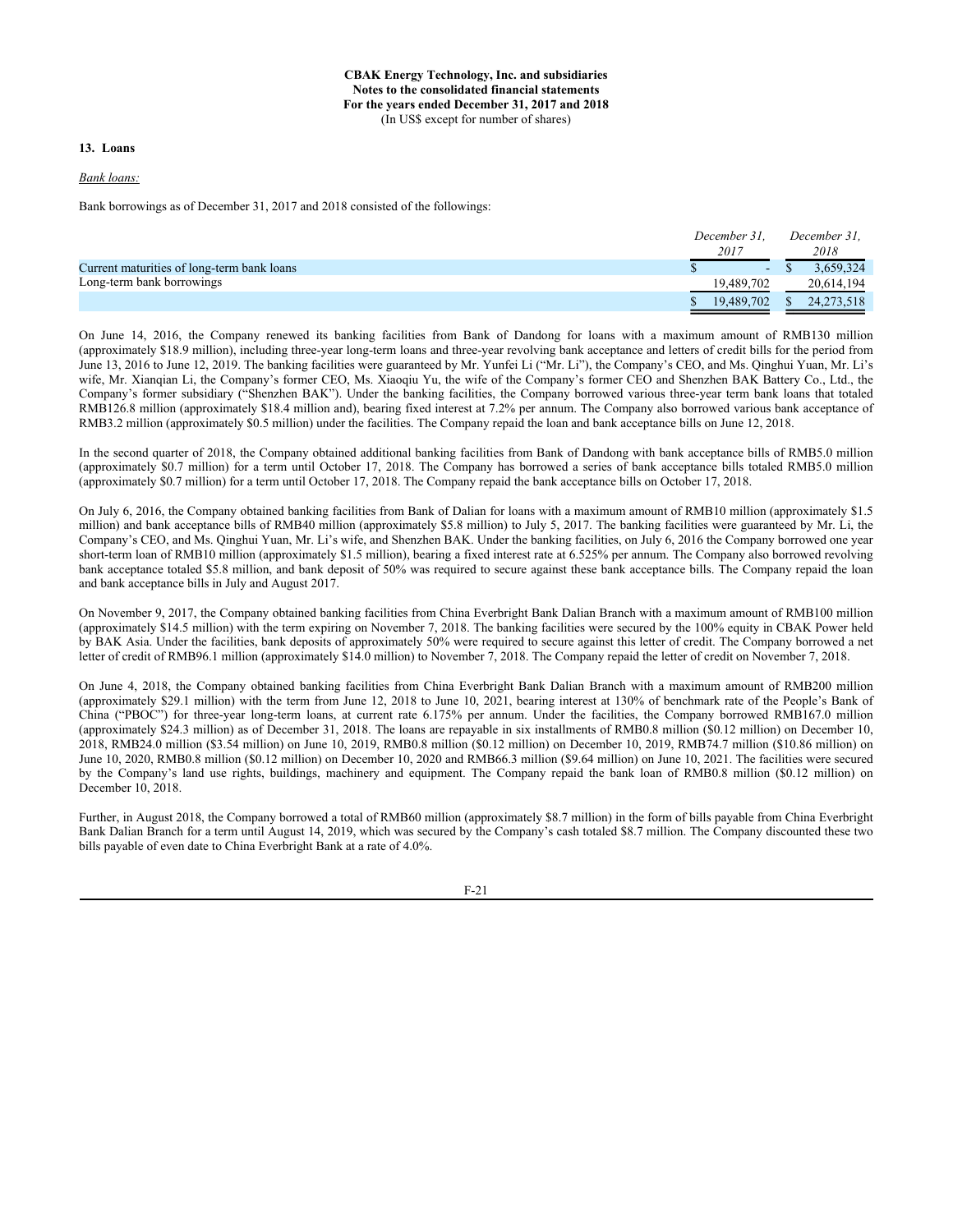#### **13. Loans**

*Bank loans:*

Bank borrowings as of December 31, 2017 and 2018 consisted of the followings:

| 2018       |
|------------|
| 3.659.324  |
| 20,614,194 |
| 24,273,518 |
|            |

On June 14, 2016, the Company renewed its banking facilities from Bank of Dandong for loans with a maximum amount of RMB130 million (approximately \$18.9 million), including three-year long-term loans and three-year revolving bank acceptance and letters of credit bills for the period from June 13, 2016 to June 12, 2019. The banking facilities were guaranteed by Mr. Yunfei Li ("Mr. Li"), the Company's CEO, and Ms. Qinghui Yuan, Mr. Li's wife, Mr. Xianqian Li, the Company's former CEO, Ms. Xiaoqiu Yu, the wife of the Company's former CEO and Shenzhen BAK Battery Co., Ltd., the Company's former subsidiary ("Shenzhen BAK"). Under the banking facilities, the Company borrowed various three-year term bank loans that totaled RMB126.8 million (approximately \$18.4 million and), bearing fixed interest at 7.2% per annum. The Company also borrowed various bank acceptance of RMB3.2 million (approximately \$0.5 million) under the facilities. The Company repaid the loan and bank acceptance bills on June 12, 2018.

In the second quarter of 2018, the Company obtained additional banking facilities from Bank of Dandong with bank acceptance bills of RMB5.0 million (approximately \$0.7 million) for a term until October 17, 2018. The Company has borrowed a series of bank acceptance bills totaled RMB5.0 million (approximately \$0.7 million) for a term until October 17, 2018. The Company repaid the bank acceptance bills on October 17, 2018.

On July 6, 2016, the Company obtained banking facilities from Bank of Dalian for loans with a maximum amount of RMB10 million (approximately \$1.5 million) and bank acceptance bills of RMB40 million (approximately \$5.8 million) to July 5, 2017. The banking facilities were guaranteed by Mr. Li, the Company's CEO, and Ms. Qinghui Yuan, Mr. Li's wife, and Shenzhen BAK. Under the banking facilities, on July 6, 2016 the Company borrowed one year short-term loan of RMB10 million (approximately \$1.5 million), bearing a fixed interest rate at 6.525% per annum. The Company also borrowed revolving bank acceptance totaled \$5.8 million, and bank deposit of 50% was required to secure against these bank acceptance bills. The Company repaid the loan and bank acceptance bills in July and August 2017.

On November 9, 2017, the Company obtained banking facilities from China Everbright Bank Dalian Branch with a maximum amount of RMB100 million (approximately \$14.5 million) with the term expiring on November 7, 2018. The banking facilities were secured by the 100% equity in CBAK Power held by BAK Asia. Under the facilities, bank deposits of approximately 50% were required to secure against this letter of credit. The Company borrowed a net letter of credit of RMB96.1 million (approximately \$14.0 million) to November 7, 2018. The Company repaid the letter of credit on November 7, 2018.

On June 4, 2018, the Company obtained banking facilities from China Everbright Bank Dalian Branch with a maximum amount of RMB200 million (approximately \$29.1 million) with the term from June 12, 2018 to June 10, 2021, bearing interest at 130% of benchmark rate of the People's Bank of China ("PBOC") for three-year long-term loans, at current rate 6.175% per annum. Under the facilities, the Company borrowed RMB167.0 million (approximately \$24.3 million) as of December 31, 2018. The loans are repayable in six installments of RMB0.8 million (\$0.12 million) on December 10, 2018, RMB24.0 million (\$3.54 million) on June 10, 2019, RMB0.8 million (\$0.12 million) on December 10, 2019, RMB74.7 million (\$10.86 million) on June 10, 2020, RMB0.8 million (\$0.12 million) on December 10, 2020 and RMB66.3 million (\$9.64 million) on June 10, 2021. The facilities were secured by the Company's land use rights, buildings, machinery and equipment. The Company repaid the bank loan of RMB0.8 million (\$0.12 million) on December 10, 2018.

Further, in August 2018, the Company borrowed a total of RMB60 million (approximately \$8.7 million) in the form of bills payable from China Everbright Bank Dalian Branch for a term until August 14, 2019, which was secured by the Company's cash totaled \$8.7 million. The Company discounted these two bills payable of even date to China Everbright Bank at a rate of 4.0%.

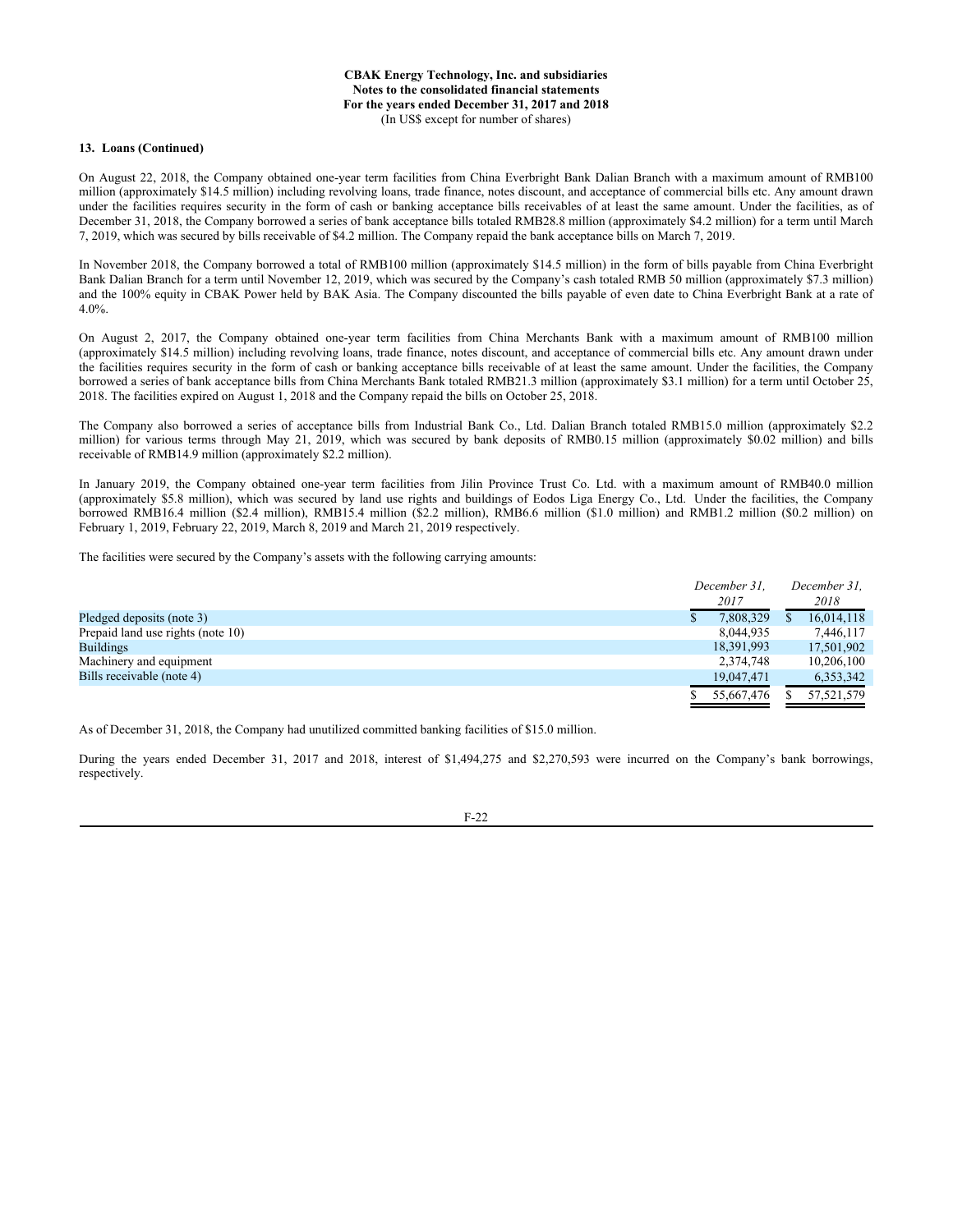#### **13. Loans (Continued)**

On August 22, 2018, the Company obtained one-year term facilities from China Everbright Bank Dalian Branch with a maximum amount of RMB100 million (approximately \$14.5 million) including revolving loans, trade finance, notes discount, and acceptance of commercial bills etc. Any amount drawn under the facilities requires security in the form of cash or banking acceptance bills receivables of at least the same amount. Under the facilities, as of December 31, 2018, the Company borrowed a series of bank acceptance bills totaled RMB28.8 million (approximately \$4.2 million) for a term until March 7, 2019, which was secured by bills receivable of \$4.2 million. The Company repaid the bank acceptance bills on March 7, 2019.

In November 2018, the Company borrowed a total of RMB100 million (approximately \$14.5 million) in the form of bills payable from China Everbright Bank Dalian Branch for a term until November 12, 2019, which was secured by the Company's cash totaled RMB 50 million (approximately \$7.3 million) and the 100% equity in CBAK Power held by BAK Asia. The Company discounted the bills payable of even date to China Everbright Bank at a rate of 4.0%.

On August 2, 2017, the Company obtained one-year term facilities from China Merchants Bank with a maximum amount of RMB100 million (approximately \$14.5 million) including revolving loans, trade finance, notes discount, and acceptance of commercial bills etc. Any amount drawn under the facilities requires security in the form of cash or banking acceptance bills receivable of at least the same amount. Under the facilities, the Company borrowed a series of bank acceptance bills from China Merchants Bank totaled RMB21.3 million (approximately \$3.1 million) for a term until October 25, 2018. The facilities expired on August 1, 2018 and the Company repaid the bills on October 25, 2018.

The Company also borrowed a series of acceptance bills from Industrial Bank Co., Ltd. Dalian Branch totaled RMB15.0 million (approximately \$2.2 million) for various terms through May 21, 2019, which was secured by bank deposits of RMB0.15 million (approximately \$0.02 million) and bills receivable of RMB14.9 million (approximately \$2.2 million).

In January 2019, the Company obtained one-year term facilities from Jilin Province Trust Co. Ltd. with a maximum amount of RMB40.0 million (approximately \$5.8 million), which was secured by land use rights and buildings of Eodos Liga Energy Co., Ltd. Under the facilities, the Company borrowed RMB16.4 million (\$2.4 million), RMB15.4 million (\$2.2 million), RMB6.6 million (\$1.0 million) and RMB1.2 million (\$0.2 million) on February 1, 2019, February 22, 2019, March 8, 2019 and March 21, 2019 respectively.

The facilities were secured by the Company's assets with the following carrying amounts:

| December 31.<br>2017 |  | December 31.<br>2018 |  |
|----------------------|--|----------------------|--|
| 7,808,329            |  | 16,014,118           |  |
| 8,044,935            |  | 7.446,117            |  |
| 18,391,993           |  | 17.501.902           |  |
| 2,374,748            |  | 10,206,100           |  |
| 19,047,471           |  | 6,353,342            |  |
| 55,667,476           |  | 57,521,579           |  |
|                      |  |                      |  |

As of December 31, 2018, the Company had unutilized committed banking facilities of \$15.0 million.

During the years ended December 31, 2017 and 2018, interest of \$1,494,275 and \$2,270,593 were incurred on the Company's bank borrowings, respectively.

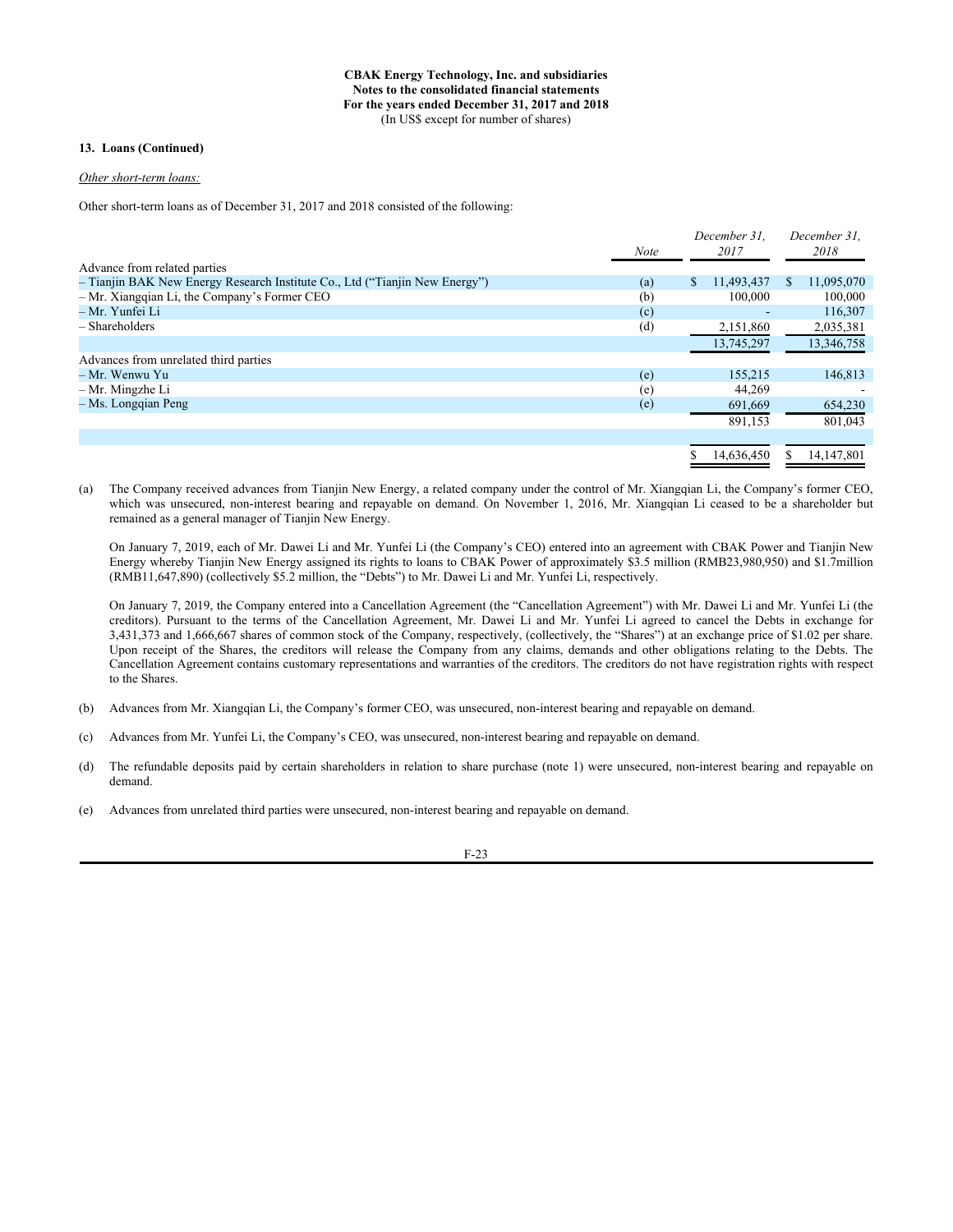## **13. Loans (Continued)**

# *Other short-term loans:*

Other short-term loans as of December 31, 2017 and 2018 consisted of the following:

|                                                                             |             |    | December 31. |     | December 31. |
|-----------------------------------------------------------------------------|-------------|----|--------------|-----|--------------|
|                                                                             | <b>Note</b> |    | 2017         |     | 2018         |
| Advance from related parties                                                |             |    |              |     |              |
| - Tianjin BAK New Energy Research Institute Co., Ltd ("Tianjin New Energy") | (a)         | S. | 11,493,437   | \$. | 11,095,070   |
| $-$ Mr. Xiangqian Li, the Company's Former CEO                              | (b)         |    | 100,000      |     | 100,000      |
| – Mr. Yunfei Li                                                             | (c)         |    |              |     | 116,307      |
| $-$ Shareholders                                                            | (d)         |    | 2,151,860    |     | 2,035,381    |
|                                                                             |             |    | 13,745,297   |     | 13,346,758   |
| Advances from unrelated third parties                                       |             |    |              |     |              |
| – Mr. Wenwu Yu                                                              | (e)         |    | 155,215      |     | 146,813      |
| – Mr. Mingzhe Li                                                            | (e)         |    | 44,269       |     |              |
| - Ms. Longqian Peng                                                         | (e)         |    | 691,669      |     | 654,230      |
|                                                                             |             |    | 891.153      |     | 801.043      |
|                                                                             |             |    |              |     |              |
|                                                                             |             |    | 14,636,450   |     | 14,147,801   |

(a) The Company received advances from Tianjin New Energy, a related company under the control of Mr. Xiangqian Li, the Company's former CEO, which was unsecured, non-interest bearing and repayable on demand. On November 1, 2016, Mr. Xiangqian Li ceased to be a shareholder but remained as a general manager of Tianjin New Energy.

On January 7, 2019, each of Mr. Dawei Li and Mr. Yunfei Li (the Company's CEO) entered into an agreement with CBAK Power and Tianjin New Energy whereby Tianjin New Energy assigned its rights to loans to CBAK Power of approximately \$3.5 million (RMB23,980,950) and \$1.7million (RMB11,647,890) (collectively \$5.2 million, the "Debts") to Mr. Dawei Li and Mr. Yunfei Li, respectively.

On January 7, 2019, the Company entered into a Cancellation Agreement (the "Cancellation Agreement") with Mr. Dawei Li and Mr. Yunfei Li (the creditors). Pursuant to the terms of the Cancellation Agreement, Mr. Dawei Li and Mr. Yunfei Li agreed to cancel the Debts in exchange for 3,431,373 and 1,666,667 shares of common stock of the Company, respectively, (collectively, the "Shares") at an exchange price of \$1.02 per share. Upon receipt of the Shares, the creditors will release the Company from any claims, demands and other obligations relating to the Debts. The Cancellation Agreement contains customary representations and warranties of the creditors. The creditors do not have registration rights with respect to the Shares.

- (b) Advances from Mr. Xiangqian Li, the Company's former CEO, was unsecured, non-interest bearing and repayable on demand.
- (c) Advances from Mr. Yunfei Li, the Company's CEO, was unsecured, non-interest bearing and repayable on demand.
- (d) The refundable deposits paid by certain shareholders in relation to share purchase (note 1) were unsecured, non-interest bearing and repayable on demand.
- (e) Advances from unrelated third parties were unsecured, non-interest bearing and repayable on demand.

F-23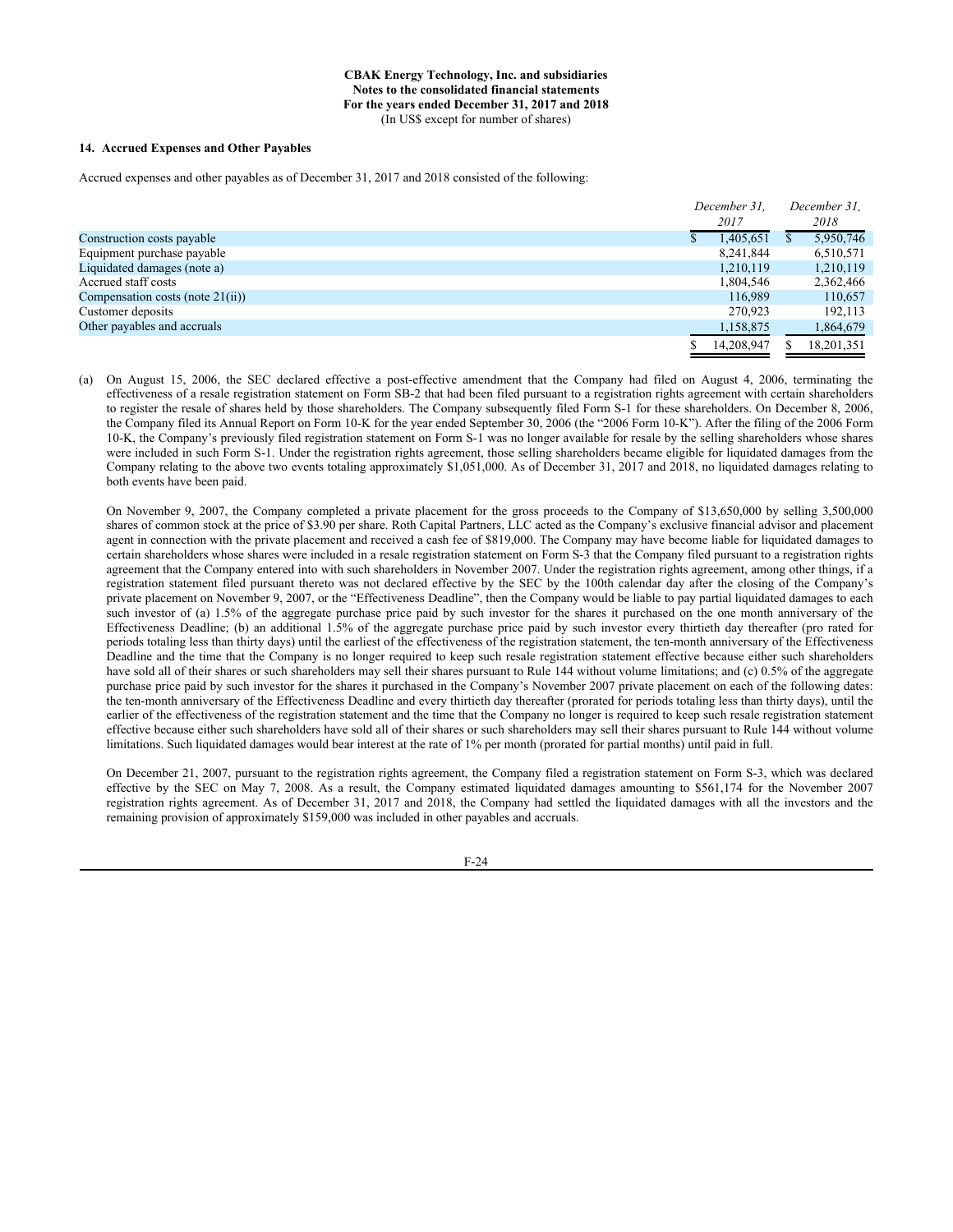#### **14. Accrued Expenses and Other Payables**

Accrued expenses and other payables as of December 31, 2017 and 2018 consisted of the following:

|                                     | December 31. |  | December 31. |  |
|-------------------------------------|--------------|--|--------------|--|
|                                     | 2017         |  | 2018         |  |
| Construction costs payable          | 1.405.651    |  | 5,950,746    |  |
| Equipment purchase payable          | 8.241.844    |  | 6,510,571    |  |
| Liquidated damages (note a)         | 1,210,119    |  | 1,210,119    |  |
| Accrued staff costs                 | 1,804,546    |  | 2,362,466    |  |
| Compensation costs (note $21(ii)$ ) | 116.989      |  | 110,657      |  |
| Customer deposits                   | 270,923      |  | 192,113      |  |
| Other payables and accruals         | 1,158,875    |  | 1,864,679    |  |
|                                     | 14.208.947   |  | 18.201.351   |  |

(a) On August 15, 2006, the SEC declared effective a post-effective amendment that the Company had filed on August 4, 2006, terminating the effectiveness of a resale registration statement on Form SB-2 that had been filed pursuant to a registration rights agreement with certain shareholders to register the resale of shares held by those shareholders. The Company subsequently filed Form S-1 for these shareholders. On December 8, 2006, the Company filed its Annual Report on Form 10-K for the year ended September 30, 2006 (the "2006 Form 10-K"). After the filing of the 2006 Form 10-K, the Company's previously filed registration statement on Form S-1 was no longer available for resale by the selling shareholders whose shares were included in such Form S-1. Under the registration rights agreement, those selling shareholders became eligible for liquidated damages from the Company relating to the above two events totaling approximately \$1,051,000. As of December 31, 2017 and 2018, no liquidated damages relating to both events have been paid.

On November 9, 2007, the Company completed a private placement for the gross proceeds to the Company of \$13,650,000 by selling 3,500,000 shares of common stock at the price of \$3.90 per share. Roth Capital Partners, LLC acted as the Company's exclusive financial advisor and placement agent in connection with the private placement and received a cash fee of \$819,000. The Company may have become liable for liquidated damages to certain shareholders whose shares were included in a resale registration statement on Form S-3 that the Company filed pursuant to a registration rights agreement that the Company entered into with such shareholders in November 2007. Under the registration rights agreement, among other things, if a registration statement filed pursuant thereto was not declared effective by the SEC by the 100th calendar day after the closing of the Company's private placement on November 9, 2007, or the "Effectiveness Deadline", then the Company would be liable to pay partial liquidated damages to each such investor of (a) 1.5% of the aggregate purchase price paid by such investor for the shares it purchased on the one month anniversary of the Effectiveness Deadline; (b) an additional 1.5% of the aggregate purchase price paid by such investor every thirtieth day thereafter (pro rated for periods totaling less than thirty days) until the earliest of the effectiveness of the registration statement, the ten-month anniversary of the Effectiveness Deadline and the time that the Company is no longer required to keep such resale registration statement effective because either such shareholders have sold all of their shares or such shareholders may sell their shares pursuant to Rule 144 without volume limitations; and (c) 0.5% of the aggregate purchase price paid by such investor for the shares it purchased in the Company's November 2007 private placement on each of the following dates: the ten-month anniversary of the Effectiveness Deadline and every thirtieth day thereafter (prorated for periods totaling less than thirty days), until the earlier of the effectiveness of the registration statement and the time that the Company no longer is required to keep such resale registration statement effective because either such shareholders have sold all of their shares or such shareholders may sell their shares pursuant to Rule 144 without volume limitations. Such liquidated damages would bear interest at the rate of 1% per month (prorated for partial months) until paid in full.

On December 21, 2007, pursuant to the registration rights agreement, the Company filed a registration statement on Form S-3, which was declared effective by the SEC on May 7, 2008. As a result, the Company estimated liquidated damages amounting to \$561,174 for the November 2007 registration rights agreement. As of December 31, 2017 and 2018, the Company had settled the liquidated damages with all the investors and the remaining provision of approximately \$159,000 was included in other payables and accruals.

F-24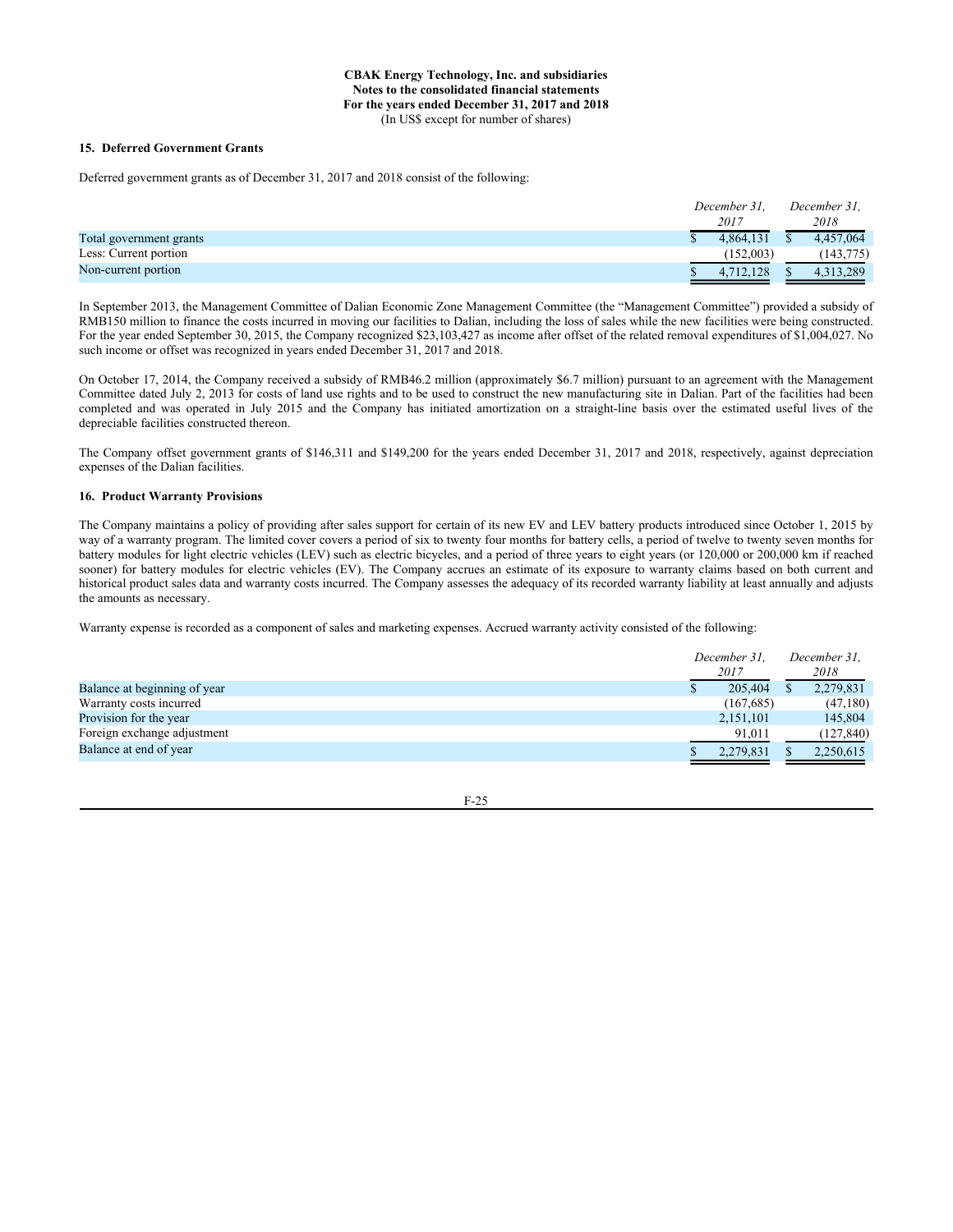#### **15. Deferred Government Grants**

Deferred government grants as of December 31, 2017 and 2018 consist of the following:

|                         | December 31. |           | December 31. |            |
|-------------------------|--------------|-----------|--------------|------------|
|                         |              | 2017      |              | 2018       |
| Total government grants |              | 4.864.131 |              | 4.457,064  |
| Less: Current portion   |              | (152,003) |              | (143, 775) |
| Non-current portion     |              | 4.712.128 |              | 4.313.289  |

In September 2013, the Management Committee of Dalian Economic Zone Management Committee (the "Management Committee") provided a subsidy of RMB150 million to finance the costs incurred in moving our facilities to Dalian, including the loss of sales while the new facilities were being constructed. For the year ended September 30, 2015, the Company recognized \$23,103,427 as income after offset of the related removal expenditures of \$1,004,027. No such income or offset was recognized in years ended December 31, 2017 and 2018.

On October 17, 2014, the Company received a subsidy of RMB46.2 million (approximately \$6.7 million) pursuant to an agreement with the Management Committee dated July 2, 2013 for costs of land use rights and to be used to construct the new manufacturing site in Dalian. Part of the facilities had been completed and was operated in July 2015 and the Company has initiated amortization on a straight-line basis over the estimated useful lives of the depreciable facilities constructed thereon.

The Company offset government grants of \$146,311 and \$149,200 for the years ended December 31, 2017 and 2018, respectively, against depreciation expenses of the Dalian facilities.

#### **16. Product Warranty Provisions**

The Company maintains a policy of providing after sales support for certain of its new EV and LEV battery products introduced since October 1, 2015 by way of a warranty program. The limited cover covers a period of six to twenty four months for battery cells, a period of twelve to twenty seven months for battery modules for light electric vehicles (LEV) such as electric bicycles, and a period of three years to eight years (or 120,000 or 200,000 km if reached sooner) for battery modules for electric vehicles (EV). The Company accrues an estimate of its exposure to warranty claims based on both current and historical product sales data and warranty costs incurred. The Company assesses the adequacy of its recorded warranty liability at least annually and adjusts the amounts as necessary.

Warranty expense is recorded as a component of sales and marketing expenses. Accrued warranty activity consisted of the following:

|                              | December 31.<br>2017 | December 31.<br>2018 |  |
|------------------------------|----------------------|----------------------|--|
| Balance at beginning of year | 205,404              | 2,279,831            |  |
| Warranty costs incurred      | (167, 685)           | (47,180)             |  |
| Provision for the year       | 2,151,101            | 145,804              |  |
| Foreign exchange adjustment  | 91,011               | (127, 840)           |  |
| Balance at end of year       | 2,279,831            | 2,250,615            |  |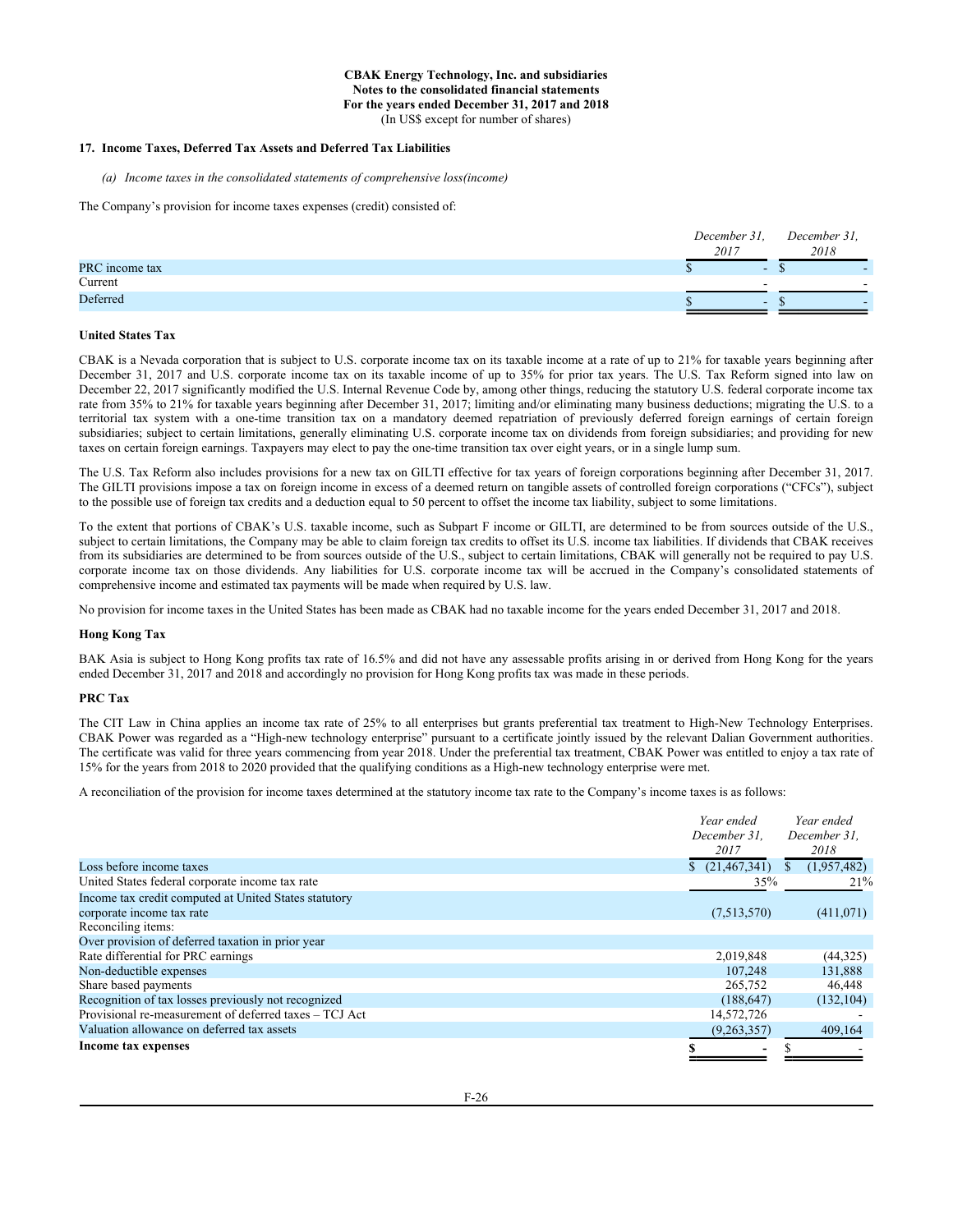# **17. Income Taxes, Deferred Tax Assets and Deferred Tax Liabilities**

*(a) Income taxes in the consolidated statements of comprehensive loss(income)*

The Company's provision for income taxes expenses (credit) consisted of:

|                | December 31, | December 31, |
|----------------|--------------|--------------|
|                | 2017         | 2018         |
| PRC income tax |              | -            |
| Current        |              |              |
| Deferred       | -            | -            |
|                |              |              |

## **United States Tax**

CBAK is a Nevada corporation that is subject to U.S. corporate income tax on its taxable income at a rate of up to 21% for taxable years beginning after December 31, 2017 and U.S. corporate income tax on its taxable income of up to 35% for prior tax years. The U.S. Tax Reform signed into law on December 22, 2017 significantly modified the U.S. Internal Revenue Code by, among other things, reducing the statutory U.S. federal corporate income tax rate from 35% to 21% for taxable years beginning after December 31, 2017; limiting and/or eliminating many business deductions; migrating the U.S. to a territorial tax system with a one-time transition tax on a mandatory deemed repatriation of previously deferred foreign earnings of certain foreign subsidiaries; subject to certain limitations, generally eliminating U.S. corporate income tax on dividends from foreign subsidiaries; and providing for new taxes on certain foreign earnings. Taxpayers may elect to pay the one-time transition tax over eight years, or in a single lump sum.

The U.S. Tax Reform also includes provisions for a new tax on GILTI effective for tax years of foreign corporations beginning after December 31, 2017. The GILTI provisions impose a tax on foreign income in excess of a deemed return on tangible assets of controlled foreign corporations ("CFCs"), subject to the possible use of foreign tax credits and a deduction equal to 50 percent to offset the income tax liability, subject to some limitations.

To the extent that portions of CBAK's U.S. taxable income, such as Subpart F income or GILTI, are determined to be from sources outside of the U.S., subject to certain limitations, the Company may be able to claim foreign tax credits to offset its U.S. income tax liabilities. If dividends that CBAK receives from its subsidiaries are determined to be from sources outside of the U.S., subject to certain limitations, CBAK will generally not be required to pay U.S. corporate income tax on those dividends. Any liabilities for U.S. corporate income tax will be accrued in the Company's consolidated statements of comprehensive income and estimated tax payments will be made when required by U.S. law.

No provision for income taxes in the United States has been made as CBAK had no taxable income for the years ended December 31, 2017 and 2018.

#### **Hong Kong Tax**

BAK Asia is subject to Hong Kong profits tax rate of 16.5% and did not have any assessable profits arising in or derived from Hong Kong for the years ended December 31, 2017 and 2018 and accordingly no provision for Hong Kong profits tax was made in these periods.

#### **PRC Tax**

The CIT Law in China applies an income tax rate of 25% to all enterprises but grants preferential tax treatment to High-New Technology Enterprises. CBAK Power was regarded as a "High-new technology enterprise" pursuant to a certificate jointly issued by the relevant Dalian Government authorities. The certificate was valid for three years commencing from year 2018. Under the preferential tax treatment, CBAK Power was entitled to enjoy a tax rate of 15% for the years from 2018 to 2020 provided that the qualifying conditions as a High-new technology enterprise were met.

A reconciliation of the provision for income taxes determined at the statutory income tax rate to the Company's income taxes is as follows:

|                                                        | Year ended<br>December 31.<br>2017 | Year ended<br>December 31.<br>2018 |
|--------------------------------------------------------|------------------------------------|------------------------------------|
| Loss before income taxes                               | \$(21,467,341)                     | (1,957,482)<br>S.                  |
| United States federal corporate income tax rate        | 35%                                | 21%                                |
| Income tax credit computed at United States statutory  |                                    |                                    |
| corporate income tax rate                              | (7,513,570)                        | (411,071)                          |
| Reconciling items:                                     |                                    |                                    |
| Over provision of deferred taxation in prior year      |                                    |                                    |
| Rate differential for PRC earnings                     | 2,019,848                          | (44,325)                           |
| Non-deductible expenses                                | 107.248                            | 131,888                            |
| Share based payments                                   | 265,752                            | 46,448                             |
| Recognition of tax losses previously not recognized    | (188, 647)                         | (132, 104)                         |
| Provisional re-measurement of deferred taxes – TCJ Act | 14,572,726                         |                                    |
| Valuation allowance on deferred tax assets             | (9,263,357)                        | 409,164                            |
| Income tax expenses                                    |                                    |                                    |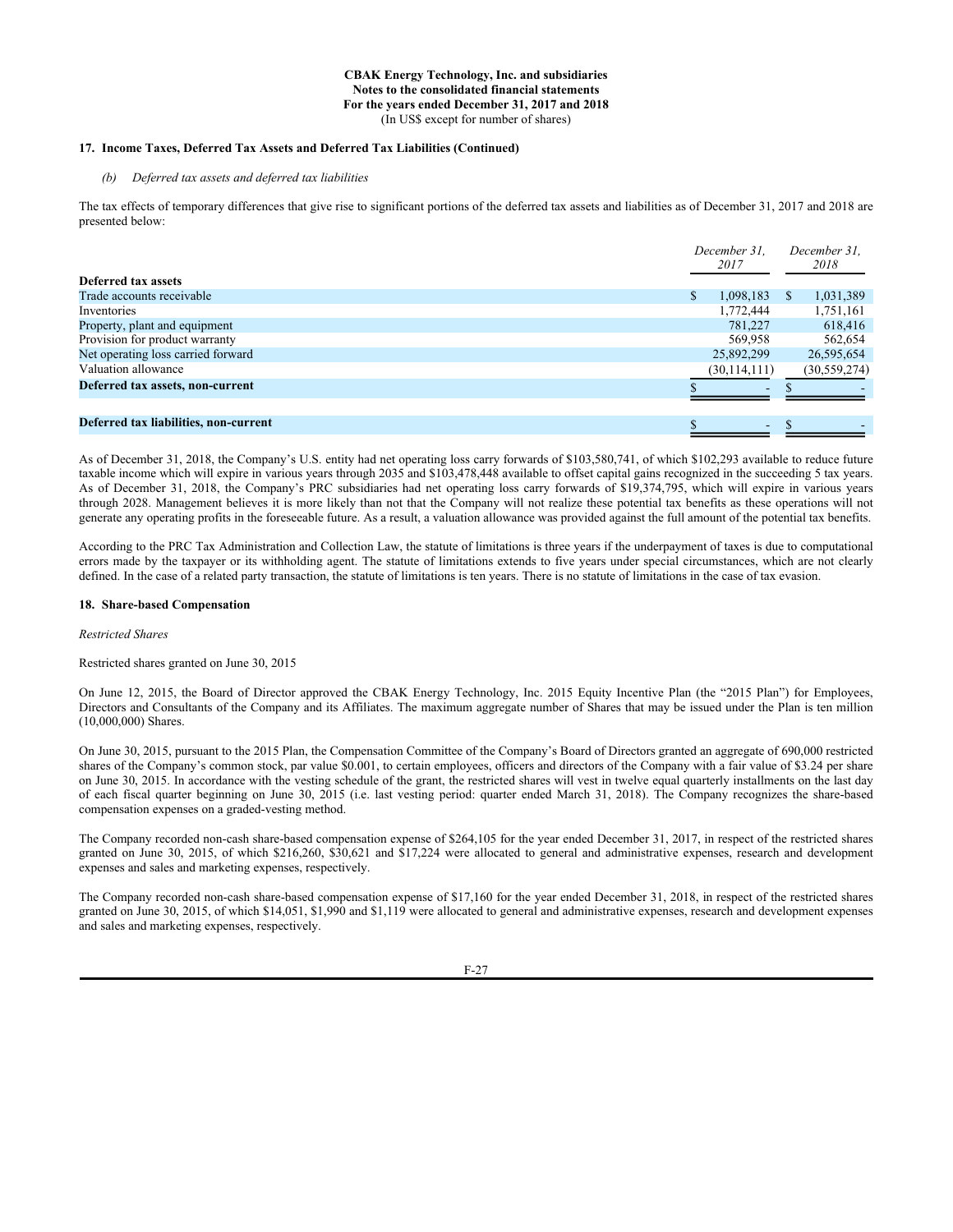## **17. Income Taxes, Deferred Tax Assets and Deferred Tax Liabilities (Continued)**

# *(b) Deferred tax assets and deferred tax liabilities*

The tax effects of temporary differences that give rise to significant portions of the deferred tax assets and liabilities as of December 31, 2017 and 2018 are presented below:

|                                       | December 31.<br>2017     | December 31,<br>2018 |
|---------------------------------------|--------------------------|----------------------|
| Deferred tax assets                   |                          |                      |
| Trade accounts receivable             | 1,098,183<br>S           | 1,031,389<br>S.      |
| Inventories                           | 1,772,444                | 1,751,161            |
| Property, plant and equipment         | 781.227                  | 618,416              |
| Provision for product warranty        | 569,958                  | 562,654              |
| Net operating loss carried forward    | 25,892,299               | 26,595,654           |
| Valuation allowance                   | (30, 114, 111)           | (30, 559, 274)       |
| Deferred tax assets, non-current      | $\overline{\phantom{0}}$ |                      |
|                                       |                          |                      |
| Deferred tax liabilities, non-current | $\sim$                   |                      |

As of December 31, 2018, the Company's U.S. entity had net operating loss carry forwards of \$103,580,741, of which \$102,293 available to reduce future taxable income which will expire in various years through 2035 and \$103,478,448 available to offset capital gains recognized in the succeeding 5 tax years. As of December 31, 2018, the Company's PRC subsidiaries had net operating loss carry forwards of \$19,374,795, which will expire in various years through 2028. Management believes it is more likely than not that the Company will not realize these potential tax benefits as these operations will not generate any operating profits in the foreseeable future. As a result, a valuation allowance was provided against the full amount of the potential tax benefits.

According to the PRC Tax Administration and Collection Law, the statute of limitations is three years if the underpayment of taxes is due to computational errors made by the taxpayer or its withholding agent. The statute of limitations extends to five years under special circumstances, which are not clearly defined. In the case of a related party transaction, the statute of limitations is ten years. There is no statute of limitations in the case of tax evasion.

#### **18. Share-based Compensation**

#### *Restricted Shares*

Restricted shares granted on June 30, 2015

On June 12, 2015, the Board of Director approved the CBAK Energy Technology, Inc. 2015 Equity Incentive Plan (the "2015 Plan") for Employees, Directors and Consultants of the Company and its Affiliates. The maximum aggregate number of Shares that may be issued under the Plan is ten million (10,000,000) Shares.

On June 30, 2015, pursuant to the 2015 Plan, the Compensation Committee of the Company's Board of Directors granted an aggregate of 690,000 restricted shares of the Company's common stock, par value \$0.001, to certain employees, officers and directors of the Company with a fair value of \$3.24 per share on June 30, 2015. In accordance with the vesting schedule of the grant, the restricted shares will vest in twelve equal quarterly installments on the last day of each fiscal quarter beginning on June 30, 2015 (i.e. last vesting period: quarter ended March 31, 2018). The Company recognizes the share-based compensation expenses on a graded-vesting method.

The Company recorded non-cash share-based compensation expense of \$264,105 for the year ended December 31, 2017, in respect of the restricted shares granted on June 30, 2015, of which \$216,260, \$30,621 and \$17,224 were allocated to general and administrative expenses, research and development expenses and sales and marketing expenses, respectively.

The Company recorded non-cash share-based compensation expense of \$17,160 for the year ended December 31, 2018, in respect of the restricted shares granted on June 30, 2015, of which \$14,051, \$1,990 and \$1,119 were allocated to general and administrative expenses, research and development expenses and sales and marketing expenses, respectively.

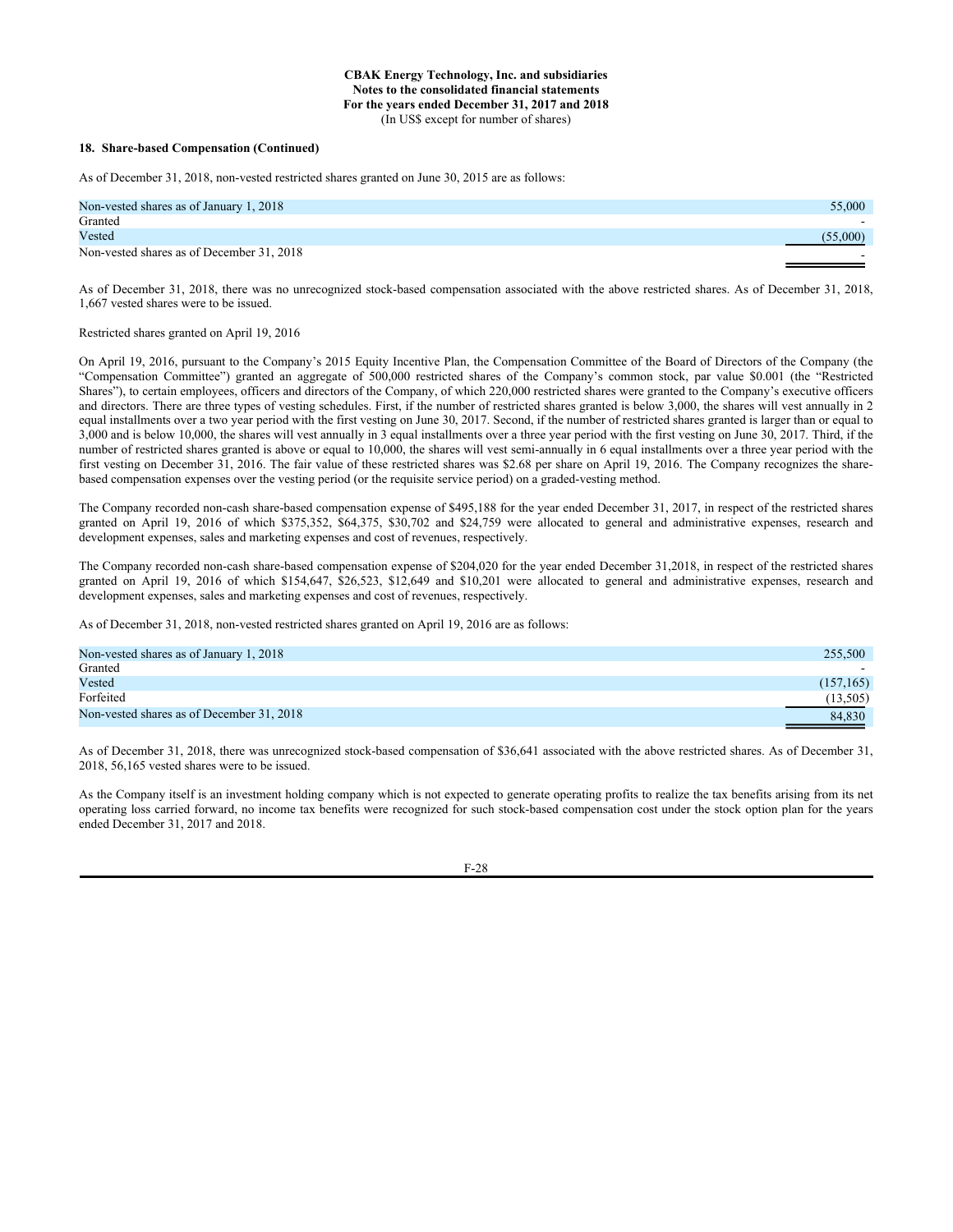#### **18. Share-based Compensation (Continued)**

As of December 31, 2018, non-vested restricted shares granted on June 30, 2015 are as follows:

| Non-vested shares as of January 1, 2018   | 55,000   |
|-------------------------------------------|----------|
| Granted                                   |          |
| Vested                                    | (55,000) |
| Non-vested shares as of December 31, 2018 |          |

As of December 31, 2018, there was no unrecognized stock-based compensation associated with the above restricted shares. As of December 31, 2018, 1,667 vested shares were to be issued.

#### Restricted shares granted on April 19, 2016

On April 19, 2016, pursuant to the Company's 2015 Equity Incentive Plan, the Compensation Committee of the Board of Directors of the Company (the "Compensation Committee") granted an aggregate of 500,000 restricted shares of the Company's common stock, par value \$0.001 (the "Restricted Shares"), to certain employees, officers and directors of the Company, of which 220,000 restricted shares were granted to the Company's executive officers and directors. There are three types of vesting schedules. First, if the number of restricted shares granted is below 3,000, the shares will vest annually in 2 equal installments over a two year period with the first vesting on June 30, 2017. Second, if the number of restricted shares granted is larger than or equal to 3,000 and is below 10,000, the shares will vest annually in 3 equal installments over a three year period with the first vesting on June 30, 2017. Third, if the number of restricted shares granted is above or equal to 10,000, the shares will vest semi-annually in 6 equal installments over a three year period with the first vesting on December 31, 2016. The fair value of these restricted shares was \$2.68 per share on April 19, 2016. The Company recognizes the sharebased compensation expenses over the vesting period (or the requisite service period) on a graded-vesting method.

The Company recorded non-cash share-based compensation expense of \$495,188 for the year ended December 31, 2017, in respect of the restricted shares granted on April 19, 2016 of which \$375,352, \$64,375, \$30,702 and \$24,759 were allocated to general and administrative expenses, research and development expenses, sales and marketing expenses and cost of revenues, respectively.

The Company recorded non-cash share-based compensation expense of \$204,020 for the year ended December 31,2018, in respect of the restricted shares granted on April 19, 2016 of which \$154,647, \$26,523, \$12,649 and \$10,201 were allocated to general and administrative expenses, research and development expenses, sales and marketing expenses and cost of revenues, respectively.

As of December 31, 2018, non-vested restricted shares granted on April 19, 2016 are as follows:

| Non-vested shares as of January 1, 2018   | 255,500   |
|-------------------------------------------|-----------|
| Granted                                   |           |
| Vested                                    | (157,165) |
| Forfeited                                 | (13,505)  |
| Non-vested shares as of December 31, 2018 | 84,830    |

As of December 31, 2018, there was unrecognized stock-based compensation of \$36,641 associated with the above restricted shares. As of December 31, 2018, 56,165 vested shares were to be issued.

As the Company itself is an investment holding company which is not expected to generate operating profits to realize the tax benefits arising from its net operating loss carried forward, no income tax benefits were recognized for such stock-based compensation cost under the stock option plan for the years ended December 31, 2017 and 2018.

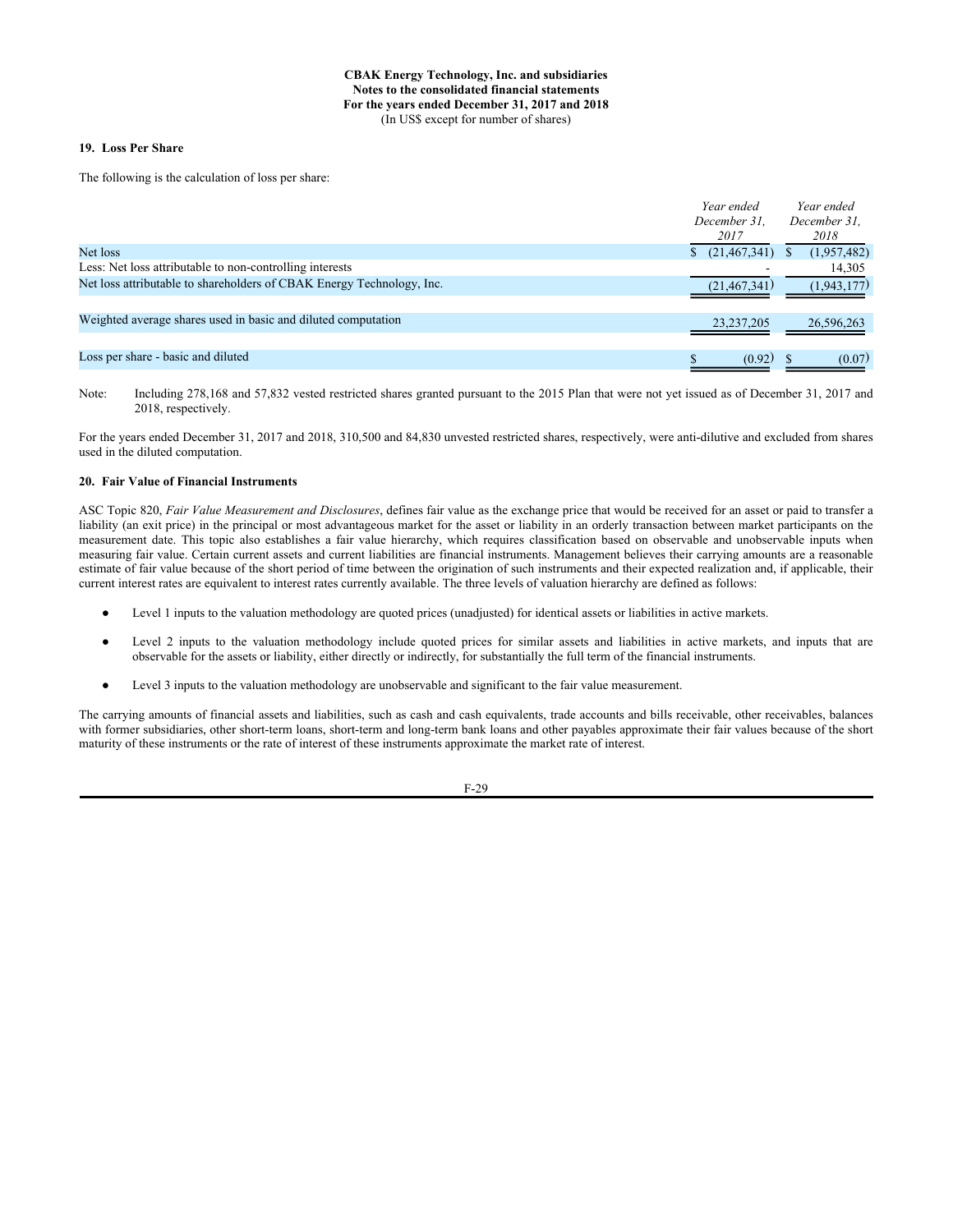### **19. Loss Per Share**

The following is the calculation of loss per share:

|                                                                       | Year ended     | Year ended   |
|-----------------------------------------------------------------------|----------------|--------------|
|                                                                       | December 31.   | December 31, |
|                                                                       | 2017           | 2018         |
| Net loss                                                              | (21, 467, 341) | (1,957,482)  |
| Less: Net loss attributable to non-controlling interests              |                | 14,305       |
| Net loss attributable to shareholders of CBAK Energy Technology, Inc. | (21, 467, 341) | (1,943,177)  |
|                                                                       |                |              |
| Weighted average shares used in basic and diluted computation         | 23, 237, 205   | 26,596,263   |
|                                                                       |                |              |
| Loss per share - basic and diluted                                    | (0.92)         | (0.07)       |

Note: Including 278,168 and 57,832 vested restricted shares granted pursuant to the 2015 Plan that were not yet issued as of December 31, 2017 and 2018, respectively.

For the years ended December 31, 2017 and 2018, 310,500 and 84,830 unvested restricted shares, respectively, were anti-dilutive and excluded from shares used in the diluted computation.

## **20. Fair Value of Financial Instruments**

ASC Topic 820, *Fair Value Measurement and Disclosures*, defines fair value as the exchange price that would be received for an asset or paid to transfer a liability (an exit price) in the principal or most advantageous market for the asset or liability in an orderly transaction between market participants on the measurement date. This topic also establishes a fair value hierarchy, which requires classification based on observable and unobservable inputs when measuring fair value. Certain current assets and current liabilities are financial instruments. Management believes their carrying amounts are a reasonable estimate of fair value because of the short period of time between the origination of such instruments and their expected realization and, if applicable, their current interest rates are equivalent to interest rates currently available. The three levels of valuation hierarchy are defined as follows:

- Level 1 inputs to the valuation methodology are quoted prices (unadjusted) for identical assets or liabilities in active markets.
- Level 2 inputs to the valuation methodology include quoted prices for similar assets and liabilities in active markets, and inputs that are observable for the assets or liability, either directly or indirectly, for substantially the full term of the financial instruments.
- Level 3 inputs to the valuation methodology are unobservable and significant to the fair value measurement.

The carrying amounts of financial assets and liabilities, such as cash and cash equivalents, trade accounts and bills receivable, other receivables, balances with former subsidiaries, other short-term loans, short-term and long-term bank loans and other payables approximate their fair values because of the short maturity of these instruments or the rate of interest of these instruments approximate the market rate of interest.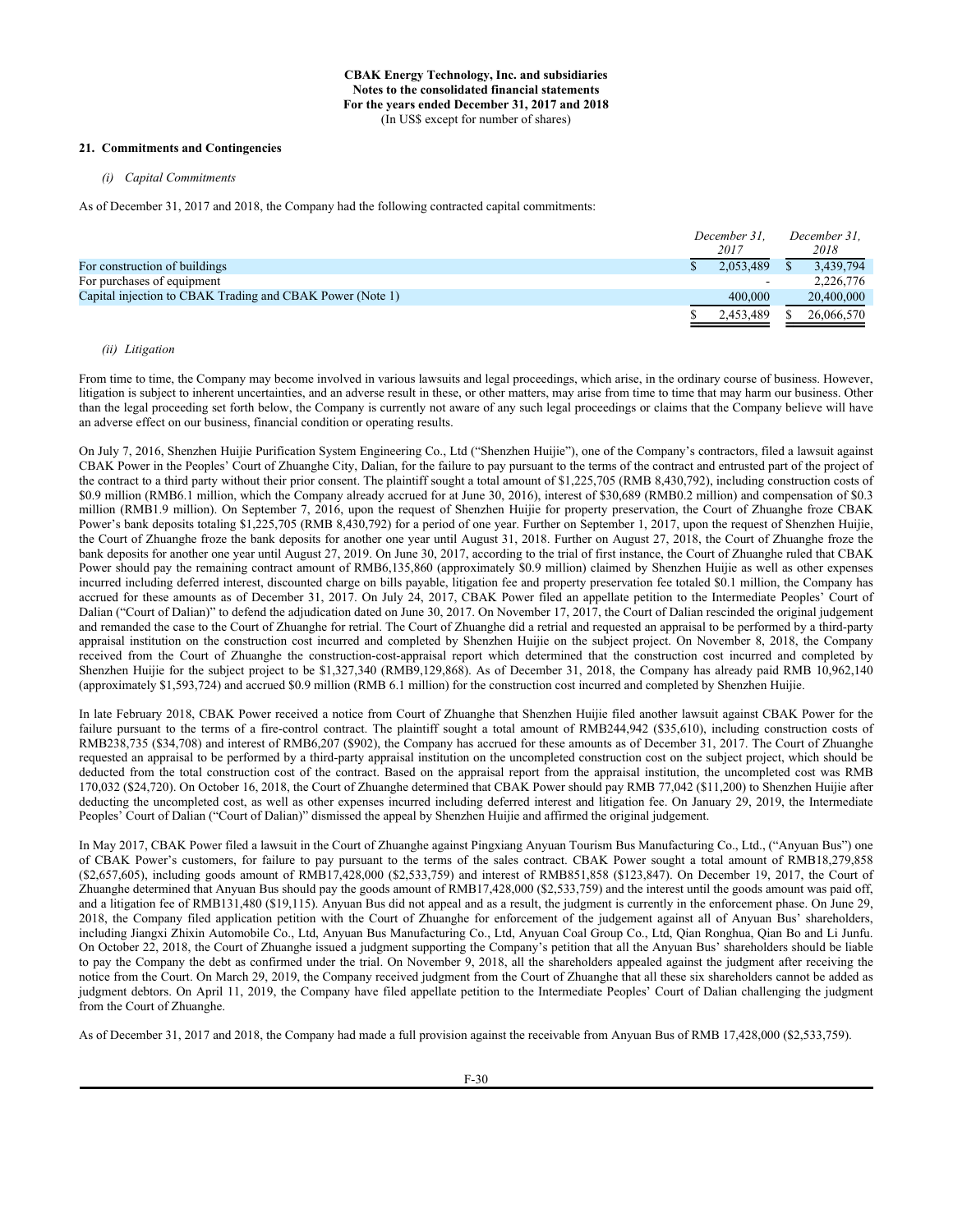# **21. Commitments and Contingencies**

*(i) Capital Commitments*

As of December 31, 2017 and 2018, the Company had the following contracted capital commitments:

|                                                           | December 31.<br>2017 | December 31.<br>2018 |
|-----------------------------------------------------------|----------------------|----------------------|
| For construction of buildings                             | 2.053.489            | 3.439.794            |
| For purchases of equipment                                | $\sim$               | 2,226,776            |
| Capital injection to CBAK Trading and CBAK Power (Note 1) | 400,000              | 20,400,000           |
|                                                           | 2.453.489            | 26,066,570           |

# *(ii) Litigation*

From time to time, the Company may become involved in various lawsuits and legal proceedings, which arise, in the ordinary course of business. However, litigation is subject to inherent uncertainties, and an adverse result in these, or other matters, may arise from time to time that may harm our business. Other than the legal proceeding set forth below, the Company is currently not aware of any such legal proceedings or claims that the Company believe will have an adverse effect on our business, financial condition or operating results.

On July 7, 2016, Shenzhen Huijie Purification System Engineering Co., Ltd ("Shenzhen Huijie"), one of the Company's contractors, filed a lawsuit against CBAK Power in the Peoples' Court of Zhuanghe City, Dalian, for the failure to pay pursuant to the terms of the contract and entrusted part of the project of the contract to a third party without their prior consent. The plaintiff sought a total amount of \$1,225,705 (RMB 8,430,792), including construction costs of \$0.9 million (RMB6.1 million, which the Company already accrued for at June 30, 2016), interest of \$30,689 (RMB0.2 million) and compensation of \$0.3 million (RMB1.9 million). On September 7, 2016, upon the request of Shenzhen Huijie for property preservation, the Court of Zhuanghe froze CBAK Power's bank deposits totaling \$1,225,705 (RMB 8,430,792) for a period of one year. Further on September 1, 2017, upon the request of Shenzhen Huijie, the Court of Zhuanghe froze the bank deposits for another one year until August 31, 2018. Further on August 27, 2018, the Court of Zhuanghe froze the bank deposits for another one year until August 27, 2019. On June 30, 2017, according to the trial of first instance, the Court of Zhuanghe ruled that CBAK Power should pay the remaining contract amount of RMB6,135,860 (approximately \$0.9 million) claimed by Shenzhen Huijie as well as other expenses incurred including deferred interest, discounted charge on bills payable, litigation fee and property preservation fee totaled \$0.1 million, the Company has accrued for these amounts as of December 31, 2017. On July 24, 2017, CBAK Power filed an appellate petition to the Intermediate Peoples' Court of Dalian ("Court of Dalian)" to defend the adjudication dated on June 30, 2017. On November 17, 2017, the Court of Dalian rescinded the original judgement and remanded the case to the Court of Zhuanghe for retrial. The Court of Zhuanghe did a retrial and requested an appraisal to be performed by a third-party appraisal institution on the construction cost incurred and completed by Shenzhen Huijie on the subject project. On November 8, 2018, the Company received from the Court of Zhuanghe the construction-cost-appraisal report which determined that the construction cost incurred and completed by Shenzhen Huijie for the subject project to be \$1,327,340 (RMB9,129,868). As of December 31, 2018, the Company has already paid RMB 10,962,140 (approximately \$1,593,724) and accrued \$0.9 million (RMB 6.1 million) for the construction cost incurred and completed by Shenzhen Huijie.

In late February 2018, CBAK Power received a notice from Court of Zhuanghe that Shenzhen Huijie filed another lawsuit against CBAK Power for the failure pursuant to the terms of a fire-control contract. The plaintiff sought a total amount of RMB244,942 (\$35,610), including construction costs of RMB238,735 (\$34,708) and interest of RMB6,207 (\$902), the Company has accrued for these amounts as of December 31, 2017. The Court of Zhuanghe requested an appraisal to be performed by a third-party appraisal institution on the uncompleted construction cost on the subject project, which should be deducted from the total construction cost of the contract. Based on the appraisal report from the appraisal institution, the uncompleted cost was RMB 170,032 (\$24,720). On October 16, 2018, the Court of Zhuanghe determined that CBAK Power should pay RMB 77,042 (\$11,200) to Shenzhen Huijie after deducting the uncompleted cost, as well as other expenses incurred including deferred interest and litigation fee. On January 29, 2019, the Intermediate Peoples' Court of Dalian ("Court of Dalian)" dismissed the appeal by Shenzhen Huijie and affirmed the original judgement.

In May 2017, CBAK Power filed a lawsuit in the Court of Zhuanghe against Pingxiang Anyuan Tourism Bus Manufacturing Co., Ltd., ("Anyuan Bus") one of CBAK Power's customers, for failure to pay pursuant to the terms of the sales contract. CBAK Power sought a total amount of RMB18,279,858 (\$2,657,605), including goods amount of RMB17,428,000 (\$2,533,759) and interest of RMB851,858 (\$123,847). On December 19, 2017, the Court of Zhuanghe determined that Anyuan Bus should pay the goods amount of RMB17,428,000 (\$2,533,759) and the interest until the goods amount was paid off, and a litigation fee of RMB131,480 (\$19,115). Anyuan Bus did not appeal and as a result, the judgment is currently in the enforcement phase. On June 29, 2018, the Company filed application petition with the Court of Zhuanghe for enforcement of the judgement against all of Anyuan Bus' shareholders, including Jiangxi Zhixin Automobile Co., Ltd, Anyuan Bus Manufacturing Co., Ltd, Anyuan Coal Group Co., Ltd, Qian Ronghua, Qian Bo and Li Junfu. On October 22, 2018, the Court of Zhuanghe issued a judgment supporting the Company's petition that all the Anyuan Bus' shareholders should be liable to pay the Company the debt as confirmed under the trial. On November 9, 2018, all the shareholders appealed against the judgment after receiving the notice from the Court. On March 29, 2019, the Company received judgment from the Court of Zhuanghe that all these six shareholders cannot be added as judgment debtors. On April 11, 2019, the Company have filed appellate petition to the Intermediate Peoples' Court of Dalian challenging the judgment from the Court of Zhuanghe.

As of December 31, 2017 and 2018, the Company had made a full provision against the receivable from Anyuan Bus of RMB 17,428,000 (\$2,533,759).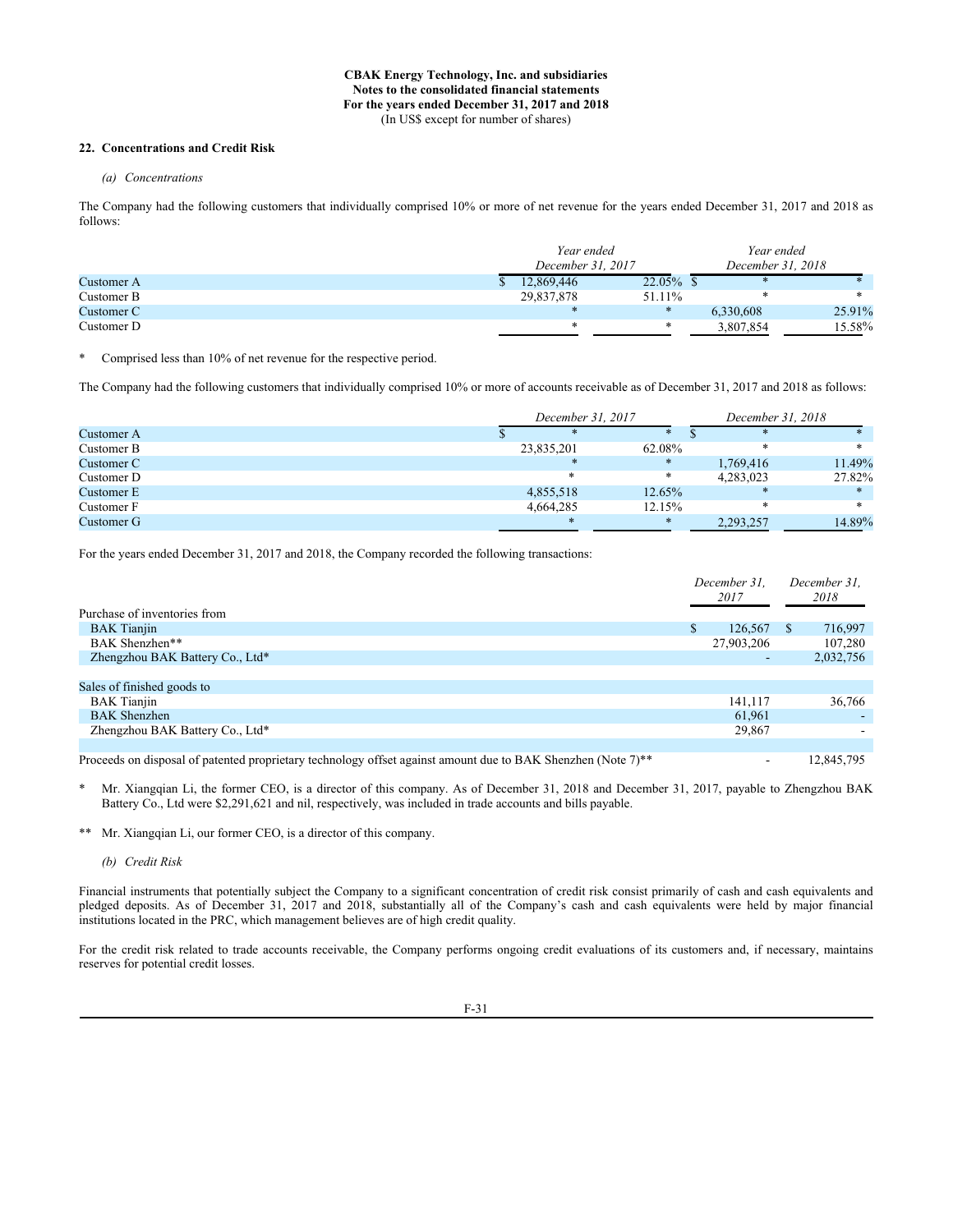# **22. Concentrations and Credit Risk**

## *(a) Concentrations*

The Company had the following customers that individually comprised 10% or more of net revenue for the years ended December 31, 2017 and 2018 as follows:

|            | Year ended        |              | Year ended        |        |
|------------|-------------------|--------------|-------------------|--------|
|            | December 31, 2017 |              | December 31, 2018 |        |
| Customer A | 12,869,446        | $22.05\%$ \$ |                   |        |
| Customer B | 29,837,878        | 51.11\%      |                   |        |
| Customer C | $\ast$            | $\ast$       | 6.330.608         | 25.91% |
| Customer D | $\ast$            | ∗            | 3,807,854         | 15.58% |

\* Comprised less than 10% of net revenue for the respective period.

The Company had the following customers that individually comprised 10% or more of accounts receivable as of December 31, 2017 and 2018 as follows:

|            | December 31, 2017 |        |           |        |  |
|------------|-------------------|--------|-----------|--------|--|
| Customer A |                   |        |           |        |  |
| Customer B | 23,835,201        | 62.08% | $\ast$    |        |  |
| Customer C | $*$               |        | 1,769,416 | 11.49% |  |
| Customer D | $\ast$            | *      | 4,283,023 | 27.82% |  |
| Customer E | 4,855,518         | 12.65% | $\ast$    |        |  |
| Customer F | 4,664,285         | 12.15% | ∗         | $\ast$ |  |
| Customer G | $*$               | $\ast$ | 2,293,257 | 14.89% |  |

For the years ended December 31, 2017 and 2018, the Company recorded the following transactions:

|                                                                                                              |   | December 31.<br>2017 |  | December 31.<br>2018 |
|--------------------------------------------------------------------------------------------------------------|---|----------------------|--|----------------------|
| Purchase of inventories from                                                                                 |   |                      |  |                      |
| <b>BAK</b> Tianjin                                                                                           | S | 126,567              |  | 716,997              |
| BAK Shenzhen**                                                                                               |   | 27,903,206           |  | 107,280              |
| Zhengzhou BAK Battery Co., Ltd*                                                                              |   | -                    |  | 2,032,756            |
|                                                                                                              |   |                      |  |                      |
| Sales of finished goods to                                                                                   |   |                      |  |                      |
| <b>BAK</b> Tianjin                                                                                           |   | 141,117              |  | 36,766               |
| <b>BAK</b> Shenzhen                                                                                          |   | 61,961               |  |                      |
| Zhengzhou BAK Battery Co., Ltd*                                                                              |   | 29,867               |  |                      |
|                                                                                                              |   |                      |  |                      |
| Proceeds on disposal of patented proprietary technology offset against amount due to BAK Shenzhen (Note 7)** |   |                      |  | 12,845,795           |

Mr. Xiangqian Li, the former CEO, is a director of this company. As of December 31, 2018 and December 31, 2017, payable to Zhengzhou BAK Battery Co., Ltd were \$2,291,621 and nil, respectively, was included in trade accounts and bills payable.

\*\* Mr. Xiangqian Li, our former CEO, is a director of this company.

*(b) Credit Risk*

Financial instruments that potentially subject the Company to a significant concentration of credit risk consist primarily of cash and cash equivalents and pledged deposits. As of December 31, 2017 and 2018, substantially all of the Company's cash and cash equivalents were held by major financial institutions located in the PRC, which management believes are of high credit quality.

For the credit risk related to trade accounts receivable, the Company performs ongoing credit evaluations of its customers and, if necessary, maintains reserves for potential credit losses.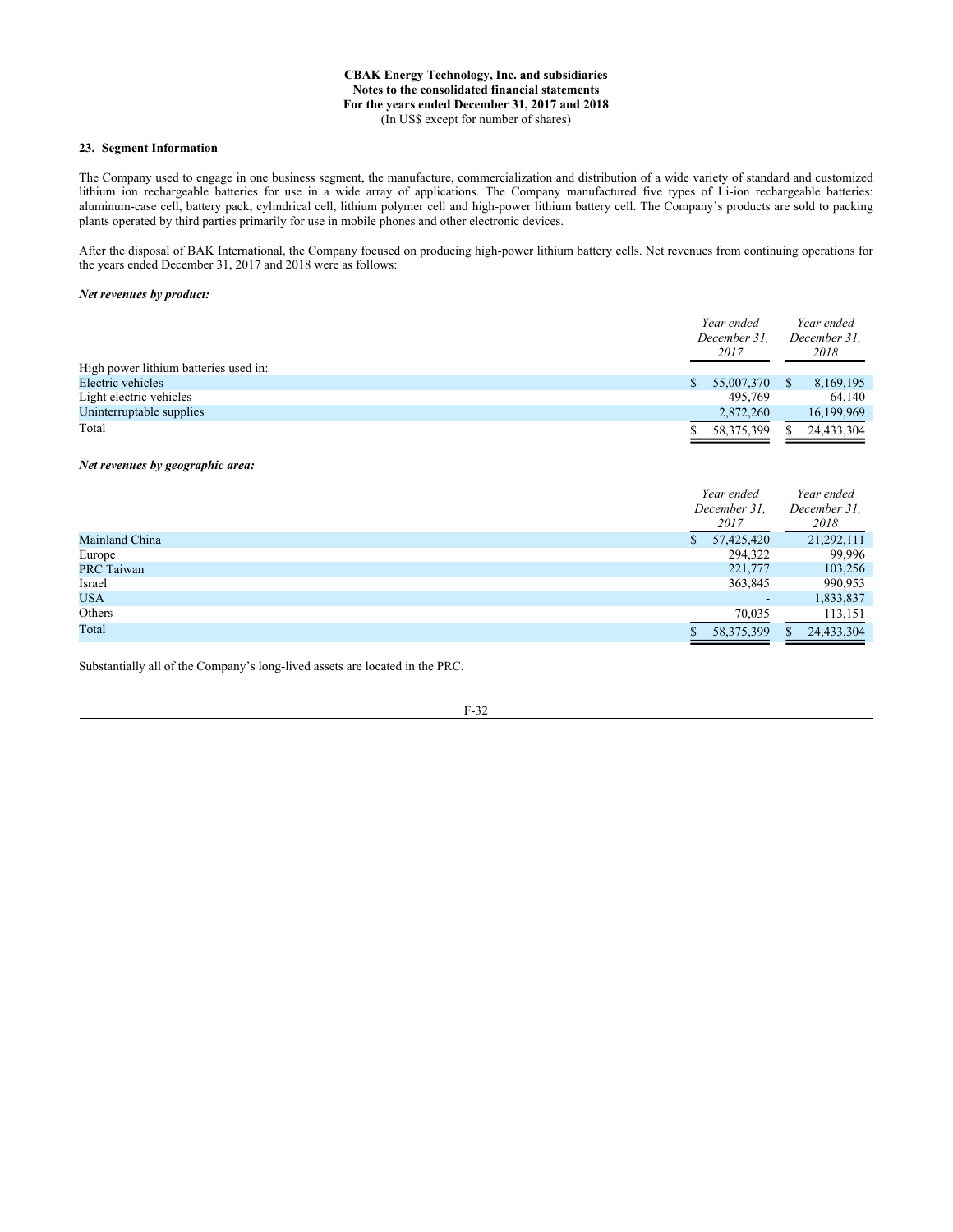# **23. Segment Information**

The Company used to engage in one business segment, the manufacture, commercialization and distribution of a wide variety of standard and customized lithium ion rechargeable batteries for use in a wide array of applications. The Company manufactured five types of Li-ion rechargeable batteries: aluminum-case cell, battery pack, cylindrical cell, lithium polymer cell and high-power lithium battery cell. The Company's products are sold to packing plants operated by third parties primarily for use in mobile phones and other electronic devices.

After the disposal of BAK International, the Company focused on producing high-power lithium battery cells. Net revenues from continuing operations for the years ended December 31, 2017 and 2018 were as follows:

#### *Net revenues by product:*

| High power lithium batteries used in: |    | Year ended<br>December 31.<br>2017 |    | Year ended<br>December 31.<br>2018 |
|---------------------------------------|----|------------------------------------|----|------------------------------------|
| Electric vehicles                     | S. | 55,007,370                         | S. | 8,169,195                          |
| Light electric vehicles               |    | 495,769                            |    | 64.140                             |
| Uninterruptable supplies              |    | 2,872,260                          |    | 16,199,969                         |
| Total                                 |    | 58, 375, 399                       |    | 24,433,304                         |

#### *Net revenues by geographic area:*

|                   |    | Year ended               |     | Year ended   |
|-------------------|----|--------------------------|-----|--------------|
|                   |    | December 31,             |     | December 31, |
|                   |    | 2017                     |     | 2018         |
| Mainland China    | S. | 57,425,420               |     | 21,292,111   |
| Europe            |    | 294,322                  |     | 99,996       |
| <b>PRC Taiwan</b> |    | 221,777                  |     | 103,256      |
| Israel            |    | 363,845                  |     | 990,953      |
| <b>USA</b>        |    | $\overline{\phantom{0}}$ |     | 1,833,837    |
| Others            |    | 70,035                   |     | 113,151      |
| Total             |    | 58, 375, 399             | \$. | 24,433,304   |

Substantially all of the Company's long-lived assets are located in the PRC.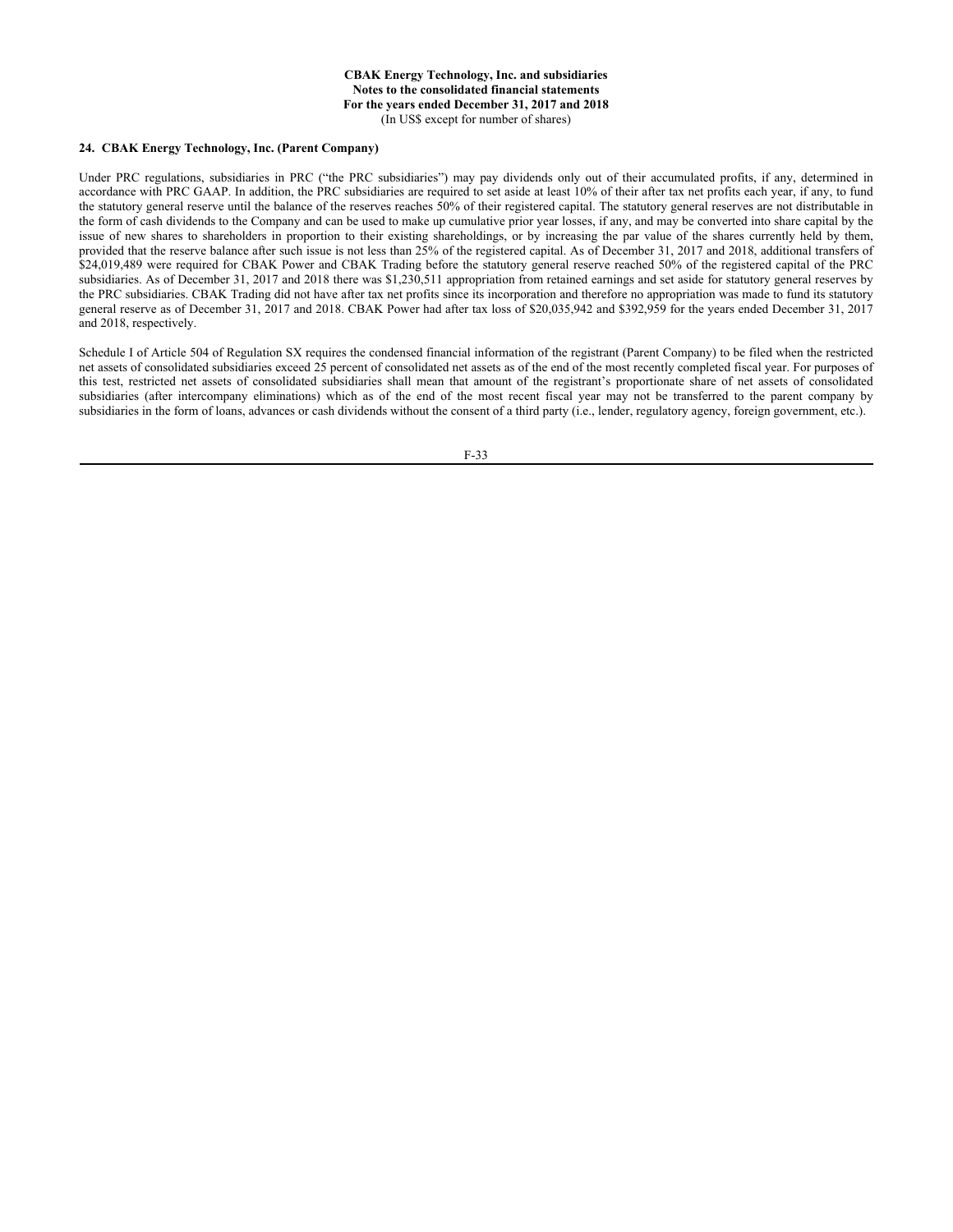#### **24. CBAK Energy Technology, Inc. (Parent Company)**

Under PRC regulations, subsidiaries in PRC ("the PRC subsidiaries") may pay dividends only out of their accumulated profits, if any, determined in accordance with PRC GAAP. In addition, the PRC subsidiaries are required to set aside at least 10% of their after tax net profits each year, if any, to fund the statutory general reserve until the balance of the reserves reaches 50% of their registered capital. The statutory general reserves are not distributable in the form of cash dividends to the Company and can be used to make up cumulative prior year losses, if any, and may be converted into share capital by the issue of new shares to shareholders in proportion to their existing shareholdings, or by increasing the par value of the shares currently held by them, provided that the reserve balance after such issue is not less than 25% of the registered capital. As of December 31, 2017 and 2018, additional transfers of \$24,019,489 were required for CBAK Power and CBAK Trading before the statutory general reserve reached 50% of the registered capital of the PRC subsidiaries. As of December 31, 2017 and 2018 there was \$1,230,511 appropriation from retained earnings and set aside for statutory general reserves by the PRC subsidiaries. CBAK Trading did not have after tax net profits since its incorporation and therefore no appropriation was made to fund its statutory general reserve as of December 31, 2017 and 2018. CBAK Power had after tax loss of \$20,035,942 and \$392,959 for the years ended December 31, 2017 and 2018, respectively.

Schedule I of Article 504 of Regulation SX requires the condensed financial information of the registrant (Parent Company) to be filed when the restricted net assets of consolidated subsidiaries exceed 25 percent of consolidated net assets as of the end of the most recently completed fiscal year. For purposes of this test, restricted net assets of consolidated subsidiaries shall mean that amount of the registrant's proportionate share of net assets of consolidated subsidiaries (after intercompany eliminations) which as of the end of the most recent fiscal year may not be transferred to the parent company by subsidiaries in the form of loans, advances or cash dividends without the consent of a third party (i.e., lender, regulatory agency, foreign government, etc.).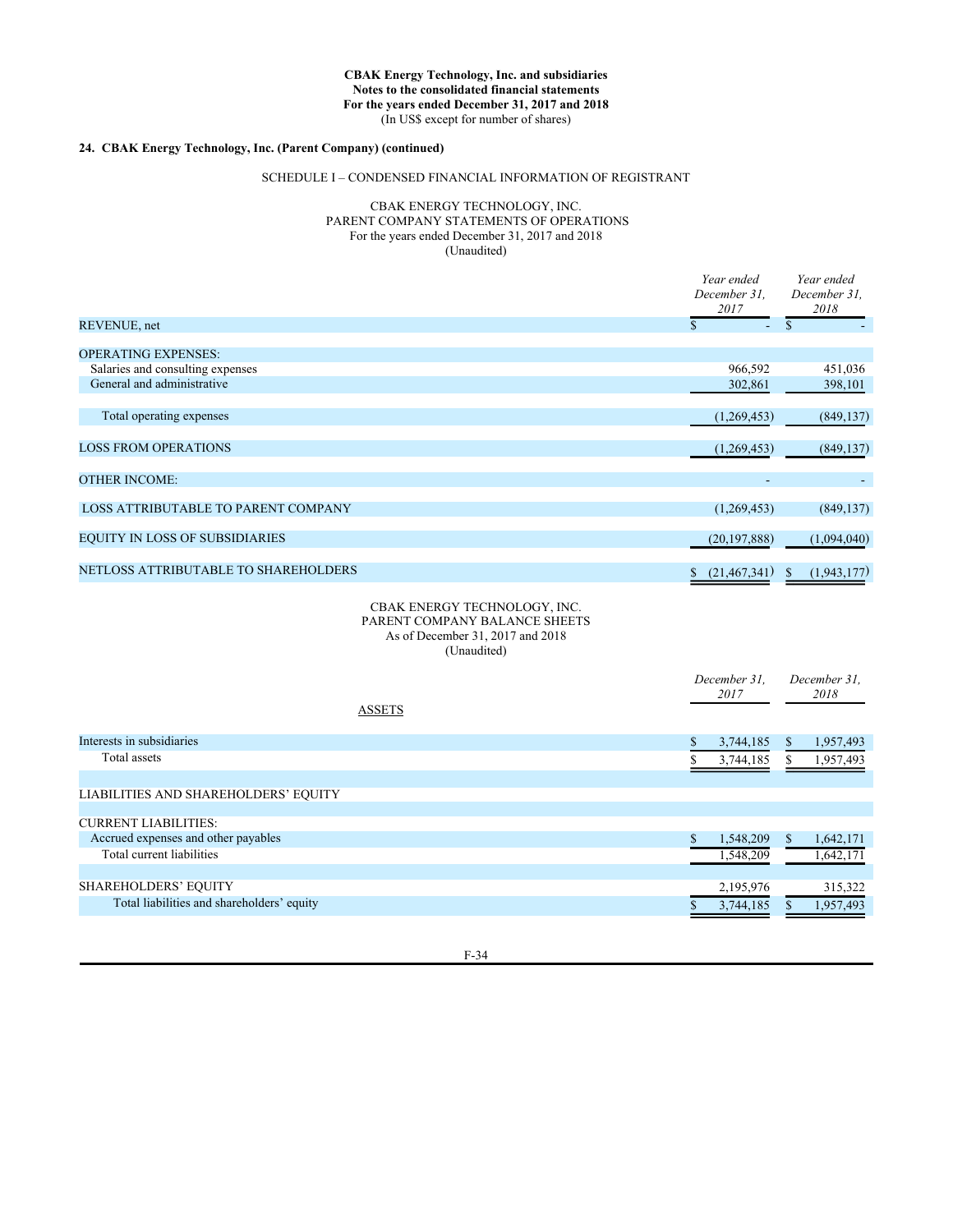# **24. CBAK Energy Technology, Inc. (Parent Company) (continued)**

## SCHEDULE I – CONDENSED FINANCIAL INFORMATION OF REGISTRANT

# CBAK ENERGY TECHNOLOGY, INC. PARENT COMPANY STATEMENTS OF OPERATIONS For the years ended December 31, 2017 and 2018 (Unaudited)

|                                       | Year ended<br>December 31,<br>2017 | Year ended<br>December 31,<br>2018 |  |  |
|---------------------------------------|------------------------------------|------------------------------------|--|--|
| REVENUE, net                          | S<br>٠.                            | S                                  |  |  |
| <b>OPERATING EXPENSES:</b>            |                                    |                                    |  |  |
| Salaries and consulting expenses      | 966,592                            | 451,036                            |  |  |
| General and administrative            | 302,861                            | 398,101                            |  |  |
|                                       |                                    |                                    |  |  |
| Total operating expenses              | (1,269,453)                        | (849, 137)                         |  |  |
|                                       |                                    |                                    |  |  |
| <b>LOSS FROM OPERATIONS</b>           | (1,269,453)                        | (849, 137)                         |  |  |
|                                       |                                    |                                    |  |  |
| <b>OTHER INCOME:</b>                  |                                    |                                    |  |  |
| LOSS ATTRIBUTABLE TO PARENT COMPANY   | (1,269,453)                        | (849, 137)                         |  |  |
|                                       |                                    |                                    |  |  |
| <b>EQUITY IN LOSS OF SUBSIDIARIES</b> | (20, 197, 888)                     | (1,094,040)                        |  |  |
|                                       |                                    |                                    |  |  |
| NETLOSS ATTRIBUTABLE TO SHAREHOLDERS  | (21, 467, 341)                     | (1,943,177)<br>$\mathbb{S}$        |  |  |

## CBAK ENERGY TECHNOLOGY, INC. PARENT COMPANY BALANCE SHEETS As of December 31, 2017 and 2018 (Unaudited)

|                                            | December 31.<br>2017 |    | December 31.<br>2018 |
|--------------------------------------------|----------------------|----|----------------------|
| <b>ASSETS</b>                              |                      |    |                      |
| Interests in subsidiaries                  | \$<br>3,744,185      | S  | 1,957,493            |
| Total assets                               | 3,744,185            |    | 1,957,493            |
|                                            |                      |    |                      |
| LIABILITIES AND SHAREHOLDERS' EQUITY       |                      |    |                      |
|                                            |                      |    |                      |
| <b>CURRENT LIABILITIES:</b>                |                      |    |                      |
| Accrued expenses and other payables        | 1,548,209            | S. | 1,642,171            |
| Total current liabilities                  | 1,548,209            |    | 1,642,171            |
|                                            |                      |    |                      |
| <b>SHAREHOLDERS' EQUITY</b>                | 2,195,976            |    | 315,322              |
| Total liabilities and shareholders' equity | 3,744,185            |    | 1,957,493            |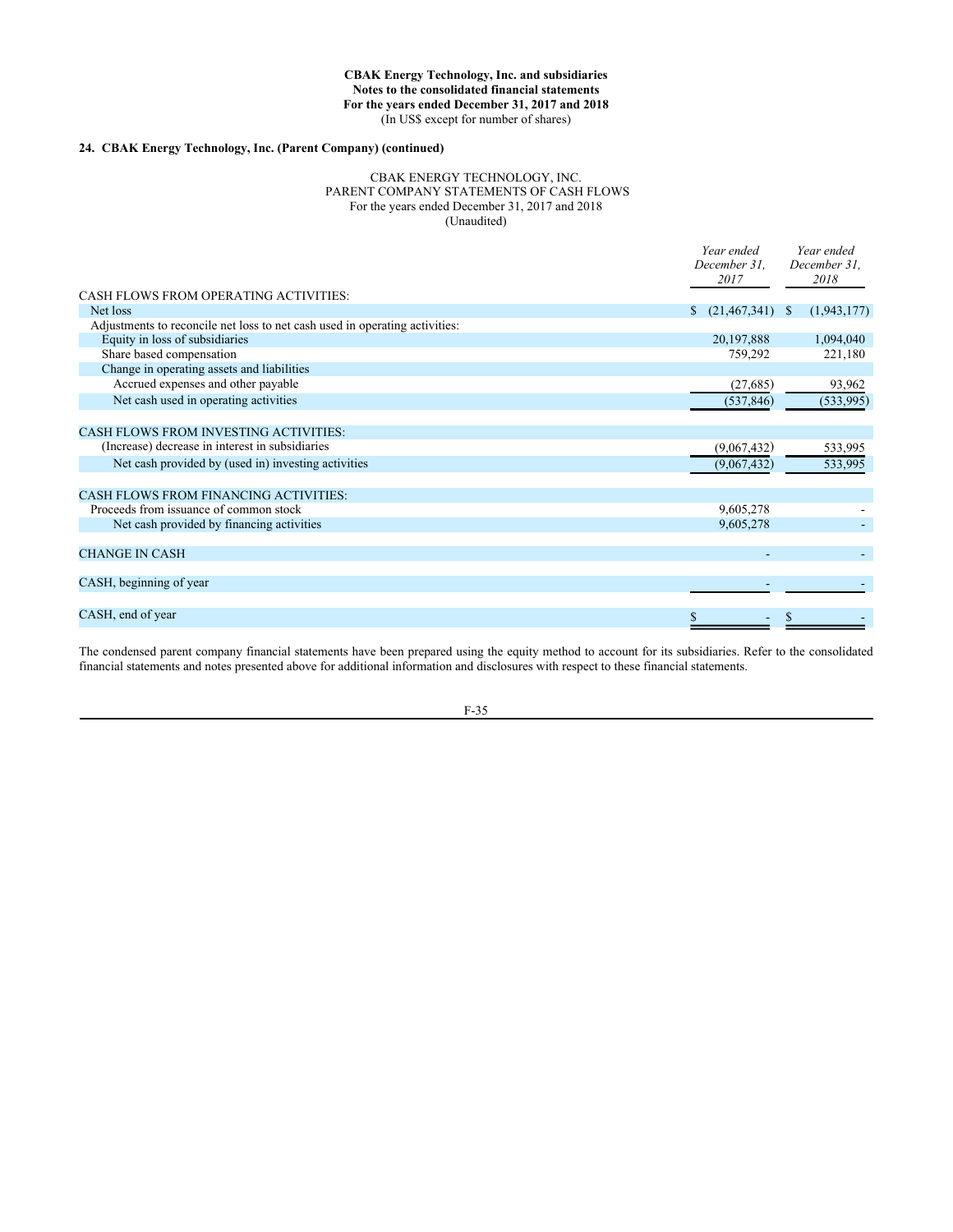# **24. CBAK Energy Technology, Inc. (Parent Company) (continued)**

#### CBAK ENERGY TECHNOLOGY, INC. PARENT COMPANY STATEMENTS OF CASH FLOWS For the years ended December 31, 2017 and 2018 (Unaudited)

|                                                                             | Year ended<br>December 31.<br>2017 | Year ended<br>December 31,<br>2018 |
|-----------------------------------------------------------------------------|------------------------------------|------------------------------------|
| CASH FLOWS FROM OPERATING ACTIVITIES:                                       |                                    |                                    |
| Net loss                                                                    | (21, 467, 341)<br>S.               | (1,943,177)<br><sup>8</sup>        |
| Adjustments to reconcile net loss to net cash used in operating activities: |                                    |                                    |
| Equity in loss of subsidiaries                                              | 20,197,888                         | 1,094,040                          |
| Share based compensation                                                    | 759,292                            | 221,180                            |
| Change in operating assets and liabilities                                  |                                    |                                    |
| Accrued expenses and other payable                                          | (27, 685)                          | 93,962                             |
| Net cash used in operating activities                                       | (537, 846)                         | (533, 995)                         |
| <b>CASH FLOWS FROM INVESTING ACTIVITIES:</b>                                |                                    |                                    |
| (Increase) decrease in interest in subsidiaries                             | (9,067,432)                        | 533,995                            |
| Net cash provided by (used in) investing activities                         | (9,067,432)                        | 533,995                            |
| <b>CASH FLOWS FROM FINANCING ACTIVITIES:</b>                                |                                    |                                    |
| Proceeds from issuance of common stock                                      | 9,605,278                          |                                    |
| Net cash provided by financing activities                                   | 9,605,278                          |                                    |
| <b>CHANGE IN CASH</b>                                                       |                                    |                                    |
| CASH, beginning of year                                                     |                                    |                                    |
|                                                                             |                                    |                                    |
| CASH, end of year                                                           |                                    |                                    |
|                                                                             |                                    |                                    |

The condensed parent company financial statements have been prepared using the equity method to account for its subsidiaries. Refer to the consolidated financial statements and notes presented above for additional information and disclosures with respect to these financial statements.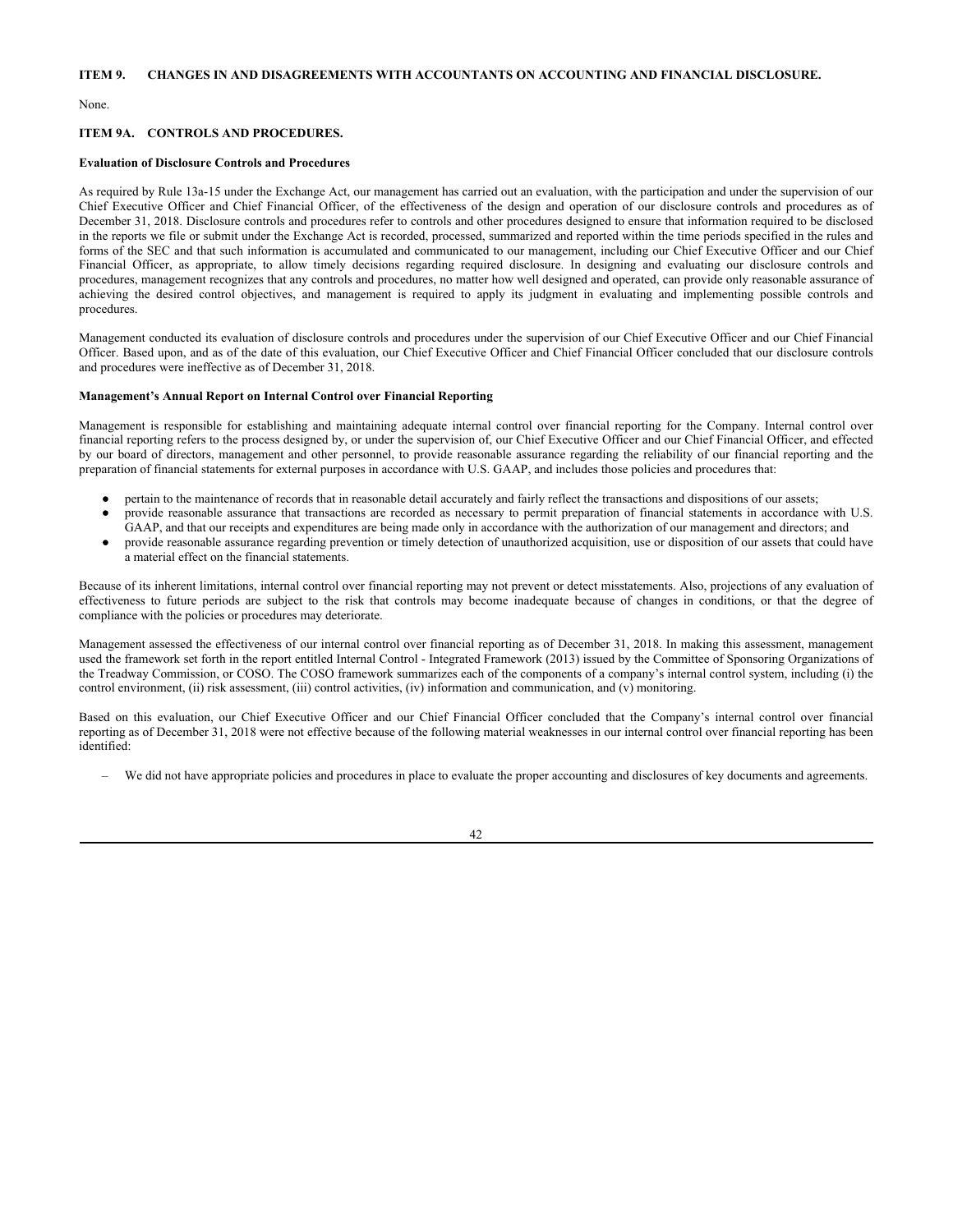None.

## **ITEM 9A. CONTROLS AND PROCEDURES.**

#### **Evaluation of Disclosure Controls and Procedures**

As required by Rule 13a-15 under the Exchange Act, our management has carried out an evaluation, with the participation and under the supervision of our Chief Executive Officer and Chief Financial Officer, of the effectiveness of the design and operation of our disclosure controls and procedures as of December 31, 2018. Disclosure controls and procedures refer to controls and other procedures designed to ensure that information required to be disclosed in the reports we file or submit under the Exchange Act is recorded, processed, summarized and reported within the time periods specified in the rules and forms of the SEC and that such information is accumulated and communicated to our management, including our Chief Executive Officer and our Chief Financial Officer, as appropriate, to allow timely decisions regarding required disclosure. In designing and evaluating our disclosure controls and procedures, management recognizes that any controls and procedures, no matter how well designed and operated, can provide only reasonable assurance of achieving the desired control objectives, and management is required to apply its judgment in evaluating and implementing possible controls and procedures.

Management conducted its evaluation of disclosure controls and procedures under the supervision of our Chief Executive Officer and our Chief Financial Officer. Based upon, and as of the date of this evaluation, our Chief Executive Officer and Chief Financial Officer concluded that our disclosure controls and procedures were ineffective as of December 31, 2018.

#### **Management's Annual Report on Internal Control over Financial Reporting**

Management is responsible for establishing and maintaining adequate internal control over financial reporting for the Company. Internal control over financial reporting refers to the process designed by, or under the supervision of, our Chief Executive Officer and our Chief Financial Officer, and effected by our board of directors, management and other personnel, to provide reasonable assurance regarding the reliability of our financial reporting and the preparation of financial statements for external purposes in accordance with U.S. GAAP, and includes those policies and procedures that:

- pertain to the maintenance of records that in reasonable detail accurately and fairly reflect the transactions and dispositions of our assets;
- provide reasonable assurance that transactions are recorded as necessary to permit preparation of financial statements in accordance with U.S. GAAP, and that our receipts and expenditures are being made only in accordance with the authorization of our management and directors; and
- provide reasonable assurance regarding prevention or timely detection of unauthorized acquisition, use or disposition of our assets that could have a material effect on the financial statements.

Because of its inherent limitations, internal control over financial reporting may not prevent or detect misstatements. Also, projections of any evaluation of effectiveness to future periods are subject to the risk that controls may become inadequate because of changes in conditions, or that the degree of compliance with the policies or procedures may deteriorate.

Management assessed the effectiveness of our internal control over financial reporting as of December 31, 2018. In making this assessment, management used the framework set forth in the report entitled Internal Control - Integrated Framework (2013) issued by the Committee of Sponsoring Organizations of the Treadway Commission, or COSO. The COSO framework summarizes each of the components of a company's internal control system, including (i) the control environment, (ii) risk assessment, (iii) control activities, (iv) information and communication, and (v) monitoring.

Based on this evaluation, our Chief Executive Officer and our Chief Financial Officer concluded that the Company's internal control over financial reporting as of December 31, 2018 were not effective because of the following material weaknesses in our internal control over financial reporting has been identified:

– We did not have appropriate policies and procedures in place to evaluate the proper accounting and disclosures of key documents and agreements.

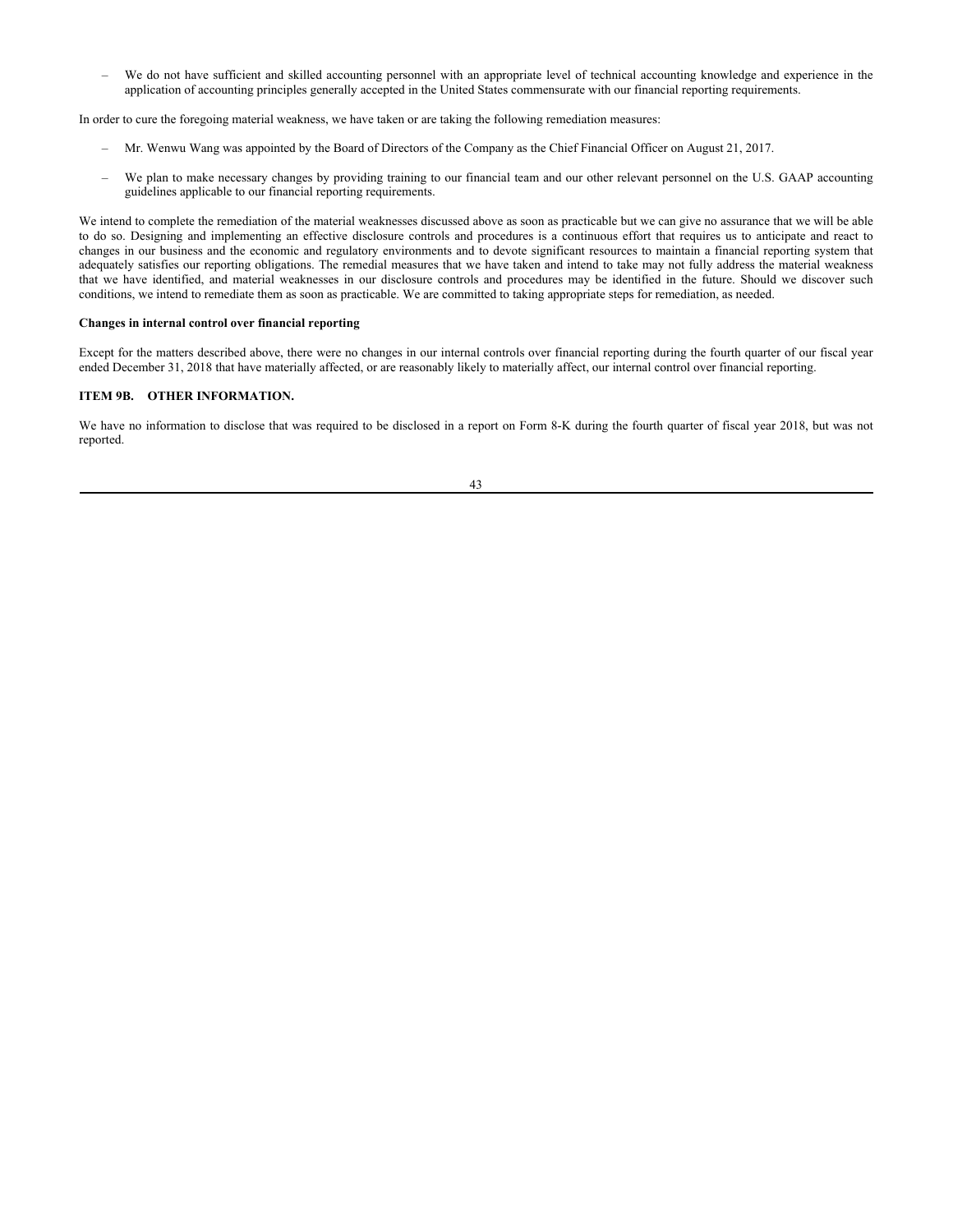– We do not have sufficient and skilled accounting personnel with an appropriate level of technical accounting knowledge and experience in the application of accounting principles generally accepted in the United States commensurate with our financial reporting requirements.

In order to cure the foregoing material weakness, we have taken or are taking the following remediation measures:

- Mr. Wenwu Wang was appointed by the Board of Directors of the Company as the Chief Financial Officer on August 21, 2017.
- We plan to make necessary changes by providing training to our financial team and our other relevant personnel on the U.S. GAAP accounting guidelines applicable to our financial reporting requirements.

We intend to complete the remediation of the material weaknesses discussed above as soon as practicable but we can give no assurance that we will be able to do so. Designing and implementing an effective disclosure controls and procedures is a continuous effort that requires us to anticipate and react to changes in our business and the economic and regulatory environments and to devote significant resources to maintain a financial reporting system that adequately satisfies our reporting obligations. The remedial measures that we have taken and intend to take may not fully address the material weakness that we have identified, and material weaknesses in our disclosure controls and procedures may be identified in the future. Should we discover such conditions, we intend to remediate them as soon as practicable. We are committed to taking appropriate steps for remediation, as needed.

#### **Changes in internal control over financial reporting**

Except for the matters described above, there were no changes in our internal controls over financial reporting during the fourth quarter of our fiscal year ended December 31, 2018 that have materially affected, or are reasonably likely to materially affect, our internal control over financial reporting.

# **ITEM 9B. OTHER INFORMATION.**

We have no information to disclose that was required to be disclosed in a report on Form 8-K during the fourth quarter of fiscal year 2018, but was not reported.

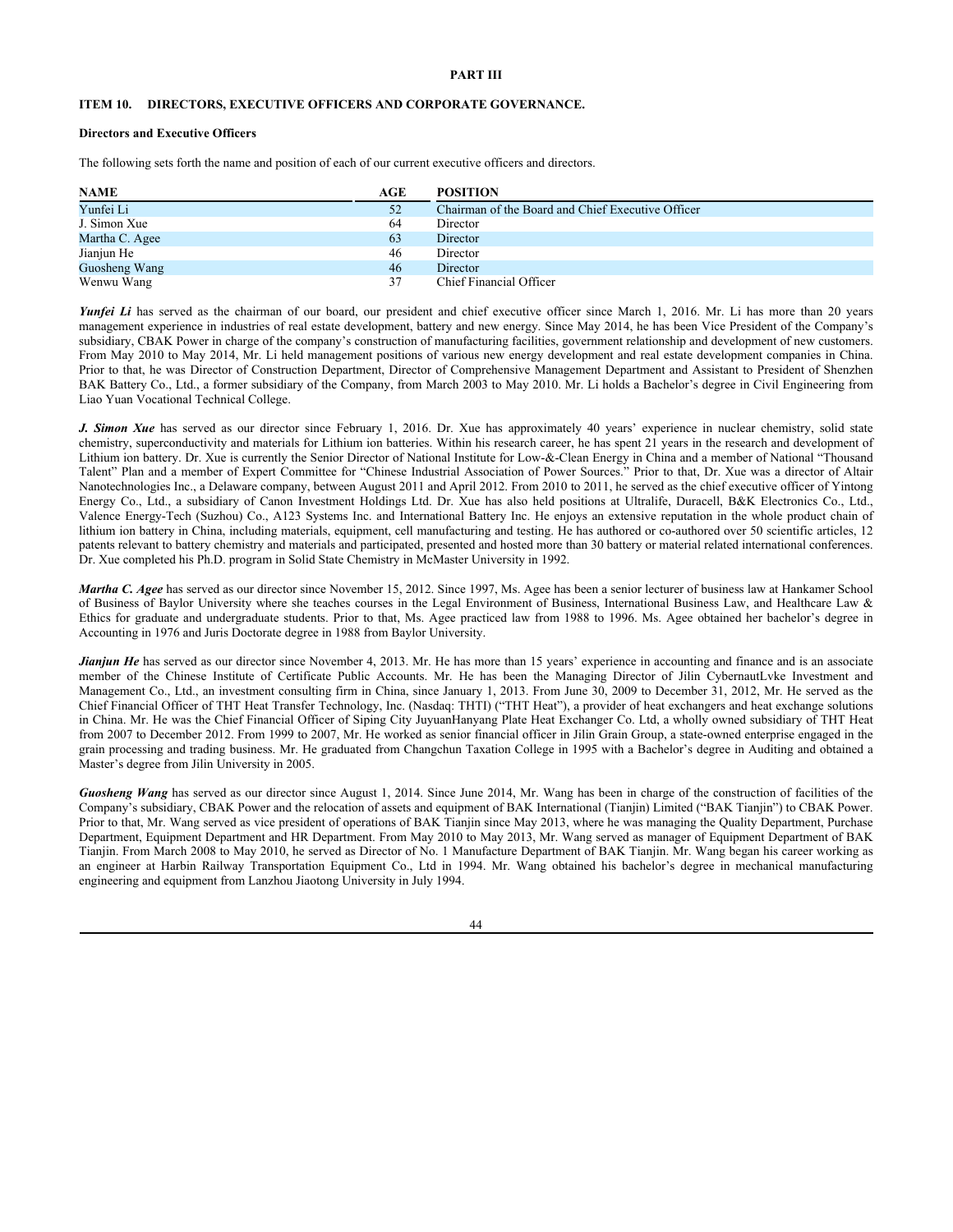# **PART III**

# **ITEM 10. DIRECTORS, EXECUTIVE OFFICERS AND CORPORATE GOVERNANCE.**

# **Directors and Executive Officers**

The following sets forth the name and position of each of our current executive officers and directors.

| <b>NAME</b>    | AGE | <b>POSITION</b>                                   |
|----------------|-----|---------------------------------------------------|
| Yunfei Li      | 52  | Chairman of the Board and Chief Executive Officer |
| J. Simon Xue   | 64  | Director                                          |
| Martha C. Agee | 63  | Director                                          |
| Jianjun He     | 46  | Director                                          |
| Guosheng Wang  | 46  | Director                                          |
| Wenwu Wang     |     | Chief Financial Officer                           |

*Yunfei Li* has served as the chairman of our board, our president and chief executive officer since March 1, 2016. Mr. Li has more than 20 years management experience in industries of real estate development, battery and new energy. Since May 2014, he has been Vice President of the Company's subsidiary, CBAK Power in charge of the company's construction of manufacturing facilities, government relationship and development of new customers. From May 2010 to May 2014, Mr. Li held management positions of various new energy development and real estate development companies in China. Prior to that, he was Director of Construction Department, Director of Comprehensive Management Department and Assistant to President of Shenzhen BAK Battery Co., Ltd., a former subsidiary of the Company, from March 2003 to May 2010. Mr. Li holds a Bachelor's degree in Civil Engineering from Liao Yuan Vocational Technical College.

*J. Simon Xue* has served as our director since February 1, 2016. Dr. Xue has approximately 40 years' experience in nuclear chemistry, solid state chemistry, superconductivity and materials for Lithium ion batteries. Within his research career, he has spent 21 years in the research and development of Lithium ion battery. Dr. Xue is currently the Senior Director of National Institute for Low-&-Clean Energy in China and a member of National "Thousand Talent" Plan and a member of Expert Committee for "Chinese Industrial Association of Power Sources." Prior to that, Dr. Xue was a director of Altair Nanotechnologies Inc., a Delaware company, between August 2011 and April 2012. From 2010 to 2011, he served as the chief executive officer of Yintong Energy Co., Ltd., a subsidiary of Canon Investment Holdings Ltd. Dr. Xue has also held positions at Ultralife, Duracell, B&K Electronics Co., Ltd., Valence Energy-Tech (Suzhou) Co., A123 Systems Inc. and International Battery Inc. He enjoys an extensive reputation in the whole product chain of lithium ion battery in China, including materials, equipment, cell manufacturing and testing. He has authored or co-authored over 50 scientific articles, 12 patents relevant to battery chemistry and materials and participated, presented and hosted more than 30 battery or material related international conferences. Dr. Xue completed his Ph.D. program in Solid State Chemistry in McMaster University in 1992.

*Martha C. Agee* has served as our director since November 15, 2012. Since 1997, Ms. Agee has been a senior lecturer of business law at Hankamer School of Business of Baylor University where she teaches courses in the Legal Environment of Business, International Business Law, and Healthcare Law & Ethics for graduate and undergraduate students. Prior to that, Ms. Agee practiced law from 1988 to 1996. Ms. Agee obtained her bachelor's degree in Accounting in 1976 and Juris Doctorate degree in 1988 from Baylor University.

*Jianjun He* has served as our director since November 4, 2013. Mr. He has more than 15 years' experience in accounting and finance and is an associate member of the Chinese Institute of Certificate Public Accounts. Mr. He has been the Managing Director of Jilin CybernautLvke Investment and Management Co., Ltd., an investment consulting firm in China, since January 1, 2013. From June 30, 2009 to December 31, 2012, Mr. He served as the Chief Financial Officer of THT Heat Transfer Technology, Inc. (Nasdaq: THTI) ("THT Heat"), a provider of heat exchangers and heat exchange solutions in China. Mr. He was the Chief Financial Officer of Siping City JuyuanHanyang Plate Heat Exchanger Co. Ltd, a wholly owned subsidiary of THT Heat from 2007 to December 2012. From 1999 to 2007, Mr. He worked as senior financial officer in Jilin Grain Group, a state-owned enterprise engaged in the grain processing and trading business. Mr. He graduated from Changchun Taxation College in 1995 with a Bachelor's degree in Auditing and obtained a Master's degree from Jilin University in 2005.

*Guosheng Wang* has served as our director since August 1, 2014. Since June 2014, Mr. Wang has been in charge of the construction of facilities of the Company's subsidiary, CBAK Power and the relocation of assets and equipment of BAK International (Tianjin) Limited ("BAK Tianjin") to CBAK Power. Prior to that, Mr. Wang served as vice president of operations of BAK Tianjin since May 2013, where he was managing the Quality Department, Purchase Department, Equipment Department and HR Department. From May 2010 to May 2013, Mr. Wang served as manager of Equipment Department of BAK Tianjin. From March 2008 to May 2010, he served as Director of No. 1 Manufacture Department of BAK Tianjin. Mr. Wang began his career working as an engineer at Harbin Railway Transportation Equipment Co., Ltd in 1994. Mr. Wang obtained his bachelor's degree in mechanical manufacturing engineering and equipment from Lanzhou Jiaotong University in July 1994.

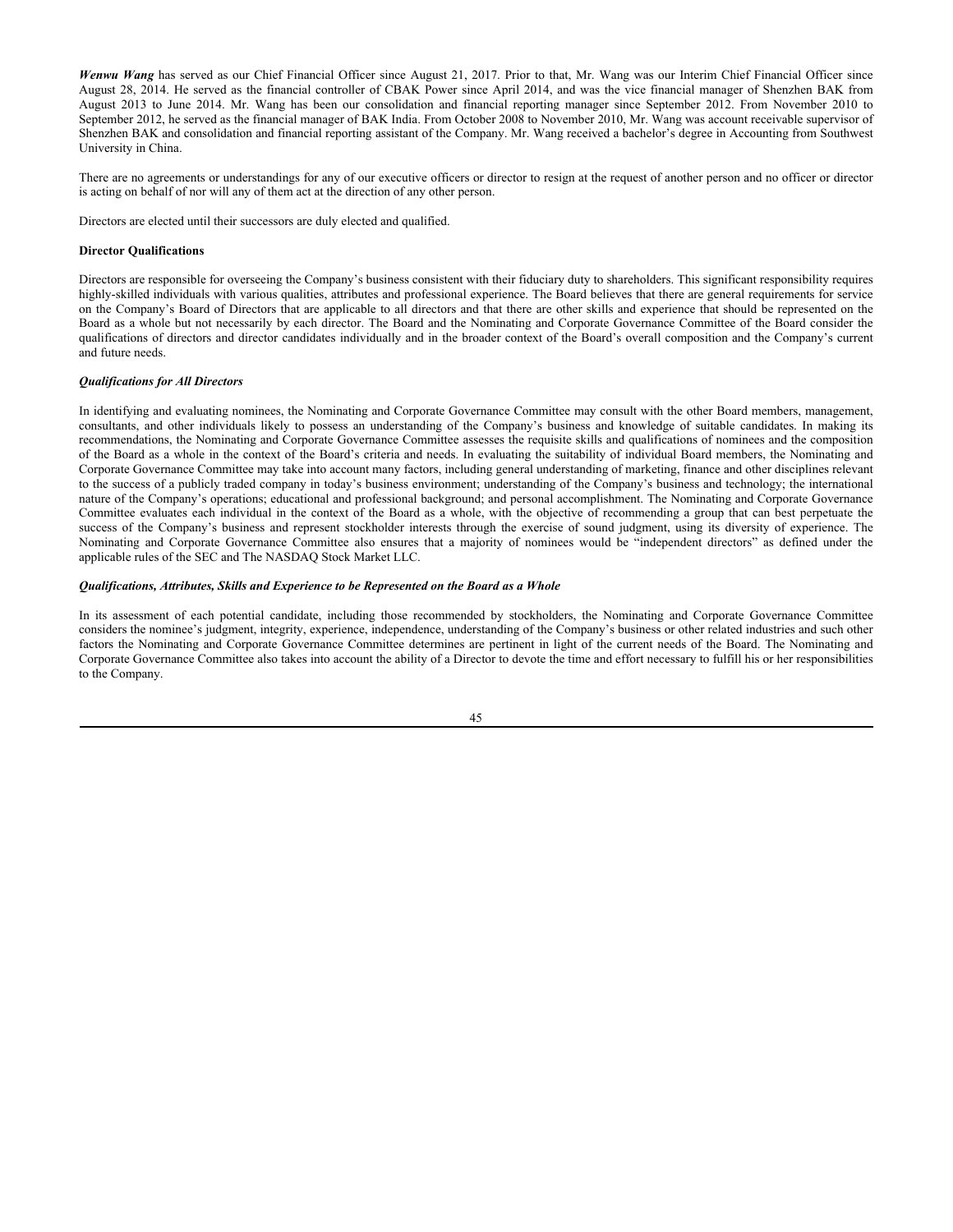*Wenwu Wang* has served as our Chief Financial Officer since August 21, 2017. Prior to that, Mr. Wang was our Interim Chief Financial Officer since August 28, 2014. He served as the financial controller of CBAK Power since April 2014, and was the vice financial manager of Shenzhen BAK from August 2013 to June 2014. Mr. Wang has been our consolidation and financial reporting manager since September 2012. From November 2010 to September 2012, he served as the financial manager of BAK India. From October 2008 to November 2010, Mr. Wang was account receivable supervisor of Shenzhen BAK and consolidation and financial reporting assistant of the Company. Mr. Wang received a bachelor's degree in Accounting from Southwest University in China.

There are no agreements or understandings for any of our executive officers or director to resign at the request of another person and no officer or director is acting on behalf of nor will any of them act at the direction of any other person.

Directors are elected until their successors are duly elected and qualified.

### **Director Qualifications**

Directors are responsible for overseeing the Company's business consistent with their fiduciary duty to shareholders. This significant responsibility requires highly-skilled individuals with various qualities, attributes and professional experience. The Board believes that there are general requirements for service on the Company's Board of Directors that are applicable to all directors and that there are other skills and experience that should be represented on the Board as a whole but not necessarily by each director. The Board and the Nominating and Corporate Governance Committee of the Board consider the qualifications of directors and director candidates individually and in the broader context of the Board's overall composition and the Company's current and future needs.

### *Qualifications for All Directors*

In identifying and evaluating nominees, the Nominating and Corporate Governance Committee may consult with the other Board members, management, consultants, and other individuals likely to possess an understanding of the Company's business and knowledge of suitable candidates. In making its recommendations, the Nominating and Corporate Governance Committee assesses the requisite skills and qualifications of nominees and the composition of the Board as a whole in the context of the Board's criteria and needs. In evaluating the suitability of individual Board members, the Nominating and Corporate Governance Committee may take into account many factors, including general understanding of marketing, finance and other disciplines relevant to the success of a publicly traded company in today's business environment; understanding of the Company's business and technology; the international nature of the Company's operations; educational and professional background; and personal accomplishment. The Nominating and Corporate Governance Committee evaluates each individual in the context of the Board as a whole, with the objective of recommending a group that can best perpetuate the success of the Company's business and represent stockholder interests through the exercise of sound judgment, using its diversity of experience. The Nominating and Corporate Governance Committee also ensures that a majority of nominees would be "independent directors" as defined under the applicable rules of the SEC and The NASDAQ Stock Market LLC.

#### *Qualifications, Attributes, Skills and Experience to be Represented on the Board as a Whole*

In its assessment of each potential candidate, including those recommended by stockholders, the Nominating and Corporate Governance Committee considers the nominee's judgment, integrity, experience, independence, understanding of the Company's business or other related industries and such other factors the Nominating and Corporate Governance Committee determines are pertinent in light of the current needs of the Board. The Nominating and Corporate Governance Committee also takes into account the ability of a Director to devote the time and effort necessary to fulfill his or her responsibilities to the Company.

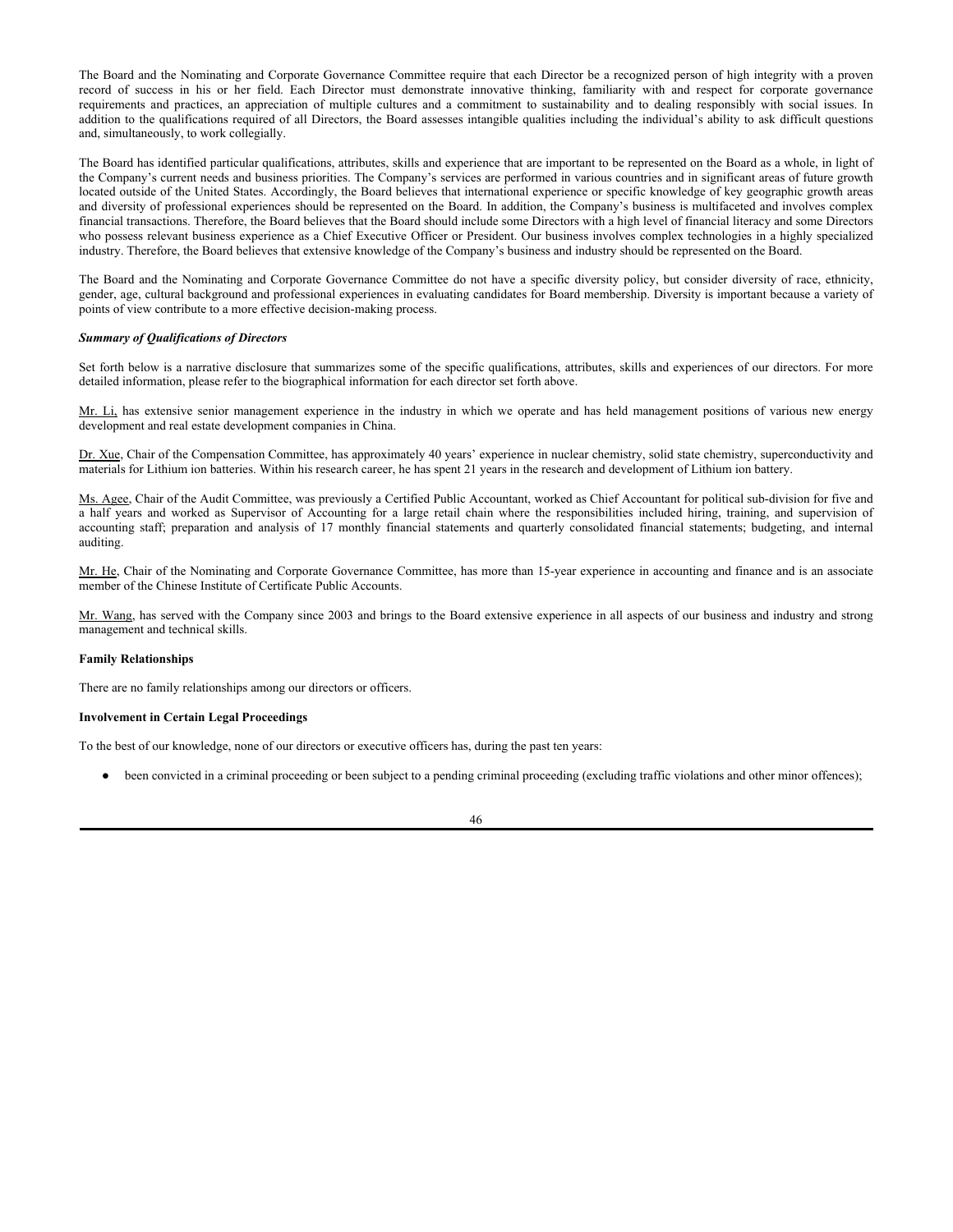The Board and the Nominating and Corporate Governance Committee require that each Director be a recognized person of high integrity with a proven record of success in his or her field. Each Director must demonstrate innovative thinking, familiarity with and respect for corporate governance requirements and practices, an appreciation of multiple cultures and a commitment to sustainability and to dealing responsibly with social issues. In addition to the qualifications required of all Directors, the Board assesses intangible qualities including the individual's ability to ask difficult questions and, simultaneously, to work collegially.

The Board has identified particular qualifications, attributes, skills and experience that are important to be represented on the Board as a whole, in light of the Company's current needs and business priorities. The Company's services are performed in various countries and in significant areas of future growth located outside of the United States. Accordingly, the Board believes that international experience or specific knowledge of key geographic growth areas and diversity of professional experiences should be represented on the Board. In addition, the Company's business is multifaceted and involves complex financial transactions. Therefore, the Board believes that the Board should include some Directors with a high level of financial literacy and some Directors who possess relevant business experience as a Chief Executive Officer or President. Our business involves complex technologies in a highly specialized industry. Therefore, the Board believes that extensive knowledge of the Company's business and industry should be represented on the Board.

The Board and the Nominating and Corporate Governance Committee do not have a specific diversity policy, but consider diversity of race, ethnicity, gender, age, cultural background and professional experiences in evaluating candidates for Board membership. Diversity is important because a variety of points of view contribute to a more effective decision-making process.

## *Summary of Qualifications of Directors*

Set forth below is a narrative disclosure that summarizes some of the specific qualifications, attributes, skills and experiences of our directors. For more detailed information, please refer to the biographical information for each director set forth above.

Mr. Li, has extensive senior management experience in the industry in which we operate and has held management positions of various new energy development and real estate development companies in China.

Dr. Xue, Chair of the Compensation Committee, has approximately 40 years' experience in nuclear chemistry, solid state chemistry, superconductivity and materials for Lithium ion batteries. Within his research career, he has spent 21 years in the research and development of Lithium ion battery.

Ms. Agee, Chair of the Audit Committee, was previously a Certified Public Accountant, worked as Chief Accountant for political sub-division for five and a half years and worked as Supervisor of Accounting for a large retail chain where the responsibilities included hiring, training, and supervision of accounting staff; preparation and analysis of 17 monthly financial statements and quarterly consolidated financial statements; budgeting, and internal auditing.

Mr. He, Chair of the Nominating and Corporate Governance Committee, has more than 15-year experience in accounting and finance and is an associate member of the Chinese Institute of Certificate Public Accounts.

Mr. Wang, has served with the Company since 2003 and brings to the Board extensive experience in all aspects of our business and industry and strong management and technical skills.

#### **Family Relationships**

There are no family relationships among our directors or officers.

#### **Involvement in Certain Legal Proceedings**

To the best of our knowledge, none of our directors or executive officers has, during the past ten years:

● been convicted in a criminal proceeding or been subject to a pending criminal proceeding (excluding traffic violations and other minor offences);

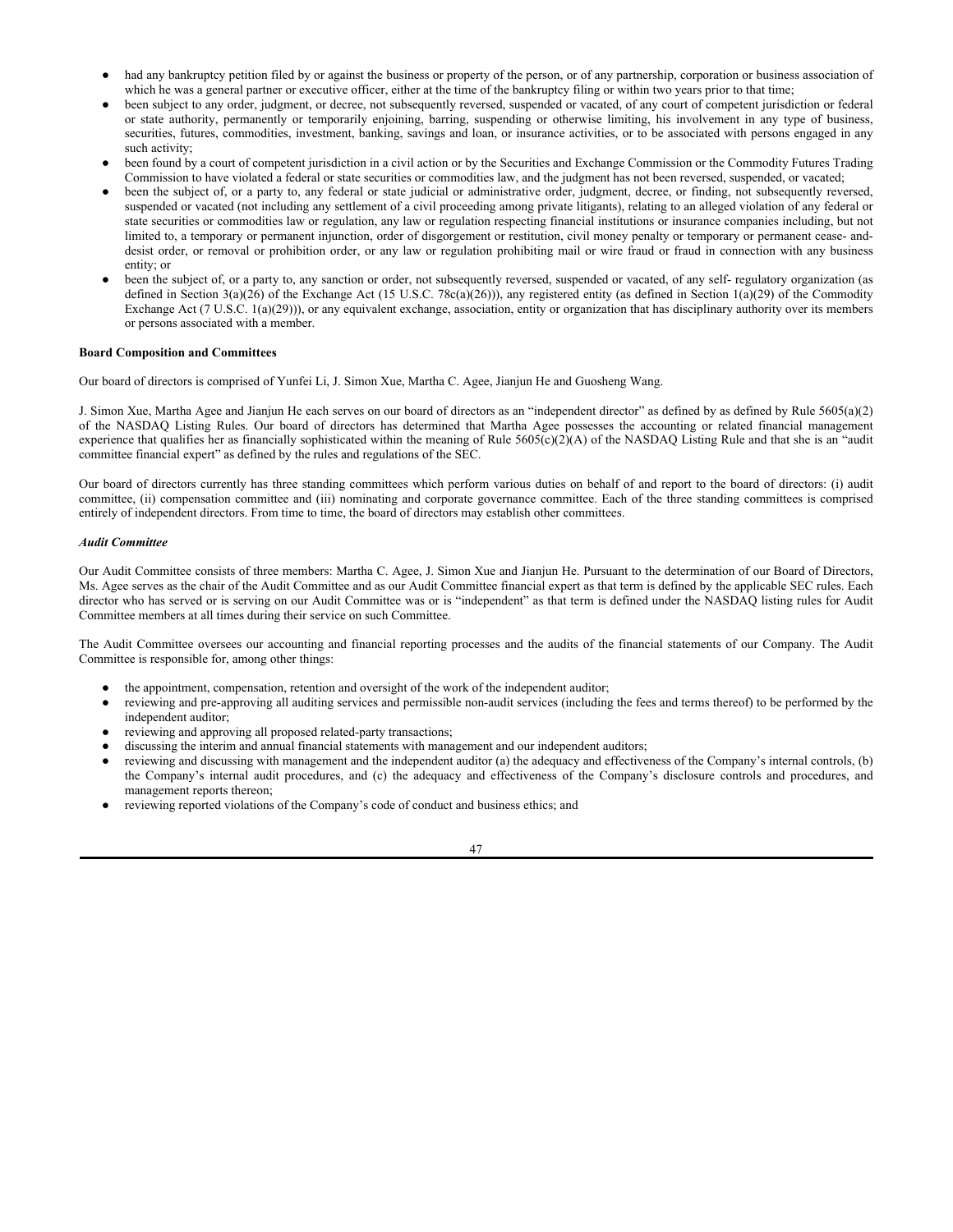- had any bankruptcy petition filed by or against the business or property of the person, or of any partnership, corporation or business association of which he was a general partner or executive officer, either at the time of the bankruptcy filing or within two years prior to that time;
- been subject to any order, judgment, or decree, not subsequently reversed, suspended or vacated, of any court of competent jurisdiction or federal or state authority, permanently or temporarily enjoining, barring, suspending or otherwise limiting, his involvement in any type of business, securities, futures, commodities, investment, banking, savings and loan, or insurance activities, or to be associated with persons engaged in any such activity;
- been found by a court of competent jurisdiction in a civil action or by the Securities and Exchange Commission or the Commodity Futures Trading Commission to have violated a federal or state securities or commodities law, and the judgment has not been reversed, suspended, or vacated;
- been the subject of, or a party to, any federal or state judicial or administrative order, judgment, decree, or finding, not subsequently reversed, suspended or vacated (not including any settlement of a civil proceeding among private litigants), relating to an alleged violation of any federal or state securities or commodities law or regulation, any law or regulation respecting financial institutions or insurance companies including, but not limited to, a temporary or permanent injunction, order of disgorgement or restitution, civil money penalty or temporary or permanent cease- anddesist order, or removal or prohibition order, or any law or regulation prohibiting mail or wire fraud or fraud in connection with any business entity; or
- been the subject of, or a party to, any sanction or order, not subsequently reversed, suspended or vacated, of any self- regulatory organization (as defined in Section  $3(a)(26)$  of the Exchange Act (15 U.S.C. 78c(a)(26))), any registered entity (as defined in Section 1(a)(29) of the Commodity Exchange Act (7 U.S.C. 1(a)(29))), or any equivalent exchange, association, entity or organization that has disciplinary authority over its members or persons associated with a member.

# **Board Composition and Committees**

Our board of directors is comprised of Yunfei Li, J. Simon Xue, Martha C. Agee, Jianjun He and Guosheng Wang.

J. Simon Xue, Martha Agee and Jianjun He each serves on our board of directors as an "independent director" as defined by as defined by Rule 5605(a)(2) of the NASDAQ Listing Rules. Our board of directors has determined that Martha Agee possesses the accounting or related financial management experience that qualifies her as financially sophisticated within the meaning of Rule  $5605(c)(2)$ (A) of the NASDAQ Listing Rule and that she is an "audit committee financial expert" as defined by the rules and regulations of the SEC.

Our board of directors currently has three standing committees which perform various duties on behalf of and report to the board of directors: (i) audit committee, (ii) compensation committee and (iii) nominating and corporate governance committee. Each of the three standing committees is comprised entirely of independent directors. From time to time, the board of directors may establish other committees.

## *Audit Committee*

Our Audit Committee consists of three members: Martha C. Agee, J. Simon Xue and Jianjun He. Pursuant to the determination of our Board of Directors, Ms. Agee serves as the chair of the Audit Committee and as our Audit Committee financial expert as that term is defined by the applicable SEC rules. Each director who has served or is serving on our Audit Committee was or is "independent" as that term is defined under the NASDAQ listing rules for Audit Committee members at all times during their service on such Committee.

The Audit Committee oversees our accounting and financial reporting processes and the audits of the financial statements of our Company. The Audit Committee is responsible for, among other things:

- the appointment, compensation, retention and oversight of the work of the independent auditor;
- reviewing and pre-approving all auditing services and permissible non-audit services (including the fees and terms thereof) to be performed by the independent auditor;
- reviewing and approving all proposed related-party transactions;
- discussing the interim and annual financial statements with management and our independent auditors;
- reviewing and discussing with management and the independent auditor (a) the adequacy and effectiveness of the Company's internal controls, (b) the Company's internal audit procedures, and (c) the adequacy and effectiveness of the Company's disclosure controls and procedures, and management reports thereon;
- reviewing reported violations of the Company's code of conduct and business ethics; and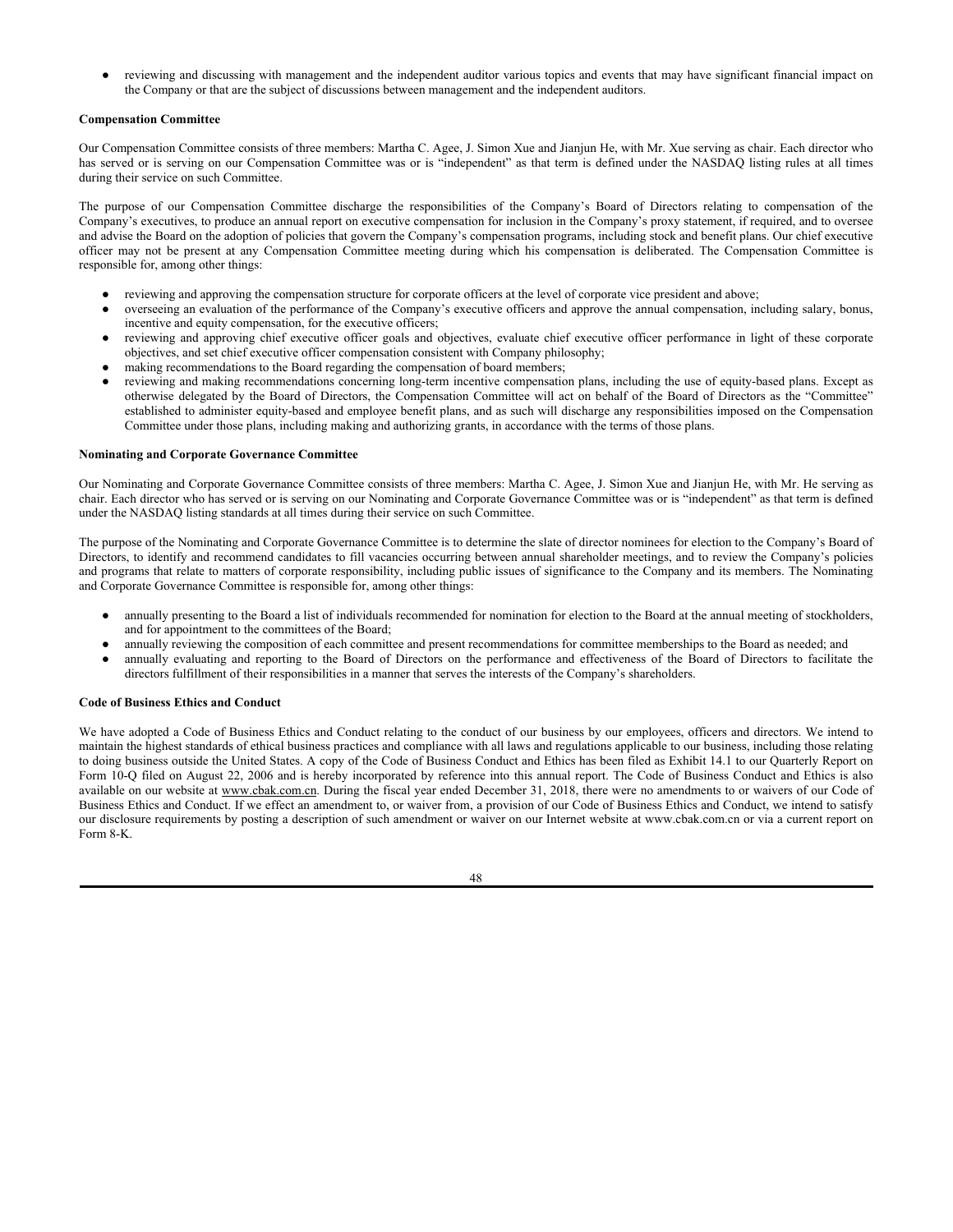reviewing and discussing with management and the independent auditor various topics and events that may have significant financial impact on the Company or that are the subject of discussions between management and the independent auditors.

## **Compensation Committee**

Our Compensation Committee consists of three members: Martha C. Agee, J. Simon Xue and Jianjun He, with Mr. Xue serving as chair. Each director who has served or is serving on our Compensation Committee was or is "independent" as that term is defined under the NASDAQ listing rules at all times during their service on such Committee.

The purpose of our Compensation Committee discharge the responsibilities of the Company's Board of Directors relating to compensation of the Company's executives, to produce an annual report on executive compensation for inclusion in the Company's proxy statement, if required, and to oversee and advise the Board on the adoption of policies that govern the Company's compensation programs, including stock and benefit plans. Our chief executive officer may not be present at any Compensation Committee meeting during which his compensation is deliberated. The Compensation Committee is responsible for, among other things:

- reviewing and approving the compensation structure for corporate officers at the level of corporate vice president and above;
- overseeing an evaluation of the performance of the Company's executive officers and approve the annual compensation, including salary, bonus, incentive and equity compensation, for the executive officers;
- reviewing and approving chief executive officer goals and objectives, evaluate chief executive officer performance in light of these corporate objectives, and set chief executive officer compensation consistent with Company philosophy;
- making recommendations to the Board regarding the compensation of board members;
- reviewing and making recommendations concerning long-term incentive compensation plans, including the use of equity-based plans. Except as otherwise delegated by the Board of Directors, the Compensation Committee will act on behalf of the Board of Directors as the "Committee" established to administer equity-based and employee benefit plans, and as such will discharge any responsibilities imposed on the Compensation Committee under those plans, including making and authorizing grants, in accordance with the terms of those plans.

#### **Nominating and Corporate Governance Committee**

Our Nominating and Corporate Governance Committee consists of three members: Martha C. Agee, J. Simon Xue and Jianjun He, with Mr. He serving as chair. Each director who has served or is serving on our Nominating and Corporate Governance Committee was or is "independent" as that term is defined under the NASDAQ listing standards at all times during their service on such Committee.

The purpose of the Nominating and Corporate Governance Committee is to determine the slate of director nominees for election to the Company's Board of Directors, to identify and recommend candidates to fill vacancies occurring between annual shareholder meetings, and to review the Company's policies and programs that relate to matters of corporate responsibility, including public issues of significance to the Company and its members. The Nominating and Corporate Governance Committee is responsible for, among other things:

- annually presenting to the Board a list of individuals recommended for nomination for election to the Board at the annual meeting of stockholders, and for appointment to the committees of the Board;
- annually reviewing the composition of each committee and present recommendations for committee memberships to the Board as needed; and
- annually evaluating and reporting to the Board of Directors on the performance and effectiveness of the Board of Directors to facilitate the directors fulfillment of their responsibilities in a manner that serves the interests of the Company's shareholders.

# **Code of Business Ethics and Conduct**

We have adopted a Code of Business Ethics and Conduct relating to the conduct of our business by our employees, officers and directors. We intend to maintain the highest standards of ethical business practices and compliance with all laws and regulations applicable to our business, including those relating to doing business outside the United States. A copy of the Code of Business Conduct and Ethics has been filed as Exhibit 14.1 to our Quarterly Report on Form 10-Q filed on August 22, 2006 and is hereby incorporated by reference into this annual report. The Code of Business Conduct and Ethics is also available on our website at www.cbak.com.cn. During the fiscal year ended December 31, 2018, there were no amendments to or waivers of our Code of Business Ethics and Conduct. If we effect an amendment to, or waiver from, a provision of our Code of Business Ethics and Conduct, we intend to satisfy our disclosure requirements by posting a description of such amendment or waiver on our Internet website at www.cbak.com.cn or via a current report on Form 8-K.

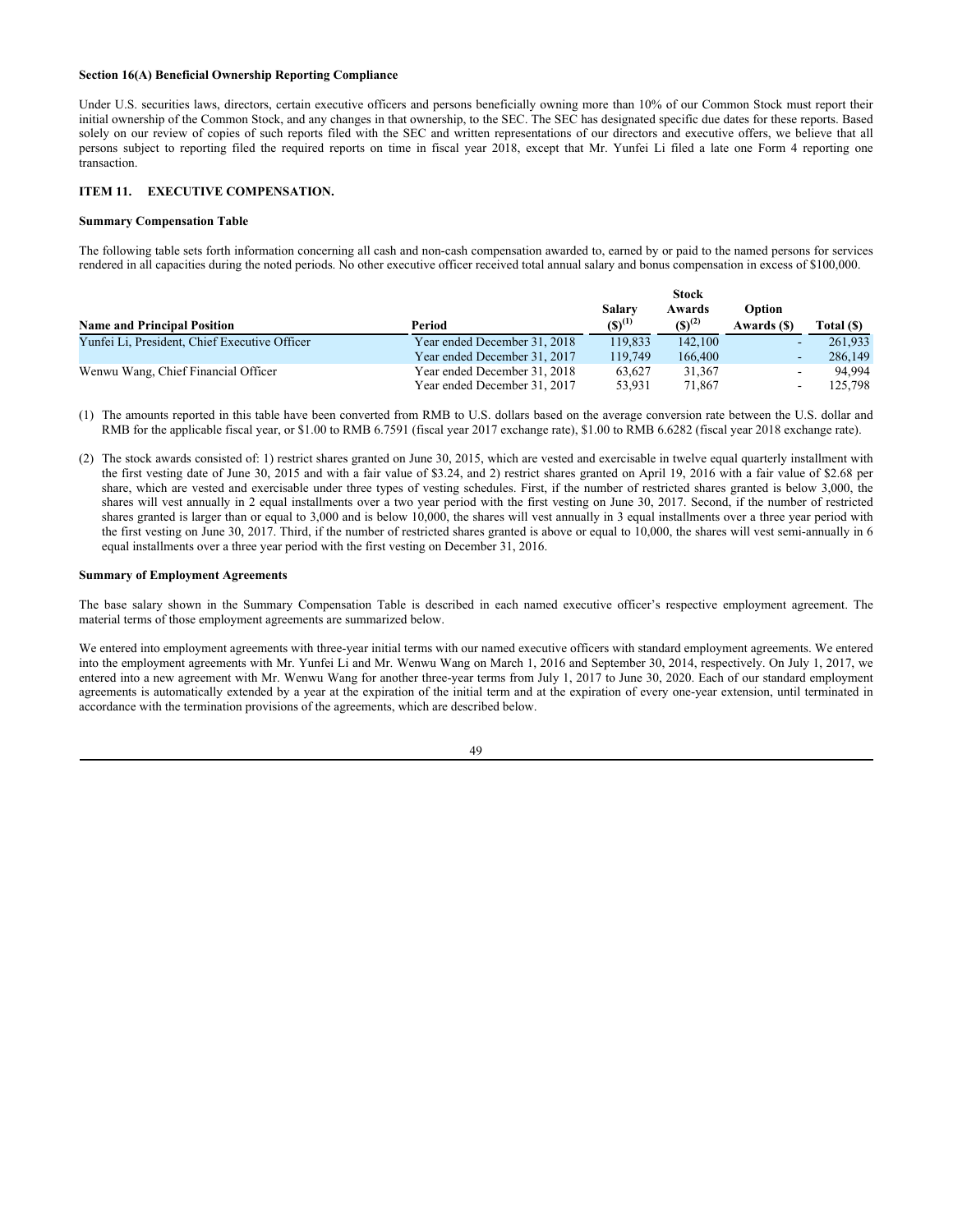# **Section 16(A) Beneficial Ownership Reporting Compliance**

Under U.S. securities laws, directors, certain executive officers and persons beneficially owning more than 10% of our Common Stock must report their initial ownership of the Common Stock, and any changes in that ownership, to the SEC. The SEC has designated specific due dates for these reports. Based solely on our review of copies of such reports filed with the SEC and written representations of our directors and executive offers, we believe that all persons subject to reporting filed the required reports on time in fiscal year 2018, except that Mr. Yunfei Li filed a late one Form 4 reporting one transaction.

## **ITEM 11. EXECUTIVE COMPENSATION.**

### **Summary Compensation Table**

The following table sets forth information concerning all cash and non-cash compensation awarded to, earned by or paid to the named persons for services rendered in all capacities during the noted periods. No other executive officer received total annual salary and bonus compensation in excess of \$100,000.

|                                               |                              | <b>Stock</b> |             |             |            |
|-----------------------------------------------|------------------------------|--------------|-------------|-------------|------------|
|                                               |                              | Salary       | Awards      | Option      |            |
| <b>Name and Principal Position</b>            | Period                       | $(S)^{(1)}$  | $(S)^{(2)}$ | Awards (\$) | Total (\$) |
| Yunfei Li, President, Chief Executive Officer | Year ended December 31, 2018 | 119,833      | 142,100     | ۰.          | 261,933    |
|                                               | Year ended December 31, 2017 | 119,749      | 166,400     | ۰           | 286,149    |
| Wenwu Wang, Chief Financial Officer           | Year ended December 31, 2018 | 63.627       | 31,367      |             | 94.994     |
|                                               | Year ended December 31, 2017 | 53.931       | 71,867      |             | 125,798    |

- (1) The amounts reported in this table have been converted from RMB to U.S. dollars based on the average conversion rate between the U.S. dollar and RMB for the applicable fiscal year, or \$1.00 to RMB 6.7591 (fiscal year 2017 exchange rate), \$1.00 to RMB 6.6282 (fiscal year 2018 exchange rate).
- (2) The stock awards consisted of: 1) restrict shares granted on June 30, 2015, which are vested and exercisable in twelve equal quarterly installment with the first vesting date of June 30, 2015 and with a fair value of \$3.24, and 2) restrict shares granted on April 19, 2016 with a fair value of \$2.68 per share, which are vested and exercisable under three types of vesting schedules. First, if the number of restricted shares granted is below 3,000, the shares will vest annually in 2 equal installments over a two year period with the first vesting on June 30, 2017. Second, if the number of restricted shares granted is larger than or equal to 3,000 and is below 10,000, the shares will vest annually in 3 equal installments over a three year period with the first vesting on June 30, 2017. Third, if the number of restricted shares granted is above or equal to 10,000, the shares will vest semi-annually in 6 equal installments over a three year period with the first vesting on December 31, 2016.

#### **Summary of Employment Agreements**

The base salary shown in the Summary Compensation Table is described in each named executive officer's respective employment agreement. The material terms of those employment agreements are summarized below.

We entered into employment agreements with three-year initial terms with our named executive officers with standard employment agreements. We entered into the employment agreements with Mr. Yunfei Li and Mr. Wenwu Wang on March 1, 2016 and September 30, 2014, respectively. On July 1, 2017, we entered into a new agreement with Mr. Wenwu Wang for another three-year terms from July 1, 2017 to June 30, 2020. Each of our standard employment agreements is automatically extended by a year at the expiration of the initial term and at the expiration of every one-year extension, until terminated in accordance with the termination provisions of the agreements, which are described below.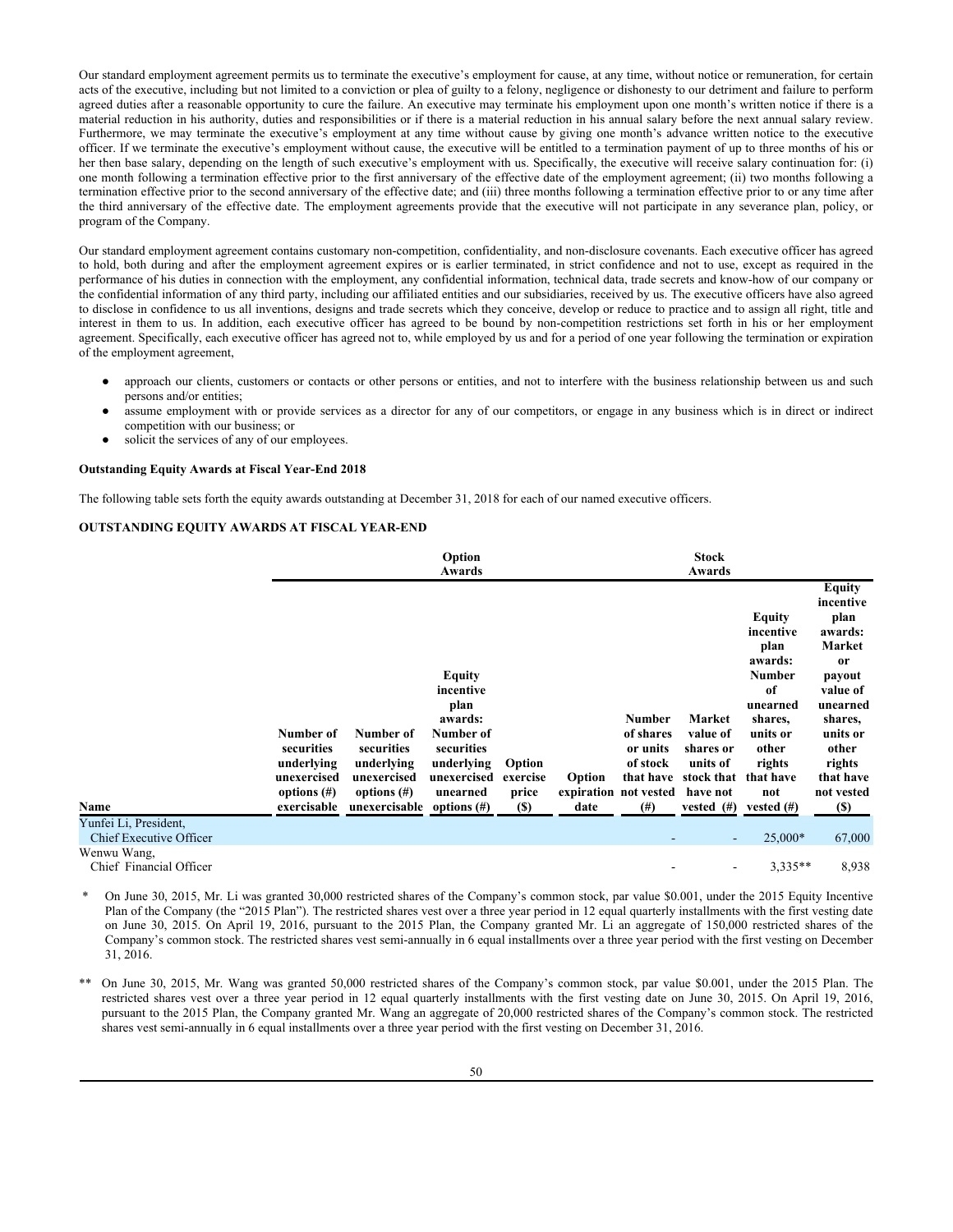Our standard employment agreement permits us to terminate the executive's employment for cause, at any time, without notice or remuneration, for certain acts of the executive, including but not limited to a conviction or plea of guilty to a felony, negligence or dishonesty to our detriment and failure to perform agreed duties after a reasonable opportunity to cure the failure. An executive may terminate his employment upon one month's written notice if there is a material reduction in his authority, duties and responsibilities or if there is a material reduction in his annual salary before the next annual salary review. Furthermore, we may terminate the executive's employment at any time without cause by giving one month's advance written notice to the executive officer. If we terminate the executive's employment without cause, the executive will be entitled to a termination payment of up to three months of his or her then base salary, depending on the length of such executive's employment with us. Specifically, the executive will receive salary continuation for: (i) one month following a termination effective prior to the first anniversary of the effective date of the employment agreement; (ii) two months following a termination effective prior to the second anniversary of the effective date; and (iii) three months following a termination effective prior to or any time after the third anniversary of the effective date. The employment agreements provide that the executive will not participate in any severance plan, policy, or program of the Company.

Our standard employment agreement contains customary non-competition, confidentiality, and non-disclosure covenants. Each executive officer has agreed to hold, both during and after the employment agreement expires or is earlier terminated, in strict confidence and not to use, except as required in the performance of his duties in connection with the employment, any confidential information, technical data, trade secrets and know-how of our company or the confidential information of any third party, including our affiliated entities and our subsidiaries, received by us. The executive officers have also agreed to disclose in confidence to us all inventions, designs and trade secrets which they conceive, develop or reduce to practice and to assign all right, title and interest in them to us. In addition, each executive officer has agreed to be bound by non-competition restrictions set forth in his or her employment agreement. Specifically, each executive officer has agreed not to, while employed by us and for a period of one year following the termination or expiration of the employment agreement,

- approach our clients, customers or contacts or other persons or entities, and not to interfere with the business relationship between us and such persons and/or entities;
- assume employment with or provide services as a director for any of our competitors, or engage in any business which is in direct or indirect competition with our business; or
- solicit the services of any of our employees.

#### **Outstanding Equity Awards at Fiscal Year-End 2018**

The following table sets forth the equity awards outstanding at December 31, 2018 for each of our named executive officers.

### **OUTSTANDING EQUITY AWARDS AT FISCAL YEAR-END**

|                                                  |                                                                                       |                                                                                                        | Option<br>Awards                                                                                                  |                                           |                |                                                                                                      | <b>Stock</b><br>Awards                                                                               |                                                                                                                                                |                                                                                                                                                                               |
|--------------------------------------------------|---------------------------------------------------------------------------------------|--------------------------------------------------------------------------------------------------------|-------------------------------------------------------------------------------------------------------------------|-------------------------------------------|----------------|------------------------------------------------------------------------------------------------------|------------------------------------------------------------------------------------------------------|------------------------------------------------------------------------------------------------------------------------------------------------|-------------------------------------------------------------------------------------------------------------------------------------------------------------------------------|
| Name                                             | Number of<br>securities<br>underlying<br>unexercised<br>options $(\#)$<br>exercisable | Number of<br>securities<br>underlying<br>unexercised<br>options $(\#)$<br>unexercisable options $(\#)$ | <b>Equity</b><br>incentive<br>plan<br>awards:<br>Number of<br>securities<br>underlying<br>unexercised<br>unearned | Option<br>exercise<br>price<br><b>(S)</b> | Option<br>date | <b>Number</b><br>of shares<br>or units<br>of stock<br>that have<br>expiration not vested<br>$^{(#)}$ | Market<br>value of<br>shares or<br>units of<br>stock that<br>have not<br>vested $(\#)$ vested $(\#)$ | <b>Equity</b><br>incentive<br>plan<br>awards:<br><b>Number</b><br>of<br>unearned<br>shares,<br>units or<br>other<br>rights<br>that have<br>not | <b>Equity</b><br>incentive<br>plan<br>awards:<br>Market<br>or<br>payout<br>value of<br>unearned<br>shares,<br>units or<br>other<br>rights<br>that have<br>not vested<br>$(S)$ |
| Yunfei Li, President,<br>Chief Executive Officer |                                                                                       |                                                                                                        |                                                                                                                   |                                           |                |                                                                                                      | ٠                                                                                                    | $25,000*$                                                                                                                                      | 67,000                                                                                                                                                                        |
| Wenwu Wang,<br>Chief Financial Officer           |                                                                                       |                                                                                                        |                                                                                                                   |                                           |                |                                                                                                      |                                                                                                      | $3.335**$                                                                                                                                      | 8,938                                                                                                                                                                         |

\* On June 30, 2015, Mr. Li was granted 30,000 restricted shares of the Company's common stock, par value \$0.001, under the 2015 Equity Incentive Plan of the Company (the "2015 Plan"). The restricted shares vest over a three year period in 12 equal quarterly installments with the first vesting date on June 30, 2015. On April 19, 2016, pursuant to the 2015 Plan, the Company granted Mr. Li an aggregate of 150,000 restricted shares of the Company's common stock. The restricted shares vest semi-annually in 6 equal installments over a three year period with the first vesting on December 31, 2016.

On June 30, 2015, Mr. Wang was granted 50,000 restricted shares of the Company's common stock, par value \$0.001, under the 2015 Plan. The restricted shares vest over a three year period in 12 equal quarterly installments with the first vesting date on June 30, 2015. On April 19, 2016, pursuant to the 2015 Plan, the Company granted Mr. Wang an aggregate of 20,000 restricted shares of the Company's common stock. The restricted shares vest semi-annually in 6 equal installments over a three year period with the first vesting on December 31, 2016.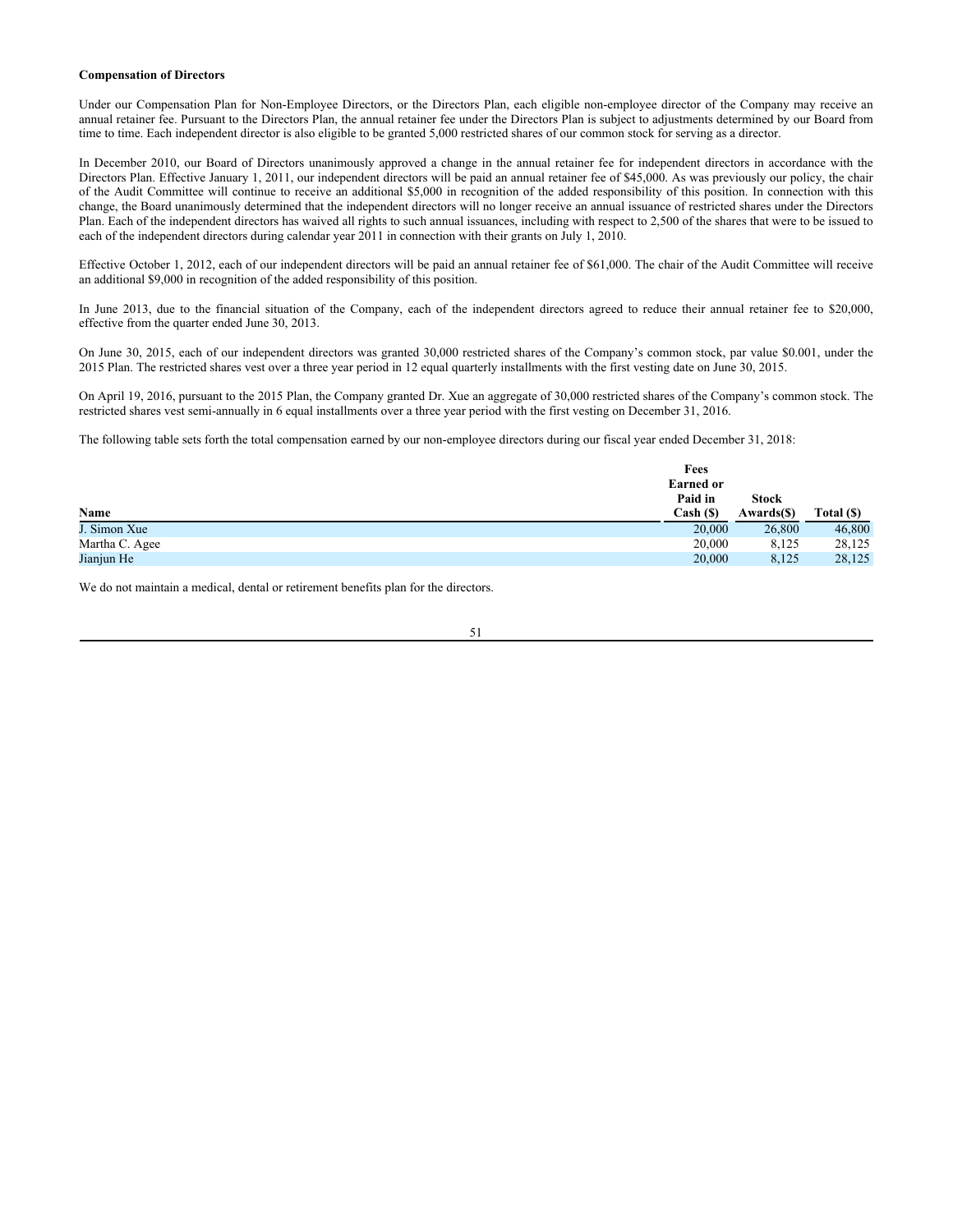# **Compensation of Directors**

Under our Compensation Plan for Non-Employee Directors, or the Directors Plan, each eligible non-employee director of the Company may receive an annual retainer fee. Pursuant to the Directors Plan, the annual retainer fee under the Directors Plan is subject to adjustments determined by our Board from time to time. Each independent director is also eligible to be granted 5,000 restricted shares of our common stock for serving as a director.

In December 2010, our Board of Directors unanimously approved a change in the annual retainer fee for independent directors in accordance with the Directors Plan. Effective January 1, 2011, our independent directors will be paid an annual retainer fee of \$45,000. As was previously our policy, the chair of the Audit Committee will continue to receive an additional \$5,000 in recognition of the added responsibility of this position. In connection with this change, the Board unanimously determined that the independent directors will no longer receive an annual issuance of restricted shares under the Directors Plan. Each of the independent directors has waived all rights to such annual issuances, including with respect to 2,500 of the shares that were to be issued to each of the independent directors during calendar year 2011 in connection with their grants on July 1, 2010.

Effective October 1, 2012, each of our independent directors will be paid an annual retainer fee of \$61,000. The chair of the Audit Committee will receive an additional \$9,000 in recognition of the added responsibility of this position.

In June 2013, due to the financial situation of the Company, each of the independent directors agreed to reduce their annual retainer fee to \$20,000, effective from the quarter ended June 30, 2013.

On June 30, 2015, each of our independent directors was granted 30,000 restricted shares of the Company's common stock, par value \$0.001, under the 2015 Plan. The restricted shares vest over a three year period in 12 equal quarterly installments with the first vesting date on June 30, 2015.

On April 19, 2016, pursuant to the 2015 Plan, the Company granted Dr. Xue an aggregate of 30,000 restricted shares of the Company's common stock. The restricted shares vest semi-annually in 6 equal installments over a three year period with the first vesting on December 31, 2016.

The following table sets forth the total compensation earned by our non-employee directors during our fiscal year ended December 31, 2018:

|                | Fees             |              |            |
|----------------|------------------|--------------|------------|
|                | <b>Earned or</b> |              |            |
|                | Paid in          | <b>Stock</b> |            |
| Name           | Cash (\$)        | Awards(\$)   | Total (\$) |
| J. Simon Xue   | 20,000           | 26,800       | 46,800     |
| Martha C. Agee | 20,000           | 8.125        | 28,125     |
| Jianjun He     | 20,000           | 8,125        | 28,125     |

We do not maintain a medical, dental or retirement benefits plan for the directors.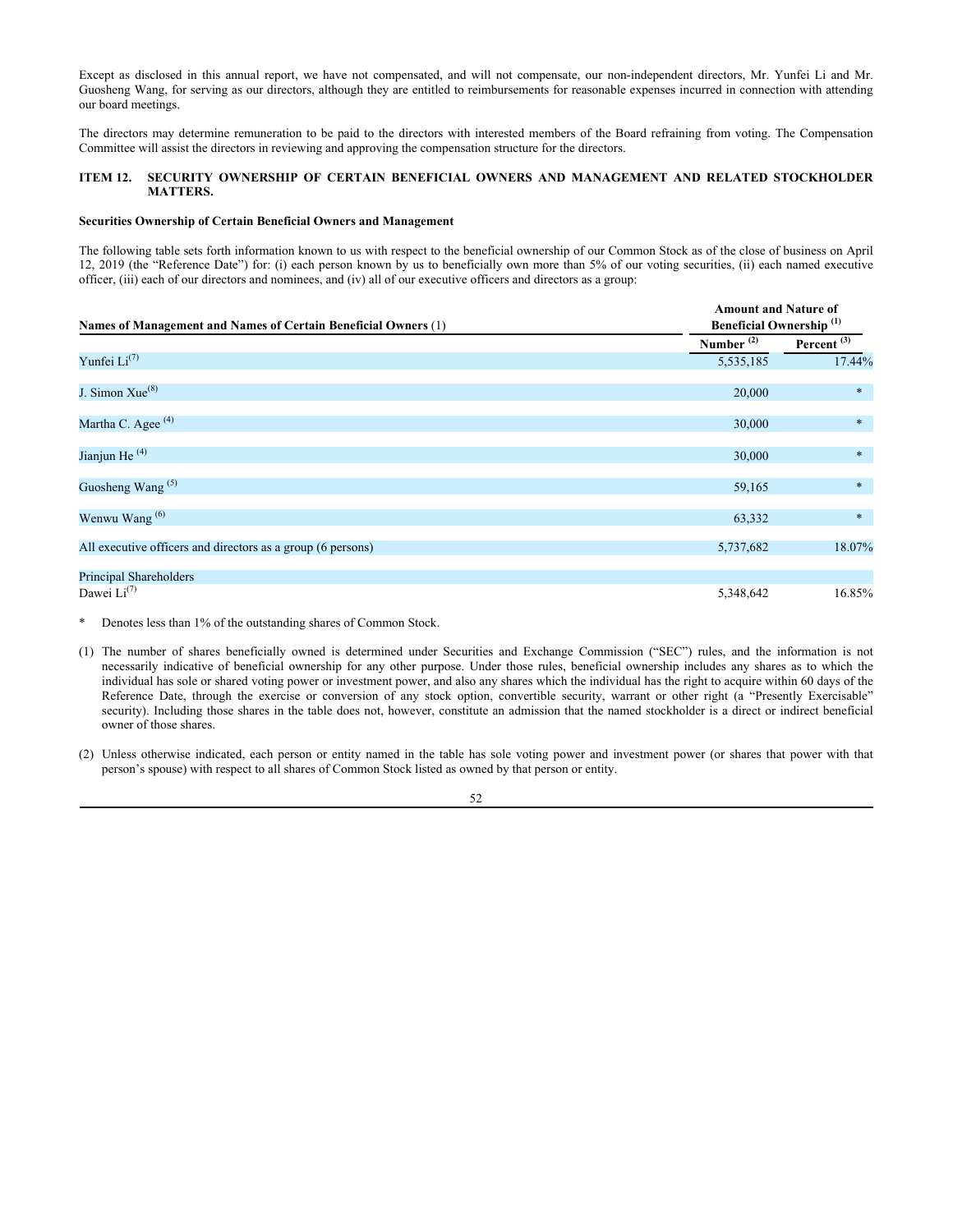Except as disclosed in this annual report, we have not compensated, and will not compensate, our non-independent directors, Mr. Yunfei Li and Mr. Guosheng Wang, for serving as our directors, although they are entitled to reimbursements for reasonable expenses incurred in connection with attending our board meetings.

The directors may determine remuneration to be paid to the directors with interested members of the Board refraining from voting. The Compensation Committee will assist the directors in reviewing and approving the compensation structure for the directors.

## **ITEM 12. SECURITY OWNERSHIP OF CERTAIN BENEFICIAL OWNERS AND MANAGEMENT AND RELATED STOCKHOLDER MATTERS.**

### **Securities Ownership of Certain Beneficial Owners and Management**

The following table sets forth information known to us with respect to the beneficial ownership of our Common Stock as of the close of business on April 12, 2019 (the "Reference Date") for: (i) each person known by us to beneficially own more than 5% of our voting securities, (ii) each named executive officer, (iii) each of our directors and nominees, and (iv) all of our executive officers and directors as a group:

| Names of Management and Names of Certain Beneficial Owners (1) | <b>Amount and Nature of</b><br><b>Beneficial Ownership</b> <sup>(1)</sup> |               |  |
|----------------------------------------------------------------|---------------------------------------------------------------------------|---------------|--|
|                                                                | Number $(2)$                                                              | Percent $(3)$ |  |
| Yunfei $Li^{(7)}$                                              | 5,535,185                                                                 | 17.44%        |  |
| J. Simon Xue <sup>(8)</sup>                                    | 20,000                                                                    | $\ast$        |  |
| Martha C. Agee <sup>(4)</sup>                                  | 30,000                                                                    | $\ast$        |  |
| Jianjun He <sup>(4)</sup>                                      | 30,000                                                                    | $\ast$        |  |
| Guosheng Wang <sup>(5)</sup>                                   | 59,165                                                                    | $\ast$        |  |
| Wenwu Wang <sup>(6)</sup>                                      | 63,332                                                                    | $\ast$        |  |
| All executive officers and directors as a group (6 persons)    | 5,737,682                                                                 | 18.07%        |  |
| Principal Shareholders                                         |                                                                           |               |  |
| Dawei $Li^{(7)}$                                               | 5,348,642                                                                 | 16.85%        |  |

- \* Denotes less than 1% of the outstanding shares of Common Stock.
- (1) The number of shares beneficially owned is determined under Securities and Exchange Commission ("SEC") rules, and the information is not necessarily indicative of beneficial ownership for any other purpose. Under those rules, beneficial ownership includes any shares as to which the individual has sole or shared voting power or investment power, and also any shares which the individual has the right to acquire within 60 days of the Reference Date, through the exercise or conversion of any stock option, convertible security, warrant or other right (a "Presently Exercisable" security). Including those shares in the table does not, however, constitute an admission that the named stockholder is a direct or indirect beneficial owner of those shares.

(2) Unless otherwise indicated, each person or entity named in the table has sole voting power and investment power (or shares that power with that person's spouse) with respect to all shares of Common Stock listed as owned by that person or entity.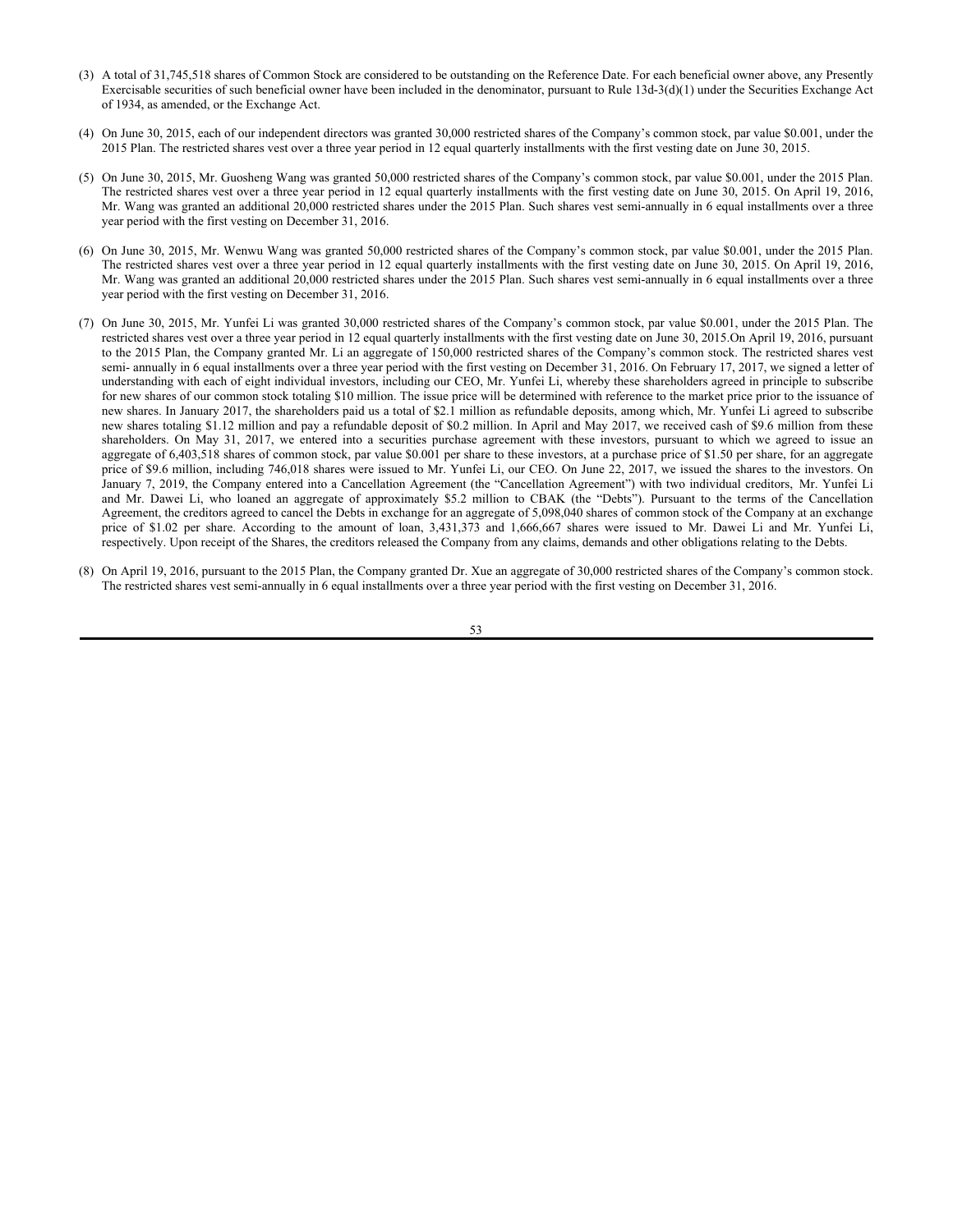- (3) A total of 31,745,518 shares of Common Stock are considered to be outstanding on the Reference Date. For each beneficial owner above, any Presently Exercisable securities of such beneficial owner have been included in the denominator, pursuant to Rule 13d-3(d)(1) under the Securities Exchange Act of 1934, as amended, or the Exchange Act.
- (4) On June 30, 2015, each of our independent directors was granted 30,000 restricted shares of the Company's common stock, par value \$0.001, under the 2015 Plan. The restricted shares vest over a three year period in 12 equal quarterly installments with the first vesting date on June 30, 2015.
- (5) On June 30, 2015, Mr. Guosheng Wang was granted 50,000 restricted shares of the Company's common stock, par value \$0.001, under the 2015 Plan. The restricted shares vest over a three year period in 12 equal quarterly installments with the first vesting date on June 30, 2015. On April 19, 2016, Mr. Wang was granted an additional 20,000 restricted shares under the 2015 Plan. Such shares vest semi-annually in 6 equal installments over a three year period with the first vesting on December 31, 2016.
- (6) On June 30, 2015, Mr. Wenwu Wang was granted 50,000 restricted shares of the Company's common stock, par value \$0.001, under the 2015 Plan. The restricted shares vest over a three year period in 12 equal quarterly installments with the first vesting date on June 30, 2015. On April 19, 2016, Mr. Wang was granted an additional 20,000 restricted shares under the 2015 Plan. Such shares vest semi-annually in 6 equal installments over a three year period with the first vesting on December 31, 2016.
- (7) On June 30, 2015, Mr. Yunfei Li was granted 30,000 restricted shares of the Company's common stock, par value \$0.001, under the 2015 Plan. The restricted shares vest over a three year period in 12 equal quarterly installments with the first vesting date on June 30, 2015.On April 19, 2016, pursuant to the 2015 Plan, the Company granted Mr. Li an aggregate of 150,000 restricted shares of the Company's common stock. The restricted shares vest semi- annually in 6 equal installments over a three year period with the first vesting on December 31, 2016. On February 17, 2017, we signed a letter of understanding with each of eight individual investors, including our CEO, Mr. Yunfei Li, whereby these shareholders agreed in principle to subscribe for new shares of our common stock totaling \$10 million. The issue price will be determined with reference to the market price prior to the issuance of new shares. In January 2017, the shareholders paid us a total of \$2.1 million as refundable deposits, among which, Mr. Yunfei Li agreed to subscribe new shares totaling \$1.12 million and pay a refundable deposit of \$0.2 million. In April and May 2017, we received cash of \$9.6 million from these shareholders. On May 31, 2017, we entered into a securities purchase agreement with these investors, pursuant to which we agreed to issue an aggregate of 6,403,518 shares of common stock, par value \$0.001 per share to these investors, at a purchase price of \$1.50 per share, for an aggregate price of \$9.6 million, including 746,018 shares were issued to Mr. Yunfei Li, our CEO. On June 22, 2017, we issued the shares to the investors. On January 7, 2019, the Company entered into a Cancellation Agreement (the "Cancellation Agreement") with two individual creditors, Mr. Yunfei Li and Mr. Dawei Li, who loaned an aggregate of approximately \$5.2 million to CBAK (the "Debts"). Pursuant to the terms of the Cancellation Agreement, the creditors agreed to cancel the Debts in exchange for an aggregate of 5,098,040 shares of common stock of the Company at an exchange price of \$1.02 per share. According to the amount of loan, 3,431,373 and 1,666,667 shares were issued to Mr. Dawei Li and Mr. Yunfei Li, respectively. Upon receipt of the Shares, the creditors released the Company from any claims, demands and other obligations relating to the Debts.
- (8) On April 19, 2016, pursuant to the 2015 Plan, the Company granted Dr. Xue an aggregate of 30,000 restricted shares of the Company's common stock. The restricted shares vest semi-annually in 6 equal installments over a three year period with the first vesting on December 31, 2016.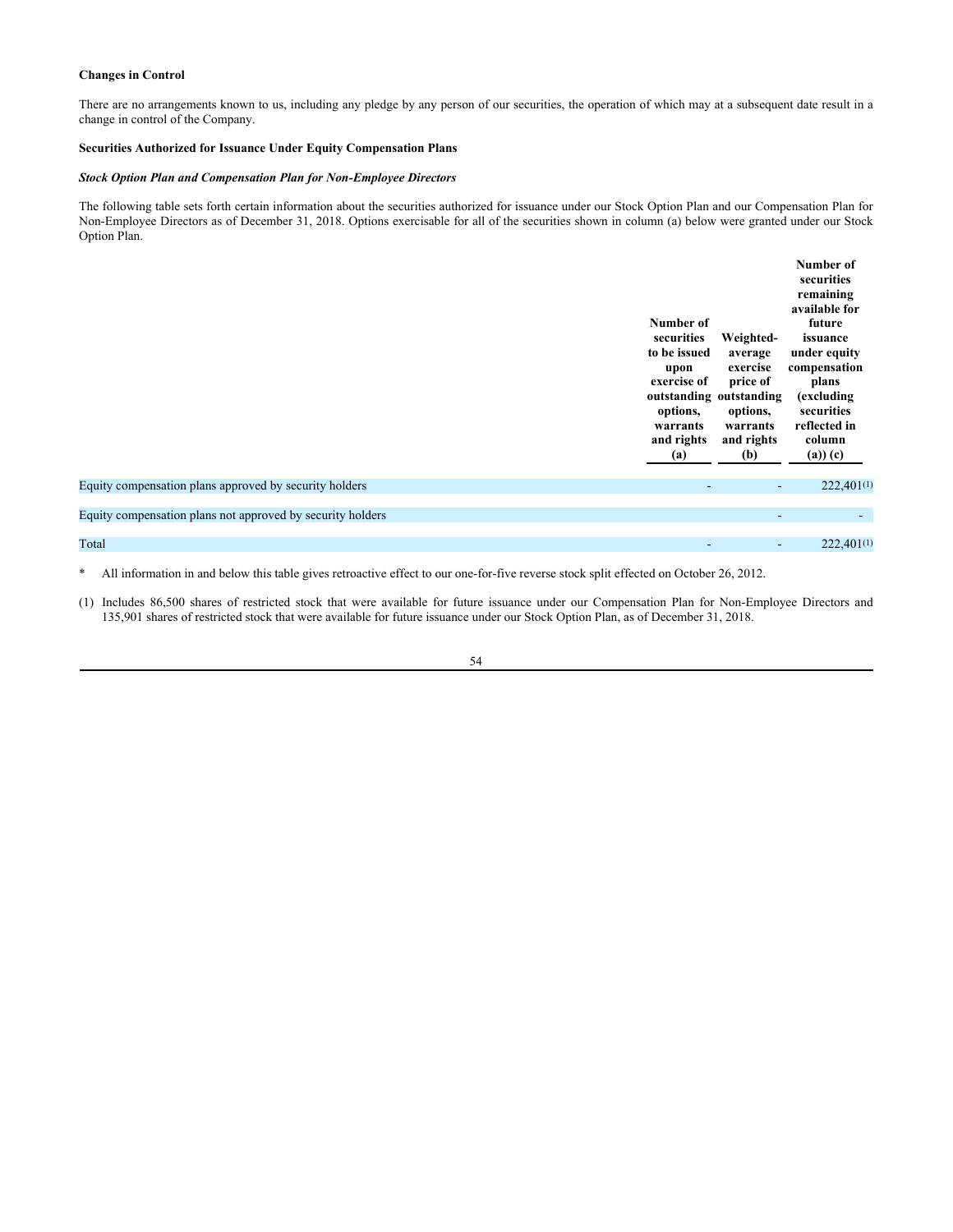# **Changes in Control**

There are no arrangements known to us, including any pledge by any person of our securities, the operation of which may at a subsequent date result in a change in control of the Company.

# **Securities Authorized for Issuance Under Equity Compensation Plans**

# *Stock Option Plan and Compensation Plan for Non-Employee Directors*

The following table sets forth certain information about the securities authorized for issuance under our Stock Option Plan and our Compensation Plan for Non-Employee Directors as of December 31, 2018. Options exercisable for all of the securities shown in column (a) below were granted under our Stock Option Plan.

|                                                            | Number of<br>securities<br>to be issued<br>upon<br>exercise of<br>outstanding outstanding<br>options,<br>warrants<br>and rights<br>(a) | Weighted-<br>average<br>exercise<br>price of<br>options,<br>warrants<br>and rights<br>(b) | Number of<br>securities<br>remaining<br>available for<br>future<br>issuance<br>under equity<br>compensation<br>plans<br>(excluding<br>securities<br>reflected in<br>column<br>$(a)$ $(c)$ |
|------------------------------------------------------------|----------------------------------------------------------------------------------------------------------------------------------------|-------------------------------------------------------------------------------------------|-------------------------------------------------------------------------------------------------------------------------------------------------------------------------------------------|
| Equity compensation plans approved by security holders     | -                                                                                                                                      | ۰.                                                                                        | 222,401(1)                                                                                                                                                                                |
| Equity compensation plans not approved by security holders |                                                                                                                                        | ۰                                                                                         | ٠                                                                                                                                                                                         |
| Total                                                      |                                                                                                                                        | ٠                                                                                         | 222,401(1)                                                                                                                                                                                |
|                                                            |                                                                                                                                        |                                                                                           |                                                                                                                                                                                           |

\* All information in and below this table gives retroactive effect to our one-for-five reverse stock split effected on October 26, 2012.

(1) Includes 86,500 shares of restricted stock that were available for future issuance under our Compensation Plan for Non-Employee Directors and 135,901 shares of restricted stock that were available for future issuance under our Stock Option Plan, as of December 31, 2018.

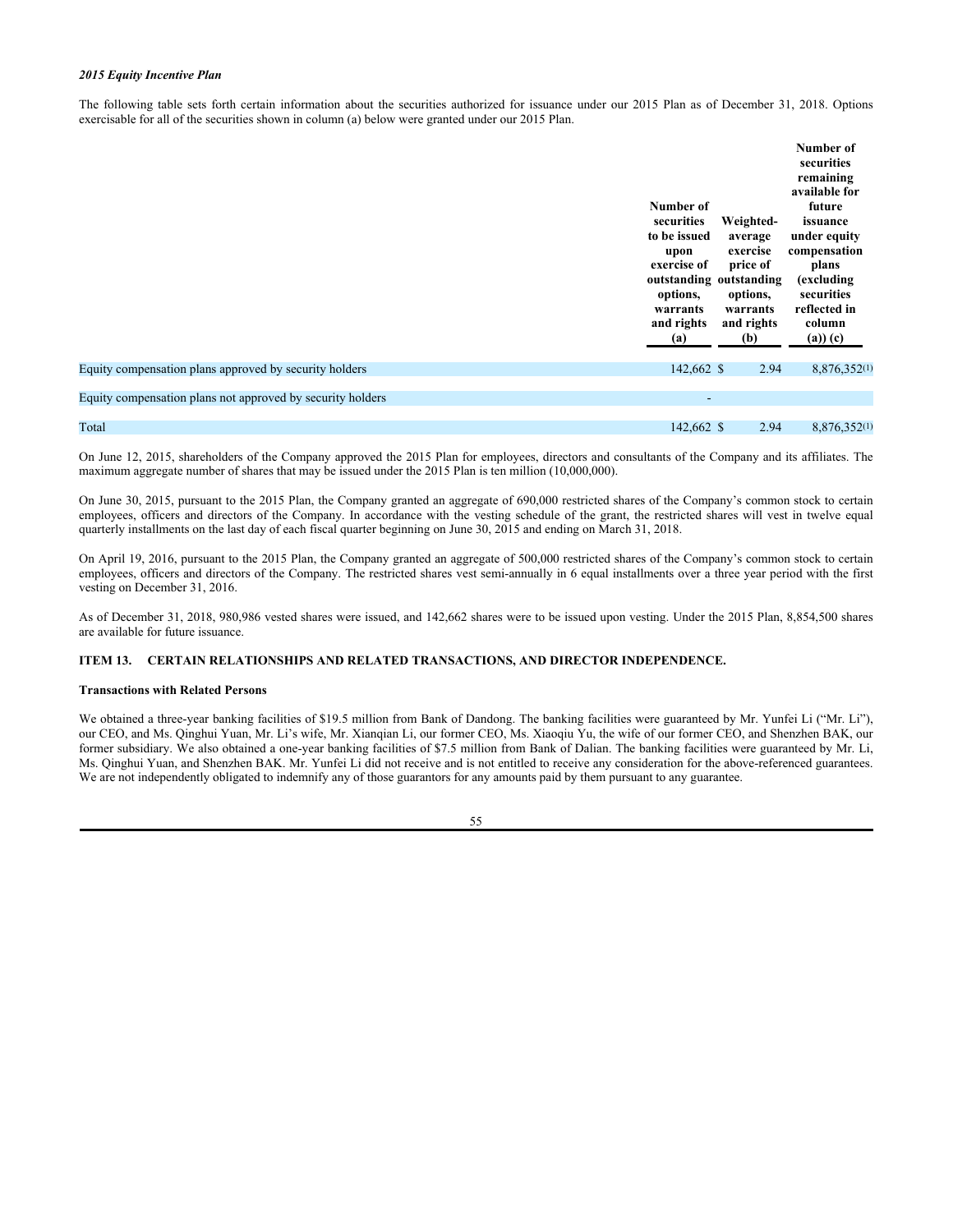# *2015 Equity Incentive Plan*

The following table sets forth certain information about the securities authorized for issuance under our 2015 Plan as of December 31, 2018. Options exercisable for all of the securities shown in column (a) below were granted under our 2015 Plan.

|                                                            | Number of<br>securities<br>to be issued<br>upon<br>exercise of<br>outstanding outstanding<br>options,<br>warrants<br>and rights<br>(a) | Weighted-<br>average<br>exercise<br>price of<br>options,<br>warrants<br>and rights<br>(b) | Number of<br>securities<br>remaining<br>available for<br>future<br>issuance<br>under equity<br>compensation<br>plans<br>(excluding<br>securities<br>reflected in<br>column<br>$(a))$ $(c)$ |
|------------------------------------------------------------|----------------------------------------------------------------------------------------------------------------------------------------|-------------------------------------------------------------------------------------------|--------------------------------------------------------------------------------------------------------------------------------------------------------------------------------------------|
| Equity compensation plans approved by security holders     | 142,662 \$                                                                                                                             | 2.94                                                                                      | 8,876,352(1)                                                                                                                                                                               |
| Equity compensation plans not approved by security holders | ۰                                                                                                                                      |                                                                                           |                                                                                                                                                                                            |
| Total                                                      | 142,662 \$                                                                                                                             | 2.94                                                                                      | 8,876,352(1)                                                                                                                                                                               |

On June 12, 2015, shareholders of the Company approved the 2015 Plan for employees, directors and consultants of the Company and its affiliates. The maximum aggregate number of shares that may be issued under the 2015 Plan is ten million (10,000,000).

On June 30, 2015, pursuant to the 2015 Plan, the Company granted an aggregate of 690,000 restricted shares of the Company's common stock to certain employees, officers and directors of the Company. In accordance with the vesting schedule of the grant, the restricted shares will vest in twelve equal quarterly installments on the last day of each fiscal quarter beginning on June 30, 2015 and ending on March 31, 2018.

On April 19, 2016, pursuant to the 2015 Plan, the Company granted an aggregate of 500,000 restricted shares of the Company's common stock to certain employees, officers and directors of the Company. The restricted shares vest semi-annually in 6 equal installments over a three year period with the first vesting on December 31, 2016.

As of December 31, 2018, 980,986 vested shares were issued, and 142,662 shares were to be issued upon vesting. Under the 2015 Plan, 8,854,500 shares are available for future issuance.

# **ITEM 13. CERTAIN RELATIONSHIPS AND RELATED TRANSACTIONS, AND DIRECTOR INDEPENDENCE.**

# **Transactions with Related Persons**

We obtained a three-year banking facilities of \$19.5 million from Bank of Dandong. The banking facilities were guaranteed by Mr. Yunfei Li ("Mr. Li"), our CEO, and Ms. Qinghui Yuan, Mr. Li's wife, Mr. Xianqian Li, our former CEO, Ms. Xiaoqiu Yu, the wife of our former CEO, and Shenzhen BAK, our former subsidiary. We also obtained a one-year banking facilities of \$7.5 million from Bank of Dalian. The banking facilities were guaranteed by Mr. Li, Ms. Qinghui Yuan, and Shenzhen BAK. Mr. Yunfei Li did not receive and is not entitled to receive any consideration for the above-referenced guarantees. We are not independently obligated to indemnify any of those guarantors for any amounts paid by them pursuant to any guarantee.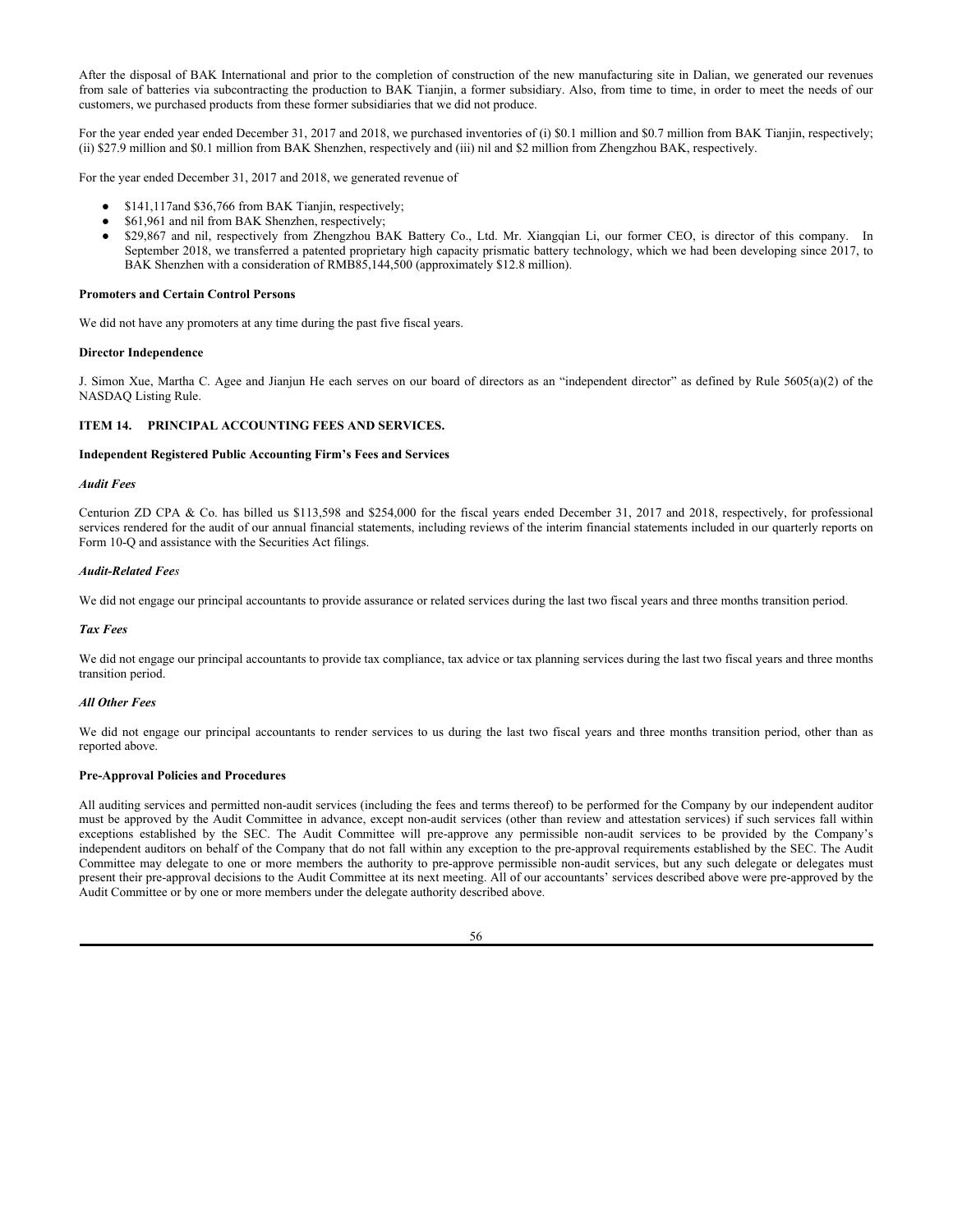After the disposal of BAK International and prior to the completion of construction of the new manufacturing site in Dalian, we generated our revenues from sale of batteries via subcontracting the production to BAK Tianjin, a former subsidiary. Also, from time to time, in order to meet the needs of our customers, we purchased products from these former subsidiaries that we did not produce.

For the year ended year ended December 31, 2017 and 2018, we purchased inventories of (i) \$0.1 million and \$0.7 million from BAK Tianjin, respectively; (ii) \$27.9 million and \$0.1 million from BAK Shenzhen, respectively and (iii) nil and \$2 million from Zhengzhou BAK, respectively.

For the year ended December 31, 2017 and 2018, we generated revenue of

- \$141,117and \$36,766 from BAK Tianjin, respectively;
- \$61,961 and nil from BAK Shenzhen, respectively;
- \$29,867 and nil, respectively from Zhengzhou BAK Battery Co., Ltd. Mr. Xiangqian Li, our former CEO, is director of this company. In September 2018, we transferred a patented proprietary high capacity prismatic battery technology, which we had been developing since 2017, to BAK Shenzhen with a consideration of RMB85,144,500 (approximately \$12.8 million).

### **Promoters and Certain Control Persons**

We did not have any promoters at any time during the past five fiscal years.

## **Director Independence**

J. Simon Xue, Martha C. Agee and Jianjun He each serves on our board of directors as an "independent director" as defined by Rule 5605(a)(2) of the NASDAQ Listing Rule.

## **ITEM 14. PRINCIPAL ACCOUNTING FEES AND SERVICES.**

#### **Independent Registered Public Accounting Firm's Fees and Services**

#### *Audit Fees*

Centurion ZD CPA & Co. has billed us \$113,598 and \$254,000 for the fiscal years ended December 31, 2017 and 2018, respectively, for professional services rendered for the audit of our annual financial statements, including reviews of the interim financial statements included in our quarterly reports on Form 10-Q and assistance with the Securities Act filings.

## *Audit-Related Fees*

We did not engage our principal accountants to provide assurance or related services during the last two fiscal years and three months transition period.

# *Tax Fees*

We did not engage our principal accountants to provide tax compliance, tax advice or tax planning services during the last two fiscal years and three months transition period.

# *All Other Fees*

We did not engage our principal accountants to render services to us during the last two fiscal years and three months transition period, other than as reported above.

# **Pre-Approval Policies and Procedures**

All auditing services and permitted non-audit services (including the fees and terms thereof) to be performed for the Company by our independent auditor must be approved by the Audit Committee in advance, except non-audit services (other than review and attestation services) if such services fall within exceptions established by the SEC. The Audit Committee will pre-approve any permissible non-audit services to be provided by the Company's independent auditors on behalf of the Company that do not fall within any exception to the pre-approval requirements established by the SEC. The Audit Committee may delegate to one or more members the authority to pre-approve permissible non-audit services, but any such delegate or delegates must present their pre-approval decisions to the Audit Committee at its next meeting. All of our accountants' services described above were pre-approved by the Audit Committee or by one or more members under the delegate authority described above.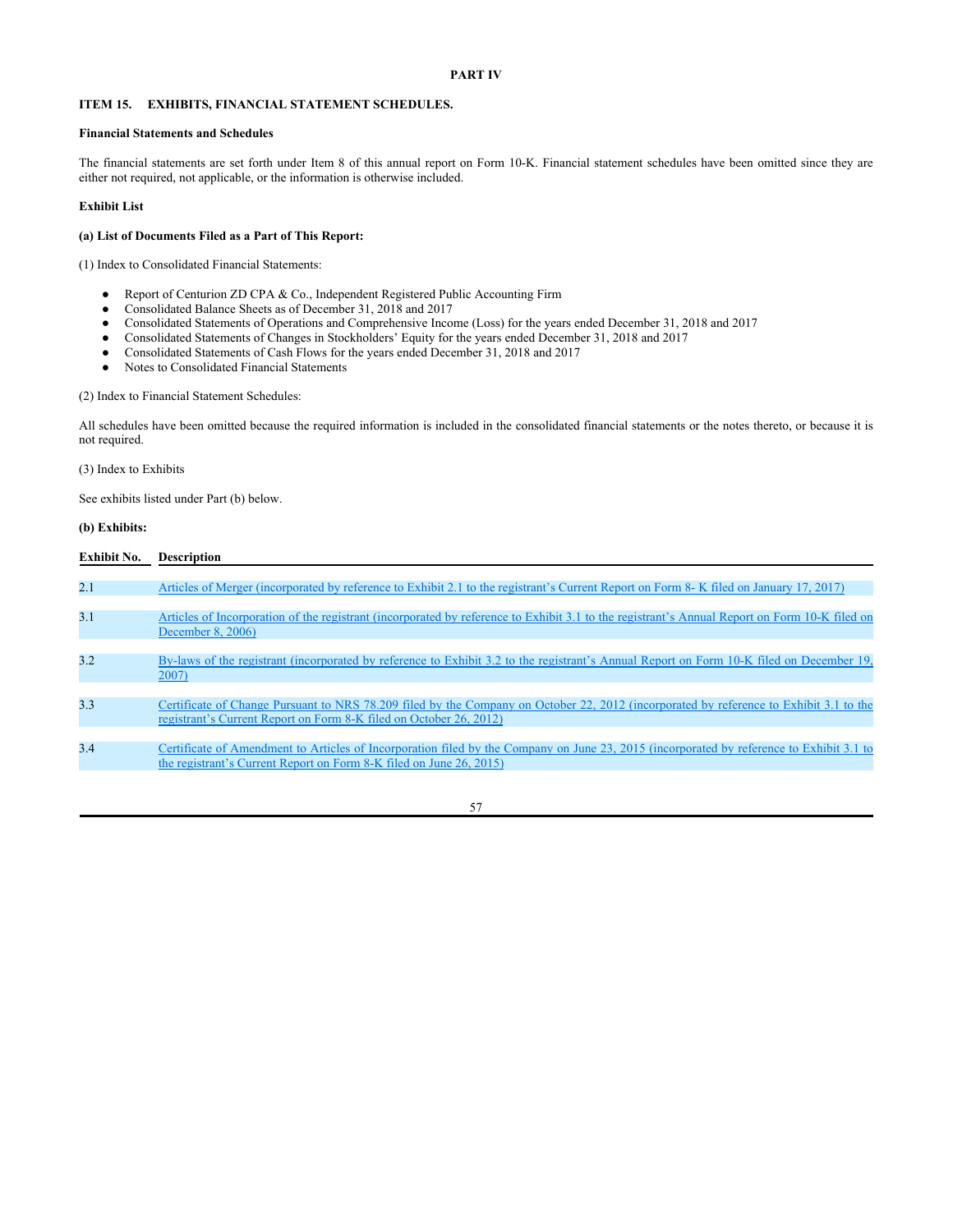## **PART IV**

# **ITEM 15. EXHIBITS, FINANCIAL STATEMENT SCHEDULES.**

#### **Financial Statements and Schedules**

The financial statements are set forth under Item 8 of this annual report on Form 10-K. Financial statement schedules have been omitted since they are either not required, not applicable, or the information is otherwise included.

# **Exhibit List**

## **(a) List of Documents Filed as a Part of This Report:**

(1) Index to Consolidated Financial Statements:

- Report of Centurion ZD CPA & Co., Independent Registered Public Accounting Firm
- Consolidated Balance Sheets as of December 31, 2018 and 2017
- Consolidated Statements of Operations and Comprehensive Income (Loss) for the years ended December 31, 2018 and 2017
- Consolidated Statements of Changes in Stockholders' Equity for the years ended December 31, 2018 and 2017
- Consolidated Statements of Cash Flows for the years ended December 31, 2018 and 2017
- Notes to Consolidated Financial Statements

(2) Index to Financial Statement Schedules:

All schedules have been omitted because the required information is included in the consolidated financial statements or the notes thereto, or because it is not required.

(3) Index to Exhibits

See exhibits listed under Part (b) below.

## **(b) Exhibits:**

| <b>Exhibit No.</b> | <b>Description</b>                                                                                                                                                                                              |
|--------------------|-----------------------------------------------------------------------------------------------------------------------------------------------------------------------------------------------------------------|
| 2.1                | Articles of Merger (incorporated by reference to Exhibit 2.1 to the registrant's Current Report on Form 8- K filed on January 17, 2017)                                                                         |
| 3.1                | Articles of Incorporation of the registrant (incorporated by reference to Exhibit 3.1 to the registrant's Annual Report on Form 10-K filed on<br>December 8, 2006)                                              |
| 3.2                | By-laws of the registrant (incorporated by reference to Exhibit 3.2 to the registrant's Annual Report on Form 10-K filed on December 19,<br>2007)                                                               |
| 3.3                | Certificate of Change Pursuant to NRS 78.209 filed by the Company on October 22, 2012 (incorporated by reference to Exhibit 3.1 to the<br>registrant's Current Report on Form 8-K filed on October 26, 2012)    |
| 3.4                | Certificate of Amendment to Articles of Incorporation filed by the Company on June 23, 2015 (incorporated by reference to Exhibit 3.1 to<br>the registrant's Current Report on Form 8-K filed on June 26, 2015) |
|                    |                                                                                                                                                                                                                 |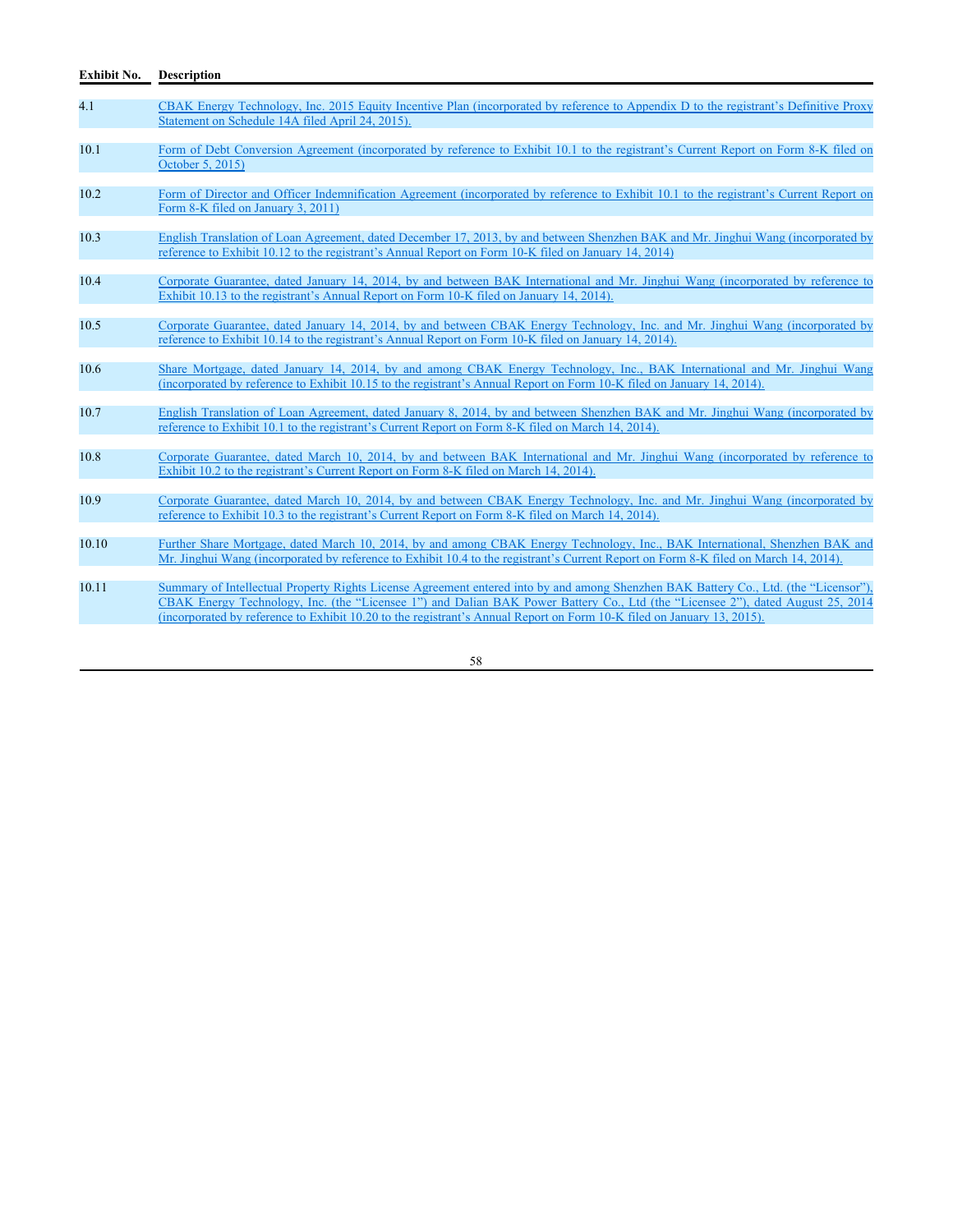| 4.1   | CBAK Energy Technology, Inc. 2015 Equity Incentive Plan (incorporated by reference to Appendix D to the registrant's Definitive Proxy<br>Statement on Schedule 14A filed April 24, 2015).                                                                                                                                                                                                         |
|-------|---------------------------------------------------------------------------------------------------------------------------------------------------------------------------------------------------------------------------------------------------------------------------------------------------------------------------------------------------------------------------------------------------|
| 10.1  | Form of Debt Conversion Agreement (incorporated by reference to Exhibit 10.1 to the registrant's Current Report on Form 8-K filed on<br>October 5, 2015)                                                                                                                                                                                                                                          |
| 10.2  | Form of Director and Officer Indemnification Agreement (incorporated by reference to Exhibit 10.1 to the registrant's Current Report on<br>Form 8-K filed on January 3, 2011)                                                                                                                                                                                                                     |
| 10.3  | English Translation of Loan Agreement, dated December 17, 2013, by and between Shenzhen BAK and Mr. Jinghui Wang (incorporated by<br>reference to Exhibit 10.12 to the registrant's Annual Report on Form 10-K filed on January 14, 2014)                                                                                                                                                         |
| 10.4  | Corporate Guarantee, dated January 14, 2014, by and between BAK International and Mr. Jinghui Wang (incorporated by reference to<br>Exhibit 10.13 to the registrant's Annual Report on Form 10-K filed on January 14, 2014).                                                                                                                                                                      |
| 10.5  | Corporate Guarantee, dated January 14, 2014, by and between CBAK Energy Technology, Inc. and Mr. Jinghui Wang (incorporated by<br>reference to Exhibit 10.14 to the registrant's Annual Report on Form 10-K filed on January 14, 2014).                                                                                                                                                           |
| 10.6  | Share Mortgage, dated January 14, 2014, by and among CBAK Energy Technology, Inc., BAK International and Mr. Jinghui Wang<br>(incorporated by reference to Exhibit 10.15 to the registrant's Annual Report on Form 10-K filed on January 14, 2014).                                                                                                                                               |
| 10.7  | English Translation of Loan Agreement, dated January 8, 2014, by and between Shenzhen BAK and Mr. Jinghui Wang (incorporated by<br>reference to Exhibit 10.1 to the registrant's Current Report on Form 8-K filed on March 14, 2014).                                                                                                                                                             |
| 10.8  | Corporate Guarantee, dated March 10, 2014, by and between BAK International and Mr. Jinghui Wang (incorporated by reference to<br>Exhibit 10.2 to the registrant's Current Report on Form 8-K filed on March 14, 2014).                                                                                                                                                                           |
| 10.9  | Corporate Guarantee, dated March 10, 2014, by and between CBAK Energy Technology, Inc. and Mr. Jinghui Wang (incorporated by<br>reference to Exhibit 10.3 to the registrant's Current Report on Form 8-K filed on March 14, 2014).                                                                                                                                                                |
| 10.10 | Further Share Mortgage, dated March 10, 2014, by and among CBAK Energy Technology, Inc., BAK International, Shenzhen BAK and<br>Mr. Jinghui Wang (incorporated by reference to Exhibit 10.4 to the registrant's Current Report on Form 8-K filed on March 14, 2014).                                                                                                                              |
| 10.11 | Summary of Intellectual Property Rights License Agreement entered into by and among Shenzhen BAK Battery Co., Ltd. (the "Licensor").<br>CBAK Energy Technology, Inc. (the "Licensee 1") and Dalian BAK Power Battery Co., Ltd (the "Licensee 2"), dated August 25, 2014<br>(incorporated by reference to Exhibit 10.20 to the registrant's Annual Report on Form 10-K filed on January 13, 2015). |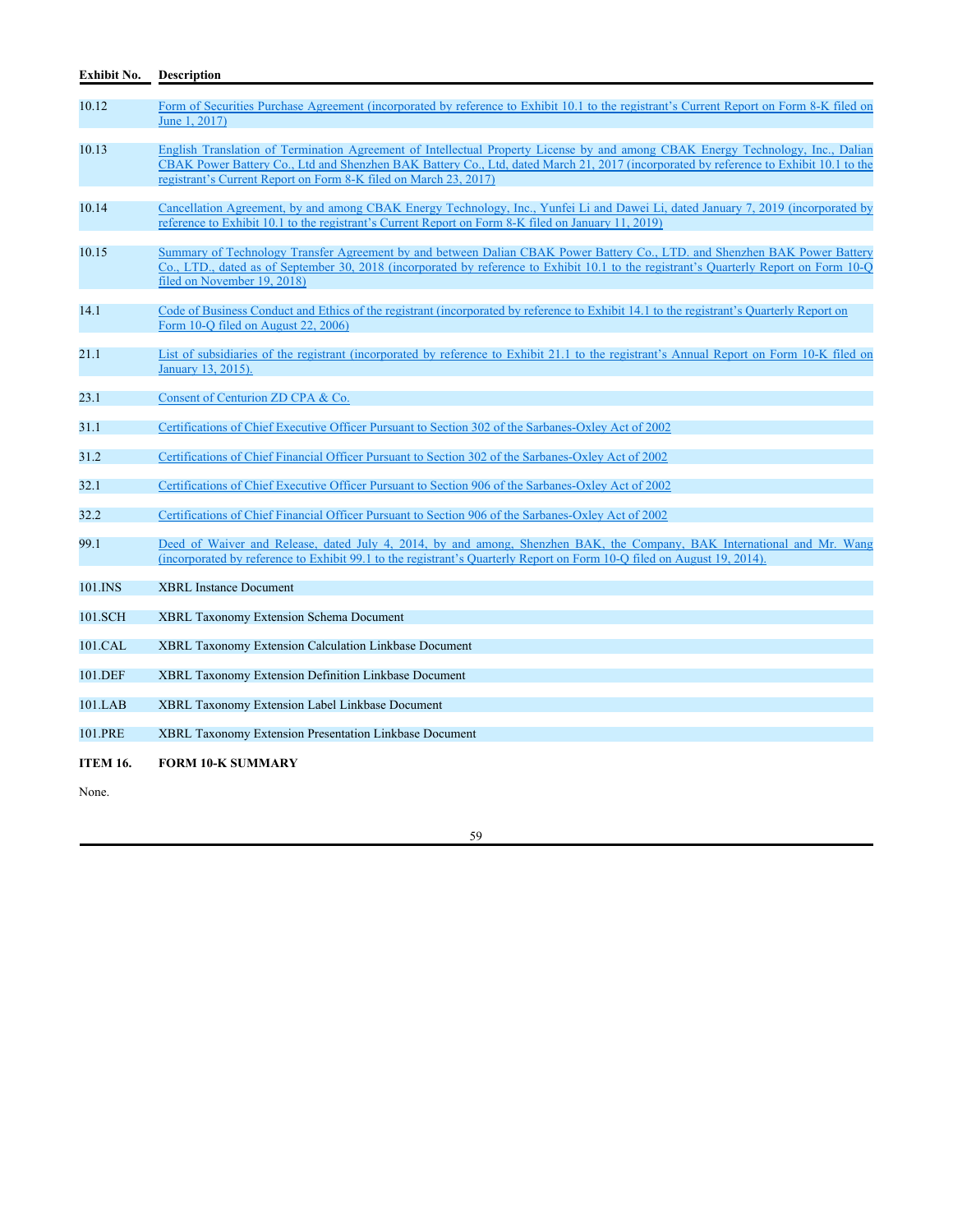| Exhibit No.     | <b>Description</b>                                                                                                                                                                                                                                                                                                                           |
|-----------------|----------------------------------------------------------------------------------------------------------------------------------------------------------------------------------------------------------------------------------------------------------------------------------------------------------------------------------------------|
| 10.12           | Form of Securities Purchase Agreement (incorporated by reference to Exhibit 10.1 to the registrant's Current Report on Form 8-K filed on<br>June 1, 2017)                                                                                                                                                                                    |
| 10.13           | English Translation of Termination Agreement of Intellectual Property License by and among CBAK Energy Technology, Inc., Dalian<br>CBAK Power Battery Co., Ltd and Shenzhen BAK Battery Co., Ltd, dated March 21, 2017 (incorporated by reference to Exhibit 10.1 to the<br>registrant's Current Report on Form 8-K filed on March 23, 2017) |
| 10.14           | Cancellation Agreement, by and among CBAK Energy Technology, Inc., Yunfei Li and Dawei Li, dated January 7, 2019 (incorporated by<br>reference to Exhibit 10.1 to the registrant's Current Report on Form 8-K filed on January 11, 2019)                                                                                                     |
| 10.15           | Summary of Technology Transfer Agreement by and between Dalian CBAK Power Battery Co., LTD. and Shenzhen BAK Power Battery<br>Co., LTD., dated as of September 30, 2018 (incorporated by reference to Exhibit 10.1 to the registrant's Quarterly Report on Form 10-Q<br>filed on November 19, 2018)                                          |
| 14.1            | Code of Business Conduct and Ethics of the registrant (incorporated by reference to Exhibit 14.1 to the registrant's Quarterly Report on<br>Form 10-O filed on August 22, 2006)                                                                                                                                                              |
| 21.1            | List of subsidiaries of the registrant (incorporated by reference to Exhibit 21.1 to the registrant's Annual Report on Form 10-K filed on<br>January 13, 2015).                                                                                                                                                                              |
| 23.1            | Consent of Centurion ZD CPA & Co.                                                                                                                                                                                                                                                                                                            |
| 31.1            | Certifications of Chief Executive Officer Pursuant to Section 302 of the Sarbanes-Oxley Act of 2002                                                                                                                                                                                                                                          |
| 31.2            | Certifications of Chief Financial Officer Pursuant to Section 302 of the Sarbanes-Oxley Act of 2002                                                                                                                                                                                                                                          |
| 32.1            | Certifications of Chief Executive Officer Pursuant to Section 906 of the Sarbanes-Oxley Act of 2002                                                                                                                                                                                                                                          |
| 32.2            | Certifications of Chief Financial Officer Pursuant to Section 906 of the Sarbanes-Oxlev Act of 2002                                                                                                                                                                                                                                          |
| 99.1            | Deed of Waiver and Release, dated July 4, 2014, by and among, Shenzhen BAK, the Company, BAK International and Mr. Wang<br>(incorporated by reference to Exhibit 99.1 to the registrant's Quarterly Report on Form 10-Q filed on August 19, 2014).                                                                                           |
| $101$ . INS     | <b>XBRL</b> Instance Document                                                                                                                                                                                                                                                                                                                |
| 101.SCH         | <b>XBRL Taxonomy Extension Schema Document</b>                                                                                                                                                                                                                                                                                               |
| 101.CAL         | XBRL Taxonomy Extension Calculation Linkbase Document                                                                                                                                                                                                                                                                                        |
| 101.DEF         | XBRL Taxonomy Extension Definition Linkbase Document                                                                                                                                                                                                                                                                                         |
| 101.LAB         | XBRL Taxonomy Extension Label Linkbase Document                                                                                                                                                                                                                                                                                              |
| 101.PRE         | <b>XBRL Taxonomy Extension Presentation Linkbase Document</b>                                                                                                                                                                                                                                                                                |
| <b>ITEM 16.</b> | <b>FORM 10-K SUMMARY</b>                                                                                                                                                                                                                                                                                                                     |

59

None.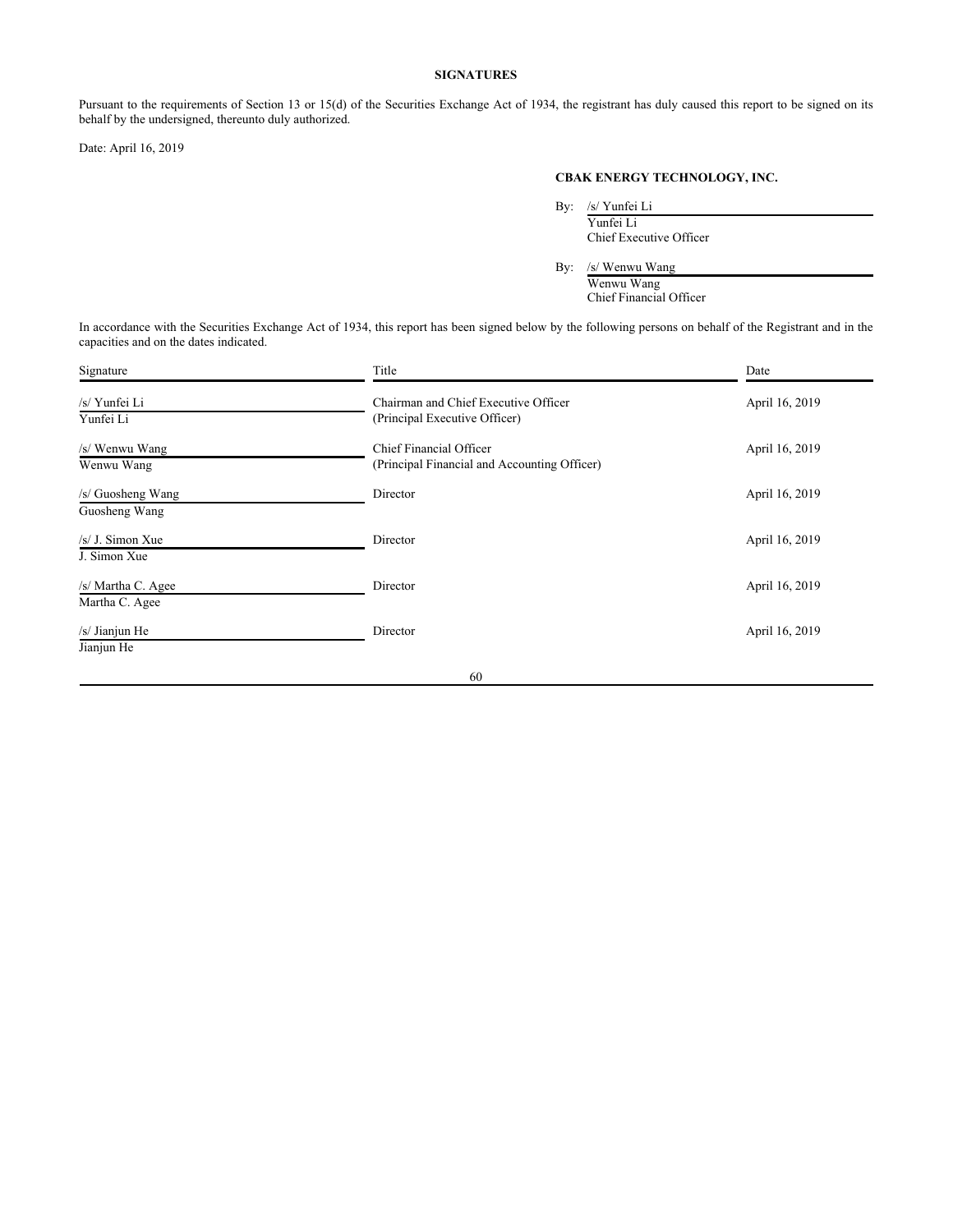# **SIGNATURES**

Pursuant to the requirements of Section 13 or 15(d) of the Securities Exchange Act of 1934, the registrant has duly caused this report to be signed on its behalf by the undersigned, thereunto duly authorized.

Date: April 16, 2019

# **CBAK ENERGY TECHNOLOGY, INC.**

By: /s/ Yunfei Li

Yunfei Li Chief Executive Officer

By: /s/ Wenwu Wang

Wenwu Wang Chief Financial Officer

In accordance with the Securities Exchange Act of 1934, this report has been signed below by the following persons on behalf of the Registrant and in the capacities and on the dates indicated.

| Signature                            | Title                                                                   | Date           |
|--------------------------------------|-------------------------------------------------------------------------|----------------|
| /s/ Yunfei Li<br>Yunfei Li           | Chairman and Chief Executive Officer<br>(Principal Executive Officer)   | April 16, 2019 |
| /s/ Wenwu Wang<br>Wenwu Wang         | Chief Financial Officer<br>(Principal Financial and Accounting Officer) | April 16, 2019 |
| /s/ Guosheng Wang<br>Guosheng Wang   | Director                                                                | April 16, 2019 |
| $/s/J.$ Simon Xue<br>J. Simon Xue    | Director                                                                | April 16, 2019 |
| /s/ Martha C. Agee<br>Martha C. Agee | Director                                                                | April 16, 2019 |
| /s/ Jianjun He<br>Jianjun He         | Director                                                                | April 16, 2019 |
|                                      | 60                                                                      |                |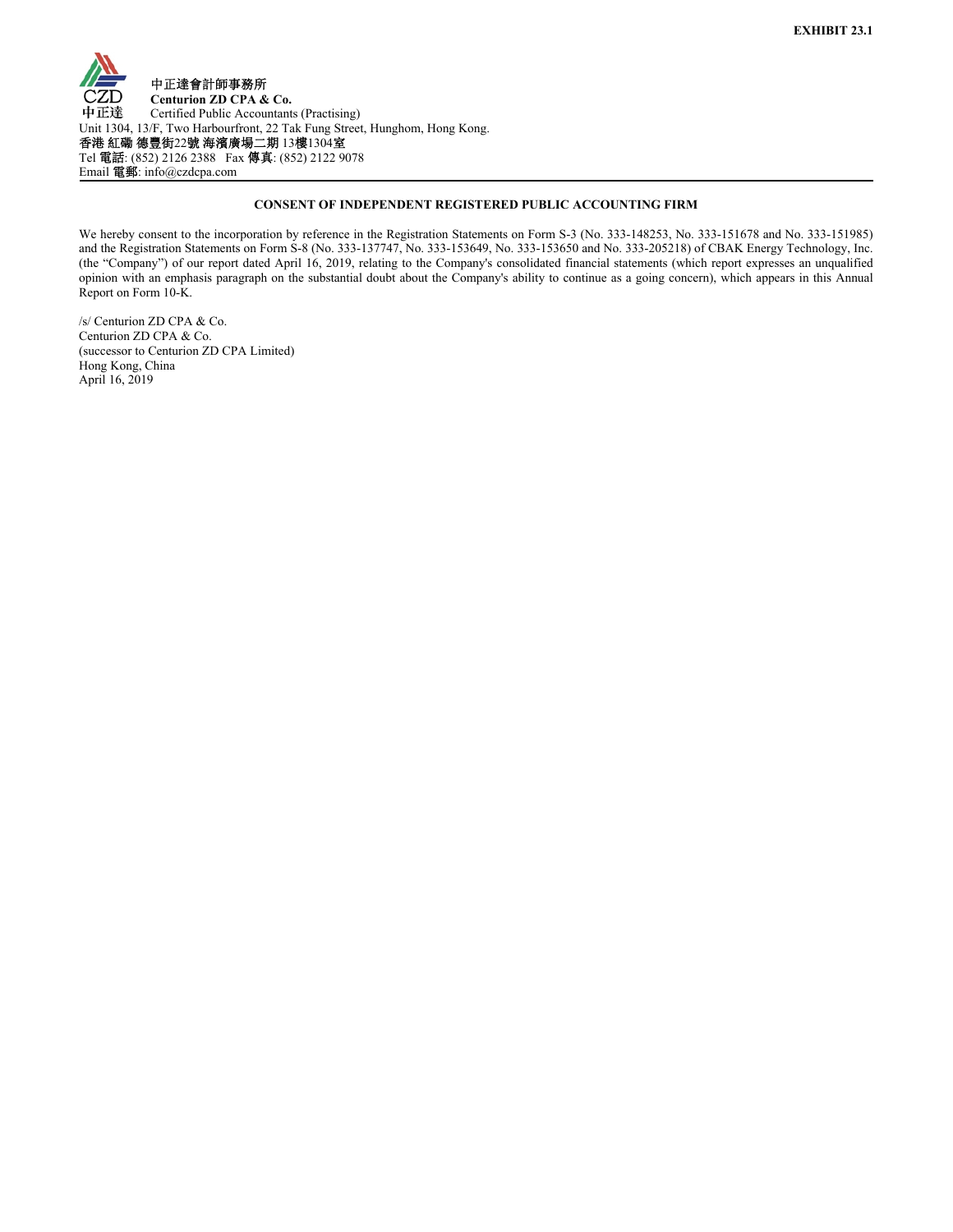

# **CONSENT OF INDEPENDENT REGISTERED PUBLIC ACCOUNTING FIRM**

We hereby consent to the incorporation by reference in the Registration Statements on Form S-3 (No. 333-148253, No. 333-151678 and No. 333-151985) and the Registration Statements on Form S-8 (No. 333-137747, No. 333-153649, No. 333-153650 and No. 333-205218) of CBAK Energy Technology, Inc. (the "Company") of our report dated April 16, 2019, relating to the Company's consolidated financial statements (which report expresses an unqualified opinion with an emphasis paragraph on the substantial doubt about the Company's ability to continue as a going concern), which appears in this Annual Report on Form 10-K.

/s/ Centurion ZD CPA & Co. Centurion ZD CPA & Co. (successor to Centurion ZD CPA Limited) Hong Kong, China April 16, 2019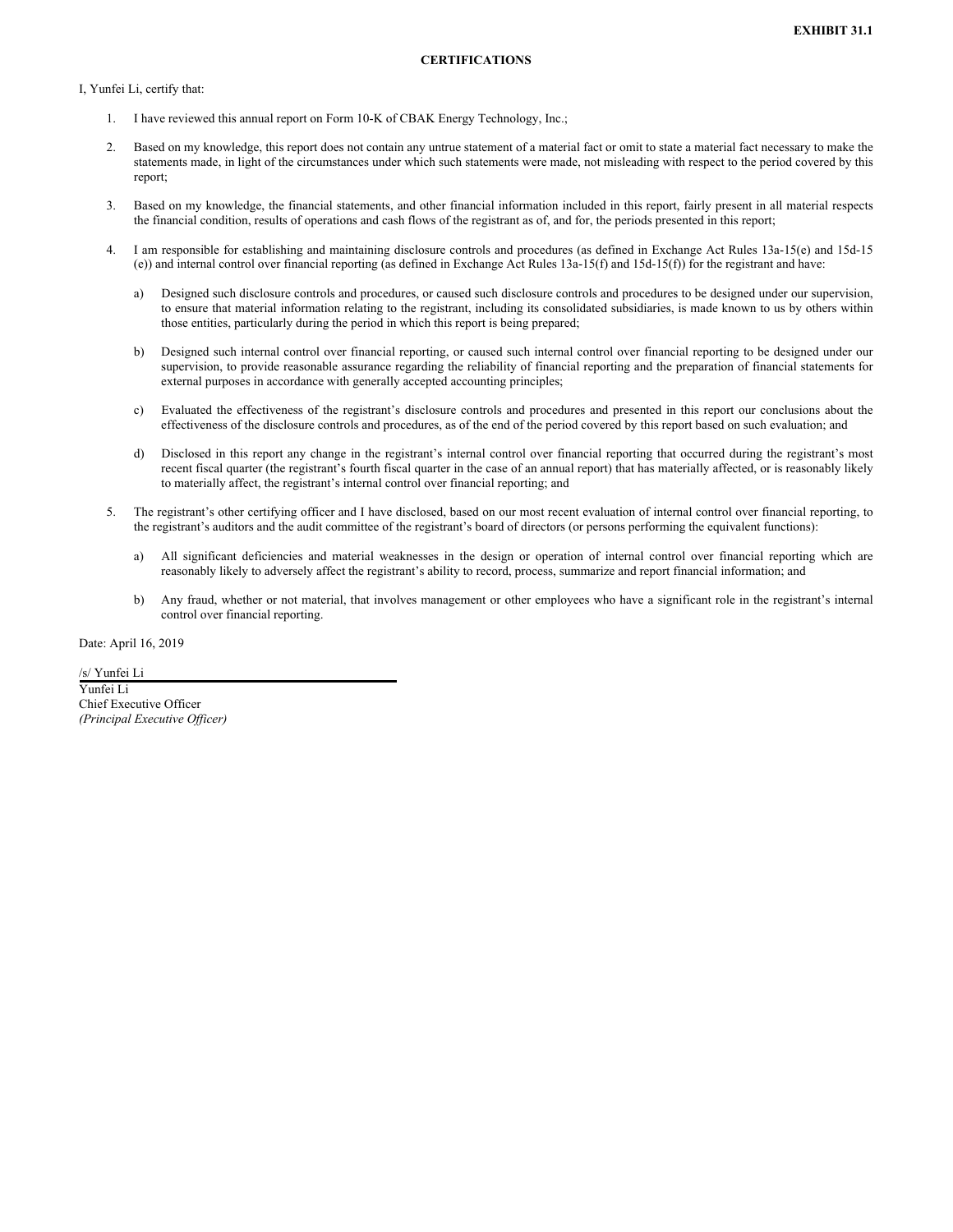I, Yunfei Li, certify that:

- 1. I have reviewed this annual report on Form 10-K of CBAK Energy Technology, Inc.;
- 2. Based on my knowledge, this report does not contain any untrue statement of a material fact or omit to state a material fact necessary to make the statements made, in light of the circumstances under which such statements were made, not misleading with respect to the period covered by this report;
- 3. Based on my knowledge, the financial statements, and other financial information included in this report, fairly present in all material respects the financial condition, results of operations and cash flows of the registrant as of, and for, the periods presented in this report;
- 4. I am responsible for establishing and maintaining disclosure controls and procedures (as defined in Exchange Act Rules 13a-15(e) and 15d-15 (e)) and internal control over financial reporting (as defined in Exchange Act Rules 13a-15(f) and 15d-15(f)) for the registrant and have:
	- a) Designed such disclosure controls and procedures, or caused such disclosure controls and procedures to be designed under our supervision, to ensure that material information relating to the registrant, including its consolidated subsidiaries, is made known to us by others within those entities, particularly during the period in which this report is being prepared;
	- b) Designed such internal control over financial reporting, or caused such internal control over financial reporting to be designed under our supervision, to provide reasonable assurance regarding the reliability of financial reporting and the preparation of financial statements for external purposes in accordance with generally accepted accounting principles;
	- c) Evaluated the effectiveness of the registrant's disclosure controls and procedures and presented in this report our conclusions about the effectiveness of the disclosure controls and procedures, as of the end of the period covered by this report based on such evaluation; and
	- d) Disclosed in this report any change in the registrant's internal control over financial reporting that occurred during the registrant's most recent fiscal quarter (the registrant's fourth fiscal quarter in the case of an annual report) that has materially affected, or is reasonably likely to materially affect, the registrant's internal control over financial reporting; and
- 5. The registrant's other certifying officer and I have disclosed, based on our most recent evaluation of internal control over financial reporting, to the registrant's auditors and the audit committee of the registrant's board of directors (or persons performing the equivalent functions):
	- a) All significant deficiencies and material weaknesses in the design or operation of internal control over financial reporting which are reasonably likely to adversely affect the registrant's ability to record, process, summarize and report financial information; and
	- b) Any fraud, whether or not material, that involves management or other employees who have a significant role in the registrant's internal control over financial reporting.

Date: April 16, 2019

/s/ Yunfei Li

Yunfei Li Chief Executive Officer *(Principal Executive Officer)*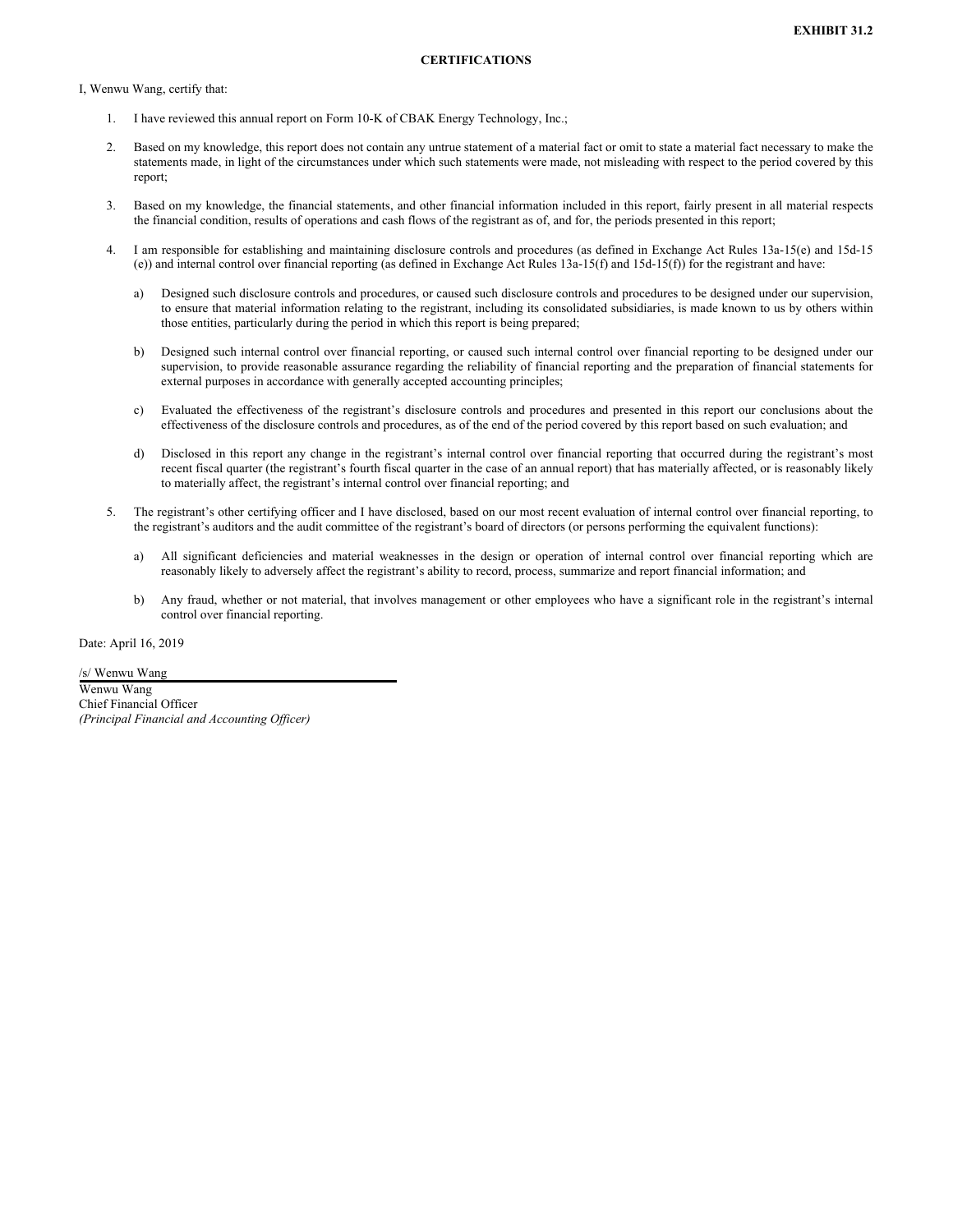I, Wenwu Wang, certify that:

- 1. I have reviewed this annual report on Form 10-K of CBAK Energy Technology, Inc.;
- 2. Based on my knowledge, this report does not contain any untrue statement of a material fact or omit to state a material fact necessary to make the statements made, in light of the circumstances under which such statements were made, not misleading with respect to the period covered by this report;
- 3. Based on my knowledge, the financial statements, and other financial information included in this report, fairly present in all material respects the financial condition, results of operations and cash flows of the registrant as of, and for, the periods presented in this report;
- 4. I am responsible for establishing and maintaining disclosure controls and procedures (as defined in Exchange Act Rules 13a-15(e) and 15d-15 (e)) and internal control over financial reporting (as defined in Exchange Act Rules 13a-15(f) and 15d-15(f)) for the registrant and have:
	- a) Designed such disclosure controls and procedures, or caused such disclosure controls and procedures to be designed under our supervision, to ensure that material information relating to the registrant, including its consolidated subsidiaries, is made known to us by others within those entities, particularly during the period in which this report is being prepared;
	- b) Designed such internal control over financial reporting, or caused such internal control over financial reporting to be designed under our supervision, to provide reasonable assurance regarding the reliability of financial reporting and the preparation of financial statements for external purposes in accordance with generally accepted accounting principles;
	- c) Evaluated the effectiveness of the registrant's disclosure controls and procedures and presented in this report our conclusions about the effectiveness of the disclosure controls and procedures, as of the end of the period covered by this report based on such evaluation; and
	- d) Disclosed in this report any change in the registrant's internal control over financial reporting that occurred during the registrant's most recent fiscal quarter (the registrant's fourth fiscal quarter in the case of an annual report) that has materially affected, or is reasonably likely to materially affect, the registrant's internal control over financial reporting; and
- 5. The registrant's other certifying officer and I have disclosed, based on our most recent evaluation of internal control over financial reporting, to the registrant's auditors and the audit committee of the registrant's board of directors (or persons performing the equivalent functions):
	- a) All significant deficiencies and material weaknesses in the design or operation of internal control over financial reporting which are reasonably likely to adversely affect the registrant's ability to record, process, summarize and report financial information; and
	- b) Any fraud, whether or not material, that involves management or other employees who have a significant role in the registrant's internal control over financial reporting.

Date: April 16, 2019

/s/ Wenwu Wang

Wenwu Wang Chief Financial Officer *(Principal Financial and Accounting Officer)*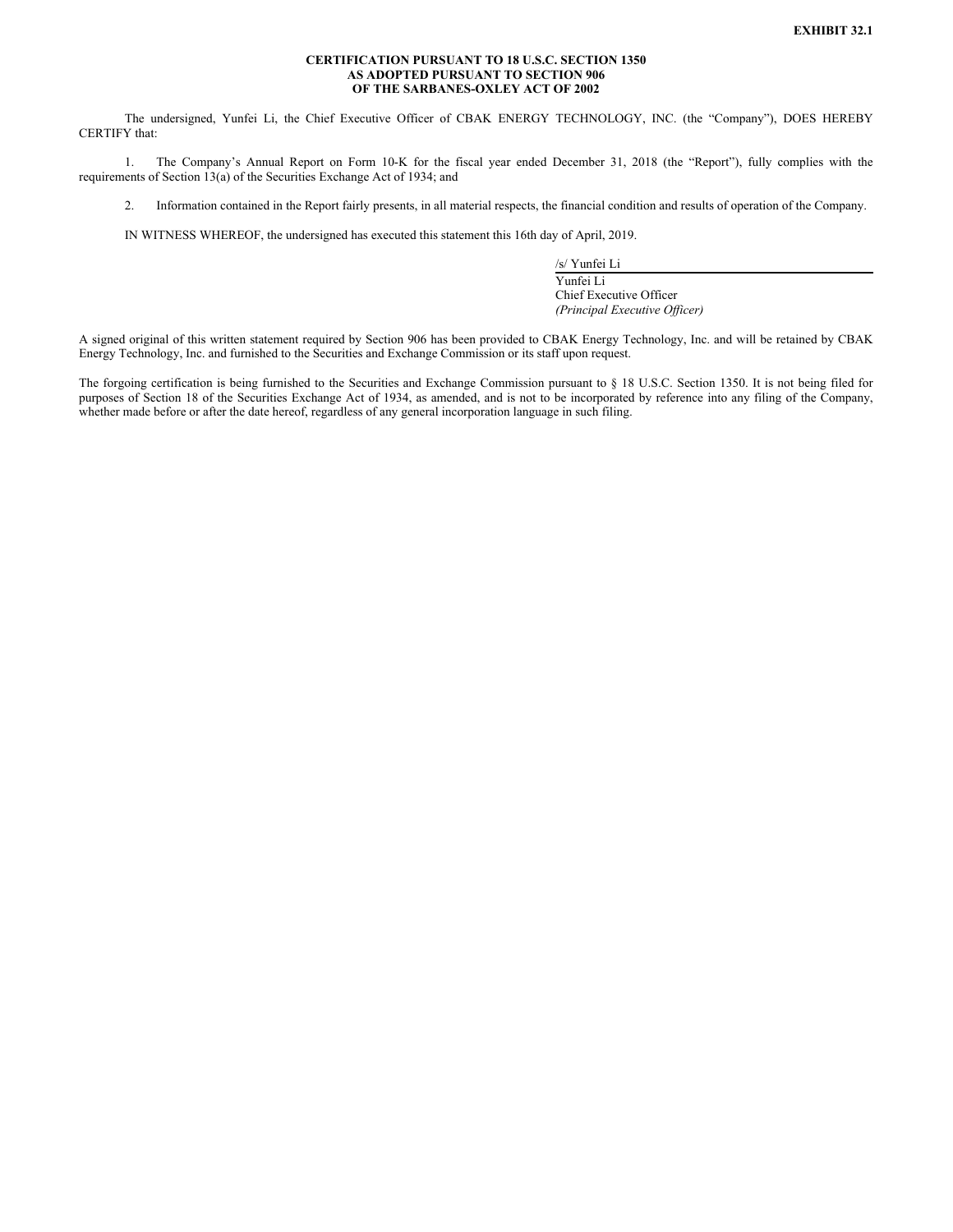### **CERTIFICATION PURSUANT TO 18 U.S.C. SECTION 1350 AS ADOPTED PURSUANT TO SECTION 906 OF THE SARBANES-OXLEY ACT OF 2002**

The undersigned, Yunfei Li, the Chief Executive Officer of CBAK ENERGY TECHNOLOGY, INC. (the "Company"), DOES HEREBY CERTIFY that:

1. The Company's Annual Report on Form 10-K for the fiscal year ended December 31, 2018 (the "Report"), fully complies with the requirements of Section 13(a) of the Securities Exchange Act of 1934; and

2. Information contained in the Report fairly presents, in all material respects, the financial condition and results of operation of the Company.

IN WITNESS WHEREOF, the undersigned has executed this statement this 16th day of April, 2019.

/s/ Yunfei Li

Yunfei Li Chief Executive Officer *(Principal Executive Officer)*

A signed original of this written statement required by Section 906 has been provided to CBAK Energy Technology, Inc. and will be retained by CBAK Energy Technology, Inc. and furnished to the Securities and Exchange Commission or its staff upon request.

The forgoing certification is being furnished to the Securities and Exchange Commission pursuant to § 18 U.S.C. Section 1350. It is not being filed for purposes of Section 18 of the Securities Exchange Act of 1934, as amended, and is not to be incorporated by reference into any filing of the Company, whether made before or after the date hereof, regardless of any general incorporation language in such filing.